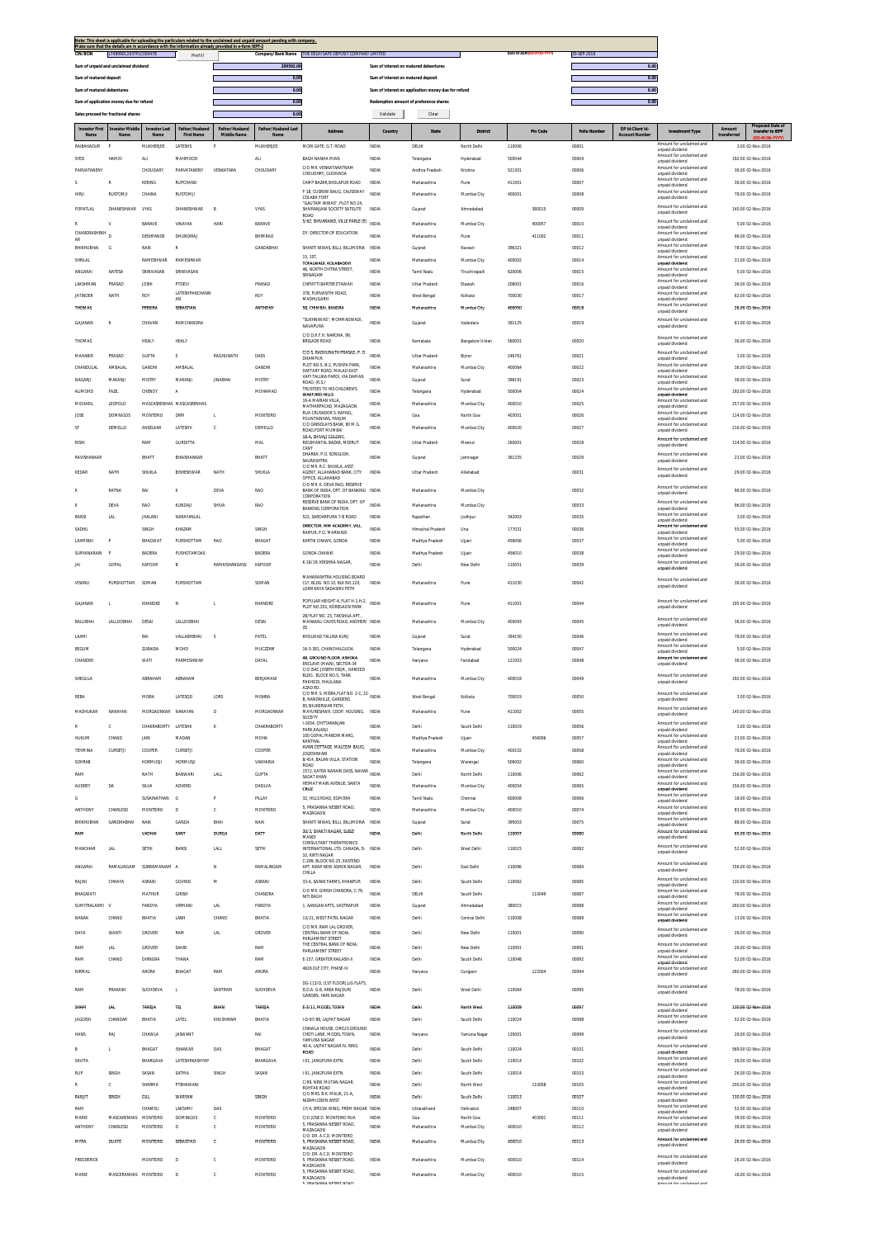| Note: This sheet is applicable for uploading the particulars related to the unclaimed and unpaid amount pending with company. |         |                                                                                                                                                         |                                        |                                        |                                                     |                          |             |      |
|-------------------------------------------------------------------------------------------------------------------------------|---------|---------------------------------------------------------------------------------------------------------------------------------------------------------|----------------------------------------|----------------------------------------|-----------------------------------------------------|--------------------------|-------------|------|
| Make sure that the details are in accordance with the information already provided in e-form IEPF-2                           |         |                                                                                                                                                         |                                        |                                        |                                                     |                          |             |      |
| L74899DL1937PLC000478<br><b>CIN/BCIN</b>                                                                                      | Prefill | Company/Bank Name                                                                                                                                       | THE DELHI SAFE DEPOSIT COMPANY LIMITED |                                        |                                                     | Date Of AGM(DD-MON-YYYY) | 30-SEP-2016 |      |
| Sum of unpaid and unclaimed dividend                                                                                          |         | 209592.00                                                                                                                                               |                                        | Sum of interest on matured debentures  |                                                     |                          |             | 0.00 |
|                                                                                                                               |         |                                                                                                                                                         |                                        |                                        |                                                     |                          |             |      |
| Sum of matured deposit                                                                                                        |         | 0.01                                                                                                                                                    |                                        | Sum of interest on matured deposit     |                                                     |                          |             | 0.00 |
| Sum of matured debentures                                                                                                     |         | 0.01                                                                                                                                                    |                                        |                                        | Sum of interest on application money due for refund |                          |             | 0.00 |
| Sum of application money due for refund                                                                                       |         | 0.01                                                                                                                                                    |                                        | Redemption amount of preference shares |                                                     |                          |             | 0.00 |
|                                                                                                                               |         |                                                                                                                                                         |                                        |                                        |                                                     |                          |             |      |
| Sales proceed for fractional shares                                                                                           |         | 0.00                                                                                                                                                    |                                        | Validate                               | Clear                                               |                          |             |      |
|                                                                                                                               |         | <b>STATE OF STATE OF STATE OF STATE OF STATE OF STATE OF STATE OF STATE OF STATE OF STATE OF STATE OF STATE OF S</b><br>the contract of the contract of |                                        |                                        |                                                     |                          |             |      |

| Amount for unclaimed and<br>RAIBAHADUR<br>MUKHERJEE<br>LATESHS<br>MUKHERJEE<br>MORI GATE, G.T. ROAD<br>INDIA<br>DELHI<br>North Delh<br>110006<br>00001<br>3.00 02-Nov-2016<br>F<br>unpaid dividend<br>Amount for unclaimed and<br>SYED<br>HAMID<br><b>AU</b><br>MAHMOOD<br><b>ALI</b><br>BAGH NANHA MIAN<br><b>INDIA</b><br>Telangana<br>Hyderabad<br>500044<br>00004<br>192.00 02-Nov-2016<br>unpaid dividend<br>C/O MR VENKATARATNAM<br>Amount for unclaimed and<br>PARVATANENY<br>PARVATANENY<br>CHOUDARY<br>VENKATARA<br>CHOUDARY<br>INDIA<br>Andhra Pradesł<br>Krishna<br>521301<br>00006<br>36.00 02-Nov-2016<br>CHOUDHRY, GUDIVADA<br>unpaid dividend<br>Amount for unclaimed and<br>CAMP BAZAR, SHOLAPUR ROAD<br>RUPCHAND<br>411001<br>00007<br>36.00 02-Nov-2016<br><b>KERING</b><br><b>INDIA</b><br>R<br>Maharashtra<br>Pune<br>unpaid dividend<br>F-18, CUSROW BAUG, CAUSEWAY<br>Amount for unclaimed and<br>RUSTOMIL<br>CHAINA<br>RUSTOMJI<br><b>INDIA</b><br>Maharashtra<br>Mumbai City<br>400001<br>00008<br>78.00 02-Nov-2016<br>HIRJI<br><b>COLABA FORT</b><br>unpaid dividend<br>"GAUTAM NIWAS", PLOT NO 24<br>Amount for unclaimed and<br><b>POPATLAL</b><br><b>DHANESHWAR</b><br>VYAS<br>DHANESHWAR<br>B<br><b>VYAS</b><br>SHIVRANJANI SOCIETY SATELITE<br><b>INDIA</b><br>Gujarat<br>Ahmedabad<br>380015<br>00009<br>140.00 02-Nov-2016<br>unpaid dividend<br>ROAD<br>5/62, SHIVANAND, VILLE PARLE (E)<br>Amount for unclaimed and<br><b>INDIA</b><br>400057<br>BARAVE<br>VINAYAK<br><b>HARI</b><br>BARAVE<br>Mumbai City<br>00010<br>5.00 02-Nov-2016<br>Maharashtra<br>v<br>unpaid dividend<br>CHANDRASHEKH D<br>DY. DIRECTOR OF EDUCATION<br>Amount for unclaimed and<br>DESHPANDE<br>DHUNDIRAJ<br><b>BHIMRAO</b><br><b>INDIA</b><br>Maharashtra<br>411002<br>00011<br>96.00 02-Nov-2016<br>Pune<br>unpaid dividend<br>Amount for unclaimed and<br>$\mathsf R$<br>GANDABHAI<br>SHANTI NIWAS, BILLI, BILLIMORIA<br>78.00 02-Nov-2016<br>NAIK<br>INDIA<br>396321<br>00012<br>BHIKHUBHAI<br>G<br>Gujarat<br>Navsari<br>unpaid dividend<br>15, 1ST,<br>Amount for unclaimed and<br>RAMESHWAR<br>SHRILAL<br><b>RAMESHWAR</b><br><b>INDIA</b><br>Maharashtra<br>Mumbai City<br>400002<br>00014<br>31.00 02-Nov-2016<br>TOFALWADI, KOLABADEVI<br>unpaid dividend<br>46, NORTH CHITRA STREET<br>Amount for unclaimed and<br>ANGARAI<br>NATESA<br>SRINIVASAN<br>SRINIVASAN<br>INDIA<br>Tamil Nadu<br>Tiruchirapall<br>620006<br>00015<br>5.00 02-Nov-2016<br>SRINAGAM<br>unpaid dividend<br>Amount for unclaimed and<br>LAKSHMAN<br>PRASAD<br><b>JOSHI</b><br>PTDEVI<br>PRASAD<br>CHIPATTI BARTER ETAWAH<br><b>INDIA</b><br>Uttar Pradesh<br>Etawah<br>206001<br>00016<br>36.00 02-Nov-2016<br>unpaid dividend<br>378. PURVASITHI ROAD.<br><b>LATESHPANCHANN</b><br>Amount for unclaimed and<br><b>JATINDER</b><br>NATH<br><b>ROY</b><br>ROY<br>INDIA<br>West Bengal<br>700030<br>00017<br>62.00 02-Nov-2016<br>Kolkata<br>MADHUGARH<br>unpaid dividend<br>AN<br>Amount for unclaimed and<br><b>ANTHONY</b><br>THOMAS<br>PEREIRA<br>SEBASTIAN<br>58, CHIMBAI, BANDRA<br>400050<br>00018<br>26.00 02-Nov-2016<br>INDIA<br>Maharashtra<br>Mumbai City<br>unpaid dividend<br>"SUKHNIWAS", MOHMADWADI<br>Amount for unclaimed and<br>GAJANAN<br>$\mathbb R$<br>CHAVAN<br>RAMCHANDRA<br><b>INDIA</b><br>Vadodara<br>391125<br>00019<br>81.00 02-Nov-2016<br>Gujarat<br>NAVAPURA<br>unnaid dividend<br>C/O D.R.F.H. NAROHA, 99.<br>Amount for unclaimed and<br>HEALY<br>HEALY<br>INDIA<br>560001<br>36.00 02-Nov-2016<br>THOMAS<br><b>BRIGADE ROAD</b><br>Karnataka<br>Bangalore Urban<br>00020<br>unpaid dividend<br>C/O S. RAGHUNATH PRASAD, P. O.<br>Amount for unclaimed and<br>MAHABIR<br>PRASAD<br><b>GUPTA</b><br>s<br>RAGHUNATH<br>DASS<br><b>INDIA</b><br>Uttar Pradesh<br>246761<br>00021<br>3.00 02-Nov-2016<br>Bijnor<br>DHAMPUR<br>unpaid dividend<br>PLOT NO.5, B-2, PUSHPA PARK<br>Amount for unclaimed and<br>CHANDULAL<br><b>AMBALAL</b><br>GANDHI<br>AMBALAL<br>GANDHI<br><b>INDIA</b><br>Maharashtra<br>Mumbai City<br>400064<br>00022<br>36.00 02-Nov-2016<br>DAFTARY ROAD. MALAD EAST<br>unpaid dividend<br>VAPI TALUKA PARDI. VIA DAMAN<br>Amount for unclaimed and<br>NAGARJI<br>MAKANJI<br><b>MISTRY</b><br>MAKANJI<br><b>JINABHAI</b><br><b>MISTRY</b><br><b>INDIA</b><br>Gujarat<br>Surat<br>396191<br>00023<br>36.00 02-Nov-2016<br>ROAD, (R.S.)<br>unpaid dividend<br>TRUSTEES TO HIS CHILDREN'S<br>Amount for unclaimed and<br>MOHAMAD<br><b>ALIMOHD</b><br>FAZIL<br>CHENOY<br>$\mathbb A$<br>INDIA<br>500004<br>00024<br>192.00 02-Nov-2016<br>Telangana<br>Hyderabad<br>WAKE RED HILLS<br>unpaid dividend<br>16-A MARIAN VILLA<br>Amount for unclaimed and<br>MICHAEIL<br>LEOPOLD<br>MASCASRENHAS MASCASRENHAS<br><b>INDIA</b><br>Maharashtra<br>Mumbai City<br>400010<br>00025<br>257.00 02-Nov-2016<br>MATHARPACAD, MAZAGAON<br>unpaid dividend<br>RUA CRUSADOR S. RAFAEL<br>Amount for unclaimed and<br>114.00 02-Nov-2016<br>JOSE<br><b>DOMNIGOS</b><br><b>MONTERIO</b><br><b>DRM</b><br>Ĺ<br>MONTEIRO<br>INDIA<br>Goa<br>North Goa<br>40300<br>00026<br>FOUNTAINHAS, PANJIM<br>unpaid dividend<br>C/O GRINDLAYS BANK, 90 M.G.<br>Amount for unclaimed and<br>SF<br>DEMELLO<br>ANSELKAR<br>LATESHV<br>c<br>DEMELLO<br><b>INDIA</b><br>Maharashtra<br>Mumbai City<br>400020<br>00027<br>216.00.02-Nov-2016<br>ROAD FORT MUMBAL<br>unpaid dividend<br>18-A. SHIVAII COLONY<br>Amount for unclaimed and<br>GURDITTA<br>REGIMANTAL BAZAR, MEERUT<br>RISHI<br>RAM<br>MAL<br>INDIA<br>Uttar Pradesh<br>260001<br>00028<br>114.00 02-Nov-2016<br>Meerut<br>unpaid dividend<br>CANT<br>DHARKA, P.O. SONGUDH<br>Amount for unclaimed and<br>RAVISHANKAR<br>BHATT<br>BHAISHANKAR<br>BHATT<br>INDIA<br>361335<br>00029<br>23.00 02-Nov-2016<br>Gujarat<br>Jamnaga<br>SAURASHTRA<br>unpaid dividend<br>C/O MR. R.C. SHUKLA, ASST<br>Amount for unclaimed and<br>KEDAR<br>NATH<br><b>SHUKLA</b><br>BISHESHWAR<br>NATH<br>SHUKLA<br>AGENT, ALLAHABAD BANK, CITY<br>INDIA<br>Uttar Pradesh<br>Allahabad<br>00031<br>29.00 02-Nov-2016<br>unpaid dividend<br>OFFICE. ALLAHABAD<br>C/O MR. K. DEVA RAO, RESERVE<br>Amount for unclaimed and<br>RATNA<br>BAI<br>DEVA<br>RAO<br>BANK OF INDIA, DPT, OF BANKING INDIA<br>Maharashtra<br>Mumbai City<br>00032<br>96.00 02-Nov-2016<br>ĸ<br>unpaid dividend<br>CORPORATION<br>RESERVE BANK OF INDIA, DPT. OF<br>Amount for unclaimed and<br>DEVA<br><b>RAO</b><br>KUNDAJI<br>SHIVA<br>RAO<br><b>INDIA</b><br>Maharashtra<br>Mumbai City<br>00033<br>96.00.02-Nov-2016<br><b>BANKING CORPORATION</b><br>unpaid dividend<br>Amount for unclaimed and<br>522, SARDARPURA 7-B ROAD<br>342003<br>3.00 02-Nov-2016<br>BANSI<br><b>JHALANI</b><br>NARAYANLAL<br><b>INDIA</b><br>Rajasthan<br>00035<br>LAL<br>Jodhpur<br>unnaid dividend<br>DIRECTOR, HIM ACADEMY, VILL.<br>Amount for unclaimed and<br>SADHU<br>SINGH<br>KHAZAM<br>SINGH<br><b>INDIA</b><br>Himachal Pradesh<br>Una<br>177031<br>00036<br>55.00 02-Nov-2016<br>RAIPUR, P.O. MARWADI<br>unpaid dividend<br>Amount for unclaimed and<br>LAXMIBAI<br>P<br>BHAGWAT<br>PURSHOTTAM<br>RAO<br>BHAGAT<br>KARTIK CHAWK, GONDA<br>INDIA<br>Madhya Pradesh<br>Ujjain<br>456006<br>00037<br>5.00 02-Nov-2016<br>unpaid dividend<br>Amount for unclaimed and<br>SURYANARAIN<br>- P<br><b>BADERA</b><br>PUSHOTAMDAS<br><b>BADERA</b><br><b>GONDA CHAWKI</b><br><b>INDIA</b><br>Madhya Pradesh<br>Uliain<br>456010<br>00038<br>29.00 02-Nov-2016<br>unpaid dividend<br>K-18/19, KRISHNA NAGAR.<br>Amount for unclaimed and<br>GOPAL<br>KAPOOR<br>B<br>RAMKISHANDASS<br>KAPOOR<br>INDIA<br>Delh<br>110051<br>00039<br>36.00 02-Nov-2016<br><b>IAI</b><br>New Delhi<br>unpaid dividend<br>MAHARASHTRA HOUSING BOARD<br>Amount for unclaimed and<br>VISHNU<br>PURSHOTTAM<br>SOMAN<br>PURSHOTTAN<br>SOMAN<br>CLY, BLDG. NO.10, BLK NO.120,<br>INDIA<br>Maharashtra<br>411030<br>00042<br>36.00 02-Nov-2016<br>Pune<br>unpaid dividend<br>LOKMANYA SADASHIV PETH<br>POPULAR HEIGHT-4, FLAT H-1,H-2,<br>Amount for unclaimed and<br>INDIA<br>GAJANAN<br>$\mathbf{I}$<br>KHANDKE<br>N<br>L<br>KHANDKE<br>Maharashtra<br>Pune<br>411001<br>00044<br>195.00 02-Nov-2016<br>PLOT NO.301, KOREGAON PARK<br>unpaid dividend<br>2B/FLAT NO. 23, TAKSHILA APT<br>Amount for unclaimed and<br>BALUBHAI<br>LALLOOBHAI<br>DESAI<br><b>LALLOOBHAI</b><br>DESAI<br>MAHAKALI CAVES ROAD, ANDHERI INDIA<br>Maharashtra<br>Mumbai City<br>400093<br>00045<br>36.00 02-Nov-2016<br>unpaid dividend<br>(E)<br>Amount for unclaimed and<br>PATEL<br>LAXMI<br>BAI<br>VALLABHBHAI<br>s<br>KHOLWAD TALUKA KUNJ<br><b>INDIA</b><br>Gujarat<br>Surat<br>394150<br>00046<br>78.00 02-Nov-2016<br>unpaid dividend<br>Amount for unclaimed and<br>BEGUM<br><b>ZUBAIDA</b><br><b>MOHD</b><br>MUCZZAM<br>16-3-381, CHANCHALGUDA<br><b>INDIA</b><br>500024<br>00047<br>5.00 02-Nov-2016<br>Telangana<br>Hyderabad<br>unpaid dividend<br>48, GROUND FLOOR, ASHOKA<br>Amount for unclaimed and<br>WATI<br>PARMESHWAR<br>DAYA<br>CHANDER<br>INDIA<br>Faridabad<br>121003<br>00048<br>36.00 02-Nov-2016<br>Haryana<br>ENCLAVE (MAIN). SECTOR-34<br>unpaid dividend<br>C/O ISAC JOSEPH ESOR., HAMEED<br>BLDG. BLOCK NO.5, TANK<br>Amount for unclaimed and<br>ABRAHAM<br>ABRAHAM<br>BERJAMANI<br>INDIA<br>400018<br>00049<br>SHEGULA<br>Mumbai City<br>192.00 02-Nov-2016<br>Maharashtra<br>PAKHODI, MAULANA<br>unpaid dividend<br>AZAD RD<br>C/O MR. S. MISRA, FLAT NO. 2-C, 22- INDIA<br>Amount for unclaimed and<br>LATESQD<br>REBA<br><b>MISRA</b><br>LDRS<br><b>MISHRA</b><br>West Bengal<br>Kolkata<br>700019<br>00050<br>3.00.02-Nov-2016<br>B, NANDWILLE, GARDENS<br>unpaid dividend<br>95. SHUKERWAR PETH.<br>Amount for unclaimed and<br>NARAYAN<br>MORGAONKAR NARAYAN<br>MAYURESHWR, COOP. HOUSING. INDIA<br>411002<br>MADHUKAR<br>D<br>MORGAONKAR<br>00055<br>140.00 02-Nov-2016<br>Maharashtra<br>Pune<br>unpaid dividend<br>SOCEITY<br>I-1654, CHITTARANJAN<br>Amount for unclaimed and<br>$\mathbb C$<br>CHAKRABORTY LATESHK<br>K<br>CHAKRABORTY<br>INDIA<br>Delh<br>South Delh<br>110019<br>00056<br>3.00 02-Nov-2016<br>PARK.KALKAJI<br>unpaid dividend<br>100 GOPAL MANDIR MARG,<br>Amount for unclaimed and<br>HUKUM<br>CHAND<br>JAIN<br>MADAN<br><b>MOHA</b><br><b>INDIA</b><br>Madhya Pradesh<br>Ujjain<br>456006<br>00057<br>23.00 02-Nov-2016<br>KANTHAL<br>unpaid dividend<br>AVAN COTTAGE MALCOM BALIG<br>Amount for unclaimed and<br>TEHMINA<br>CURSETJI<br>COOPER<br>CURSETJI<br>COOPER<br><b>INDIA</b><br>Maharashtra<br>Mumbai City<br>400102<br>00058<br>78.00 02-Nov-2016<br>unpaid dividend<br><b>JOGESHWAR</b><br>8/414, BALAN VILLA, STATION<br>Amount for unclaimed and<br>INDIA<br>SOHRAB<br><b>HORMUSJ</b><br><b>HORMUSJ</b><br>VAKHARIA<br>506002<br>00060<br>36.00 02-Nov-2016<br>Telangana<br>Warangal<br>ROAD<br>unpaid dividend<br>1572, KATRA NARAIN DASS, NAHAR INDIA<br>Amount for unclaimed and<br>RAM<br><b>NATH</b><br>RANWARI<br><b>LALL</b><br><b>GLIPTA</b><br>Delhi<br>North Delh<br>110006<br>00062<br>156.00 02-Nov-2016<br>SADAT KHAN<br>unpaid dividend<br>HEIMAT MAIN AVENUE, SANTA<br>Amount for unclair<br>ed and<br>DA<br>SILVA<br>ADVERD<br>DASILVA<br>INDIA<br>Mumbai City<br>00065<br>156.00 02-Nov-2016<br>AUDREY<br>Maharashtra<br>400054<br>CRUZ<br>unpaid dividend<br>Amount for unclaimed and<br>G<br>SUSAINATHAN<br>G<br>P<br>PILLAY<br>32. HILLS ROAD, EGMORA<br><b>INDIA</b><br>Tamil Nadu<br>Chennai<br>600008<br>00066<br>18.00 02-Nov-2016<br>unpaid dividend<br>5, PRASANNA NESBIT ROAD<br>Amount for unclaimed and<br>ANTHONY<br>CHARLESD<br>MONTEIRO<br>$\mathsf D$<br>c<br>MONTEIRO<br>INDIA<br>Maharashtra<br>Mumbai City<br>400010<br>00074<br>83.00 02-Nov-2016<br>MAZAGAON<br>unnaid dividend<br>Amount for unclaimed and<br>BHIKHUBHAI<br><b>GANDHARHAI</b><br>NAIK<br>GANDA<br>BHAI<br>NAIK<br>SHANTI NIWAS. BILLI. BILLIMORIA INDIA<br>Gujarat<br>Surat<br>395003<br>00075<br>88.00 02-Nov-2016<br>unpaid dividend<br>30/3 SHAKTLNAGAR SURZL<br>Amount for unclaimed and<br>RAM<br>VADNA<br>SANT<br>DURGA<br>DATT<br>mmta<br>Dethi<br>North Delhi<br>110007<br>00080<br>65.00 02-Nov-2016<br>MANDI<br>unpaid dividend<br>CONSULTANT THERATRONICS<br>Amount for unclaimed and<br>MANOHAR<br><b>LAL</b><br>SETHI<br>BANSI<br>LALL<br>SETHI<br>INTERNATIONAL LTD. CANADA, D- INDIA<br>Delhi<br>West Delhi<br>110015<br>00082<br>52.00 02-Nov-2016<br>unpaid dividend<br>10, KIRTI NAGAR<br>C-289, BLOCK NO.25, EASTEND<br>Amount for unclaimed and<br>ANGARAI<br>RAMALINGAM<br>SUBRAMANIAM A<br>RAMALINGAM<br>APT. NEAR NEW ASHOK NAGAR,<br>INDIA<br>Delhi<br>East Delhi<br>110096<br>00084<br>156.00 02-Nov-2016<br>Ν<br>unpaid dividend<br>CHILLA<br>Amount for unclaimed and<br>RAJINI<br>CHHAYA<br><b>ASRANI</b><br>GOVIND<br>M<br><b>ASRANI</b><br>33-A SAINIK FARMS KHANPLIR<br>INDIA<br>Delhi<br>South Delhi<br>110062<br>00085<br>130.00.02-Nov-2016<br>unpaid dividend<br>C/O MR. GIRISH CHANDRA, C-79,<br>Amount for unclaimed and<br>BHAGWATI<br>MATHUR<br>GIRISH<br>CHANDRA<br><b>INDIA</b><br>DELHI<br>South Delh<br>110049<br>00087<br>78.00 02-Nov-2016<br>NITI BAGH<br>unpaid dividend<br>Amount for unclaimed and<br>SUMITRALAXML V<br>PANDYA<br>VIRMANI<br><b>LAL</b><br>PANDYA<br>1. AANGAN APTS, VASTRAPUR<br><b>INDIA</b><br>Gujarat<br>Ahmedabad<br>380015<br>00088<br>260.00 02-Nov-2016<br>unpaid dividend<br>Amount for unclaimed and<br>NANAK<br>CHAND<br>BHATIA<br>LABH<br>CHAND<br>BHATIA<br>13/21, WEST PATEL NAGAR<br><b>INDIA</b><br>Delhi<br>Central Delhi<br>110008<br>00089<br>13.00 02-Nov-2016<br>unpaid dividend<br>C/O MR. RAM LAL GROVER.<br>Amount for unclaimed and<br>DAYA<br>WANTI<br>GROVER<br>RAM<br><b>LAL</b><br>GROVER<br>CENTRAL BANK OF INDIA.<br><b>INDIA</b><br>Delhi<br>New Delhi<br>110001<br>00090<br>26.00 02-Nov-2016<br>unpaid dividend<br>PARLIAMENT STREET<br>THE CENTRAL BANK OF INDIA,<br>Amount for unclaimed and<br>RAM<br>GROVER<br>SAHIB<br>110001<br>26.00 02-Nov-2016<br>LAL<br>RAM<br>INDIA<br>Delhi<br>New Delhi<br>00091<br>PARLIAMENT STREET<br>unpaid dividend<br>Amount for unclaimed and<br>RAM<br>CHAND<br>DHINGRA<br>THANA<br>RAM<br>E-157, GREATER KAILASH-II<br><b>INDIA</b><br>Delhi<br>South Delh<br>110048<br>00092<br>52.00 02-Nov-2016<br>unpaid dividend<br>4626 DLF CITY, PHASE-IV<br>Amount for unclaimed and<br>BHAGAT<br>RAM<br>ARORA<br>INDIA<br>122004<br>260.00 02-Nov-2016<br>ARORA<br>00094<br>NIRMAL<br>Haryana<br>Gurgson<br>unpaid dividend<br>DG-113/D, (1ST FLOOR), LIG FLATS,<br>Amount for unclaimed and<br>SANTRAM<br>PRAKASH<br>SUCHDEVA<br>SUCHDEVA<br><b>INDIA</b><br>Delhi<br>78.00 02-Nov-2016<br>RAM<br>L.<br>D.D.A. G-8, AREA RAJOURI<br>West Delhi<br>110064<br>00095<br>unpaid dividend<br>GARDEN, HARI NAGAR<br>Amount for unclaimed and<br>TEJ<br>E-3/11. MODEL TOWN<br>SHAM<br><b>LAL</b><br>TANEJA<br>BHAN<br>TANEJA<br>INDIA<br>Delhi<br>North West<br>110009<br>00097<br>130.00 02-Nov-2016<br>unpaid dividend<br>Amount for unclaimed and<br><b>JAGDISH</b><br>CHANDAR<br>BHATIA<br>LATEL<br>KHUSHIRAM<br>BHATIA<br>I-D-97/98, LAJPAT NAGAR<br>INDIA<br>Delh<br>South Delh<br>110024<br>00098<br>52.00 02-Nov-2016<br>unpaid dividend<br>CHAWLA HOUSE, CIRCUS GROUND<br>Amount for unclaimed and<br><b>HANS</b><br>RAI<br>CHAWLA<br>JASWANT<br>RAI<br>CHOTI LANE, MODEL TOWN,<br><b>INDIA</b><br>Yamuna Nagar<br>135001<br>00099<br>26.00 02-Nov-2016<br>Haryana<br>unpaid dividend<br>YAMUNA NAGAR<br>40-A, LAJPAT NAGAR-IV, RING<br>Amount for unclaimed and<br>L.<br>BHAGAT<br><b>ISHAWAR</b><br>DAS<br>BHAGAT<br><b>INDIA</b><br>Delhi<br>South Delhi<br>110024<br>00101<br>569.00 02-Nov-2016<br>ROAD<br>unpaid dividend<br>Amount for unclaimed and<br>SAVITA<br>BHARGAVA<br>LATESHRKASHYAP<br>BHARGAVA<br>I-51, JANGPURA EXTN.<br>INDIA<br>Delh<br>South Delhi<br>110014<br>00102<br>26.00 02-Nov-2016<br>unpaid dividend<br>Amount for unclaimed and<br>I-51, JANGPURA EXTN.<br>SINGH<br>SINGH<br>110014<br>26.00 02-Nov-2016<br>SASAN<br>SATMA<br>SASAN<br>INDIA<br>South Delhi<br>00103<br>RUP<br>Delhi<br>unpaid dividend<br>C/99. NEW MUTAN NAGAR<br>Amount for unclaimed and<br>c<br>SHARMA<br>PTBHAWANI<br>INDIA<br>Delhi<br>North West<br>110058<br>00105<br>200.00 02-Nov-2016<br>ROHTAK ROAD<br>unpaid dividend<br>C/O MRS. B.K. MALIK, 21-A,<br>Amount for unclaimed and<br>$\mathsf{GILL}$<br><b>WARYAM</b><br>SINGH<br>110013<br>00107<br>RANJIT<br>SINGH<br><b>INDIA</b><br>Delhi<br>South Delhi<br>130.00 02-Nov-2016<br>NIZAMUDDIN WEST<br>unpaid dividend<br>Amount for unclaimed and<br>RAM<br>CHAMELI<br>LAKSHMI<br>DAS<br>17/4. SPECIAI WING, PREM NAGAR INDIA<br>Uttarakhand<br>Dehradun<br>248007<br>00110<br>52.00 02-Nov-2016<br>unpaid dividend<br>MARIE<br>MASCARENHAS<br>MONTEIRO<br><b>DOMINGOS</b><br>c<br>MONTEIRO<br>C/O JOSE D. MONTFIRO RUA<br><b>INDIA</b><br>North Goa<br>403001<br>00111<br>Amount for unclaimed and<br>39.00 02-Nov-2016<br>Goa<br>5, PRASANNA NESBIT ROAD,<br>Amount for unclaimed and<br>ANTHONY<br>CHARLESD<br>MONTEIRO<br>D<br>c<br>MONTEIRO<br><b>INDIA</b><br>Maharashtra<br>Mumbai City<br>400010<br>00112<br>39.00 02-Nov-2016<br>MAZAGAON<br>unpaid dividend<br>C/O. DR. A.C.D. MONTEIRO<br>Amount for unclaimed and<br><b>MYRA</b><br><b>DUATE</b><br>MONTEIRO<br>SEBASTIAO<br>c<br>MONTEIRO<br>5. PRASANNA NESBIT ROAD.<br>INDIA<br>Maharashtra<br>Mumbai City<br>400010<br>00113<br>26.00 02-Nov-2016<br>unpaid dividend<br>MAZAGAON<br>C/O. DR. A.C.D. MONTEIRO<br>Amount for unclaimed and<br>FREDDERICK<br>MONTEIRO<br>c<br>MONTEIRO<br>5, PRASANNA NESBIT ROAD,<br><b>INDIA</b><br>Maharashtra<br>400010<br>00114<br>26.00 02-Nov-2016<br>D<br>Mumbai City<br>unpaid dividend<br>MAZAGAON<br>5, PRASANNA NESBIT ROAD,<br>Amount for unclaimed and<br>MASCERANHAS MONTEIRO<br>c.<br>MONTEIRO<br>MARIE<br>D<br><b>INDIA</b><br>Maharashtra<br>Mumbai City<br>400010<br>00115<br>16.00 02-Nov-2016 | <b>Investor First</b><br>Nam | estor Midd<br>Name | <b>Investor Last</b><br>Name | Father/Husband<br><b>First Name</b> | Father/Husband<br><b>Middle Name</b> | <b>Father/Husband Last</b><br>Name | <b>Address</b> | Country | State | <b>District</b> | Pin Code | <b>Folio Number</b> | DP Id-Client Id<br><b>Account Number</b> | <b>Investment Type</b> | transferred | <b>Proposed Date of</b><br>transfer to IEPF |
|-----------------------------------------------------------------------------------------------------------------------------------------------------------------------------------------------------------------------------------------------------------------------------------------------------------------------------------------------------------------------------------------------------------------------------------------------------------------------------------------------------------------------------------------------------------------------------------------------------------------------------------------------------------------------------------------------------------------------------------------------------------------------------------------------------------------------------------------------------------------------------------------------------------------------------------------------------------------------------------------------------------------------------------------------------------------------------------------------------------------------------------------------------------------------------------------------------------------------------------------------------------------------------------------------------------------------------------------------------------------------------------------------------------------------------------------------------------------------------------------------------------------------------------------------------------------------------------------------------------------------------------------------------------------------------------------------------------------------------------------------------------------------------------------------------------------------------------------------------------------------------------------------------------------------------------------------------------------------------------------------------------------------------------------------------------------------------------------------------------------------------------------------------------------------------------------------------------------------------------------------------------------------------------------------------------------------------------------------------------------------------------------------------------------------------------------------------------------------------------------------------------------------------------------------------------------------------------------------------------------------------------------------------------------------------------------------------------------------------------------------------------------------------------------------------------------------------------------------------------------------------------------------------------------------------------------------------------------------------------------------------------------------------------------------------------------------------------------------------------------------------------------------------------------------------------------------------------------------------------------------------------------------------------------------------------------------------------------------------------------------------------------------------------------------------------------------------------------------------------------------------------------------------------------------------------------------------------------------------------------------------------------------------------------------------------------------------------------------------------------------------------------------------------------------------------------------------------------------------------------------------------------------------------------------------------------------------------------------------------------------------------------------------------------------------------------------------------------------------------------------------------------------------------------------------------------------------------------------------------------------------------------------------------------------------------------------------------------------------------------------------------------------------------------------------------------------------------------------------------------------------------------------------------------------------------------------------------------------------------------------------------------------------------------------------------------------------------------------------------------------------------------------------------------------------------------------------------------------------------------------------------------------------------------------------------------------------------------------------------------------------------------------------------------------------------------------------------------------------------------------------------------------------------------------------------------------------------------------------------------------------------------------------------------------------------------------------------------------------------------------------------------------------------------------------------------------------------------------------------------------------------------------------------------------------------------------------------------------------------------------------------------------------------------------------------------------------------------------------------------------------------------------------------------------------------------------------------------------------------------------------------------------------------------------------------------------------------------------------------------------------------------------------------------------------------------------------------------------------------------------------------------------------------------------------------------------------------------------------------------------------------------------------------------------------------------------------------------------------------------------------------------------------------------------------------------------------------------------------------------------------------------------------------------------------------------------------------------------------------------------------------------------------------------------------------------------------------------------------------------------------------------------------------------------------------------------------------------------------------------------------------------------------------------------------------------------------------------------------------------------------------------------------------------------------------------------------------------------------------------------------------------------------------------------------------------------------------------------------------------------------------------------------------------------------------------------------------------------------------------------------------------------------------------------------------------------------------------------------------------------------------------------------------------------------------------------------------------------------------------------------------------------------------------------------------------------------------------------------------------------------------------------------------------------------------------------------------------------------------------------------------------------------------------------------------------------------------------------------------------------------------------------------------------------------------------------------------------------------------------------------------------------------------------------------------------------------------------------------------------------------------------------------------------------------------------------------------------------------------------------------------------------------------------------------------------------------------------------------------------------------------------------------------------------------------------------------------------------------------------------------------------------------------------------------------------------------------------------------------------------------------------------------------------------------------------------------------------------------------------------------------------------------------------------------------------------------------------------------------------------------------------------------------------------------------------------------------------------------------------------------------------------------------------------------------------------------------------------------------------------------------------------------------------------------------------------------------------------------------------------------------------------------------------------------------------------------------------------------------------------------------------------------------------------------------------------------------------------------------------------------------------------------------------------------------------------------------------------------------------------------------------------------------------------------------------------------------------------------------------------------------------------------------------------------------------------------------------------------------------------------------------------------------------------------------------------------------------------------------------------------------------------------------------------------------------------------------------------------------------------------------------------------------------------------------------------------------------------------------------------------------------------------------------------------------------------------------------------------------------------------------------------------------------------------------------------------------------------------------------------------------------------------------------------------------------------------------------------------------------------------------------------------------------------------------------------------------------------------------------------------------------------------------------------------------------------------------------------------------------------------------------------------------------------------------------------------------------------------------------------------------------------------------------------------------------------------------------------------------------------------------------------------------------------------------------------------------------------------------------------------------------------------------------------------------------------------------------------------------------------------------------------------------------------------------------------------------------------------------------------------------------------------------------------------------------------------------------------------------------------------------------------------------------------------------------------------------------------------------------------------------------------------------------------------------------------------------------------------------------------------------------------------------------------------------------------------------------------------------------------------------------------------------------------------------------------------------------------------------------------------------------------------------------------------------------------------------------------------------------------------------------------------------------------------------------------------------------------------------------------------------------------------------------------------------------------------------------------------------------------------------------------------------------------------------------------------------------------------------------------------------------------------------------------------------------------------------------------------------------------------------------------------------------------------------------------------------------------------------------------------------------------------------------------------------------------------------------------------------------------------------------------------------------------------------------------------------------------------------------------------------------------------------------------------------------------------------------------------------------------------------------------------------------------------------------------------------------------------------------------------------------------------------------------------------------------------------------------------------------------------------------------------------------------------------------------------------------------------------------------------------------------------------------------------------------------------------------------------------------------------------------------------------------------------------------------------------------------------------------------------------------------------------------------------------------------------------------------------------------------------------------------------------------------------------------------------------------------------------------------------------------------------------------------------------------------------------------------------------------------------------------------------------------------------------------------------------------------------------------------------------------------------------------------------------------------------------------------------------------------------------------------------------------------------------------------------------------------------------------------------------------------------------------------------------------------------------------------------------------------------------------------------------------------------------------------------------------------------------------------------------------------------------------------------------------------------------------------------------------------------------------------------------------------------------------------------------------------------------------------------------------------------------------------------------------------------------------------------------------------------------------------------------------------------------------------------------------------------------------------------------------------------------------------------------------------------------------------------------------------------------------------------------------------------------------------------------------------------------------------------------------------------------------------------------------------------------------------------------------------------------------------------------------------------------------------------------------------------------------------------------------------------------------------------------------------------------------------------------------------------------------------------------------------------------------------------------------------------------------------------------------------------------------------------------------------------------------------------------------------------------------------------------------------------------------------------------------------------------------------------------------------------------------------------------------------------------------------------------------------------------------------------------------------------------------------------------------------------------------------------------------------------------------------------------------------------------------------------------------------------------------------------------------------------------------------------------------------------------------------------------------------------------------------------------------------------------------------------------------------------------------------------------------------------------------------------------------------------------------------------------------------------------------------------------------------------------------------------------------------------------------------------------------------------------------------------------------------------------------------------------------------------------------------------------------------------------------------------------------------------------------------------------------------------------------------------------------------------------------------------------------------------------------------------------------------------------------------------------------------------------------------------------------------------------------------------------|------------------------------|--------------------|------------------------------|-------------------------------------|--------------------------------------|------------------------------------|----------------|---------|-------|-----------------|----------|---------------------|------------------------------------------|------------------------|-------------|---------------------------------------------|
|                                                                                                                                                                                                                                                                                                                                                                                                                                                                                                                                                                                                                                                                                                                                                                                                                                                                                                                                                                                                                                                                                                                                                                                                                                                                                                                                                                                                                                                                                                                                                                                                                                                                                                                                                                                                                                                                                                                                                                                                                                                                                                                                                                                                                                                                                                                                                                                                                                                                                                                                                                                                                                                                                                                                                                                                                                                                                                                                                                                                                                                                                                                                                                                                                                                                                                                                                                                                                                                                                                                                                                                                                                                                                                                                                                                                                                                                                                                                                                                                                                                                                                                                                                                                                                                                                                                                                                                                                                                                                                                                                                                                                                                                                                                                                                                                                                                                                                                                                                                                                                                                                                                                                                                                                                                                                                                                                                                                                                                                                                                                                                                                                                                                                                                                                                                                                                                                                                                                                                                                                                                                                                                                                                                                                                                                                                                                                                                                                                                                                                                                                                                                                                                                                                                                                                                                                                                                                                                                                                                                                                                                                                                                                                                                                                                                                                                                                                                                                                                                                                                                                                                                                                                                                                                                                                                                                                                                                                                                                                                                                                                                                                                                                                                                                                                                                                                                                                                                                                                                                                                                                                                                                                                                                                                                                                                                                                                                                                                                                                                                                                                                                                                                                                                                                                                                                                                                                                                                                                                                                                                                                                                                                                                                                                                                                                                                                                                                                                                                                                                                                                                                                                                                                                                                                                                                                                                                                                                                                                                                                                                                                                                                                                                                                                                                                                                                                                                                                                                                                                                                                                                                                                                                                                                                                                                                                                                                                                                                                                                                                                                                                                                                                                                                                                                                                                                                                                                                                                                                                                                                                                                                                                                                                                                                                                                                                                                                                                                                                                                                                                                                                                                                                                                                                                                                                                                                                                                                                                                                                                                                                                                                                                                                                                                                                                                                                                                                                                                                                                                                                                                                                                                                                                                                                                                                                                                                                                                                                                                                                                                                                                                                                                                                                                                                                                                                                                                                                                                                                                                                                                                                                                                                                                                                                                                                                                                                                                                                                                                                                                                                                                                                                                                                                                                                                                                                                                                                                                                                                                                                                                                                                                                                                                                                                                                                                                                                                                                                                                                                                                                                                                                                                                                                                                                                                                                                                                                                                                                                                                                                                                                                                                                                                                                                                                                                                                                                                                                                                                                                                                                                                                                                                                                                                                                                                                                                                                                                                                                                                                                                                                                                                                                                                                                                                                                                                                                                                                                                                                                                                           |                              |                    |                              |                                     |                                      |                                    |                |         |       |                 |          |                     |                                          |                        |             |                                             |
|                                                                                                                                                                                                                                                                                                                                                                                                                                                                                                                                                                                                                                                                                                                                                                                                                                                                                                                                                                                                                                                                                                                                                                                                                                                                                                                                                                                                                                                                                                                                                                                                                                                                                                                                                                                                                                                                                                                                                                                                                                                                                                                                                                                                                                                                                                                                                                                                                                                                                                                                                                                                                                                                                                                                                                                                                                                                                                                                                                                                                                                                                                                                                                                                                                                                                                                                                                                                                                                                                                                                                                                                                                                                                                                                                                                                                                                                                                                                                                                                                                                                                                                                                                                                                                                                                                                                                                                                                                                                                                                                                                                                                                                                                                                                                                                                                                                                                                                                                                                                                                                                                                                                                                                                                                                                                                                                                                                                                                                                                                                                                                                                                                                                                                                                                                                                                                                                                                                                                                                                                                                                                                                                                                                                                                                                                                                                                                                                                                                                                                                                                                                                                                                                                                                                                                                                                                                                                                                                                                                                                                                                                                                                                                                                                                                                                                                                                                                                                                                                                                                                                                                                                                                                                                                                                                                                                                                                                                                                                                                                                                                                                                                                                                                                                                                                                                                                                                                                                                                                                                                                                                                                                                                                                                                                                                                                                                                                                                                                                                                                                                                                                                                                                                                                                                                                                                                                                                                                                                                                                                                                                                                                                                                                                                                                                                                                                                                                                                                                                                                                                                                                                                                                                                                                                                                                                                                                                                                                                                                                                                                                                                                                                                                                                                                                                                                                                                                                                                                                                                                                                                                                                                                                                                                                                                                                                                                                                                                                                                                                                                                                                                                                                                                                                                                                                                                                                                                                                                                                                                                                                                                                                                                                                                                                                                                                                                                                                                                                                                                                                                                                                                                                                                                                                                                                                                                                                                                                                                                                                                                                                                                                                                                                                                                                                                                                                                                                                                                                                                                                                                                                                                                                                                                                                                                                                                                                                                                                                                                                                                                                                                                                                                                                                                                                                                                                                                                                                                                                                                                                                                                                                                                                                                                                                                                                                                                                                                                                                                                                                                                                                                                                                                                                                                                                                                                                                                                                                                                                                                                                                                                                                                                                                                                                                                                                                                                                                                                                                                                                                                                                                                                                                                                                                                                                                                                                                                                                                                                                                                                                                                                                                                                                                                                                                                                                                                                                                                                                                                                                                                                                                                                                                                                                                                                                                                                                                                                                                                                                                                                                                                                                                                                                                                                                                                                                                                                                                                                                                                                                                           |                              |                    |                              |                                     |                                      |                                    |                |         |       |                 |          |                     |                                          |                        |             |                                             |
|                                                                                                                                                                                                                                                                                                                                                                                                                                                                                                                                                                                                                                                                                                                                                                                                                                                                                                                                                                                                                                                                                                                                                                                                                                                                                                                                                                                                                                                                                                                                                                                                                                                                                                                                                                                                                                                                                                                                                                                                                                                                                                                                                                                                                                                                                                                                                                                                                                                                                                                                                                                                                                                                                                                                                                                                                                                                                                                                                                                                                                                                                                                                                                                                                                                                                                                                                                                                                                                                                                                                                                                                                                                                                                                                                                                                                                                                                                                                                                                                                                                                                                                                                                                                                                                                                                                                                                                                                                                                                                                                                                                                                                                                                                                                                                                                                                                                                                                                                                                                                                                                                                                                                                                                                                                                                                                                                                                                                                                                                                                                                                                                                                                                                                                                                                                                                                                                                                                                                                                                                                                                                                                                                                                                                                                                                                                                                                                                                                                                                                                                                                                                                                                                                                                                                                                                                                                                                                                                                                                                                                                                                                                                                                                                                                                                                                                                                                                                                                                                                                                                                                                                                                                                                                                                                                                                                                                                                                                                                                                                                                                                                                                                                                                                                                                                                                                                                                                                                                                                                                                                                                                                                                                                                                                                                                                                                                                                                                                                                                                                                                                                                                                                                                                                                                                                                                                                                                                                                                                                                                                                                                                                                                                                                                                                                                                                                                                                                                                                                                                                                                                                                                                                                                                                                                                                                                                                                                                                                                                                                                                                                                                                                                                                                                                                                                                                                                                                                                                                                                                                                                                                                                                                                                                                                                                                                                                                                                                                                                                                                                                                                                                                                                                                                                                                                                                                                                                                                                                                                                                                                                                                                                                                                                                                                                                                                                                                                                                                                                                                                                                                                                                                                                                                                                                                                                                                                                                                                                                                                                                                                                                                                                                                                                                                                                                                                                                                                                                                                                                                                                                                                                                                                                                                                                                                                                                                                                                                                                                                                                                                                                                                                                                                                                                                                                                                                                                                                                                                                                                                                                                                                                                                                                                                                                                                                                                                                                                                                                                                                                                                                                                                                                                                                                                                                                                                                                                                                                                                                                                                                                                                                                                                                                                                                                                                                                                                                                                                                                                                                                                                                                                                                                                                                                                                                                                                                                                                                                                                                                                                                                                                                                                                                                                                                                                                                                                                                                                                                                                                                                                                                                                                                                                                                                                                                                                                                                                                                                                                                                                                                                                                                                                                                                                                                                                                                                                                                                                                                                                                                           |                              |                    |                              |                                     |                                      |                                    |                |         |       |                 |          |                     |                                          |                        |             |                                             |
|                                                                                                                                                                                                                                                                                                                                                                                                                                                                                                                                                                                                                                                                                                                                                                                                                                                                                                                                                                                                                                                                                                                                                                                                                                                                                                                                                                                                                                                                                                                                                                                                                                                                                                                                                                                                                                                                                                                                                                                                                                                                                                                                                                                                                                                                                                                                                                                                                                                                                                                                                                                                                                                                                                                                                                                                                                                                                                                                                                                                                                                                                                                                                                                                                                                                                                                                                                                                                                                                                                                                                                                                                                                                                                                                                                                                                                                                                                                                                                                                                                                                                                                                                                                                                                                                                                                                                                                                                                                                                                                                                                                                                                                                                                                                                                                                                                                                                                                                                                                                                                                                                                                                                                                                                                                                                                                                                                                                                                                                                                                                                                                                                                                                                                                                                                                                                                                                                                                                                                                                                                                                                                                                                                                                                                                                                                                                                                                                                                                                                                                                                                                                                                                                                                                                                                                                                                                                                                                                                                                                                                                                                                                                                                                                                                                                                                                                                                                                                                                                                                                                                                                                                                                                                                                                                                                                                                                                                                                                                                                                                                                                                                                                                                                                                                                                                                                                                                                                                                                                                                                                                                                                                                                                                                                                                                                                                                                                                                                                                                                                                                                                                                                                                                                                                                                                                                                                                                                                                                                                                                                                                                                                                                                                                                                                                                                                                                                                                                                                                                                                                                                                                                                                                                                                                                                                                                                                                                                                                                                                                                                                                                                                                                                                                                                                                                                                                                                                                                                                                                                                                                                                                                                                                                                                                                                                                                                                                                                                                                                                                                                                                                                                                                                                                                                                                                                                                                                                                                                                                                                                                                                                                                                                                                                                                                                                                                                                                                                                                                                                                                                                                                                                                                                                                                                                                                                                                                                                                                                                                                                                                                                                                                                                                                                                                                                                                                                                                                                                                                                                                                                                                                                                                                                                                                                                                                                                                                                                                                                                                                                                                                                                                                                                                                                                                                                                                                                                                                                                                                                                                                                                                                                                                                                                                                                                                                                                                                                                                                                                                                                                                                                                                                                                                                                                                                                                                                                                                                                                                                                                                                                                                                                                                                                                                                                                                                                                                                                                                                                                                                                                                                                                                                                                                                                                                                                                                                                                                                                                                                                                                                                                                                                                                                                                                                                                                                                                                                                                                                                                                                                                                                                                                                                                                                                                                                                                                                                                                                                                                                                                                                                                                                                                                                                                                                                                                                                                                                                                                                                                                           |                              |                    |                              |                                     |                                      |                                    |                |         |       |                 |          |                     |                                          |                        |             |                                             |
|                                                                                                                                                                                                                                                                                                                                                                                                                                                                                                                                                                                                                                                                                                                                                                                                                                                                                                                                                                                                                                                                                                                                                                                                                                                                                                                                                                                                                                                                                                                                                                                                                                                                                                                                                                                                                                                                                                                                                                                                                                                                                                                                                                                                                                                                                                                                                                                                                                                                                                                                                                                                                                                                                                                                                                                                                                                                                                                                                                                                                                                                                                                                                                                                                                                                                                                                                                                                                                                                                                                                                                                                                                                                                                                                                                                                                                                                                                                                                                                                                                                                                                                                                                                                                                                                                                                                                                                                                                                                                                                                                                                                                                                                                                                                                                                                                                                                                                                                                                                                                                                                                                                                                                                                                                                                                                                                                                                                                                                                                                                                                                                                                                                                                                                                                                                                                                                                                                                                                                                                                                                                                                                                                                                                                                                                                                                                                                                                                                                                                                                                                                                                                                                                                                                                                                                                                                                                                                                                                                                                                                                                                                                                                                                                                                                                                                                                                                                                                                                                                                                                                                                                                                                                                                                                                                                                                                                                                                                                                                                                                                                                                                                                                                                                                                                                                                                                                                                                                                                                                                                                                                                                                                                                                                                                                                                                                                                                                                                                                                                                                                                                                                                                                                                                                                                                                                                                                                                                                                                                                                                                                                                                                                                                                                                                                                                                                                                                                                                                                                                                                                                                                                                                                                                                                                                                                                                                                                                                                                                                                                                                                                                                                                                                                                                                                                                                                                                                                                                                                                                                                                                                                                                                                                                                                                                                                                                                                                                                                                                                                                                                                                                                                                                                                                                                                                                                                                                                                                                                                                                                                                                                                                                                                                                                                                                                                                                                                                                                                                                                                                                                                                                                                                                                                                                                                                                                                                                                                                                                                                                                                                                                                                                                                                                                                                                                                                                                                                                                                                                                                                                                                                                                                                                                                                                                                                                                                                                                                                                                                                                                                                                                                                                                                                                                                                                                                                                                                                                                                                                                                                                                                                                                                                                                                                                                                                                                                                                                                                                                                                                                                                                                                                                                                                                                                                                                                                                                                                                                                                                                                                                                                                                                                                                                                                                                                                                                                                                                                                                                                                                                                                                                                                                                                                                                                                                                                                                                                                                                                                                                                                                                                                                                                                                                                                                                                                                                                                                                                                                                                                                                                                                                                                                                                                                                                                                                                                                                                                                                                                                                                                                                                                                                                                                                                                                                                                                                                                                                                                                                                           |                              |                    |                              |                                     |                                      |                                    |                |         |       |                 |          |                     |                                          |                        |             |                                             |
|                                                                                                                                                                                                                                                                                                                                                                                                                                                                                                                                                                                                                                                                                                                                                                                                                                                                                                                                                                                                                                                                                                                                                                                                                                                                                                                                                                                                                                                                                                                                                                                                                                                                                                                                                                                                                                                                                                                                                                                                                                                                                                                                                                                                                                                                                                                                                                                                                                                                                                                                                                                                                                                                                                                                                                                                                                                                                                                                                                                                                                                                                                                                                                                                                                                                                                                                                                                                                                                                                                                                                                                                                                                                                                                                                                                                                                                                                                                                                                                                                                                                                                                                                                                                                                                                                                                                                                                                                                                                                                                                                                                                                                                                                                                                                                                                                                                                                                                                                                                                                                                                                                                                                                                                                                                                                                                                                                                                                                                                                                                                                                                                                                                                                                                                                                                                                                                                                                                                                                                                                                                                                                                                                                                                                                                                                                                                                                                                                                                                                                                                                                                                                                                                                                                                                                                                                                                                                                                                                                                                                                                                                                                                                                                                                                                                                                                                                                                                                                                                                                                                                                                                                                                                                                                                                                                                                                                                                                                                                                                                                                                                                                                                                                                                                                                                                                                                                                                                                                                                                                                                                                                                                                                                                                                                                                                                                                                                                                                                                                                                                                                                                                                                                                                                                                                                                                                                                                                                                                                                                                                                                                                                                                                                                                                                                                                                                                                                                                                                                                                                                                                                                                                                                                                                                                                                                                                                                                                                                                                                                                                                                                                                                                                                                                                                                                                                                                                                                                                                                                                                                                                                                                                                                                                                                                                                                                                                                                                                                                                                                                                                                                                                                                                                                                                                                                                                                                                                                                                                                                                                                                                                                                                                                                                                                                                                                                                                                                                                                                                                                                                                                                                                                                                                                                                                                                                                                                                                                                                                                                                                                                                                                                                                                                                                                                                                                                                                                                                                                                                                                                                                                                                                                                                                                                                                                                                                                                                                                                                                                                                                                                                                                                                                                                                                                                                                                                                                                                                                                                                                                                                                                                                                                                                                                                                                                                                                                                                                                                                                                                                                                                                                                                                                                                                                                                                                                                                                                                                                                                                                                                                                                                                                                                                                                                                                                                                                                                                                                                                                                                                                                                                                                                                                                                                                                                                                                                                                                                                                                                                                                                                                                                                                                                                                                                                                                                                                                                                                                                                                                                                                                                                                                                                                                                                                                                                                                                                                                                                                                                                                                                                                                                                                                                                                                                                                                                                                                                                                                                                                                           |                              |                    |                              |                                     |                                      |                                    |                |         |       |                 |          |                     |                                          |                        |             |                                             |
|                                                                                                                                                                                                                                                                                                                                                                                                                                                                                                                                                                                                                                                                                                                                                                                                                                                                                                                                                                                                                                                                                                                                                                                                                                                                                                                                                                                                                                                                                                                                                                                                                                                                                                                                                                                                                                                                                                                                                                                                                                                                                                                                                                                                                                                                                                                                                                                                                                                                                                                                                                                                                                                                                                                                                                                                                                                                                                                                                                                                                                                                                                                                                                                                                                                                                                                                                                                                                                                                                                                                                                                                                                                                                                                                                                                                                                                                                                                                                                                                                                                                                                                                                                                                                                                                                                                                                                                                                                                                                                                                                                                                                                                                                                                                                                                                                                                                                                                                                                                                                                                                                                                                                                                                                                                                                                                                                                                                                                                                                                                                                                                                                                                                                                                                                                                                                                                                                                                                                                                                                                                                                                                                                                                                                                                                                                                                                                                                                                                                                                                                                                                                                                                                                                                                                                                                                                                                                                                                                                                                                                                                                                                                                                                                                                                                                                                                                                                                                                                                                                                                                                                                                                                                                                                                                                                                                                                                                                                                                                                                                                                                                                                                                                                                                                                                                                                                                                                                                                                                                                                                                                                                                                                                                                                                                                                                                                                                                                                                                                                                                                                                                                                                                                                                                                                                                                                                                                                                                                                                                                                                                                                                                                                                                                                                                                                                                                                                                                                                                                                                                                                                                                                                                                                                                                                                                                                                                                                                                                                                                                                                                                                                                                                                                                                                                                                                                                                                                                                                                                                                                                                                                                                                                                                                                                                                                                                                                                                                                                                                                                                                                                                                                                                                                                                                                                                                                                                                                                                                                                                                                                                                                                                                                                                                                                                                                                                                                                                                                                                                                                                                                                                                                                                                                                                                                                                                                                                                                                                                                                                                                                                                                                                                                                                                                                                                                                                                                                                                                                                                                                                                                                                                                                                                                                                                                                                                                                                                                                                                                                                                                                                                                                                                                                                                                                                                                                                                                                                                                                                                                                                                                                                                                                                                                                                                                                                                                                                                                                                                                                                                                                                                                                                                                                                                                                                                                                                                                                                                                                                                                                                                                                                                                                                                                                                                                                                                                                                                                                                                                                                                                                                                                                                                                                                                                                                                                                                                                                                                                                                                                                                                                                                                                                                                                                                                                                                                                                                                                                                                                                                                                                                                                                                                                                                                                                                                                                                                                                                                                                                                                                                                                                                                                                                                                                                                                                                                                                                                                                                                                           |                              |                    |                              |                                     |                                      |                                    |                |         |       |                 |          |                     |                                          |                        |             |                                             |
|                                                                                                                                                                                                                                                                                                                                                                                                                                                                                                                                                                                                                                                                                                                                                                                                                                                                                                                                                                                                                                                                                                                                                                                                                                                                                                                                                                                                                                                                                                                                                                                                                                                                                                                                                                                                                                                                                                                                                                                                                                                                                                                                                                                                                                                                                                                                                                                                                                                                                                                                                                                                                                                                                                                                                                                                                                                                                                                                                                                                                                                                                                                                                                                                                                                                                                                                                                                                                                                                                                                                                                                                                                                                                                                                                                                                                                                                                                                                                                                                                                                                                                                                                                                                                                                                                                                                                                                                                                                                                                                                                                                                                                                                                                                                                                                                                                                                                                                                                                                                                                                                                                                                                                                                                                                                                                                                                                                                                                                                                                                                                                                                                                                                                                                                                                                                                                                                                                                                                                                                                                                                                                                                                                                                                                                                                                                                                                                                                                                                                                                                                                                                                                                                                                                                                                                                                                                                                                                                                                                                                                                                                                                                                                                                                                                                                                                                                                                                                                                                                                                                                                                                                                                                                                                                                                                                                                                                                                                                                                                                                                                                                                                                                                                                                                                                                                                                                                                                                                                                                                                                                                                                                                                                                                                                                                                                                                                                                                                                                                                                                                                                                                                                                                                                                                                                                                                                                                                                                                                                                                                                                                                                                                                                                                                                                                                                                                                                                                                                                                                                                                                                                                                                                                                                                                                                                                                                                                                                                                                                                                                                                                                                                                                                                                                                                                                                                                                                                                                                                                                                                                                                                                                                                                                                                                                                                                                                                                                                                                                                                                                                                                                                                                                                                                                                                                                                                                                                                                                                                                                                                                                                                                                                                                                                                                                                                                                                                                                                                                                                                                                                                                                                                                                                                                                                                                                                                                                                                                                                                                                                                                                                                                                                                                                                                                                                                                                                                                                                                                                                                                                                                                                                                                                                                                                                                                                                                                                                                                                                                                                                                                                                                                                                                                                                                                                                                                                                                                                                                                                                                                                                                                                                                                                                                                                                                                                                                                                                                                                                                                                                                                                                                                                                                                                                                                                                                                                                                                                                                                                                                                                                                                                                                                                                                                                                                                                                                                                                                                                                                                                                                                                                                                                                                                                                                                                                                                                                                                                                                                                                                                                                                                                                                                                                                                                                                                                                                                                                                                                                                                                                                                                                                                                                                                                                                                                                                                                                                                                                                                                                                                                                                                                                                                                                                                                                                                                                                                                                                                                                                           |                              |                    |                              |                                     |                                      |                                    |                |         |       |                 |          |                     |                                          |                        |             |                                             |
|                                                                                                                                                                                                                                                                                                                                                                                                                                                                                                                                                                                                                                                                                                                                                                                                                                                                                                                                                                                                                                                                                                                                                                                                                                                                                                                                                                                                                                                                                                                                                                                                                                                                                                                                                                                                                                                                                                                                                                                                                                                                                                                                                                                                                                                                                                                                                                                                                                                                                                                                                                                                                                                                                                                                                                                                                                                                                                                                                                                                                                                                                                                                                                                                                                                                                                                                                                                                                                                                                                                                                                                                                                                                                                                                                                                                                                                                                                                                                                                                                                                                                                                                                                                                                                                                                                                                                                                                                                                                                                                                                                                                                                                                                                                                                                                                                                                                                                                                                                                                                                                                                                                                                                                                                                                                                                                                                                                                                                                                                                                                                                                                                                                                                                                                                                                                                                                                                                                                                                                                                                                                                                                                                                                                                                                                                                                                                                                                                                                                                                                                                                                                                                                                                                                                                                                                                                                                                                                                                                                                                                                                                                                                                                                                                                                                                                                                                                                                                                                                                                                                                                                                                                                                                                                                                                                                                                                                                                                                                                                                                                                                                                                                                                                                                                                                                                                                                                                                                                                                                                                                                                                                                                                                                                                                                                                                                                                                                                                                                                                                                                                                                                                                                                                                                                                                                                                                                                                                                                                                                                                                                                                                                                                                                                                                                                                                                                                                                                                                                                                                                                                                                                                                                                                                                                                                                                                                                                                                                                                                                                                                                                                                                                                                                                                                                                                                                                                                                                                                                                                                                                                                                                                                                                                                                                                                                                                                                                                                                                                                                                                                                                                                                                                                                                                                                                                                                                                                                                                                                                                                                                                                                                                                                                                                                                                                                                                                                                                                                                                                                                                                                                                                                                                                                                                                                                                                                                                                                                                                                                                                                                                                                                                                                                                                                                                                                                                                                                                                                                                                                                                                                                                                                                                                                                                                                                                                                                                                                                                                                                                                                                                                                                                                                                                                                                                                                                                                                                                                                                                                                                                                                                                                                                                                                                                                                                                                                                                                                                                                                                                                                                                                                                                                                                                                                                                                                                                                                                                                                                                                                                                                                                                                                                                                                                                                                                                                                                                                                                                                                                                                                                                                                                                                                                                                                                                                                                                                                                                                                                                                                                                                                                                                                                                                                                                                                                                                                                                                                                                                                                                                                                                                                                                                                                                                                                                                                                                                                                                                                                                                                                                                                                                                                                                                                                                                                                                                                                                                                                                                                           |                              |                    |                              |                                     |                                      |                                    |                |         |       |                 |          |                     |                                          |                        |             |                                             |
|                                                                                                                                                                                                                                                                                                                                                                                                                                                                                                                                                                                                                                                                                                                                                                                                                                                                                                                                                                                                                                                                                                                                                                                                                                                                                                                                                                                                                                                                                                                                                                                                                                                                                                                                                                                                                                                                                                                                                                                                                                                                                                                                                                                                                                                                                                                                                                                                                                                                                                                                                                                                                                                                                                                                                                                                                                                                                                                                                                                                                                                                                                                                                                                                                                                                                                                                                                                                                                                                                                                                                                                                                                                                                                                                                                                                                                                                                                                                                                                                                                                                                                                                                                                                                                                                                                                                                                                                                                                                                                                                                                                                                                                                                                                                                                                                                                                                                                                                                                                                                                                                                                                                                                                                                                                                                                                                                                                                                                                                                                                                                                                                                                                                                                                                                                                                                                                                                                                                                                                                                                                                                                                                                                                                                                                                                                                                                                                                                                                                                                                                                                                                                                                                                                                                                                                                                                                                                                                                                                                                                                                                                                                                                                                                                                                                                                                                                                                                                                                                                                                                                                                                                                                                                                                                                                                                                                                                                                                                                                                                                                                                                                                                                                                                                                                                                                                                                                                                                                                                                                                                                                                                                                                                                                                                                                                                                                                                                                                                                                                                                                                                                                                                                                                                                                                                                                                                                                                                                                                                                                                                                                                                                                                                                                                                                                                                                                                                                                                                                                                                                                                                                                                                                                                                                                                                                                                                                                                                                                                                                                                                                                                                                                                                                                                                                                                                                                                                                                                                                                                                                                                                                                                                                                                                                                                                                                                                                                                                                                                                                                                                                                                                                                                                                                                                                                                                                                                                                                                                                                                                                                                                                                                                                                                                                                                                                                                                                                                                                                                                                                                                                                                                                                                                                                                                                                                                                                                                                                                                                                                                                                                                                                                                                                                                                                                                                                                                                                                                                                                                                                                                                                                                                                                                                                                                                                                                                                                                                                                                                                                                                                                                                                                                                                                                                                                                                                                                                                                                                                                                                                                                                                                                                                                                                                                                                                                                                                                                                                                                                                                                                                                                                                                                                                                                                                                                                                                                                                                                                                                                                                                                                                                                                                                                                                                                                                                                                                                                                                                                                                                                                                                                                                                                                                                                                                                                                                                                                                                                                                                                                                                                                                                                                                                                                                                                                                                                                                                                                                                                                                                                                                                                                                                                                                                                                                                                                                                                                                                                                                                                                                                                                                                                                                                                                                                                                                                                                                                                                                                                                           |                              |                    |                              |                                     |                                      |                                    |                |         |       |                 |          |                     |                                          |                        |             |                                             |
|                                                                                                                                                                                                                                                                                                                                                                                                                                                                                                                                                                                                                                                                                                                                                                                                                                                                                                                                                                                                                                                                                                                                                                                                                                                                                                                                                                                                                                                                                                                                                                                                                                                                                                                                                                                                                                                                                                                                                                                                                                                                                                                                                                                                                                                                                                                                                                                                                                                                                                                                                                                                                                                                                                                                                                                                                                                                                                                                                                                                                                                                                                                                                                                                                                                                                                                                                                                                                                                                                                                                                                                                                                                                                                                                                                                                                                                                                                                                                                                                                                                                                                                                                                                                                                                                                                                                                                                                                                                                                                                                                                                                                                                                                                                                                                                                                                                                                                                                                                                                                                                                                                                                                                                                                                                                                                                                                                                                                                                                                                                                                                                                                                                                                                                                                                                                                                                                                                                                                                                                                                                                                                                                                                                                                                                                                                                                                                                                                                                                                                                                                                                                                                                                                                                                                                                                                                                                                                                                                                                                                                                                                                                                                                                                                                                                                                                                                                                                                                                                                                                                                                                                                                                                                                                                                                                                                                                                                                                                                                                                                                                                                                                                                                                                                                                                                                                                                                                                                                                                                                                                                                                                                                                                                                                                                                                                                                                                                                                                                                                                                                                                                                                                                                                                                                                                                                                                                                                                                                                                                                                                                                                                                                                                                                                                                                                                                                                                                                                                                                                                                                                                                                                                                                                                                                                                                                                                                                                                                                                                                                                                                                                                                                                                                                                                                                                                                                                                                                                                                                                                                                                                                                                                                                                                                                                                                                                                                                                                                                                                                                                                                                                                                                                                                                                                                                                                                                                                                                                                                                                                                                                                                                                                                                                                                                                                                                                                                                                                                                                                                                                                                                                                                                                                                                                                                                                                                                                                                                                                                                                                                                                                                                                                                                                                                                                                                                                                                                                                                                                                                                                                                                                                                                                                                                                                                                                                                                                                                                                                                                                                                                                                                                                                                                                                                                                                                                                                                                                                                                                                                                                                                                                                                                                                                                                                                                                                                                                                                                                                                                                                                                                                                                                                                                                                                                                                                                                                                                                                                                                                                                                                                                                                                                                                                                                                                                                                                                                                                                                                                                                                                                                                                                                                                                                                                                                                                                                                                                                                                                                                                                                                                                                                                                                                                                                                                                                                                                                                                                                                                                                                                                                                                                                                                                                                                                                                                                                                                                                                                                                                                                                                                                                                                                                                                                                                                                                                                                                                                                                                                           |                              |                    |                              |                                     |                                      |                                    |                |         |       |                 |          |                     |                                          |                        |             |                                             |
|                                                                                                                                                                                                                                                                                                                                                                                                                                                                                                                                                                                                                                                                                                                                                                                                                                                                                                                                                                                                                                                                                                                                                                                                                                                                                                                                                                                                                                                                                                                                                                                                                                                                                                                                                                                                                                                                                                                                                                                                                                                                                                                                                                                                                                                                                                                                                                                                                                                                                                                                                                                                                                                                                                                                                                                                                                                                                                                                                                                                                                                                                                                                                                                                                                                                                                                                                                                                                                                                                                                                                                                                                                                                                                                                                                                                                                                                                                                                                                                                                                                                                                                                                                                                                                                                                                                                                                                                                                                                                                                                                                                                                                                                                                                                                                                                                                                                                                                                                                                                                                                                                                                                                                                                                                                                                                                                                                                                                                                                                                                                                                                                                                                                                                                                                                                                                                                                                                                                                                                                                                                                                                                                                                                                                                                                                                                                                                                                                                                                                                                                                                                                                                                                                                                                                                                                                                                                                                                                                                                                                                                                                                                                                                                                                                                                                                                                                                                                                                                                                                                                                                                                                                                                                                                                                                                                                                                                                                                                                                                                                                                                                                                                                                                                                                                                                                                                                                                                                                                                                                                                                                                                                                                                                                                                                                                                                                                                                                                                                                                                                                                                                                                                                                                                                                                                                                                                                                                                                                                                                                                                                                                                                                                                                                                                                                                                                                                                                                                                                                                                                                                                                                                                                                                                                                                                                                                                                                                                                                                                                                                                                                                                                                                                                                                                                                                                                                                                                                                                                                                                                                                                                                                                                                                                                                                                                                                                                                                                                                                                                                                                                                                                                                                                                                                                                                                                                                                                                                                                                                                                                                                                                                                                                                                                                                                                                                                                                                                                                                                                                                                                                                                                                                                                                                                                                                                                                                                                                                                                                                                                                                                                                                                                                                                                                                                                                                                                                                                                                                                                                                                                                                                                                                                                                                                                                                                                                                                                                                                                                                                                                                                                                                                                                                                                                                                                                                                                                                                                                                                                                                                                                                                                                                                                                                                                                                                                                                                                                                                                                                                                                                                                                                                                                                                                                                                                                                                                                                                                                                                                                                                                                                                                                                                                                                                                                                                                                                                                                                                                                                                                                                                                                                                                                                                                                                                                                                                                                                                                                                                                                                                                                                                                                                                                                                                                                                                                                                                                                                                                                                                                                                                                                                                                                                                                                                                                                                                                                                                                                                                                                                                                                                                                                                                                                                                                                                                                                                                                                                                                                           |                              |                    |                              |                                     |                                      |                                    |                |         |       |                 |          |                     |                                          |                        |             |                                             |
|                                                                                                                                                                                                                                                                                                                                                                                                                                                                                                                                                                                                                                                                                                                                                                                                                                                                                                                                                                                                                                                                                                                                                                                                                                                                                                                                                                                                                                                                                                                                                                                                                                                                                                                                                                                                                                                                                                                                                                                                                                                                                                                                                                                                                                                                                                                                                                                                                                                                                                                                                                                                                                                                                                                                                                                                                                                                                                                                                                                                                                                                                                                                                                                                                                                                                                                                                                                                                                                                                                                                                                                                                                                                                                                                                                                                                                                                                                                                                                                                                                                                                                                                                                                                                                                                                                                                                                                                                                                                                                                                                                                                                                                                                                                                                                                                                                                                                                                                                                                                                                                                                                                                                                                                                                                                                                                                                                                                                                                                                                                                                                                                                                                                                                                                                                                                                                                                                                                                                                                                                                                                                                                                                                                                                                                                                                                                                                                                                                                                                                                                                                                                                                                                                                                                                                                                                                                                                                                                                                                                                                                                                                                                                                                                                                                                                                                                                                                                                                                                                                                                                                                                                                                                                                                                                                                                                                                                                                                                                                                                                                                                                                                                                                                                                                                                                                                                                                                                                                                                                                                                                                                                                                                                                                                                                                                                                                                                                                                                                                                                                                                                                                                                                                                                                                                                                                                                                                                                                                                                                                                                                                                                                                                                                                                                                                                                                                                                                                                                                                                                                                                                                                                                                                                                                                                                                                                                                                                                                                                                                                                                                                                                                                                                                                                                                                                                                                                                                                                                                                                                                                                                                                                                                                                                                                                                                                                                                                                                                                                                                                                                                                                                                                                                                                                                                                                                                                                                                                                                                                                                                                                                                                                                                                                                                                                                                                                                                                                                                                                                                                                                                                                                                                                                                                                                                                                                                                                                                                                                                                                                                                                                                                                                                                                                                                                                                                                                                                                                                                                                                                                                                                                                                                                                                                                                                                                                                                                                                                                                                                                                                                                                                                                                                                                                                                                                                                                                                                                                                                                                                                                                                                                                                                                                                                                                                                                                                                                                                                                                                                                                                                                                                                                                                                                                                                                                                                                                                                                                                                                                                                                                                                                                                                                                                                                                                                                                                                                                                                                                                                                                                                                                                                                                                                                                                                                                                                                                                                                                                                                                                                                                                                                                                                                                                                                                                                                                                                                                                                                                                                                                                                                                                                                                                                                                                                                                                                                                                                                                                                                                                                                                                                                                                                                                                                                                                                                                                                                                                                                                                           |                              |                    |                              |                                     |                                      |                                    |                |         |       |                 |          |                     |                                          |                        |             |                                             |
|                                                                                                                                                                                                                                                                                                                                                                                                                                                                                                                                                                                                                                                                                                                                                                                                                                                                                                                                                                                                                                                                                                                                                                                                                                                                                                                                                                                                                                                                                                                                                                                                                                                                                                                                                                                                                                                                                                                                                                                                                                                                                                                                                                                                                                                                                                                                                                                                                                                                                                                                                                                                                                                                                                                                                                                                                                                                                                                                                                                                                                                                                                                                                                                                                                                                                                                                                                                                                                                                                                                                                                                                                                                                                                                                                                                                                                                                                                                                                                                                                                                                                                                                                                                                                                                                                                                                                                                                                                                                                                                                                                                                                                                                                                                                                                                                                                                                                                                                                                                                                                                                                                                                                                                                                                                                                                                                                                                                                                                                                                                                                                                                                                                                                                                                                                                                                                                                                                                                                                                                                                                                                                                                                                                                                                                                                                                                                                                                                                                                                                                                                                                                                                                                                                                                                                                                                                                                                                                                                                                                                                                                                                                                                                                                                                                                                                                                                                                                                                                                                                                                                                                                                                                                                                                                                                                                                                                                                                                                                                                                                                                                                                                                                                                                                                                                                                                                                                                                                                                                                                                                                                                                                                                                                                                                                                                                                                                                                                                                                                                                                                                                                                                                                                                                                                                                                                                                                                                                                                                                                                                                                                                                                                                                                                                                                                                                                                                                                                                                                                                                                                                                                                                                                                                                                                                                                                                                                                                                                                                                                                                                                                                                                                                                                                                                                                                                                                                                                                                                                                                                                                                                                                                                                                                                                                                                                                                                                                                                                                                                                                                                                                                                                                                                                                                                                                                                                                                                                                                                                                                                                                                                                                                                                                                                                                                                                                                                                                                                                                                                                                                                                                                                                                                                                                                                                                                                                                                                                                                                                                                                                                                                                                                                                                                                                                                                                                                                                                                                                                                                                                                                                                                                                                                                                                                                                                                                                                                                                                                                                                                                                                                                                                                                                                                                                                                                                                                                                                                                                                                                                                                                                                                                                                                                                                                                                                                                                                                                                                                                                                                                                                                                                                                                                                                                                                                                                                                                                                                                                                                                                                                                                                                                                                                                                                                                                                                                                                                                                                                                                                                                                                                                                                                                                                                                                                                                                                                                                                                                                                                                                                                                                                                                                                                                                                                                                                                                                                                                                                                                                                                                                                                                                                                                                                                                                                                                                                                                                                                                                                                                                                                                                                                                                                                                                                                                                                                                                                                                                                                                                           |                              |                    |                              |                                     |                                      |                                    |                |         |       |                 |          |                     |                                          |                        |             |                                             |
|                                                                                                                                                                                                                                                                                                                                                                                                                                                                                                                                                                                                                                                                                                                                                                                                                                                                                                                                                                                                                                                                                                                                                                                                                                                                                                                                                                                                                                                                                                                                                                                                                                                                                                                                                                                                                                                                                                                                                                                                                                                                                                                                                                                                                                                                                                                                                                                                                                                                                                                                                                                                                                                                                                                                                                                                                                                                                                                                                                                                                                                                                                                                                                                                                                                                                                                                                                                                                                                                                                                                                                                                                                                                                                                                                                                                                                                                                                                                                                                                                                                                                                                                                                                                                                                                                                                                                                                                                                                                                                                                                                                                                                                                                                                                                                                                                                                                                                                                                                                                                                                                                                                                                                                                                                                                                                                                                                                                                                                                                                                                                                                                                                                                                                                                                                                                                                                                                                                                                                                                                                                                                                                                                                                                                                                                                                                                                                                                                                                                                                                                                                                                                                                                                                                                                                                                                                                                                                                                                                                                                                                                                                                                                                                                                                                                                                                                                                                                                                                                                                                                                                                                                                                                                                                                                                                                                                                                                                                                                                                                                                                                                                                                                                                                                                                                                                                                                                                                                                                                                                                                                                                                                                                                                                                                                                                                                                                                                                                                                                                                                                                                                                                                                                                                                                                                                                                                                                                                                                                                                                                                                                                                                                                                                                                                                                                                                                                                                                                                                                                                                                                                                                                                                                                                                                                                                                                                                                                                                                                                                                                                                                                                                                                                                                                                                                                                                                                                                                                                                                                                                                                                                                                                                                                                                                                                                                                                                                                                                                                                                                                                                                                                                                                                                                                                                                                                                                                                                                                                                                                                                                                                                                                                                                                                                                                                                                                                                                                                                                                                                                                                                                                                                                                                                                                                                                                                                                                                                                                                                                                                                                                                                                                                                                                                                                                                                                                                                                                                                                                                                                                                                                                                                                                                                                                                                                                                                                                                                                                                                                                                                                                                                                                                                                                                                                                                                                                                                                                                                                                                                                                                                                                                                                                                                                                                                                                                                                                                                                                                                                                                                                                                                                                                                                                                                                                                                                                                                                                                                                                                                                                                                                                                                                                                                                                                                                                                                                                                                                                                                                                                                                                                                                                                                                                                                                                                                                                                                                                                                                                                                                                                                                                                                                                                                                                                                                                                                                                                                                                                                                                                                                                                                                                                                                                                                                                                                                                                                                                                                                                                                                                                                                                                                                                                                                                                                                                                                                                                                                                                                           |                              |                    |                              |                                     |                                      |                                    |                |         |       |                 |          |                     |                                          |                        |             |                                             |
|                                                                                                                                                                                                                                                                                                                                                                                                                                                                                                                                                                                                                                                                                                                                                                                                                                                                                                                                                                                                                                                                                                                                                                                                                                                                                                                                                                                                                                                                                                                                                                                                                                                                                                                                                                                                                                                                                                                                                                                                                                                                                                                                                                                                                                                                                                                                                                                                                                                                                                                                                                                                                                                                                                                                                                                                                                                                                                                                                                                                                                                                                                                                                                                                                                                                                                                                                                                                                                                                                                                                                                                                                                                                                                                                                                                                                                                                                                                                                                                                                                                                                                                                                                                                                                                                                                                                                                                                                                                                                                                                                                                                                                                                                                                                                                                                                                                                                                                                                                                                                                                                                                                                                                                                                                                                                                                                                                                                                                                                                                                                                                                                                                                                                                                                                                                                                                                                                                                                                                                                                                                                                                                                                                                                                                                                                                                                                                                                                                                                                                                                                                                                                                                                                                                                                                                                                                                                                                                                                                                                                                                                                                                                                                                                                                                                                                                                                                                                                                                                                                                                                                                                                                                                                                                                                                                                                                                                                                                                                                                                                                                                                                                                                                                                                                                                                                                                                                                                                                                                                                                                                                                                                                                                                                                                                                                                                                                                                                                                                                                                                                                                                                                                                                                                                                                                                                                                                                                                                                                                                                                                                                                                                                                                                                                                                                                                                                                                                                                                                                                                                                                                                                                                                                                                                                                                                                                                                                                                                                                                                                                                                                                                                                                                                                                                                                                                                                                                                                                                                                                                                                                                                                                                                                                                                                                                                                                                                                                                                                                                                                                                                                                                                                                                                                                                                                                                                                                                                                                                                                                                                                                                                                                                                                                                                                                                                                                                                                                                                                                                                                                                                                                                                                                                                                                                                                                                                                                                                                                                                                                                                                                                                                                                                                                                                                                                                                                                                                                                                                                                                                                                                                                                                                                                                                                                                                                                                                                                                                                                                                                                                                                                                                                                                                                                                                                                                                                                                                                                                                                                                                                                                                                                                                                                                                                                                                                                                                                                                                                                                                                                                                                                                                                                                                                                                                                                                                                                                                                                                                                                                                                                                                                                                                                                                                                                                                                                                                                                                                                                                                                                                                                                                                                                                                                                                                                                                                                                                                                                                                                                                                                                                                                                                                                                                                                                                                                                                                                                                                                                                                                                                                                                                                                                                                                                                                                                                                                                                                                                                                                                                                                                                                                                                                                                                                                                                                                                                                                                                                                                                           |                              |                    |                              |                                     |                                      |                                    |                |         |       |                 |          |                     |                                          |                        |             |                                             |
|                                                                                                                                                                                                                                                                                                                                                                                                                                                                                                                                                                                                                                                                                                                                                                                                                                                                                                                                                                                                                                                                                                                                                                                                                                                                                                                                                                                                                                                                                                                                                                                                                                                                                                                                                                                                                                                                                                                                                                                                                                                                                                                                                                                                                                                                                                                                                                                                                                                                                                                                                                                                                                                                                                                                                                                                                                                                                                                                                                                                                                                                                                                                                                                                                                                                                                                                                                                                                                                                                                                                                                                                                                                                                                                                                                                                                                                                                                                                                                                                                                                                                                                                                                                                                                                                                                                                                                                                                                                                                                                                                                                                                                                                                                                                                                                                                                                                                                                                                                                                                                                                                                                                                                                                                                                                                                                                                                                                                                                                                                                                                                                                                                                                                                                                                                                                                                                                                                                                                                                                                                                                                                                                                                                                                                                                                                                                                                                                                                                                                                                                                                                                                                                                                                                                                                                                                                                                                                                                                                                                                                                                                                                                                                                                                                                                                                                                                                                                                                                                                                                                                                                                                                                                                                                                                                                                                                                                                                                                                                                                                                                                                                                                                                                                                                                                                                                                                                                                                                                                                                                                                                                                                                                                                                                                                                                                                                                                                                                                                                                                                                                                                                                                                                                                                                                                                                                                                                                                                                                                                                                                                                                                                                                                                                                                                                                                                                                                                                                                                                                                                                                                                                                                                                                                                                                                                                                                                                                                                                                                                                                                                                                                                                                                                                                                                                                                                                                                                                                                                                                                                                                                                                                                                                                                                                                                                                                                                                                                                                                                                                                                                                                                                                                                                                                                                                                                                                                                                                                                                                                                                                                                                                                                                                                                                                                                                                                                                                                                                                                                                                                                                                                                                                                                                                                                                                                                                                                                                                                                                                                                                                                                                                                                                                                                                                                                                                                                                                                                                                                                                                                                                                                                                                                                                                                                                                                                                                                                                                                                                                                                                                                                                                                                                                                                                                                                                                                                                                                                                                                                                                                                                                                                                                                                                                                                                                                                                                                                                                                                                                                                                                                                                                                                                                                                                                                                                                                                                                                                                                                                                                                                                                                                                                                                                                                                                                                                                                                                                                                                                                                                                                                                                                                                                                                                                                                                                                                                                                                                                                                                                                                                                                                                                                                                                                                                                                                                                                                                                                                                                                                                                                                                                                                                                                                                                                                                                                                                                                                                                                                                                                                                                                                                                                                                                                                                                                                                                                                                                                                                                           |                              |                    |                              |                                     |                                      |                                    |                |         |       |                 |          |                     |                                          |                        |             |                                             |
|                                                                                                                                                                                                                                                                                                                                                                                                                                                                                                                                                                                                                                                                                                                                                                                                                                                                                                                                                                                                                                                                                                                                                                                                                                                                                                                                                                                                                                                                                                                                                                                                                                                                                                                                                                                                                                                                                                                                                                                                                                                                                                                                                                                                                                                                                                                                                                                                                                                                                                                                                                                                                                                                                                                                                                                                                                                                                                                                                                                                                                                                                                                                                                                                                                                                                                                                                                                                                                                                                                                                                                                                                                                                                                                                                                                                                                                                                                                                                                                                                                                                                                                                                                                                                                                                                                                                                                                                                                                                                                                                                                                                                                                                                                                                                                                                                                                                                                                                                                                                                                                                                                                                                                                                                                                                                                                                                                                                                                                                                                                                                                                                                                                                                                                                                                                                                                                                                                                                                                                                                                                                                                                                                                                                                                                                                                                                                                                                                                                                                                                                                                                                                                                                                                                                                                                                                                                                                                                                                                                                                                                                                                                                                                                                                                                                                                                                                                                                                                                                                                                                                                                                                                                                                                                                                                                                                                                                                                                                                                                                                                                                                                                                                                                                                                                                                                                                                                                                                                                                                                                                                                                                                                                                                                                                                                                                                                                                                                                                                                                                                                                                                                                                                                                                                                                                                                                                                                                                                                                                                                                                                                                                                                                                                                                                                                                                                                                                                                                                                                                                                                                                                                                                                                                                                                                                                                                                                                                                                                                                                                                                                                                                                                                                                                                                                                                                                                                                                                                                                                                                                                                                                                                                                                                                                                                                                                                                                                                                                                                                                                                                                                                                                                                                                                                                                                                                                                                                                                                                                                                                                                                                                                                                                                                                                                                                                                                                                                                                                                                                                                                                                                                                                                                                                                                                                                                                                                                                                                                                                                                                                                                                                                                                                                                                                                                                                                                                                                                                                                                                                                                                                                                                                                                                                                                                                                                                                                                                                                                                                                                                                                                                                                                                                                                                                                                                                                                                                                                                                                                                                                                                                                                                                                                                                                                                                                                                                                                                                                                                                                                                                                                                                                                                                                                                                                                                                                                                                                                                                                                                                                                                                                                                                                                                                                                                                                                                                                                                                                                                                                                                                                                                                                                                                                                                                                                                                                                                                                                                                                                                                                                                                                                                                                                                                                                                                                                                                                                                                                                                                                                                                                                                                                                                                                                                                                                                                                                                                                                                                                                                                                                                                                                                                                                                                                                                                                                                                                                                                                                                                           |                              |                    |                              |                                     |                                      |                                    |                |         |       |                 |          |                     |                                          |                        |             |                                             |
|                                                                                                                                                                                                                                                                                                                                                                                                                                                                                                                                                                                                                                                                                                                                                                                                                                                                                                                                                                                                                                                                                                                                                                                                                                                                                                                                                                                                                                                                                                                                                                                                                                                                                                                                                                                                                                                                                                                                                                                                                                                                                                                                                                                                                                                                                                                                                                                                                                                                                                                                                                                                                                                                                                                                                                                                                                                                                                                                                                                                                                                                                                                                                                                                                                                                                                                                                                                                                                                                                                                                                                                                                                                                                                                                                                                                                                                                                                                                                                                                                                                                                                                                                                                                                                                                                                                                                                                                                                                                                                                                                                                                                                                                                                                                                                                                                                                                                                                                                                                                                                                                                                                                                                                                                                                                                                                                                                                                                                                                                                                                                                                                                                                                                                                                                                                                                                                                                                                                                                                                                                                                                                                                                                                                                                                                                                                                                                                                                                                                                                                                                                                                                                                                                                                                                                                                                                                                                                                                                                                                                                                                                                                                                                                                                                                                                                                                                                                                                                                                                                                                                                                                                                                                                                                                                                                                                                                                                                                                                                                                                                                                                                                                                                                                                                                                                                                                                                                                                                                                                                                                                                                                                                                                                                                                                                                                                                                                                                                                                                                                                                                                                                                                                                                                                                                                                                                                                                                                                                                                                                                                                                                                                                                                                                                                                                                                                                                                                                                                                                                                                                                                                                                                                                                                                                                                                                                                                                                                                                                                                                                                                                                                                                                                                                                                                                                                                                                                                                                                                                                                                                                                                                                                                                                                                                                                                                                                                                                                                                                                                                                                                                                                                                                                                                                                                                                                                                                                                                                                                                                                                                                                                                                                                                                                                                                                                                                                                                                                                                                                                                                                                                                                                                                                                                                                                                                                                                                                                                                                                                                                                                                                                                                                                                                                                                                                                                                                                                                                                                                                                                                                                                                                                                                                                                                                                                                                                                                                                                                                                                                                                                                                                                                                                                                                                                                                                                                                                                                                                                                                                                                                                                                                                                                                                                                                                                                                                                                                                                                                                                                                                                                                                                                                                                                                                                                                                                                                                                                                                                                                                                                                                                                                                                                                                                                                                                                                                                                                                                                                                                                                                                                                                                                                                                                                                                                                                                                                                                                                                                                                                                                                                                                                                                                                                                                                                                                                                                                                                                                                                                                                                                                                                                                                                                                                                                                                                                                                                                                                                                                                                                                                                                                                                                                                                                                                                                                                                                                                                                                                                           |                              |                    |                              |                                     |                                      |                                    |                |         |       |                 |          |                     |                                          |                        |             |                                             |
|                                                                                                                                                                                                                                                                                                                                                                                                                                                                                                                                                                                                                                                                                                                                                                                                                                                                                                                                                                                                                                                                                                                                                                                                                                                                                                                                                                                                                                                                                                                                                                                                                                                                                                                                                                                                                                                                                                                                                                                                                                                                                                                                                                                                                                                                                                                                                                                                                                                                                                                                                                                                                                                                                                                                                                                                                                                                                                                                                                                                                                                                                                                                                                                                                                                                                                                                                                                                                                                                                                                                                                                                                                                                                                                                                                                                                                                                                                                                                                                                                                                                                                                                                                                                                                                                                                                                                                                                                                                                                                                                                                                                                                                                                                                                                                                                                                                                                                                                                                                                                                                                                                                                                                                                                                                                                                                                                                                                                                                                                                                                                                                                                                                                                                                                                                                                                                                                                                                                                                                                                                                                                                                                                                                                                                                                                                                                                                                                                                                                                                                                                                                                                                                                                                                                                                                                                                                                                                                                                                                                                                                                                                                                                                                                                                                                                                                                                                                                                                                                                                                                                                                                                                                                                                                                                                                                                                                                                                                                                                                                                                                                                                                                                                                                                                                                                                                                                                                                                                                                                                                                                                                                                                                                                                                                                                                                                                                                                                                                                                                                                                                                                                                                                                                                                                                                                                                                                                                                                                                                                                                                                                                                                                                                                                                                                                                                                                                                                                                                                                                                                                                                                                                                                                                                                                                                                                                                                                                                                                                                                                                                                                                                                                                                                                                                                                                                                                                                                                                                                                                                                                                                                                                                                                                                                                                                                                                                                                                                                                                                                                                                                                                                                                                                                                                                                                                                                                                                                                                                                                                                                                                                                                                                                                                                                                                                                                                                                                                                                                                                                                                                                                                                                                                                                                                                                                                                                                                                                                                                                                                                                                                                                                                                                                                                                                                                                                                                                                                                                                                                                                                                                                                                                                                                                                                                                                                                                                                                                                                                                                                                                                                                                                                                                                                                                                                                                                                                                                                                                                                                                                                                                                                                                                                                                                                                                                                                                                                                                                                                                                                                                                                                                                                                                                                                                                                                                                                                                                                                                                                                                                                                                                                                                                                                                                                                                                                                                                                                                                                                                                                                                                                                                                                                                                                                                                                                                                                                                                                                                                                                                                                                                                                                                                                                                                                                                                                                                                                                                                                                                                                                                                                                                                                                                                                                                                                                                                                                                                                                                                                                                                                                                                                                                                                                                                                                                                                                                                                                                                                                                           |                              |                    |                              |                                     |                                      |                                    |                |         |       |                 |          |                     |                                          |                        |             |                                             |
|                                                                                                                                                                                                                                                                                                                                                                                                                                                                                                                                                                                                                                                                                                                                                                                                                                                                                                                                                                                                                                                                                                                                                                                                                                                                                                                                                                                                                                                                                                                                                                                                                                                                                                                                                                                                                                                                                                                                                                                                                                                                                                                                                                                                                                                                                                                                                                                                                                                                                                                                                                                                                                                                                                                                                                                                                                                                                                                                                                                                                                                                                                                                                                                                                                                                                                                                                                                                                                                                                                                                                                                                                                                                                                                                                                                                                                                                                                                                                                                                                                                                                                                                                                                                                                                                                                                                                                                                                                                                                                                                                                                                                                                                                                                                                                                                                                                                                                                                                                                                                                                                                                                                                                                                                                                                                                                                                                                                                                                                                                                                                                                                                                                                                                                                                                                                                                                                                                                                                                                                                                                                                                                                                                                                                                                                                                                                                                                                                                                                                                                                                                                                                                                                                                                                                                                                                                                                                                                                                                                                                                                                                                                                                                                                                                                                                                                                                                                                                                                                                                                                                                                                                                                                                                                                                                                                                                                                                                                                                                                                                                                                                                                                                                                                                                                                                                                                                                                                                                                                                                                                                                                                                                                                                                                                                                                                                                                                                                                                                                                                                                                                                                                                                                                                                                                                                                                                                                                                                                                                                                                                                                                                                                                                                                                                                                                                                                                                                                                                                                                                                                                                                                                                                                                                                                                                                                                                                                                                                                                                                                                                                                                                                                                                                                                                                                                                                                                                                                                                                                                                                                                                                                                                                                                                                                                                                                                                                                                                                                                                                                                                                                                                                                                                                                                                                                                                                                                                                                                                                                                                                                                                                                                                                                                                                                                                                                                                                                                                                                                                                                                                                                                                                                                                                                                                                                                                                                                                                                                                                                                                                                                                                                                                                                                                                                                                                                                                                                                                                                                                                                                                                                                                                                                                                                                                                                                                                                                                                                                                                                                                                                                                                                                                                                                                                                                                                                                                                                                                                                                                                                                                                                                                                                                                                                                                                                                                                                                                                                                                                                                                                                                                                                                                                                                                                                                                                                                                                                                                                                                                                                                                                                                                                                                                                                                                                                                                                                                                                                                                                                                                                                                                                                                                                                                                                                                                                                                                                                                                                                                                                                                                                                                                                                                                                                                                                                                                                                                                                                                                                                                                                                                                                                                                                                                                                                                                                                                                                                                                                                                                                                                                                                                                                                                                                                                                                                                                                                                                                                                                                           |                              |                    |                              |                                     |                                      |                                    |                |         |       |                 |          |                     |                                          |                        |             |                                             |
|                                                                                                                                                                                                                                                                                                                                                                                                                                                                                                                                                                                                                                                                                                                                                                                                                                                                                                                                                                                                                                                                                                                                                                                                                                                                                                                                                                                                                                                                                                                                                                                                                                                                                                                                                                                                                                                                                                                                                                                                                                                                                                                                                                                                                                                                                                                                                                                                                                                                                                                                                                                                                                                                                                                                                                                                                                                                                                                                                                                                                                                                                                                                                                                                                                                                                                                                                                                                                                                                                                                                                                                                                                                                                                                                                                                                                                                                                                                                                                                                                                                                                                                                                                                                                                                                                                                                                                                                                                                                                                                                                                                                                                                                                                                                                                                                                                                                                                                                                                                                                                                                                                                                                                                                                                                                                                                                                                                                                                                                                                                                                                                                                                                                                                                                                                                                                                                                                                                                                                                                                                                                                                                                                                                                                                                                                                                                                                                                                                                                                                                                                                                                                                                                                                                                                                                                                                                                                                                                                                                                                                                                                                                                                                                                                                                                                                                                                                                                                                                                                                                                                                                                                                                                                                                                                                                                                                                                                                                                                                                                                                                                                                                                                                                                                                                                                                                                                                                                                                                                                                                                                                                                                                                                                                                                                                                                                                                                                                                                                                                                                                                                                                                                                                                                                                                                                                                                                                                                                                                                                                                                                                                                                                                                                                                                                                                                                                                                                                                                                                                                                                                                                                                                                                                                                                                                                                                                                                                                                                                                                                                                                                                                                                                                                                                                                                                                                                                                                                                                                                                                                                                                                                                                                                                                                                                                                                                                                                                                                                                                                                                                                                                                                                                                                                                                                                                                                                                                                                                                                                                                                                                                                                                                                                                                                                                                                                                                                                                                                                                                                                                                                                                                                                                                                                                                                                                                                                                                                                                                                                                                                                                                                                                                                                                                                                                                                                                                                                                                                                                                                                                                                                                                                                                                                                                                                                                                                                                                                                                                                                                                                                                                                                                                                                                                                                                                                                                                                                                                                                                                                                                                                                                                                                                                                                                                                                                                                                                                                                                                                                                                                                                                                                                                                                                                                                                                                                                                                                                                                                                                                                                                                                                                                                                                                                                                                                                                                                                                                                                                                                                                                                                                                                                                                                                                                                                                                                                                                                                                                                                                                                                                                                                                                                                                                                                                                                                                                                                                                                                                                                                                                                                                                                                                                                                                                                                                                                                                                                                                                                                                                                                                                                                                                                                                                                                                                                                                                                                                                                                                                           |                              |                    |                              |                                     |                                      |                                    |                |         |       |                 |          |                     |                                          |                        |             |                                             |
|                                                                                                                                                                                                                                                                                                                                                                                                                                                                                                                                                                                                                                                                                                                                                                                                                                                                                                                                                                                                                                                                                                                                                                                                                                                                                                                                                                                                                                                                                                                                                                                                                                                                                                                                                                                                                                                                                                                                                                                                                                                                                                                                                                                                                                                                                                                                                                                                                                                                                                                                                                                                                                                                                                                                                                                                                                                                                                                                                                                                                                                                                                                                                                                                                                                                                                                                                                                                                                                                                                                                                                                                                                                                                                                                                                                                                                                                                                                                                                                                                                                                                                                                                                                                                                                                                                                                                                                                                                                                                                                                                                                                                                                                                                                                                                                                                                                                                                                                                                                                                                                                                                                                                                                                                                                                                                                                                                                                                                                                                                                                                                                                                                                                                                                                                                                                                                                                                                                                                                                                                                                                                                                                                                                                                                                                                                                                                                                                                                                                                                                                                                                                                                                                                                                                                                                                                                                                                                                                                                                                                                                                                                                                                                                                                                                                                                                                                                                                                                                                                                                                                                                                                                                                                                                                                                                                                                                                                                                                                                                                                                                                                                                                                                                                                                                                                                                                                                                                                                                                                                                                                                                                                                                                                                                                                                                                                                                                                                                                                                                                                                                                                                                                                                                                                                                                                                                                                                                                                                                                                                                                                                                                                                                                                                                                                                                                                                                                                                                                                                                                                                                                                                                                                                                                                                                                                                                                                                                                                                                                                                                                                                                                                                                                                                                                                                                                                                                                                                                                                                                                                                                                                                                                                                                                                                                                                                                                                                                                                                                                                                                                                                                                                                                                                                                                                                                                                                                                                                                                                                                                                                                                                                                                                                                                                                                                                                                                                                                                                                                                                                                                                                                                                                                                                                                                                                                                                                                                                                                                                                                                                                                                                                                                                                                                                                                                                                                                                                                                                                                                                                                                                                                                                                                                                                                                                                                                                                                                                                                                                                                                                                                                                                                                                                                                                                                                                                                                                                                                                                                                                                                                                                                                                                                                                                                                                                                                                                                                                                                                                                                                                                                                                                                                                                                                                                                                                                                                                                                                                                                                                                                                                                                                                                                                                                                                                                                                                                                                                                                                                                                                                                                                                                                                                                                                                                                                                                                                                                                                                                                                                                                                                                                                                                                                                                                                                                                                                                                                                                                                                                                                                                                                                                                                                                                                                                                                                                                                                                                                                                                                                                                                                                                                                                                                                                                                                                                                                                                                                                                                                           |                              |                    |                              |                                     |                                      |                                    |                |         |       |                 |          |                     |                                          |                        |             |                                             |
|                                                                                                                                                                                                                                                                                                                                                                                                                                                                                                                                                                                                                                                                                                                                                                                                                                                                                                                                                                                                                                                                                                                                                                                                                                                                                                                                                                                                                                                                                                                                                                                                                                                                                                                                                                                                                                                                                                                                                                                                                                                                                                                                                                                                                                                                                                                                                                                                                                                                                                                                                                                                                                                                                                                                                                                                                                                                                                                                                                                                                                                                                                                                                                                                                                                                                                                                                                                                                                                                                                                                                                                                                                                                                                                                                                                                                                                                                                                                                                                                                                                                                                                                                                                                                                                                                                                                                                                                                                                                                                                                                                                                                                                                                                                                                                                                                                                                                                                                                                                                                                                                                                                                                                                                                                                                                                                                                                                                                                                                                                                                                                                                                                                                                                                                                                                                                                                                                                                                                                                                                                                                                                                                                                                                                                                                                                                                                                                                                                                                                                                                                                                                                                                                                                                                                                                                                                                                                                                                                                                                                                                                                                                                                                                                                                                                                                                                                                                                                                                                                                                                                                                                                                                                                                                                                                                                                                                                                                                                                                                                                                                                                                                                                                                                                                                                                                                                                                                                                                                                                                                                                                                                                                                                                                                                                                                                                                                                                                                                                                                                                                                                                                                                                                                                                                                                                                                                                                                                                                                                                                                                                                                                                                                                                                                                                                                                                                                                                                                                                                                                                                                                                                                                                                                                                                                                                                                                                                                                                                                                                                                                                                                                                                                                                                                                                                                                                                                                                                                                                                                                                                                                                                                                                                                                                                                                                                                                                                                                                                                                                                                                                                                                                                                                                                                                                                                                                                                                                                                                                                                                                                                                                                                                                                                                                                                                                                                                                                                                                                                                                                                                                                                                                                                                                                                                                                                                                                                                                                                                                                                                                                                                                                                                                                                                                                                                                                                                                                                                                                                                                                                                                                                                                                                                                                                                                                                                                                                                                                                                                                                                                                                                                                                                                                                                                                                                                                                                                                                                                                                                                                                                                                                                                                                                                                                                                                                                                                                                                                                                                                                                                                                                                                                                                                                                                                                                                                                                                                                                                                                                                                                                                                                                                                                                                                                                                                                                                                                                                                                                                                                                                                                                                                                                                                                                                                                                                                                                                                                                                                                                                                                                                                                                                                                                                                                                                                                                                                                                                                                                                                                                                                                                                                                                                                                                                                                                                                                                                                                                                                                                                                                                                                                                                                                                                                                                                                                                                                                                                                                                                           |                              |                    |                              |                                     |                                      |                                    |                |         |       |                 |          |                     |                                          |                        |             |                                             |
|                                                                                                                                                                                                                                                                                                                                                                                                                                                                                                                                                                                                                                                                                                                                                                                                                                                                                                                                                                                                                                                                                                                                                                                                                                                                                                                                                                                                                                                                                                                                                                                                                                                                                                                                                                                                                                                                                                                                                                                                                                                                                                                                                                                                                                                                                                                                                                                                                                                                                                                                                                                                                                                                                                                                                                                                                                                                                                                                                                                                                                                                                                                                                                                                                                                                                                                                                                                                                                                                                                                                                                                                                                                                                                                                                                                                                                                                                                                                                                                                                                                                                                                                                                                                                                                                                                                                                                                                                                                                                                                                                                                                                                                                                                                                                                                                                                                                                                                                                                                                                                                                                                                                                                                                                                                                                                                                                                                                                                                                                                                                                                                                                                                                                                                                                                                                                                                                                                                                                                                                                                                                                                                                                                                                                                                                                                                                                                                                                                                                                                                                                                                                                                                                                                                                                                                                                                                                                                                                                                                                                                                                                                                                                                                                                                                                                                                                                                                                                                                                                                                                                                                                                                                                                                                                                                                                                                                                                                                                                                                                                                                                                                                                                                                                                                                                                                                                                                                                                                                                                                                                                                                                                                                                                                                                                                                                                                                                                                                                                                                                                                                                                                                                                                                                                                                                                                                                                                                                                                                                                                                                                                                                                                                                                                                                                                                                                                                                                                                                                                                                                                                                                                                                                                                                                                                                                                                                                                                                                                                                                                                                                                                                                                                                                                                                                                                                                                                                                                                                                                                                                                                                                                                                                                                                                                                                                                                                                                                                                                                                                                                                                                                                                                                                                                                                                                                                                                                                                                                                                                                                                                                                                                                                                                                                                                                                                                                                                                                                                                                                                                                                                                                                                                                                                                                                                                                                                                                                                                                                                                                                                                                                                                                                                                                                                                                                                                                                                                                                                                                                                                                                                                                                                                                                                                                                                                                                                                                                                                                                                                                                                                                                                                                                                                                                                                                                                                                                                                                                                                                                                                                                                                                                                                                                                                                                                                                                                                                                                                                                                                                                                                                                                                                                                                                                                                                                                                                                                                                                                                                                                                                                                                                                                                                                                                                                                                                                                                                                                                                                                                                                                                                                                                                                                                                                                                                                                                                                                                                                                                                                                                                                                                                                                                                                                                                                                                                                                                                                                                                                                                                                                                                                                                                                                                                                                                                                                                                                                                                                                                                                                                                                                                                                                                                                                                                                                                                                                                                                                                                                                           |                              |                    |                              |                                     |                                      |                                    |                |         |       |                 |          |                     |                                          |                        |             |                                             |
|                                                                                                                                                                                                                                                                                                                                                                                                                                                                                                                                                                                                                                                                                                                                                                                                                                                                                                                                                                                                                                                                                                                                                                                                                                                                                                                                                                                                                                                                                                                                                                                                                                                                                                                                                                                                                                                                                                                                                                                                                                                                                                                                                                                                                                                                                                                                                                                                                                                                                                                                                                                                                                                                                                                                                                                                                                                                                                                                                                                                                                                                                                                                                                                                                                                                                                                                                                                                                                                                                                                                                                                                                                                                                                                                                                                                                                                                                                                                                                                                                                                                                                                                                                                                                                                                                                                                                                                                                                                                                                                                                                                                                                                                                                                                                                                                                                                                                                                                                                                                                                                                                                                                                                                                                                                                                                                                                                                                                                                                                                                                                                                                                                                                                                                                                                                                                                                                                                                                                                                                                                                                                                                                                                                                                                                                                                                                                                                                                                                                                                                                                                                                                                                                                                                                                                                                                                                                                                                                                                                                                                                                                                                                                                                                                                                                                                                                                                                                                                                                                                                                                                                                                                                                                                                                                                                                                                                                                                                                                                                                                                                                                                                                                                                                                                                                                                                                                                                                                                                                                                                                                                                                                                                                                                                                                                                                                                                                                                                                                                                                                                                                                                                                                                                                                                                                                                                                                                                                                                                                                                                                                                                                                                                                                                                                                                                                                                                                                                                                                                                                                                                                                                                                                                                                                                                                                                                                                                                                                                                                                                                                                                                                                                                                                                                                                                                                                                                                                                                                                                                                                                                                                                                                                                                                                                                                                                                                                                                                                                                                                                                                                                                                                                                                                                                                                                                                                                                                                                                                                                                                                                                                                                                                                                                                                                                                                                                                                                                                                                                                                                                                                                                                                                                                                                                                                                                                                                                                                                                                                                                                                                                                                                                                                                                                                                                                                                                                                                                                                                                                                                                                                                                                                                                                                                                                                                                                                                                                                                                                                                                                                                                                                                                                                                                                                                                                                                                                                                                                                                                                                                                                                                                                                                                                                                                                                                                                                                                                                                                                                                                                                                                                                                                                                                                                                                                                                                                                                                                                                                                                                                                                                                                                                                                                                                                                                                                                                                                                                                                                                                                                                                                                                                                                                                                                                                                                                                                                                                                                                                                                                                                                                                                                                                                                                                                                                                                                                                                                                                                                                                                                                                                                                                                                                                                                                                                                                                                                                                                                                                                                                                                                                                                                                                                                                                                                                                                                                                                                                                                                                           |                              |                    |                              |                                     |                                      |                                    |                |         |       |                 |          |                     |                                          |                        |             |                                             |
|                                                                                                                                                                                                                                                                                                                                                                                                                                                                                                                                                                                                                                                                                                                                                                                                                                                                                                                                                                                                                                                                                                                                                                                                                                                                                                                                                                                                                                                                                                                                                                                                                                                                                                                                                                                                                                                                                                                                                                                                                                                                                                                                                                                                                                                                                                                                                                                                                                                                                                                                                                                                                                                                                                                                                                                                                                                                                                                                                                                                                                                                                                                                                                                                                                                                                                                                                                                                                                                                                                                                                                                                                                                                                                                                                                                                                                                                                                                                                                                                                                                                                                                                                                                                                                                                                                                                                                                                                                                                                                                                                                                                                                                                                                                                                                                                                                                                                                                                                                                                                                                                                                                                                                                                                                                                                                                                                                                                                                                                                                                                                                                                                                                                                                                                                                                                                                                                                                                                                                                                                                                                                                                                                                                                                                                                                                                                                                                                                                                                                                                                                                                                                                                                                                                                                                                                                                                                                                                                                                                                                                                                                                                                                                                                                                                                                                                                                                                                                                                                                                                                                                                                                                                                                                                                                                                                                                                                                                                                                                                                                                                                                                                                                                                                                                                                                                                                                                                                                                                                                                                                                                                                                                                                                                                                                                                                                                                                                                                                                                                                                                                                                                                                                                                                                                                                                                                                                                                                                                                                                                                                                                                                                                                                                                                                                                                                                                                                                                                                                                                                                                                                                                                                                                                                                                                                                                                                                                                                                                                                                                                                                                                                                                                                                                                                                                                                                                                                                                                                                                                                                                                                                                                                                                                                                                                                                                                                                                                                                                                                                                                                                                                                                                                                                                                                                                                                                                                                                                                                                                                                                                                                                                                                                                                                                                                                                                                                                                                                                                                                                                                                                                                                                                                                                                                                                                                                                                                                                                                                                                                                                                                                                                                                                                                                                                                                                                                                                                                                                                                                                                                                                                                                                                                                                                                                                                                                                                                                                                                                                                                                                                                                                                                                                                                                                                                                                                                                                                                                                                                                                                                                                                                                                                                                                                                                                                                                                                                                                                                                                                                                                                                                                                                                                                                                                                                                                                                                                                                                                                                                                                                                                                                                                                                                                                                                                                                                                                                                                                                                                                                                                                                                                                                                                                                                                                                                                                                                                                                                                                                                                                                                                                                                                                                                                                                                                                                                                                                                                                                                                                                                                                                                                                                                                                                                                                                                                                                                                                                                                                                                                                                                                                                                                                                                                                                                                                                                                                                                                                                                                           |                              |                    |                              |                                     |                                      |                                    |                |         |       |                 |          |                     |                                          |                        |             |                                             |
|                                                                                                                                                                                                                                                                                                                                                                                                                                                                                                                                                                                                                                                                                                                                                                                                                                                                                                                                                                                                                                                                                                                                                                                                                                                                                                                                                                                                                                                                                                                                                                                                                                                                                                                                                                                                                                                                                                                                                                                                                                                                                                                                                                                                                                                                                                                                                                                                                                                                                                                                                                                                                                                                                                                                                                                                                                                                                                                                                                                                                                                                                                                                                                                                                                                                                                                                                                                                                                                                                                                                                                                                                                                                                                                                                                                                                                                                                                                                                                                                                                                                                                                                                                                                                                                                                                                                                                                                                                                                                                                                                                                                                                                                                                                                                                                                                                                                                                                                                                                                                                                                                                                                                                                                                                                                                                                                                                                                                                                                                                                                                                                                                                                                                                                                                                                                                                                                                                                                                                                                                                                                                                                                                                                                                                                                                                                                                                                                                                                                                                                                                                                                                                                                                                                                                                                                                                                                                                                                                                                                                                                                                                                                                                                                                                                                                                                                                                                                                                                                                                                                                                                                                                                                                                                                                                                                                                                                                                                                                                                                                                                                                                                                                                                                                                                                                                                                                                                                                                                                                                                                                                                                                                                                                                                                                                                                                                                                                                                                                                                                                                                                                                                                                                                                                                                                                                                                                                                                                                                                                                                                                                                                                                                                                                                                                                                                                                                                                                                                                                                                                                                                                                                                                                                                                                                                                                                                                                                                                                                                                                                                                                                                                                                                                                                                                                                                                                                                                                                                                                                                                                                                                                                                                                                                                                                                                                                                                                                                                                                                                                                                                                                                                                                                                                                                                                                                                                                                                                                                                                                                                                                                                                                                                                                                                                                                                                                                                                                                                                                                                                                                                                                                                                                                                                                                                                                                                                                                                                                                                                                                                                                                                                                                                                                                                                                                                                                                                                                                                                                                                                                                                                                                                                                                                                                                                                                                                                                                                                                                                                                                                                                                                                                                                                                                                                                                                                                                                                                                                                                                                                                                                                                                                                                                                                                                                                                                                                                                                                                                                                                                                                                                                                                                                                                                                                                                                                                                                                                                                                                                                                                                                                                                                                                                                                                                                                                                                                                                                                                                                                                                                                                                                                                                                                                                                                                                                                                                                                                                                                                                                                                                                                                                                                                                                                                                                                                                                                                                                                                                                                                                                                                                                                                                                                                                                                                                                                                                                                                                                                                                                                                                                                                                                                                                                                                                                                                                                                                                                                                                                           |                              |                    |                              |                                     |                                      |                                    |                |         |       |                 |          |                     |                                          |                        |             |                                             |
|                                                                                                                                                                                                                                                                                                                                                                                                                                                                                                                                                                                                                                                                                                                                                                                                                                                                                                                                                                                                                                                                                                                                                                                                                                                                                                                                                                                                                                                                                                                                                                                                                                                                                                                                                                                                                                                                                                                                                                                                                                                                                                                                                                                                                                                                                                                                                                                                                                                                                                                                                                                                                                                                                                                                                                                                                                                                                                                                                                                                                                                                                                                                                                                                                                                                                                                                                                                                                                                                                                                                                                                                                                                                                                                                                                                                                                                                                                                                                                                                                                                                                                                                                                                                                                                                                                                                                                                                                                                                                                                                                                                                                                                                                                                                                                                                                                                                                                                                                                                                                                                                                                                                                                                                                                                                                                                                                                                                                                                                                                                                                                                                                                                                                                                                                                                                                                                                                                                                                                                                                                                                                                                                                                                                                                                                                                                                                                                                                                                                                                                                                                                                                                                                                                                                                                                                                                                                                                                                                                                                                                                                                                                                                                                                                                                                                                                                                                                                                                                                                                                                                                                                                                                                                                                                                                                                                                                                                                                                                                                                                                                                                                                                                                                                                                                                                                                                                                                                                                                                                                                                                                                                                                                                                                                                                                                                                                                                                                                                                                                                                                                                                                                                                                                                                                                                                                                                                                                                                                                                                                                                                                                                                                                                                                                                                                                                                                                                                                                                                                                                                                                                                                                                                                                                                                                                                                                                                                                                                                                                                                                                                                                                                                                                                                                                                                                                                                                                                                                                                                                                                                                                                                                                                                                                                                                                                                                                                                                                                                                                                                                                                                                                                                                                                                                                                                                                                                                                                                                                                                                                                                                                                                                                                                                                                                                                                                                                                                                                                                                                                                                                                                                                                                                                                                                                                                                                                                                                                                                                                                                                                                                                                                                                                                                                                                                                                                                                                                                                                                                                                                                                                                                                                                                                                                                                                                                                                                                                                                                                                                                                                                                                                                                                                                                                                                                                                                                                                                                                                                                                                                                                                                                                                                                                                                                                                                                                                                                                                                                                                                                                                                                                                                                                                                                                                                                                                                                                                                                                                                                                                                                                                                                                                                                                                                                                                                                                                                                                                                                                                                                                                                                                                                                                                                                                                                                                                                                                                                                                                                                                                                                                                                                                                                                                                                                                                                                                                                                                                                                                                                                                                                                                                                                                                                                                                                                                                                                                                                                                                                                                                                                                                                                                                                                                                                                                                                                                                                                                                                                                                           |                              |                    |                              |                                     |                                      |                                    |                |         |       |                 |          |                     |                                          |                        |             |                                             |
|                                                                                                                                                                                                                                                                                                                                                                                                                                                                                                                                                                                                                                                                                                                                                                                                                                                                                                                                                                                                                                                                                                                                                                                                                                                                                                                                                                                                                                                                                                                                                                                                                                                                                                                                                                                                                                                                                                                                                                                                                                                                                                                                                                                                                                                                                                                                                                                                                                                                                                                                                                                                                                                                                                                                                                                                                                                                                                                                                                                                                                                                                                                                                                                                                                                                                                                                                                                                                                                                                                                                                                                                                                                                                                                                                                                                                                                                                                                                                                                                                                                                                                                                                                                                                                                                                                                                                                                                                                                                                                                                                                                                                                                                                                                                                                                                                                                                                                                                                                                                                                                                                                                                                                                                                                                                                                                                                                                                                                                                                                                                                                                                                                                                                                                                                                                                                                                                                                                                                                                                                                                                                                                                                                                                                                                                                                                                                                                                                                                                                                                                                                                                                                                                                                                                                                                                                                                                                                                                                                                                                                                                                                                                                                                                                                                                                                                                                                                                                                                                                                                                                                                                                                                                                                                                                                                                                                                                                                                                                                                                                                                                                                                                                                                                                                                                                                                                                                                                                                                                                                                                                                                                                                                                                                                                                                                                                                                                                                                                                                                                                                                                                                                                                                                                                                                                                                                                                                                                                                                                                                                                                                                                                                                                                                                                                                                                                                                                                                                                                                                                                                                                                                                                                                                                                                                                                                                                                                                                                                                                                                                                                                                                                                                                                                                                                                                                                                                                                                                                                                                                                                                                                                                                                                                                                                                                                                                                                                                                                                                                                                                                                                                                                                                                                                                                                                                                                                                                                                                                                                                                                                                                                                                                                                                                                                                                                                                                                                                                                                                                                                                                                                                                                                                                                                                                                                                                                                                                                                                                                                                                                                                                                                                                                                                                                                                                                                                                                                                                                                                                                                                                                                                                                                                                                                                                                                                                                                                                                                                                                                                                                                                                                                                                                                                                                                                                                                                                                                                                                                                                                                                                                                                                                                                                                                                                                                                                                                                                                                                                                                                                                                                                                                                                                                                                                                                                                                                                                                                                                                                                                                                                                                                                                                                                                                                                                                                                                                                                                                                                                                                                                                                                                                                                                                                                                                                                                                                                                                                                                                                                                                                                                                                                                                                                                                                                                                                                                                                                                                                                                                                                                                                                                                                                                                                                                                                                                                                                                                                                                                                                                                                                                                                                                                                                                                                                                                                                                                                                                                                                                           |                              |                    |                              |                                     |                                      |                                    |                |         |       |                 |          |                     |                                          |                        |             |                                             |
|                                                                                                                                                                                                                                                                                                                                                                                                                                                                                                                                                                                                                                                                                                                                                                                                                                                                                                                                                                                                                                                                                                                                                                                                                                                                                                                                                                                                                                                                                                                                                                                                                                                                                                                                                                                                                                                                                                                                                                                                                                                                                                                                                                                                                                                                                                                                                                                                                                                                                                                                                                                                                                                                                                                                                                                                                                                                                                                                                                                                                                                                                                                                                                                                                                                                                                                                                                                                                                                                                                                                                                                                                                                                                                                                                                                                                                                                                                                                                                                                                                                                                                                                                                                                                                                                                                                                                                                                                                                                                                                                                                                                                                                                                                                                                                                                                                                                                                                                                                                                                                                                                                                                                                                                                                                                                                                                                                                                                                                                                                                                                                                                                                                                                                                                                                                                                                                                                                                                                                                                                                                                                                                                                                                                                                                                                                                                                                                                                                                                                                                                                                                                                                                                                                                                                                                                                                                                                                                                                                                                                                                                                                                                                                                                                                                                                                                                                                                                                                                                                                                                                                                                                                                                                                                                                                                                                                                                                                                                                                                                                                                                                                                                                                                                                                                                                                                                                                                                                                                                                                                                                                                                                                                                                                                                                                                                                                                                                                                                                                                                                                                                                                                                                                                                                                                                                                                                                                                                                                                                                                                                                                                                                                                                                                                                                                                                                                                                                                                                                                                                                                                                                                                                                                                                                                                                                                                                                                                                                                                                                                                                                                                                                                                                                                                                                                                                                                                                                                                                                                                                                                                                                                                                                                                                                                                                                                                                                                                                                                                                                                                                                                                                                                                                                                                                                                                                                                                                                                                                                                                                                                                                                                                                                                                                                                                                                                                                                                                                                                                                                                                                                                                                                                                                                                                                                                                                                                                                                                                                                                                                                                                                                                                                                                                                                                                                                                                                                                                                                                                                                                                                                                                                                                                                                                                                                                                                                                                                                                                                                                                                                                                                                                                                                                                                                                                                                                                                                                                                                                                                                                                                                                                                                                                                                                                                                                                                                                                                                                                                                                                                                                                                                                                                                                                                                                                                                                                                                                                                                                                                                                                                                                                                                                                                                                                                                                                                                                                                                                                                                                                                                                                                                                                                                                                                                                                                                                                                                                                                                                                                                                                                                                                                                                                                                                                                                                                                                                                                                                                                                                                                                                                                                                                                                                                                                                                                                                                                                                                                                                                                                                                                                                                                                                                                                                                                                                                                                                                                                                                                                           |                              |                    |                              |                                     |                                      |                                    |                |         |       |                 |          |                     |                                          |                        |             |                                             |
|                                                                                                                                                                                                                                                                                                                                                                                                                                                                                                                                                                                                                                                                                                                                                                                                                                                                                                                                                                                                                                                                                                                                                                                                                                                                                                                                                                                                                                                                                                                                                                                                                                                                                                                                                                                                                                                                                                                                                                                                                                                                                                                                                                                                                                                                                                                                                                                                                                                                                                                                                                                                                                                                                                                                                                                                                                                                                                                                                                                                                                                                                                                                                                                                                                                                                                                                                                                                                                                                                                                                                                                                                                                                                                                                                                                                                                                                                                                                                                                                                                                                                                                                                                                                                                                                                                                                                                                                                                                                                                                                                                                                                                                                                                                                                                                                                                                                                                                                                                                                                                                                                                                                                                                                                                                                                                                                                                                                                                                                                                                                                                                                                                                                                                                                                                                                                                                                                                                                                                                                                                                                                                                                                                                                                                                                                                                                                                                                                                                                                                                                                                                                                                                                                                                                                                                                                                                                                                                                                                                                                                                                                                                                                                                                                                                                                                                                                                                                                                                                                                                                                                                                                                                                                                                                                                                                                                                                                                                                                                                                                                                                                                                                                                                                                                                                                                                                                                                                                                                                                                                                                                                                                                                                                                                                                                                                                                                                                                                                                                                                                                                                                                                                                                                                                                                                                                                                                                                                                                                                                                                                                                                                                                                                                                                                                                                                                                                                                                                                                                                                                                                                                                                                                                                                                                                                                                                                                                                                                                                                                                                                                                                                                                                                                                                                                                                                                                                                                                                                                                                                                                                                                                                                                                                                                                                                                                                                                                                                                                                                                                                                                                                                                                                                                                                                                                                                                                                                                                                                                                                                                                                                                                                                                                                                                                                                                                                                                                                                                                                                                                                                                                                                                                                                                                                                                                                                                                                                                                                                                                                                                                                                                                                                                                                                                                                                                                                                                                                                                                                                                                                                                                                                                                                                                                                                                                                                                                                                                                                                                                                                                                                                                                                                                                                                                                                                                                                                                                                                                                                                                                                                                                                                                                                                                                                                                                                                                                                                                                                                                                                                                                                                                                                                                                                                                                                                                                                                                                                                                                                                                                                                                                                                                                                                                                                                                                                                                                                                                                                                                                                                                                                                                                                                                                                                                                                                                                                                                                                                                                                                                                                                                                                                                                                                                                                                                                                                                                                                                                                                                                                                                                                                                                                                                                                                                                                                                                                                                                                                                                                                                                                                                                                                                                                                                                                                                                                                                                                                                                                                                           |                              |                    |                              |                                     |                                      |                                    |                |         |       |                 |          |                     |                                          |                        |             |                                             |
|                                                                                                                                                                                                                                                                                                                                                                                                                                                                                                                                                                                                                                                                                                                                                                                                                                                                                                                                                                                                                                                                                                                                                                                                                                                                                                                                                                                                                                                                                                                                                                                                                                                                                                                                                                                                                                                                                                                                                                                                                                                                                                                                                                                                                                                                                                                                                                                                                                                                                                                                                                                                                                                                                                                                                                                                                                                                                                                                                                                                                                                                                                                                                                                                                                                                                                                                                                                                                                                                                                                                                                                                                                                                                                                                                                                                                                                                                                                                                                                                                                                                                                                                                                                                                                                                                                                                                                                                                                                                                                                                                                                                                                                                                                                                                                                                                                                                                                                                                                                                                                                                                                                                                                                                                                                                                                                                                                                                                                                                                                                                                                                                                                                                                                                                                                                                                                                                                                                                                                                                                                                                                                                                                                                                                                                                                                                                                                                                                                                                                                                                                                                                                                                                                                                                                                                                                                                                                                                                                                                                                                                                                                                                                                                                                                                                                                                                                                                                                                                                                                                                                                                                                                                                                                                                                                                                                                                                                                                                                                                                                                                                                                                                                                                                                                                                                                                                                                                                                                                                                                                                                                                                                                                                                                                                                                                                                                                                                                                                                                                                                                                                                                                                                                                                                                                                                                                                                                                                                                                                                                                                                                                                                                                                                                                                                                                                                                                                                                                                                                                                                                                                                                                                                                                                                                                                                                                                                                                                                                                                                                                                                                                                                                                                                                                                                                                                                                                                                                                                                                                                                                                                                                                                                                                                                                                                                                                                                                                                                                                                                                                                                                                                                                                                                                                                                                                                                                                                                                                                                                                                                                                                                                                                                                                                                                                                                                                                                                                                                                                                                                                                                                                                                                                                                                                                                                                                                                                                                                                                                                                                                                                                                                                                                                                                                                                                                                                                                                                                                                                                                                                                                                                                                                                                                                                                                                                                                                                                                                                                                                                                                                                                                                                                                                                                                                                                                                                                                                                                                                                                                                                                                                                                                                                                                                                                                                                                                                                                                                                                                                                                                                                                                                                                                                                                                                                                                                                                                                                                                                                                                                                                                                                                                                                                                                                                                                                                                                                                                                                                                                                                                                                                                                                                                                                                                                                                                                                                                                                                                                                                                                                                                                                                                                                                                                                                                                                                                                                                                                                                                                                                                                                                                                                                                                                                                                                                                                                                                                                                                                                                                                                                                                                                                                                                                                                                                                                                                                                                                                                                                           |                              |                    |                              |                                     |                                      |                                    |                |         |       |                 |          |                     |                                          |                        |             |                                             |
|                                                                                                                                                                                                                                                                                                                                                                                                                                                                                                                                                                                                                                                                                                                                                                                                                                                                                                                                                                                                                                                                                                                                                                                                                                                                                                                                                                                                                                                                                                                                                                                                                                                                                                                                                                                                                                                                                                                                                                                                                                                                                                                                                                                                                                                                                                                                                                                                                                                                                                                                                                                                                                                                                                                                                                                                                                                                                                                                                                                                                                                                                                                                                                                                                                                                                                                                                                                                                                                                                                                                                                                                                                                                                                                                                                                                                                                                                                                                                                                                                                                                                                                                                                                                                                                                                                                                                                                                                                                                                                                                                                                                                                                                                                                                                                                                                                                                                                                                                                                                                                                                                                                                                                                                                                                                                                                                                                                                                                                                                                                                                                                                                                                                                                                                                                                                                                                                                                                                                                                                                                                                                                                                                                                                                                                                                                                                                                                                                                                                                                                                                                                                                                                                                                                                                                                                                                                                                                                                                                                                                                                                                                                                                                                                                                                                                                                                                                                                                                                                                                                                                                                                                                                                                                                                                                                                                                                                                                                                                                                                                                                                                                                                                                                                                                                                                                                                                                                                                                                                                                                                                                                                                                                                                                                                                                                                                                                                                                                                                                                                                                                                                                                                                                                                                                                                                                                                                                                                                                                                                                                                                                                                                                                                                                                                                                                                                                                                                                                                                                                                                                                                                                                                                                                                                                                                                                                                                                                                                                                                                                                                                                                                                                                                                                                                                                                                                                                                                                                                                                                                                                                                                                                                                                                                                                                                                                                                                                                                                                                                                                                                                                                                                                                                                                                                                                                                                                                                                                                                                                                                                                                                                                                                                                                                                                                                                                                                                                                                                                                                                                                                                                                                                                                                                                                                                                                                                                                                                                                                                                                                                                                                                                                                                                                                                                                                                                                                                                                                                                                                                                                                                                                                                                                                                                                                                                                                                                                                                                                                                                                                                                                                                                                                                                                                                                                                                                                                                                                                                                                                                                                                                                                                                                                                                                                                                                                                                                                                                                                                                                                                                                                                                                                                                                                                                                                                                                                                                                                                                                                                                                                                                                                                                                                                                                                                                                                                                                                                                                                                                                                                                                                                                                                                                                                                                                                                                                                                                                                                                                                                                                                                                                                                                                                                                                                                                                                                                                                                                                                                                                                                                                                                                                                                                                                                                                                                                                                                                                                                                                                                                                                                                                                                                                                                                                                                                                                                                                                                                                                                                           |                              |                    |                              |                                     |                                      |                                    |                |         |       |                 |          |                     |                                          |                        |             |                                             |
|                                                                                                                                                                                                                                                                                                                                                                                                                                                                                                                                                                                                                                                                                                                                                                                                                                                                                                                                                                                                                                                                                                                                                                                                                                                                                                                                                                                                                                                                                                                                                                                                                                                                                                                                                                                                                                                                                                                                                                                                                                                                                                                                                                                                                                                                                                                                                                                                                                                                                                                                                                                                                                                                                                                                                                                                                                                                                                                                                                                                                                                                                                                                                                                                                                                                                                                                                                                                                                                                                                                                                                                                                                                                                                                                                                                                                                                                                                                                                                                                                                                                                                                                                                                                                                                                                                                                                                                                                                                                                                                                                                                                                                                                                                                                                                                                                                                                                                                                                                                                                                                                                                                                                                                                                                                                                                                                                                                                                                                                                                                                                                                                                                                                                                                                                                                                                                                                                                                                                                                                                                                                                                                                                                                                                                                                                                                                                                                                                                                                                                                                                                                                                                                                                                                                                                                                                                                                                                                                                                                                                                                                                                                                                                                                                                                                                                                                                                                                                                                                                                                                                                                                                                                                                                                                                                                                                                                                                                                                                                                                                                                                                                                                                                                                                                                                                                                                                                                                                                                                                                                                                                                                                                                                                                                                                                                                                                                                                                                                                                                                                                                                                                                                                                                                                                                                                                                                                                                                                                                                                                                                                                                                                                                                                                                                                                                                                                                                                                                                                                                                                                                                                                                                                                                                                                                                                                                                                                                                                                                                                                                                                                                                                                                                                                                                                                                                                                                                                                                                                                                                                                                                                                                                                                                                                                                                                                                                                                                                                                                                                                                                                                                                                                                                                                                                                                                                                                                                                                                                                                                                                                                                                                                                                                                                                                                                                                                                                                                                                                                                                                                                                                                                                                                                                                                                                                                                                                                                                                                                                                                                                                                                                                                                                                                                                                                                                                                                                                                                                                                                                                                                                                                                                                                                                                                                                                                                                                                                                                                                                                                                                                                                                                                                                                                                                                                                                                                                                                                                                                                                                                                                                                                                                                                                                                                                                                                                                                                                                                                                                                                                                                                                                                                                                                                                                                                                                                                                                                                                                                                                                                                                                                                                                                                                                                                                                                                                                                                                                                                                                                                                                                                                                                                                                                                                                                                                                                                                                                                                                                                                                                                                                                                                                                                                                                                                                                                                                                                                                                                                                                                                                                                                                                                                                                                                                                                                                                                                                                                                                                                                                                                                                                                                                                                                                                                                                                                                                                                                                                                                                           |                              |                    |                              |                                     |                                      |                                    |                |         |       |                 |          |                     |                                          |                        |             |                                             |
|                                                                                                                                                                                                                                                                                                                                                                                                                                                                                                                                                                                                                                                                                                                                                                                                                                                                                                                                                                                                                                                                                                                                                                                                                                                                                                                                                                                                                                                                                                                                                                                                                                                                                                                                                                                                                                                                                                                                                                                                                                                                                                                                                                                                                                                                                                                                                                                                                                                                                                                                                                                                                                                                                                                                                                                                                                                                                                                                                                                                                                                                                                                                                                                                                                                                                                                                                                                                                                                                                                                                                                                                                                                                                                                                                                                                                                                                                                                                                                                                                                                                                                                                                                                                                                                                                                                                                                                                                                                                                                                                                                                                                                                                                                                                                                                                                                                                                                                                                                                                                                                                                                                                                                                                                                                                                                                                                                                                                                                                                                                                                                                                                                                                                                                                                                                                                                                                                                                                                                                                                                                                                                                                                                                                                                                                                                                                                                                                                                                                                                                                                                                                                                                                                                                                                                                                                                                                                                                                                                                                                                                                                                                                                                                                                                                                                                                                                                                                                                                                                                                                                                                                                                                                                                                                                                                                                                                                                                                                                                                                                                                                                                                                                                                                                                                                                                                                                                                                                                                                                                                                                                                                                                                                                                                                                                                                                                                                                                                                                                                                                                                                                                                                                                                                                                                                                                                                                                                                                                                                                                                                                                                                                                                                                                                                                                                                                                                                                                                                                                                                                                                                                                                                                                                                                                                                                                                                                                                                                                                                                                                                                                                                                                                                                                                                                                                                                                                                                                                                                                                                                                                                                                                                                                                                                                                                                                                                                                                                                                                                                                                                                                                                                                                                                                                                                                                                                                                                                                                                                                                                                                                                                                                                                                                                                                                                                                                                                                                                                                                                                                                                                                                                                                                                                                                                                                                                                                                                                                                                                                                                                                                                                                                                                                                                                                                                                                                                                                                                                                                                                                                                                                                                                                                                                                                                                                                                                                                                                                                                                                                                                                                                                                                                                                                                                                                                                                                                                                                                                                                                                                                                                                                                                                                                                                                                                                                                                                                                                                                                                                                                                                                                                                                                                                                                                                                                                                                                                                                                                                                                                                                                                                                                                                                                                                                                                                                                                                                                                                                                                                                                                                                                                                                                                                                                                                                                                                                                                                                                                                                                                                                                                                                                                                                                                                                                                                                                                                                                                                                                                                                                                                                                                                                                                                                                                                                                                                                                                                                                                                                                                                                                                                                                                                                                                                                                                                                                                                                                                                                                                           |                              |                    |                              |                                     |                                      |                                    |                |         |       |                 |          |                     |                                          |                        |             |                                             |
|                                                                                                                                                                                                                                                                                                                                                                                                                                                                                                                                                                                                                                                                                                                                                                                                                                                                                                                                                                                                                                                                                                                                                                                                                                                                                                                                                                                                                                                                                                                                                                                                                                                                                                                                                                                                                                                                                                                                                                                                                                                                                                                                                                                                                                                                                                                                                                                                                                                                                                                                                                                                                                                                                                                                                                                                                                                                                                                                                                                                                                                                                                                                                                                                                                                                                                                                                                                                                                                                                                                                                                                                                                                                                                                                                                                                                                                                                                                                                                                                                                                                                                                                                                                                                                                                                                                                                                                                                                                                                                                                                                                                                                                                                                                                                                                                                                                                                                                                                                                                                                                                                                                                                                                                                                                                                                                                                                                                                                                                                                                                                                                                                                                                                                                                                                                                                                                                                                                                                                                                                                                                                                                                                                                                                                                                                                                                                                                                                                                                                                                                                                                                                                                                                                                                                                                                                                                                                                                                                                                                                                                                                                                                                                                                                                                                                                                                                                                                                                                                                                                                                                                                                                                                                                                                                                                                                                                                                                                                                                                                                                                                                                                                                                                                                                                                                                                                                                                                                                                                                                                                                                                                                                                                                                                                                                                                                                                                                                                                                                                                                                                                                                                                                                                                                                                                                                                                                                                                                                                                                                                                                                                                                                                                                                                                                                                                                                                                                                                                                                                                                                                                                                                                                                                                                                                                                                                                                                                                                                                                                                                                                                                                                                                                                                                                                                                                                                                                                                                                                                                                                                                                                                                                                                                                                                                                                                                                                                                                                                                                                                                                                                                                                                                                                                                                                                                                                                                                                                                                                                                                                                                                                                                                                                                                                                                                                                                                                                                                                                                                                                                                                                                                                                                                                                                                                                                                                                                                                                                                                                                                                                                                                                                                                                                                                                                                                                                                                                                                                                                                                                                                                                                                                                                                                                                                                                                                                                                                                                                                                                                                                                                                                                                                                                                                                                                                                                                                                                                                                                                                                                                                                                                                                                                                                                                                                                                                                                                                                                                                                                                                                                                                                                                                                                                                                                                                                                                                                                                                                                                                                                                                                                                                                                                                                                                                                                                                                                                                                                                                                                                                                                                                                                                                                                                                                                                                                                                                                                                                                                                                                                                                                                                                                                                                                                                                                                                                                                                                                                                                                                                                                                                                                                                                                                                                                                                                                                                                                                                                                                                                                                                                                                                                                                                                                                                                                                                                                                                                                                                                                           |                              |                    |                              |                                     |                                      |                                    |                |         |       |                 |          |                     |                                          |                        |             |                                             |
|                                                                                                                                                                                                                                                                                                                                                                                                                                                                                                                                                                                                                                                                                                                                                                                                                                                                                                                                                                                                                                                                                                                                                                                                                                                                                                                                                                                                                                                                                                                                                                                                                                                                                                                                                                                                                                                                                                                                                                                                                                                                                                                                                                                                                                                                                                                                                                                                                                                                                                                                                                                                                                                                                                                                                                                                                                                                                                                                                                                                                                                                                                                                                                                                                                                                                                                                                                                                                                                                                                                                                                                                                                                                                                                                                                                                                                                                                                                                                                                                                                                                                                                                                                                                                                                                                                                                                                                                                                                                                                                                                                                                                                                                                                                                                                                                                                                                                                                                                                                                                                                                                                                                                                                                                                                                                                                                                                                                                                                                                                                                                                                                                                                                                                                                                                                                                                                                                                                                                                                                                                                                                                                                                                                                                                                                                                                                                                                                                                                                                                                                                                                                                                                                                                                                                                                                                                                                                                                                                                                                                                                                                                                                                                                                                                                                                                                                                                                                                                                                                                                                                                                                                                                                                                                                                                                                                                                                                                                                                                                                                                                                                                                                                                                                                                                                                                                                                                                                                                                                                                                                                                                                                                                                                                                                                                                                                                                                                                                                                                                                                                                                                                                                                                                                                                                                                                                                                                                                                                                                                                                                                                                                                                                                                                                                                                                                                                                                                                                                                                                                                                                                                                                                                                                                                                                                                                                                                                                                                                                                                                                                                                                                                                                                                                                                                                                                                                                                                                                                                                                                                                                                                                                                                                                                                                                                                                                                                                                                                                                                                                                                                                                                                                                                                                                                                                                                                                                                                                                                                                                                                                                                                                                                                                                                                                                                                                                                                                                                                                                                                                                                                                                                                                                                                                                                                                                                                                                                                                                                                                                                                                                                                                                                                                                                                                                                                                                                                                                                                                                                                                                                                                                                                                                                                                                                                                                                                                                                                                                                                                                                                                                                                                                                                                                                                                                                                                                                                                                                                                                                                                                                                                                                                                                                                                                                                                                                                                                                                                                                                                                                                                                                                                                                                                                                                                                                                                                                                                                                                                                                                                                                                                                                                                                                                                                                                                                                                                                                                                                                                                                                                                                                                                                                                                                                                                                                                                                                                                                                                                                                                                                                                                                                                                                                                                                                                                                                                                                                                                                                                                                                                                                                                                                                                                                                                                                                                                                                                                                                                                                                                                                                                                                                                                                                                                                                                                                                                                                                                                                                                           |                              |                    |                              |                                     |                                      |                                    |                |         |       |                 |          |                     |                                          |                        |             |                                             |
|                                                                                                                                                                                                                                                                                                                                                                                                                                                                                                                                                                                                                                                                                                                                                                                                                                                                                                                                                                                                                                                                                                                                                                                                                                                                                                                                                                                                                                                                                                                                                                                                                                                                                                                                                                                                                                                                                                                                                                                                                                                                                                                                                                                                                                                                                                                                                                                                                                                                                                                                                                                                                                                                                                                                                                                                                                                                                                                                                                                                                                                                                                                                                                                                                                                                                                                                                                                                                                                                                                                                                                                                                                                                                                                                                                                                                                                                                                                                                                                                                                                                                                                                                                                                                                                                                                                                                                                                                                                                                                                                                                                                                                                                                                                                                                                                                                                                                                                                                                                                                                                                                                                                                                                                                                                                                                                                                                                                                                                                                                                                                                                                                                                                                                                                                                                                                                                                                                                                                                                                                                                                                                                                                                                                                                                                                                                                                                                                                                                                                                                                                                                                                                                                                                                                                                                                                                                                                                                                                                                                                                                                                                                                                                                                                                                                                                                                                                                                                                                                                                                                                                                                                                                                                                                                                                                                                                                                                                                                                                                                                                                                                                                                                                                                                                                                                                                                                                                                                                                                                                                                                                                                                                                                                                                                                                                                                                                                                                                                                                                                                                                                                                                                                                                                                                                                                                                                                                                                                                                                                                                                                                                                                                                                                                                                                                                                                                                                                                                                                                                                                                                                                                                                                                                                                                                                                                                                                                                                                                                                                                                                                                                                                                                                                                                                                                                                                                                                                                                                                                                                                                                                                                                                                                                                                                                                                                                                                                                                                                                                                                                                                                                                                                                                                                                                                                                                                                                                                                                                                                                                                                                                                                                                                                                                                                                                                                                                                                                                                                                                                                                                                                                                                                                                                                                                                                                                                                                                                                                                                                                                                                                                                                                                                                                                                                                                                                                                                                                                                                                                                                                                                                                                                                                                                                                                                                                                                                                                                                                                                                                                                                                                                                                                                                                                                                                                                                                                                                                                                                                                                                                                                                                                                                                                                                                                                                                                                                                                                                                                                                                                                                                                                                                                                                                                                                                                                                                                                                                                                                                                                                                                                                                                                                                                                                                                                                                                                                                                                                                                                                                                                                                                                                                                                                                                                                                                                                                                                                                                                                                                                                                                                                                                                                                                                                                                                                                                                                                                                                                                                                                                                                                                                                                                                                                                                                                                                                                                                                                                                                                                                                                                                                                                                                                                                                                                                                                                                                                                                                                                                           |                              |                    |                              |                                     |                                      |                                    |                |         |       |                 |          |                     |                                          |                        |             |                                             |
|                                                                                                                                                                                                                                                                                                                                                                                                                                                                                                                                                                                                                                                                                                                                                                                                                                                                                                                                                                                                                                                                                                                                                                                                                                                                                                                                                                                                                                                                                                                                                                                                                                                                                                                                                                                                                                                                                                                                                                                                                                                                                                                                                                                                                                                                                                                                                                                                                                                                                                                                                                                                                                                                                                                                                                                                                                                                                                                                                                                                                                                                                                                                                                                                                                                                                                                                                                                                                                                                                                                                                                                                                                                                                                                                                                                                                                                                                                                                                                                                                                                                                                                                                                                                                                                                                                                                                                                                                                                                                                                                                                                                                                                                                                                                                                                                                                                                                                                                                                                                                                                                                                                                                                                                                                                                                                                                                                                                                                                                                                                                                                                                                                                                                                                                                                                                                                                                                                                                                                                                                                                                                                                                                                                                                                                                                                                                                                                                                                                                                                                                                                                                                                                                                                                                                                                                                                                                                                                                                                                                                                                                                                                                                                                                                                                                                                                                                                                                                                                                                                                                                                                                                                                                                                                                                                                                                                                                                                                                                                                                                                                                                                                                                                                                                                                                                                                                                                                                                                                                                                                                                                                                                                                                                                                                                                                                                                                                                                                                                                                                                                                                                                                                                                                                                                                                                                                                                                                                                                                                                                                                                                                                                                                                                                                                                                                                                                                                                                                                                                                                                                                                                                                                                                                                                                                                                                                                                                                                                                                                                                                                                                                                                                                                                                                                                                                                                                                                                                                                                                                                                                                                                                                                                                                                                                                                                                                                                                                                                                                                                                                                                                                                                                                                                                                                                                                                                                                                                                                                                                                                                                                                                                                                                                                                                                                                                                                                                                                                                                                                                                                                                                                                                                                                                                                                                                                                                                                                                                                                                                                                                                                                                                                                                                                                                                                                                                                                                                                                                                                                                                                                                                                                                                                                                                                                                                                                                                                                                                                                                                                                                                                                                                                                                                                                                                                                                                                                                                                                                                                                                                                                                                                                                                                                                                                                                                                                                                                                                                                                                                                                                                                                                                                                                                                                                                                                                                                                                                                                                                                                                                                                                                                                                                                                                                                                                                                                                                                                                                                                                                                                                                                                                                                                                                                                                                                                                                                                                                                                                                                                                                                                                                                                                                                                                                                                                                                                                                                                                                                                                                                                                                                                                                                                                                                                                                                                                                                                                                                                                                                                                                                                                                                                                                                                                                                                                                                                                                                                                                                                                           |                              |                    |                              |                                     |                                      |                                    |                |         |       |                 |          |                     |                                          |                        |             |                                             |
|                                                                                                                                                                                                                                                                                                                                                                                                                                                                                                                                                                                                                                                                                                                                                                                                                                                                                                                                                                                                                                                                                                                                                                                                                                                                                                                                                                                                                                                                                                                                                                                                                                                                                                                                                                                                                                                                                                                                                                                                                                                                                                                                                                                                                                                                                                                                                                                                                                                                                                                                                                                                                                                                                                                                                                                                                                                                                                                                                                                                                                                                                                                                                                                                                                                                                                                                                                                                                                                                                                                                                                                                                                                                                                                                                                                                                                                                                                                                                                                                                                                                                                                                                                                                                                                                                                                                                                                                                                                                                                                                                                                                                                                                                                                                                                                                                                                                                                                                                                                                                                                                                                                                                                                                                                                                                                                                                                                                                                                                                                                                                                                                                                                                                                                                                                                                                                                                                                                                                                                                                                                                                                                                                                                                                                                                                                                                                                                                                                                                                                                                                                                                                                                                                                                                                                                                                                                                                                                                                                                                                                                                                                                                                                                                                                                                                                                                                                                                                                                                                                                                                                                                                                                                                                                                                                                                                                                                                                                                                                                                                                                                                                                                                                                                                                                                                                                                                                                                                                                                                                                                                                                                                                                                                                                                                                                                                                                                                                                                                                                                                                                                                                                                                                                                                                                                                                                                                                                                                                                                                                                                                                                                                                                                                                                                                                                                                                                                                                                                                                                                                                                                                                                                                                                                                                                                                                                                                                                                                                                                                                                                                                                                                                                                                                                                                                                                                                                                                                                                                                                                                                                                                                                                                                                                                                                                                                                                                                                                                                                                                                                                                                                                                                                                                                                                                                                                                                                                                                                                                                                                                                                                                                                                                                                                                                                                                                                                                                                                                                                                                                                                                                                                                                                                                                                                                                                                                                                                                                                                                                                                                                                                                                                                                                                                                                                                                                                                                                                                                                                                                                                                                                                                                                                                                                                                                                                                                                                                                                                                                                                                                                                                                                                                                                                                                                                                                                                                                                                                                                                                                                                                                                                                                                                                                                                                                                                                                                                                                                                                                                                                                                                                                                                                                                                                                                                                                                                                                                                                                                                                                                                                                                                                                                                                                                                                                                                                                                                                                                                                                                                                                                                                                                                                                                                                                                                                                                                                                                                                                                                                                                                                                                                                                                                                                                                                                                                                                                                                                                                                                                                                                                                                                                                                                                                                                                                                                                                                                                                                                                                                                                                                                                                                                                                                                                                                                                                                                                                                                                                                                           |                              |                    |                              |                                     |                                      |                                    |                |         |       |                 |          |                     |                                          |                        |             |                                             |
|                                                                                                                                                                                                                                                                                                                                                                                                                                                                                                                                                                                                                                                                                                                                                                                                                                                                                                                                                                                                                                                                                                                                                                                                                                                                                                                                                                                                                                                                                                                                                                                                                                                                                                                                                                                                                                                                                                                                                                                                                                                                                                                                                                                                                                                                                                                                                                                                                                                                                                                                                                                                                                                                                                                                                                                                                                                                                                                                                                                                                                                                                                                                                                                                                                                                                                                                                                                                                                                                                                                                                                                                                                                                                                                                                                                                                                                                                                                                                                                                                                                                                                                                                                                                                                                                                                                                                                                                                                                                                                                                                                                                                                                                                                                                                                                                                                                                                                                                                                                                                                                                                                                                                                                                                                                                                                                                                                                                                                                                                                                                                                                                                                                                                                                                                                                                                                                                                                                                                                                                                                                                                                                                                                                                                                                                                                                                                                                                                                                                                                                                                                                                                                                                                                                                                                                                                                                                                                                                                                                                                                                                                                                                                                                                                                                                                                                                                                                                                                                                                                                                                                                                                                                                                                                                                                                                                                                                                                                                                                                                                                                                                                                                                                                                                                                                                                                                                                                                                                                                                                                                                                                                                                                                                                                                                                                                                                                                                                                                                                                                                                                                                                                                                                                                                                                                                                                                                                                                                                                                                                                                                                                                                                                                                                                                                                                                                                                                                                                                                                                                                                                                                                                                                                                                                                                                                                                                                                                                                                                                                                                                                                                                                                                                                                                                                                                                                                                                                                                                                                                                                                                                                                                                                                                                                                                                                                                                                                                                                                                                                                                                                                                                                                                                                                                                                                                                                                                                                                                                                                                                                                                                                                                                                                                                                                                                                                                                                                                                                                                                                                                                                                                                                                                                                                                                                                                                                                                                                                                                                                                                                                                                                                                                                                                                                                                                                                                                                                                                                                                                                                                                                                                                                                                                                                                                                                                                                                                                                                                                                                                                                                                                                                                                                                                                                                                                                                                                                                                                                                                                                                                                                                                                                                                                                                                                                                                                                                                                                                                                                                                                                                                                                                                                                                                                                                                                                                                                                                                                                                                                                                                                                                                                                                                                                                                                                                                                                                                                                                                                                                                                                                                                                                                                                                                                                                                                                                                                                                                                                                                                                                                                                                                                                                                                                                                                                                                                                                                                                                                                                                                                                                                                                                                                                                                                                                                                                                                                                                                                                                                                                                                                                                                                                                                                                                                                                                                                                                                                                                                                                           |                              |                    |                              |                                     |                                      |                                    |                |         |       |                 |          |                     |                                          |                        |             |                                             |
|                                                                                                                                                                                                                                                                                                                                                                                                                                                                                                                                                                                                                                                                                                                                                                                                                                                                                                                                                                                                                                                                                                                                                                                                                                                                                                                                                                                                                                                                                                                                                                                                                                                                                                                                                                                                                                                                                                                                                                                                                                                                                                                                                                                                                                                                                                                                                                                                                                                                                                                                                                                                                                                                                                                                                                                                                                                                                                                                                                                                                                                                                                                                                                                                                                                                                                                                                                                                                                                                                                                                                                                                                                                                                                                                                                                                                                                                                                                                                                                                                                                                                                                                                                                                                                                                                                                                                                                                                                                                                                                                                                                                                                                                                                                                                                                                                                                                                                                                                                                                                                                                                                                                                                                                                                                                                                                                                                                                                                                                                                                                                                                                                                                                                                                                                                                                                                                                                                                                                                                                                                                                                                                                                                                                                                                                                                                                                                                                                                                                                                                                                                                                                                                                                                                                                                                                                                                                                                                                                                                                                                                                                                                                                                                                                                                                                                                                                                                                                                                                                                                                                                                                                                                                                                                                                                                                                                                                                                                                                                                                                                                                                                                                                                                                                                                                                                                                                                                                                                                                                                                                                                                                                                                                                                                                                                                                                                                                                                                                                                                                                                                                                                                                                                                                                                                                                                                                                                                                                                                                                                                                                                                                                                                                                                                                                                                                                                                                                                                                                                                                                                                                                                                                                                                                                                                                                                                                                                                                                                                                                                                                                                                                                                                                                                                                                                                                                                                                                                                                                                                                                                                                                                                                                                                                                                                                                                                                                                                                                                                                                                                                                                                                                                                                                                                                                                                                                                                                                                                                                                                                                                                                                                                                                                                                                                                                                                                                                                                                                                                                                                                                                                                                                                                                                                                                                                                                                                                                                                                                                                                                                                                                                                                                                                                                                                                                                                                                                                                                                                                                                                                                                                                                                                                                                                                                                                                                                                                                                                                                                                                                                                                                                                                                                                                                                                                                                                                                                                                                                                                                                                                                                                                                                                                                                                                                                                                                                                                                                                                                                                                                                                                                                                                                                                                                                                                                                                                                                                                                                                                                                                                                                                                                                                                                                                                                                                                                                                                                                                                                                                                                                                                                                                                                                                                                                                                                                                                                                                                                                                                                                                                                                                                                                                                                                                                                                                                                                                                                                                                                                                                                                                                                                                                                                                                                                                                                                                                                                                                                                                                                                                                                                                                                                                                                                                                                                                                                                                                                                                                                                           |                              |                    |                              |                                     |                                      |                                    |                |         |       |                 |          |                     |                                          |                        |             |                                             |
|                                                                                                                                                                                                                                                                                                                                                                                                                                                                                                                                                                                                                                                                                                                                                                                                                                                                                                                                                                                                                                                                                                                                                                                                                                                                                                                                                                                                                                                                                                                                                                                                                                                                                                                                                                                                                                                                                                                                                                                                                                                                                                                                                                                                                                                                                                                                                                                                                                                                                                                                                                                                                                                                                                                                                                                                                                                                                                                                                                                                                                                                                                                                                                                                                                                                                                                                                                                                                                                                                                                                                                                                                                                                                                                                                                                                                                                                                                                                                                                                                                                                                                                                                                                                                                                                                                                                                                                                                                                                                                                                                                                                                                                                                                                                                                                                                                                                                                                                                                                                                                                                                                                                                                                                                                                                                                                                                                                                                                                                                                                                                                                                                                                                                                                                                                                                                                                                                                                                                                                                                                                                                                                                                                                                                                                                                                                                                                                                                                                                                                                                                                                                                                                                                                                                                                                                                                                                                                                                                                                                                                                                                                                                                                                                                                                                                                                                                                                                                                                                                                                                                                                                                                                                                                                                                                                                                                                                                                                                                                                                                                                                                                                                                                                                                                                                                                                                                                                                                                                                                                                                                                                                                                                                                                                                                                                                                                                                                                                                                                                                                                                                                                                                                                                                                                                                                                                                                                                                                                                                                                                                                                                                                                                                                                                                                                                                                                                                                                                                                                                                                                                                                                                                                                                                                                                                                                                                                                                                                                                                                                                                                                                                                                                                                                                                                                                                                                                                                                                                                                                                                                                                                                                                                                                                                                                                                                                                                                                                                                                                                                                                                                                                                                                                                                                                                                                                                                                                                                                                                                                                                                                                                                                                                                                                                                                                                                                                                                                                                                                                                                                                                                                                                                                                                                                                                                                                                                                                                                                                                                                                                                                                                                                                                                                                                                                                                                                                                                                                                                                                                                                                                                                                                                                                                                                                                                                                                                                                                                                                                                                                                                                                                                                                                                                                                                                                                                                                                                                                                                                                                                                                                                                                                                                                                                                                                                                                                                                                                                                                                                                                                                                                                                                                                                                                                                                                                                                                                                                                                                                                                                                                                                                                                                                                                                                                                                                                                                                                                                                                                                                                                                                                                                                                                                                                                                                                                                                                                                                                                                                                                                                                                                                                                                                                                                                                                                                                                                                                                                                                                                                                                                                                                                                                                                                                                                                                                                                                                                                                                                                                                                                                                                                                                                                                                                                                                                                                                                                                                                                                                           |                              |                    |                              |                                     |                                      |                                    |                |         |       |                 |          |                     |                                          |                        |             |                                             |
|                                                                                                                                                                                                                                                                                                                                                                                                                                                                                                                                                                                                                                                                                                                                                                                                                                                                                                                                                                                                                                                                                                                                                                                                                                                                                                                                                                                                                                                                                                                                                                                                                                                                                                                                                                                                                                                                                                                                                                                                                                                                                                                                                                                                                                                                                                                                                                                                                                                                                                                                                                                                                                                                                                                                                                                                                                                                                                                                                                                                                                                                                                                                                                                                                                                                                                                                                                                                                                                                                                                                                                                                                                                                                                                                                                                                                                                                                                                                                                                                                                                                                                                                                                                                                                                                                                                                                                                                                                                                                                                                                                                                                                                                                                                                                                                                                                                                                                                                                                                                                                                                                                                                                                                                                                                                                                                                                                                                                                                                                                                                                                                                                                                                                                                                                                                                                                                                                                                                                                                                                                                                                                                                                                                                                                                                                                                                                                                                                                                                                                                                                                                                                                                                                                                                                                                                                                                                                                                                                                                                                                                                                                                                                                                                                                                                                                                                                                                                                                                                                                                                                                                                                                                                                                                                                                                                                                                                                                                                                                                                                                                                                                                                                                                                                                                                                                                                                                                                                                                                                                                                                                                                                                                                                                                                                                                                                                                                                                                                                                                                                                                                                                                                                                                                                                                                                                                                                                                                                                                                                                                                                                                                                                                                                                                                                                                                                                                                                                                                                                                                                                                                                                                                                                                                                                                                                                                                                                                                                                                                                                                                                                                                                                                                                                                                                                                                                                                                                                                                                                                                                                                                                                                                                                                                                                                                                                                                                                                                                                                                                                                                                                                                                                                                                                                                                                                                                                                                                                                                                                                                                                                                                                                                                                                                                                                                                                                                                                                                                                                                                                                                                                                                                                                                                                                                                                                                                                                                                                                                                                                                                                                                                                                                                                                                                                                                                                                                                                                                                                                                                                                                                                                                                                                                                                                                                                                                                                                                                                                                                                                                                                                                                                                                                                                                                                                                                                                                                                                                                                                                                                                                                                                                                                                                                                                                                                                                                                                                                                                                                                                                                                                                                                                                                                                                                                                                                                                                                                                                                                                                                                                                                                                                                                                                                                                                                                                                                                                                                                                                                                                                                                                                                                                                                                                                                                                                                                                                                                                                                                                                                                                                                                                                                                                                                                                                                                                                                                                                                                                                                                                                                                                                                                                                                                                                                                                                                                                                                                                                                                                                                                                                                                                                                                                                                                                                                                                                                                                                                                                                                           |                              |                    |                              |                                     |                                      |                                    |                |         |       |                 |          |                     |                                          |                        |             |                                             |
|                                                                                                                                                                                                                                                                                                                                                                                                                                                                                                                                                                                                                                                                                                                                                                                                                                                                                                                                                                                                                                                                                                                                                                                                                                                                                                                                                                                                                                                                                                                                                                                                                                                                                                                                                                                                                                                                                                                                                                                                                                                                                                                                                                                                                                                                                                                                                                                                                                                                                                                                                                                                                                                                                                                                                                                                                                                                                                                                                                                                                                                                                                                                                                                                                                                                                                                                                                                                                                                                                                                                                                                                                                                                                                                                                                                                                                                                                                                                                                                                                                                                                                                                                                                                                                                                                                                                                                                                                                                                                                                                                                                                                                                                                                                                                                                                                                                                                                                                                                                                                                                                                                                                                                                                                                                                                                                                                                                                                                                                                                                                                                                                                                                                                                                                                                                                                                                                                                                                                                                                                                                                                                                                                                                                                                                                                                                                                                                                                                                                                                                                                                                                                                                                                                                                                                                                                                                                                                                                                                                                                                                                                                                                                                                                                                                                                                                                                                                                                                                                                                                                                                                                                                                                                                                                                                                                                                                                                                                                                                                                                                                                                                                                                                                                                                                                                                                                                                                                                                                                                                                                                                                                                                                                                                                                                                                                                                                                                                                                                                                                                                                                                                                                                                                                                                                                                                                                                                                                                                                                                                                                                                                                                                                                                                                                                                                                                                                                                                                                                                                                                                                                                                                                                                                                                                                                                                                                                                                                                                                                                                                                                                                                                                                                                                                                                                                                                                                                                                                                                                                                                                                                                                                                                                                                                                                                                                                                                                                                                                                                                                                                                                                                                                                                                                                                                                                                                                                                                                                                                                                                                                                                                                                                                                                                                                                                                                                                                                                                                                                                                                                                                                                                                                                                                                                                                                                                                                                                                                                                                                                                                                                                                                                                                                                                                                                                                                                                                                                                                                                                                                                                                                                                                                                                                                                                                                                                                                                                                                                                                                                                                                                                                                                                                                                                                                                                                                                                                                                                                                                                                                                                                                                                                                                                                                                                                                                                                                                                                                                                                                                                                                                                                                                                                                                                                                                                                                                                                                                                                                                                                                                                                                                                                                                                                                                                                                                                                                                                                                                                                                                                                                                                                                                                                                                                                                                                                                                                                                                                                                                                                                                                                                                                                                                                                                                                                                                                                                                                                                                                                                                                                                                                                                                                                                                                                                                                                                                                                                                                                                                                                                                                                                                                                                                                                                                                                                                                                                                                                                                                                           |                              |                    |                              |                                     |                                      |                                    |                |         |       |                 |          |                     |                                          |                        |             |                                             |
|                                                                                                                                                                                                                                                                                                                                                                                                                                                                                                                                                                                                                                                                                                                                                                                                                                                                                                                                                                                                                                                                                                                                                                                                                                                                                                                                                                                                                                                                                                                                                                                                                                                                                                                                                                                                                                                                                                                                                                                                                                                                                                                                                                                                                                                                                                                                                                                                                                                                                                                                                                                                                                                                                                                                                                                                                                                                                                                                                                                                                                                                                                                                                                                                                                                                                                                                                                                                                                                                                                                                                                                                                                                                                                                                                                                                                                                                                                                                                                                                                                                                                                                                                                                                                                                                                                                                                                                                                                                                                                                                                                                                                                                                                                                                                                                                                                                                                                                                                                                                                                                                                                                                                                                                                                                                                                                                                                                                                                                                                                                                                                                                                                                                                                                                                                                                                                                                                                                                                                                                                                                                                                                                                                                                                                                                                                                                                                                                                                                                                                                                                                                                                                                                                                                                                                                                                                                                                                                                                                                                                                                                                                                                                                                                                                                                                                                                                                                                                                                                                                                                                                                                                                                                                                                                                                                                                                                                                                                                                                                                                                                                                                                                                                                                                                                                                                                                                                                                                                                                                                                                                                                                                                                                                                                                                                                                                                                                                                                                                                                                                                                                                                                                                                                                                                                                                                                                                                                                                                                                                                                                                                                                                                                                                                                                                                                                                                                                                                                                                                                                                                                                                                                                                                                                                                                                                                                                                                                                                                                                                                                                                                                                                                                                                                                                                                                                                                                                                                                                                                                                                                                                                                                                                                                                                                                                                                                                                                                                                                                                                                                                                                                                                                                                                                                                                                                                                                                                                                                                                                                                                                                                                                                                                                                                                                                                                                                                                                                                                                                                                                                                                                                                                                                                                                                                                                                                                                                                                                                                                                                                                                                                                                                                                                                                                                                                                                                                                                                                                                                                                                                                                                                                                                                                                                                                                                                                                                                                                                                                                                                                                                                                                                                                                                                                                                                                                                                                                                                                                                                                                                                                                                                                                                                                                                                                                                                                                                                                                                                                                                                                                                                                                                                                                                                                                                                                                                                                                                                                                                                                                                                                                                                                                                                                                                                                                                                                                                                                                                                                                                                                                                                                                                                                                                                                                                                                                                                                                                                                                                                                                                                                                                                                                                                                                                                                                                                                                                                                                                                                                                                                                                                                                                                                                                                                                                                                                                                                                                                                                                                                                                                                                                                                                                                                                                                                                                                                                                                                                                                                                           |                              |                    |                              |                                     |                                      |                                    |                |         |       |                 |          |                     |                                          |                        |             |                                             |
|                                                                                                                                                                                                                                                                                                                                                                                                                                                                                                                                                                                                                                                                                                                                                                                                                                                                                                                                                                                                                                                                                                                                                                                                                                                                                                                                                                                                                                                                                                                                                                                                                                                                                                                                                                                                                                                                                                                                                                                                                                                                                                                                                                                                                                                                                                                                                                                                                                                                                                                                                                                                                                                                                                                                                                                                                                                                                                                                                                                                                                                                                                                                                                                                                                                                                                                                                                                                                                                                                                                                                                                                                                                                                                                                                                                                                                                                                                                                                                                                                                                                                                                                                                                                                                                                                                                                                                                                                                                                                                                                                                                                                                                                                                                                                                                                                                                                                                                                                                                                                                                                                                                                                                                                                                                                                                                                                                                                                                                                                                                                                                                                                                                                                                                                                                                                                                                                                                                                                                                                                                                                                                                                                                                                                                                                                                                                                                                                                                                                                                                                                                                                                                                                                                                                                                                                                                                                                                                                                                                                                                                                                                                                                                                                                                                                                                                                                                                                                                                                                                                                                                                                                                                                                                                                                                                                                                                                                                                                                                                                                                                                                                                                                                                                                                                                                                                                                                                                                                                                                                                                                                                                                                                                                                                                                                                                                                                                                                                                                                                                                                                                                                                                                                                                                                                                                                                                                                                                                                                                                                                                                                                                                                                                                                                                                                                                                                                                                                                                                                                                                                                                                                                                                                                                                                                                                                                                                                                                                                                                                                                                                                                                                                                                                                                                                                                                                                                                                                                                                                                                                                                                                                                                                                                                                                                                                                                                                                                                                                                                                                                                                                                                                                                                                                                                                                                                                                                                                                                                                                                                                                                                                                                                                                                                                                                                                                                                                                                                                                                                                                                                                                                                                                                                                                                                                                                                                                                                                                                                                                                                                                                                                                                                                                                                                                                                                                                                                                                                                                                                                                                                                                                                                                                                                                                                                                                                                                                                                                                                                                                                                                                                                                                                                                                                                                                                                                                                                                                                                                                                                                                                                                                                                                                                                                                                                                                                                                                                                                                                                                                                                                                                                                                                                                                                                                                                                                                                                                                                                                                                                                                                                                                                                                                                                                                                                                                                                                                                                                                                                                                                                                                                                                                                                                                                                                                                                                                                                                                                                                                                                                                                                                                                                                                                                                                                                                                                                                                                                                                                                                                                                                                                                                                                                                                                                                                                                                                                                                                                                                                                                                                                                                                                                                                                                                                                                                                                                                                                                                                                                           |                              |                    |                              |                                     |                                      |                                    |                |         |       |                 |          |                     |                                          |                        |             |                                             |
|                                                                                                                                                                                                                                                                                                                                                                                                                                                                                                                                                                                                                                                                                                                                                                                                                                                                                                                                                                                                                                                                                                                                                                                                                                                                                                                                                                                                                                                                                                                                                                                                                                                                                                                                                                                                                                                                                                                                                                                                                                                                                                                                                                                                                                                                                                                                                                                                                                                                                                                                                                                                                                                                                                                                                                                                                                                                                                                                                                                                                                                                                                                                                                                                                                                                                                                                                                                                                                                                                                                                                                                                                                                                                                                                                                                                                                                                                                                                                                                                                                                                                                                                                                                                                                                                                                                                                                                                                                                                                                                                                                                                                                                                                                                                                                                                                                                                                                                                                                                                                                                                                                                                                                                                                                                                                                                                                                                                                                                                                                                                                                                                                                                                                                                                                                                                                                                                                                                                                                                                                                                                                                                                                                                                                                                                                                                                                                                                                                                                                                                                                                                                                                                                                                                                                                                                                                                                                                                                                                                                                                                                                                                                                                                                                                                                                                                                                                                                                                                                                                                                                                                                                                                                                                                                                                                                                                                                                                                                                                                                                                                                                                                                                                                                                                                                                                                                                                                                                                                                                                                                                                                                                                                                                                                                                                                                                                                                                                                                                                                                                                                                                                                                                                                                                                                                                                                                                                                                                                                                                                                                                                                                                                                                                                                                                                                                                                                                                                                                                                                                                                                                                                                                                                                                                                                                                                                                                                                                                                                                                                                                                                                                                                                                                                                                                                                                                                                                                                                                                                                                                                                                                                                                                                                                                                                                                                                                                                                                                                                                                                                                                                                                                                                                                                                                                                                                                                                                                                                                                                                                                                                                                                                                                                                                                                                                                                                                                                                                                                                                                                                                                                                                                                                                                                                                                                                                                                                                                                                                                                                                                                                                                                                                                                                                                                                                                                                                                                                                                                                                                                                                                                                                                                                                                                                                                                                                                                                                                                                                                                                                                                                                                                                                                                                                                                                                                                                                                                                                                                                                                                                                                                                                                                                                                                                                                                                                                                                                                                                                                                                                                                                                                                                                                                                                                                                                                                                                                                                                                                                                                                                                                                                                                                                                                                                                                                                                                                                                                                                                                                                                                                                                                                                                                                                                                                                                                                                                                                                                                                                                                                                                                                                                                                                                                                                                                                                                                                                                                                                                                                                                                                                                                                                                                                                                                                                                                                                                                                                                                                                                                                                                                                                                                                                                                                                                                                                                                                                                                                                                                           |                              |                    |                              |                                     |                                      |                                    |                |         |       |                 |          |                     |                                          |                        |             |                                             |
|                                                                                                                                                                                                                                                                                                                                                                                                                                                                                                                                                                                                                                                                                                                                                                                                                                                                                                                                                                                                                                                                                                                                                                                                                                                                                                                                                                                                                                                                                                                                                                                                                                                                                                                                                                                                                                                                                                                                                                                                                                                                                                                                                                                                                                                                                                                                                                                                                                                                                                                                                                                                                                                                                                                                                                                                                                                                                                                                                                                                                                                                                                                                                                                                                                                                                                                                                                                                                                                                                                                                                                                                                                                                                                                                                                                                                                                                                                                                                                                                                                                                                                                                                                                                                                                                                                                                                                                                                                                                                                                                                                                                                                                                                                                                                                                                                                                                                                                                                                                                                                                                                                                                                                                                                                                                                                                                                                                                                                                                                                                                                                                                                                                                                                                                                                                                                                                                                                                                                                                                                                                                                                                                                                                                                                                                                                                                                                                                                                                                                                                                                                                                                                                                                                                                                                                                                                                                                                                                                                                                                                                                                                                                                                                                                                                                                                                                                                                                                                                                                                                                                                                                                                                                                                                                                                                                                                                                                                                                                                                                                                                                                                                                                                                                                                                                                                                                                                                                                                                                                                                                                                                                                                                                                                                                                                                                                                                                                                                                                                                                                                                                                                                                                                                                                                                                                                                                                                                                                                                                                                                                                                                                                                                                                                                                                                                                                                                                                                                                                                                                                                                                                                                                                                                                                                                                                                                                                                                                                                                                                                                                                                                                                                                                                                                                                                                                                                                                                                                                                                                                                                                                                                                                                                                                                                                                                                                                                                                                                                                                                                                                                                                                                                                                                                                                                                                                                                                                                                                                                                                                                                                                                                                                                                                                                                                                                                                                                                                                                                                                                                                                                                                                                                                                                                                                                                                                                                                                                                                                                                                                                                                                                                                                                                                                                                                                                                                                                                                                                                                                                                                                                                                                                                                                                                                                                                                                                                                                                                                                                                                                                                                                                                                                                                                                                                                                                                                                                                                                                                                                                                                                                                                                                                                                                                                                                                                                                                                                                                                                                                                                                                                                                                                                                                                                                                                                                                                                                                                                                                                                                                                                                                                                                                                                                                                                                                                                                                                                                                                                                                                                                                                                                                                                                                                                                                                                                                                                                                                                                                                                                                                                                                                                                                                                                                                                                                                                                                                                                                                                                                                                                                                                                                                                                                                                                                                                                                                                                                                                                                                                                                                                                                                                                                                                                                                                                                                                                                                                                                                                                           |                              |                    |                              |                                     |                                      |                                    |                |         |       |                 |          |                     |                                          |                        |             |                                             |
|                                                                                                                                                                                                                                                                                                                                                                                                                                                                                                                                                                                                                                                                                                                                                                                                                                                                                                                                                                                                                                                                                                                                                                                                                                                                                                                                                                                                                                                                                                                                                                                                                                                                                                                                                                                                                                                                                                                                                                                                                                                                                                                                                                                                                                                                                                                                                                                                                                                                                                                                                                                                                                                                                                                                                                                                                                                                                                                                                                                                                                                                                                                                                                                                                                                                                                                                                                                                                                                                                                                                                                                                                                                                                                                                                                                                                                                                                                                                                                                                                                                                                                                                                                                                                                                                                                                                                                                                                                                                                                                                                                                                                                                                                                                                                                                                                                                                                                                                                                                                                                                                                                                                                                                                                                                                                                                                                                                                                                                                                                                                                                                                                                                                                                                                                                                                                                                                                                                                                                                                                                                                                                                                                                                                                                                                                                                                                                                                                                                                                                                                                                                                                                                                                                                                                                                                                                                                                                                                                                                                                                                                                                                                                                                                                                                                                                                                                                                                                                                                                                                                                                                                                                                                                                                                                                                                                                                                                                                                                                                                                                                                                                                                                                                                                                                                                                                                                                                                                                                                                                                                                                                                                                                                                                                                                                                                                                                                                                                                                                                                                                                                                                                                                                                                                                                                                                                                                                                                                                                                                                                                                                                                                                                                                                                                                                                                                                                                                                                                                                                                                                                                                                                                                                                                                                                                                                                                                                                                                                                                                                                                                                                                                                                                                                                                                                                                                                                                                                                                                                                                                                                                                                                                                                                                                                                                                                                                                                                                                                                                                                                                                                                                                                                                                                                                                                                                                                                                                                                                                                                                                                                                                                                                                                                                                                                                                                                                                                                                                                                                                                                                                                                                                                                                                                                                                                                                                                                                                                                                                                                                                                                                                                                                                                                                                                                                                                                                                                                                                                                                                                                                                                                                                                                                                                                                                                                                                                                                                                                                                                                                                                                                                                                                                                                                                                                                                                                                                                                                                                                                                                                                                                                                                                                                                                                                                                                                                                                                                                                                                                                                                                                                                                                                                                                                                                                                                                                                                                                                                                                                                                                                                                                                                                                                                                                                                                                                                                                                                                                                                                                                                                                                                                                                                                                                                                                                                                                                                                                                                                                                                                                                                                                                                                                                                                                                                                                                                                                                                                                                                                                                                                                                                                                                                                                                                                                                                                                                                                                                                                                                                                                                                                                                                                                                                                                                                                                                                                                                                                                                                           |                              |                    |                              |                                     |                                      |                                    |                |         |       |                 |          |                     |                                          |                        |             |                                             |
|                                                                                                                                                                                                                                                                                                                                                                                                                                                                                                                                                                                                                                                                                                                                                                                                                                                                                                                                                                                                                                                                                                                                                                                                                                                                                                                                                                                                                                                                                                                                                                                                                                                                                                                                                                                                                                                                                                                                                                                                                                                                                                                                                                                                                                                                                                                                                                                                                                                                                                                                                                                                                                                                                                                                                                                                                                                                                                                                                                                                                                                                                                                                                                                                                                                                                                                                                                                                                                                                                                                                                                                                                                                                                                                                                                                                                                                                                                                                                                                                                                                                                                                                                                                                                                                                                                                                                                                                                                                                                                                                                                                                                                                                                                                                                                                                                                                                                                                                                                                                                                                                                                                                                                                                                                                                                                                                                                                                                                                                                                                                                                                                                                                                                                                                                                                                                                                                                                                                                                                                                                                                                                                                                                                                                                                                                                                                                                                                                                                                                                                                                                                                                                                                                                                                                                                                                                                                                                                                                                                                                                                                                                                                                                                                                                                                                                                                                                                                                                                                                                                                                                                                                                                                                                                                                                                                                                                                                                                                                                                                                                                                                                                                                                                                                                                                                                                                                                                                                                                                                                                                                                                                                                                                                                                                                                                                                                                                                                                                                                                                                                                                                                                                                                                                                                                                                                                                                                                                                                                                                                                                                                                                                                                                                                                                                                                                                                                                                                                                                                                                                                                                                                                                                                                                                                                                                                                                                                                                                                                                                                                                                                                                                                                                                                                                                                                                                                                                                                                                                                                                                                                                                                                                                                                                                                                                                                                                                                                                                                                                                                                                                                                                                                                                                                                                                                                                                                                                                                                                                                                                                                                                                                                                                                                                                                                                                                                                                                                                                                                                                                                                                                                                                                                                                                                                                                                                                                                                                                                                                                                                                                                                                                                                                                                                                                                                                                                                                                                                                                                                                                                                                                                                                                                                                                                                                                                                                                                                                                                                                                                                                                                                                                                                                                                                                                                                                                                                                                                                                                                                                                                                                                                                                                                                                                                                                                                                                                                                                                                                                                                                                                                                                                                                                                                                                                                                                                                                                                                                                                                                                                                                                                                                                                                                                                                                                                                                                                                                                                                                                                                                                                                                                                                                                                                                                                                                                                                                                                                                                                                                                                                                                                                                                                                                                                                                                                                                                                                                                                                                                                                                                                                                                                                                                                                                                                                                                                                                                                                                                                                                                                                                                                                                                                                                                                                                                                                                                                                                                                                                                           |                              |                    |                              |                                     |                                      |                                    |                |         |       |                 |          |                     |                                          |                        |             |                                             |
|                                                                                                                                                                                                                                                                                                                                                                                                                                                                                                                                                                                                                                                                                                                                                                                                                                                                                                                                                                                                                                                                                                                                                                                                                                                                                                                                                                                                                                                                                                                                                                                                                                                                                                                                                                                                                                                                                                                                                                                                                                                                                                                                                                                                                                                                                                                                                                                                                                                                                                                                                                                                                                                                                                                                                                                                                                                                                                                                                                                                                                                                                                                                                                                                                                                                                                                                                                                                                                                                                                                                                                                                                                                                                                                                                                                                                                                                                                                                                                                                                                                                                                                                                                                                                                                                                                                                                                                                                                                                                                                                                                                                                                                                                                                                                                                                                                                                                                                                                                                                                                                                                                                                                                                                                                                                                                                                                                                                                                                                                                                                                                                                                                                                                                                                                                                                                                                                                                                                                                                                                                                                                                                                                                                                                                                                                                                                                                                                                                                                                                                                                                                                                                                                                                                                                                                                                                                                                                                                                                                                                                                                                                                                                                                                                                                                                                                                                                                                                                                                                                                                                                                                                                                                                                                                                                                                                                                                                                                                                                                                                                                                                                                                                                                                                                                                                                                                                                                                                                                                                                                                                                                                                                                                                                                                                                                                                                                                                                                                                                                                                                                                                                                                                                                                                                                                                                                                                                                                                                                                                                                                                                                                                                                                                                                                                                                                                                                                                                                                                                                                                                                                                                                                                                                                                                                                                                                                                                                                                                                                                                                                                                                                                                                                                                                                                                                                                                                                                                                                                                                                                                                                                                                                                                                                                                                                                                                                                                                                                                                                                                                                                                                                                                                                                                                                                                                                                                                                                                                                                                                                                                                                                                                                                                                                                                                                                                                                                                                                                                                                                                                                                                                                                                                                                                                                                                                                                                                                                                                                                                                                                                                                                                                                                                                                                                                                                                                                                                                                                                                                                                                                                                                                                                                                                                                                                                                                                                                                                                                                                                                                                                                                                                                                                                                                                                                                                                                                                                                                                                                                                                                                                                                                                                                                                                                                                                                                                                                                                                                                                                                                                                                                                                                                                                                                                                                                                                                                                                                                                                                                                                                                                                                                                                                                                                                                                                                                                                                                                                                                                                                                                                                                                                                                                                                                                                                                                                                                                                                                                                                                                                                                                                                                                                                                                                                                                                                                                                                                                                                                                                                                                                                                                                                                                                                                                                                                                                                                                                                                                                                                                                                                                                                                                                                                                                                                                                                                                                                                                                                                                           |                              |                    |                              |                                     |                                      |                                    |                |         |       |                 |          |                     |                                          |                        |             |                                             |
|                                                                                                                                                                                                                                                                                                                                                                                                                                                                                                                                                                                                                                                                                                                                                                                                                                                                                                                                                                                                                                                                                                                                                                                                                                                                                                                                                                                                                                                                                                                                                                                                                                                                                                                                                                                                                                                                                                                                                                                                                                                                                                                                                                                                                                                                                                                                                                                                                                                                                                                                                                                                                                                                                                                                                                                                                                                                                                                                                                                                                                                                                                                                                                                                                                                                                                                                                                                                                                                                                                                                                                                                                                                                                                                                                                                                                                                                                                                                                                                                                                                                                                                                                                                                                                                                                                                                                                                                                                                                                                                                                                                                                                                                                                                                                                                                                                                                                                                                                                                                                                                                                                                                                                                                                                                                                                                                                                                                                                                                                                                                                                                                                                                                                                                                                                                                                                                                                                                                                                                                                                                                                                                                                                                                                                                                                                                                                                                                                                                                                                                                                                                                                                                                                                                                                                                                                                                                                                                                                                                                                                                                                                                                                                                                                                                                                                                                                                                                                                                                                                                                                                                                                                                                                                                                                                                                                                                                                                                                                                                                                                                                                                                                                                                                                                                                                                                                                                                                                                                                                                                                                                                                                                                                                                                                                                                                                                                                                                                                                                                                                                                                                                                                                                                                                                                                                                                                                                                                                                                                                                                                                                                                                                                                                                                                                                                                                                                                                                                                                                                                                                                                                                                                                                                                                                                                                                                                                                                                                                                                                                                                                                                                                                                                                                                                                                                                                                                                                                                                                                                                                                                                                                                                                                                                                                                                                                                                                                                                                                                                                                                                                                                                                                                                                                                                                                                                                                                                                                                                                                                                                                                                                                                                                                                                                                                                                                                                                                                                                                                                                                                                                                                                                                                                                                                                                                                                                                                                                                                                                                                                                                                                                                                                                                                                                                                                                                                                                                                                                                                                                                                                                                                                                                                                                                                                                                                                                                                                                                                                                                                                                                                                                                                                                                                                                                                                                                                                                                                                                                                                                                                                                                                                                                                                                                                                                                                                                                                                                                                                                                                                                                                                                                                                                                                                                                                                                                                                                                                                                                                                                                                                                                                                                                                                                                                                                                                                                                                                                                                                                                                                                                                                                                                                                                                                                                                                                                                                                                                                                                                                                                                                                                                                                                                                                                                                                                                                                                                                                                                                                                                                                                                                                                                                                                                                                                                                                                                                                                                                                                                                                                                                                                                                                                                                                                                                                                                                                                                                                                                                                           |                              |                    |                              |                                     |                                      |                                    |                |         |       |                 |          |                     |                                          |                        |             |                                             |
|                                                                                                                                                                                                                                                                                                                                                                                                                                                                                                                                                                                                                                                                                                                                                                                                                                                                                                                                                                                                                                                                                                                                                                                                                                                                                                                                                                                                                                                                                                                                                                                                                                                                                                                                                                                                                                                                                                                                                                                                                                                                                                                                                                                                                                                                                                                                                                                                                                                                                                                                                                                                                                                                                                                                                                                                                                                                                                                                                                                                                                                                                                                                                                                                                                                                                                                                                                                                                                                                                                                                                                                                                                                                                                                                                                                                                                                                                                                                                                                                                                                                                                                                                                                                                                                                                                                                                                                                                                                                                                                                                                                                                                                                                                                                                                                                                                                                                                                                                                                                                                                                                                                                                                                                                                                                                                                                                                                                                                                                                                                                                                                                                                                                                                                                                                                                                                                                                                                                                                                                                                                                                                                                                                                                                                                                                                                                                                                                                                                                                                                                                                                                                                                                                                                                                                                                                                                                                                                                                                                                                                                                                                                                                                                                                                                                                                                                                                                                                                                                                                                                                                                                                                                                                                                                                                                                                                                                                                                                                                                                                                                                                                                                                                                                                                                                                                                                                                                                                                                                                                                                                                                                                                                                                                                                                                                                                                                                                                                                                                                                                                                                                                                                                                                                                                                                                                                                                                                                                                                                                                                                                                                                                                                                                                                                                                                                                                                                                                                                                                                                                                                                                                                                                                                                                                                                                                                                                                                                                                                                                                                                                                                                                                                                                                                                                                                                                                                                                                                                                                                                                                                                                                                                                                                                                                                                                                                                                                                                                                                                                                                                                                                                                                                                                                                                                                                                                                                                                                                                                                                                                                                                                                                                                                                                                                                                                                                                                                                                                                                                                                                                                                                                                                                                                                                                                                                                                                                                                                                                                                                                                                                                                                                                                                                                                                                                                                                                                                                                                                                                                                                                                                                                                                                                                                                                                                                                                                                                                                                                                                                                                                                                                                                                                                                                                                                                                                                                                                                                                                                                                                                                                                                                                                                                                                                                                                                                                                                                                                                                                                                                                                                                                                                                                                                                                                                                                                                                                                                                                                                                                                                                                                                                                                                                                                                                                                                                                                                                                                                                                                                                                                                                                                                                                                                                                                                                                                                                                                                                                                                                                                                                                                                                                                                                                                                                                                                                                                                                                                                                                                                                                                                                                                                                                                                                                                                                                                                                                                                                                                                                                                                                                                                                                                                                                                                                                                                                                                                                                                                                                           |                              |                    |                              |                                     |                                      |                                    |                |         |       |                 |          |                     |                                          |                        |             |                                             |
|                                                                                                                                                                                                                                                                                                                                                                                                                                                                                                                                                                                                                                                                                                                                                                                                                                                                                                                                                                                                                                                                                                                                                                                                                                                                                                                                                                                                                                                                                                                                                                                                                                                                                                                                                                                                                                                                                                                                                                                                                                                                                                                                                                                                                                                                                                                                                                                                                                                                                                                                                                                                                                                                                                                                                                                                                                                                                                                                                                                                                                                                                                                                                                                                                                                                                                                                                                                                                                                                                                                                                                                                                                                                                                                                                                                                                                                                                                                                                                                                                                                                                                                                                                                                                                                                                                                                                                                                                                                                                                                                                                                                                                                                                                                                                                                                                                                                                                                                                                                                                                                                                                                                                                                                                                                                                                                                                                                                                                                                                                                                                                                                                                                                                                                                                                                                                                                                                                                                                                                                                                                                                                                                                                                                                                                                                                                                                                                                                                                                                                                                                                                                                                                                                                                                                                                                                                                                                                                                                                                                                                                                                                                                                                                                                                                                                                                                                                                                                                                                                                                                                                                                                                                                                                                                                                                                                                                                                                                                                                                                                                                                                                                                                                                                                                                                                                                                                                                                                                                                                                                                                                                                                                                                                                                                                                                                                                                                                                                                                                                                                                                                                                                                                                                                                                                                                                                                                                                                                                                                                                                                                                                                                                                                                                                                                                                                                                                                                                                                                                                                                                                                                                                                                                                                                                                                                                                                                                                                                                                                                                                                                                                                                                                                                                                                                                                                                                                                                                                                                                                                                                                                                                                                                                                                                                                                                                                                                                                                                                                                                                                                                                                                                                                                                                                                                                                                                                                                                                                                                                                                                                                                                                                                                                                                                                                                                                                                                                                                                                                                                                                                                                                                                                                                                                                                                                                                                                                                                                                                                                                                                                                                                                                                                                                                                                                                                                                                                                                                                                                                                                                                                                                                                                                                                                                                                                                                                                                                                                                                                                                                                                                                                                                                                                                                                                                                                                                                                                                                                                                                                                                                                                                                                                                                                                                                                                                                                                                                                                                                                                                                                                                                                                                                                                                                                                                                                                                                                                                                                                                                                                                                                                                                                                                                                                                                                                                                                                                                                                                                                                                                                                                                                                                                                                                                                                                                                                                                                                                                                                                                                                                                                                                                                                                                                                                                                                                                                                                                                                                                                                                                                                                                                                                                                                                                                                                                                                                                                                                                                                                                                                                                                                                                                                                                                                                                                                                                                                                                                                                                                           |                              |                    |                              |                                     |                                      |                                    |                |         |       |                 |          |                     |                                          |                        |             |                                             |
|                                                                                                                                                                                                                                                                                                                                                                                                                                                                                                                                                                                                                                                                                                                                                                                                                                                                                                                                                                                                                                                                                                                                                                                                                                                                                                                                                                                                                                                                                                                                                                                                                                                                                                                                                                                                                                                                                                                                                                                                                                                                                                                                                                                                                                                                                                                                                                                                                                                                                                                                                                                                                                                                                                                                                                                                                                                                                                                                                                                                                                                                                                                                                                                                                                                                                                                                                                                                                                                                                                                                                                                                                                                                                                                                                                                                                                                                                                                                                                                                                                                                                                                                                                                                                                                                                                                                                                                                                                                                                                                                                                                                                                                                                                                                                                                                                                                                                                                                                                                                                                                                                                                                                                                                                                                                                                                                                                                                                                                                                                                                                                                                                                                                                                                                                                                                                                                                                                                                                                                                                                                                                                                                                                                                                                                                                                                                                                                                                                                                                                                                                                                                                                                                                                                                                                                                                                                                                                                                                                                                                                                                                                                                                                                                                                                                                                                                                                                                                                                                                                                                                                                                                                                                                                                                                                                                                                                                                                                                                                                                                                                                                                                                                                                                                                                                                                                                                                                                                                                                                                                                                                                                                                                                                                                                                                                                                                                                                                                                                                                                                                                                                                                                                                                                                                                                                                                                                                                                                                                                                                                                                                                                                                                                                                                                                                                                                                                                                                                                                                                                                                                                                                                                                                                                                                                                                                                                                                                                                                                                                                                                                                                                                                                                                                                                                                                                                                                                                                                                                                                                                                                                                                                                                                                                                                                                                                                                                                                                                                                                                                                                                                                                                                                                                                                                                                                                                                                                                                                                                                                                                                                                                                                                                                                                                                                                                                                                                                                                                                                                                                                                                                                                                                                                                                                                                                                                                                                                                                                                                                                                                                                                                                                                                                                                                                                                                                                                                                                                                                                                                                                                                                                                                                                                                                                                                                                                                                                                                                                                                                                                                                                                                                                                                                                                                                                                                                                                                                                                                                                                                                                                                                                                                                                                                                                                                                                                                                                                                                                                                                                                                                                                                                                                                                                                                                                                                                                                                                                                                                                                                                                                                                                                                                                                                                                                                                                                                                                                                                                                                                                                                                                                                                                                                                                                                                                                                                                                                                                                                                                                                                                                                                                                                                                                                                                                                                                                                                                                                                                                                                                                                                                                                                                                                                                                                                                                                                                                                                                                                                                                                                                                                                                                                                                                                                                                                                                                                                                                                                                                                           |                              |                    |                              |                                     |                                      |                                    |                |         |       |                 |          |                     |                                          |                        |             |                                             |
|                                                                                                                                                                                                                                                                                                                                                                                                                                                                                                                                                                                                                                                                                                                                                                                                                                                                                                                                                                                                                                                                                                                                                                                                                                                                                                                                                                                                                                                                                                                                                                                                                                                                                                                                                                                                                                                                                                                                                                                                                                                                                                                                                                                                                                                                                                                                                                                                                                                                                                                                                                                                                                                                                                                                                                                                                                                                                                                                                                                                                                                                                                                                                                                                                                                                                                                                                                                                                                                                                                                                                                                                                                                                                                                                                                                                                                                                                                                                                                                                                                                                                                                                                                                                                                                                                                                                                                                                                                                                                                                                                                                                                                                                                                                                                                                                                                                                                                                                                                                                                                                                                                                                                                                                                                                                                                                                                                                                                                                                                                                                                                                                                                                                                                                                                                                                                                                                                                                                                                                                                                                                                                                                                                                                                                                                                                                                                                                                                                                                                                                                                                                                                                                                                                                                                                                                                                                                                                                                                                                                                                                                                                                                                                                                                                                                                                                                                                                                                                                                                                                                                                                                                                                                                                                                                                                                                                                                                                                                                                                                                                                                                                                                                                                                                                                                                                                                                                                                                                                                                                                                                                                                                                                                                                                                                                                                                                                                                                                                                                                                                                                                                                                                                                                                                                                                                                                                                                                                                                                                                                                                                                                                                                                                                                                                                                                                                                                                                                                                                                                                                                                                                                                                                                                                                                                                                                                                                                                                                                                                                                                                                                                                                                                                                                                                                                                                                                                                                                                                                                                                                                                                                                                                                                                                                                                                                                                                                                                                                                                                                                                                                                                                                                                                                                                                                                                                                                                                                                                                                                                                                                                                                                                                                                                                                                                                                                                                                                                                                                                                                                                                                                                                                                                                                                                                                                                                                                                                                                                                                                                                                                                                                                                                                                                                                                                                                                                                                                                                                                                                                                                                                                                                                                                                                                                                                                                                                                                                                                                                                                                                                                                                                                                                                                                                                                                                                                                                                                                                                                                                                                                                                                                                                                                                                                                                                                                                                                                                                                                                                                                                                                                                                                                                                                                                                                                                                                                                                                                                                                                                                                                                                                                                                                                                                                                                                                                                                                                                                                                                                                                                                                                                                                                                                                                                                                                                                                                                                                                                                                                                                                                                                                                                                                                                                                                                                                                                                                                                                                                                                                                                                                                                                                                                                                                                                                                                                                                                                                                                                                                                                                                                                                                                                                                                                                                                                                                                                                                                                                                                                           |                              |                    |                              |                                     |                                      |                                    |                |         |       |                 |          |                     |                                          |                        |             |                                             |
|                                                                                                                                                                                                                                                                                                                                                                                                                                                                                                                                                                                                                                                                                                                                                                                                                                                                                                                                                                                                                                                                                                                                                                                                                                                                                                                                                                                                                                                                                                                                                                                                                                                                                                                                                                                                                                                                                                                                                                                                                                                                                                                                                                                                                                                                                                                                                                                                                                                                                                                                                                                                                                                                                                                                                                                                                                                                                                                                                                                                                                                                                                                                                                                                                                                                                                                                                                                                                                                                                                                                                                                                                                                                                                                                                                                                                                                                                                                                                                                                                                                                                                                                                                                                                                                                                                                                                                                                                                                                                                                                                                                                                                                                                                                                                                                                                                                                                                                                                                                                                                                                                                                                                                                                                                                                                                                                                                                                                                                                                                                                                                                                                                                                                                                                                                                                                                                                                                                                                                                                                                                                                                                                                                                                                                                                                                                                                                                                                                                                                                                                                                                                                                                                                                                                                                                                                                                                                                                                                                                                                                                                                                                                                                                                                                                                                                                                                                                                                                                                                                                                                                                                                                                                                                                                                                                                                                                                                                                                                                                                                                                                                                                                                                                                                                                                                                                                                                                                                                                                                                                                                                                                                                                                                                                                                                                                                                                                                                                                                                                                                                                                                                                                                                                                                                                                                                                                                                                                                                                                                                                                                                                                                                                                                                                                                                                                                                                                                                                                                                                                                                                                                                                                                                                                                                                                                                                                                                                                                                                                                                                                                                                                                                                                                                                                                                                                                                                                                                                                                                                                                                                                                                                                                                                                                                                                                                                                                                                                                                                                                                                                                                                                                                                                                                                                                                                                                                                                                                                                                                                                                                                                                                                                                                                                                                                                                                                                                                                                                                                                                                                                                                                                                                                                                                                                                                                                                                                                                                                                                                                                                                                                                                                                                                                                                                                                                                                                                                                                                                                                                                                                                                                                                                                                                                                                                                                                                                                                                                                                                                                                                                                                                                                                                                                                                                                                                                                                                                                                                                                                                                                                                                                                                                                                                                                                                                                                                                                                                                                                                                                                                                                                                                                                                                                                                                                                                                                                                                                                                                                                                                                                                                                                                                                                                                                                                                                                                                                                                                                                                                                                                                                                                                                                                                                                                                                                                                                                                                                                                                                                                                                                                                                                                                                                                                                                                                                                                                                                                                                                                                                                                                                                                                                                                                                                                                                                                                                                                                                                                                                                                                                                                                                                                                                                                                                                                                                                                                                                                                                                                           |                              |                    |                              |                                     |                                      |                                    |                |         |       |                 |          |                     |                                          |                        |             |                                             |
|                                                                                                                                                                                                                                                                                                                                                                                                                                                                                                                                                                                                                                                                                                                                                                                                                                                                                                                                                                                                                                                                                                                                                                                                                                                                                                                                                                                                                                                                                                                                                                                                                                                                                                                                                                                                                                                                                                                                                                                                                                                                                                                                                                                                                                                                                                                                                                                                                                                                                                                                                                                                                                                                                                                                                                                                                                                                                                                                                                                                                                                                                                                                                                                                                                                                                                                                                                                                                                                                                                                                                                                                                                                                                                                                                                                                                                                                                                                                                                                                                                                                                                                                                                                                                                                                                                                                                                                                                                                                                                                                                                                                                                                                                                                                                                                                                                                                                                                                                                                                                                                                                                                                                                                                                                                                                                                                                                                                                                                                                                                                                                                                                                                                                                                                                                                                                                                                                                                                                                                                                                                                                                                                                                                                                                                                                                                                                                                                                                                                                                                                                                                                                                                                                                                                                                                                                                                                                                                                                                                                                                                                                                                                                                                                                                                                                                                                                                                                                                                                                                                                                                                                                                                                                                                                                                                                                                                                                                                                                                                                                                                                                                                                                                                                                                                                                                                                                                                                                                                                                                                                                                                                                                                                                                                                                                                                                                                                                                                                                                                                                                                                                                                                                                                                                                                                                                                                                                                                                                                                                                                                                                                                                                                                                                                                                                                                                                                                                                                                                                                                                                                                                                                                                                                                                                                                                                                                                                                                                                                                                                                                                                                                                                                                                                                                                                                                                                                                                                                                                                                                                                                                                                                                                                                                                                                                                                                                                                                                                                                                                                                                                                                                                                                                                                                                                                                                                                                                                                                                                                                                                                                                                                                                                                                                                                                                                                                                                                                                                                                                                                                                                                                                                                                                                                                                                                                                                                                                                                                                                                                                                                                                                                                                                                                                                                                                                                                                                                                                                                                                                                                                                                                                                                                                                                                                                                                                                                                                                                                                                                                                                                                                                                                                                                                                                                                                                                                                                                                                                                                                                                                                                                                                                                                                                                                                                                                                                                                                                                                                                                                                                                                                                                                                                                                                                                                                                                                                                                                                                                                                                                                                                                                                                                                                                                                                                                                                                                                                                                                                                                                                                                                                                                                                                                                                                                                                                                                                                                                                                                                                                                                                                                                                                                                                                                                                                                                                                                                                                                                                                                                                                                                                                                                                                                                                                                                                                                                                                                                                                                                                                                                                                                                                                                                                                                                                                                                                                                                                                                                                                           |                              |                    |                              |                                     |                                      |                                    |                |         |       |                 |          |                     |                                          |                        |             |                                             |
|                                                                                                                                                                                                                                                                                                                                                                                                                                                                                                                                                                                                                                                                                                                                                                                                                                                                                                                                                                                                                                                                                                                                                                                                                                                                                                                                                                                                                                                                                                                                                                                                                                                                                                                                                                                                                                                                                                                                                                                                                                                                                                                                                                                                                                                                                                                                                                                                                                                                                                                                                                                                                                                                                                                                                                                                                                                                                                                                                                                                                                                                                                                                                                                                                                                                                                                                                                                                                                                                                                                                                                                                                                                                                                                                                                                                                                                                                                                                                                                                                                                                                                                                                                                                                                                                                                                                                                                                                                                                                                                                                                                                                                                                                                                                                                                                                                                                                                                                                                                                                                                                                                                                                                                                                                                                                                                                                                                                                                                                                                                                                                                                                                                                                                                                                                                                                                                                                                                                                                                                                                                                                                                                                                                                                                                                                                                                                                                                                                                                                                                                                                                                                                                                                                                                                                                                                                                                                                                                                                                                                                                                                                                                                                                                                                                                                                                                                                                                                                                                                                                                                                                                                                                                                                                                                                                                                                                                                                                                                                                                                                                                                                                                                                                                                                                                                                                                                                                                                                                                                                                                                                                                                                                                                                                                                                                                                                                                                                                                                                                                                                                                                                                                                                                                                                                                                                                                                                                                                                                                                                                                                                                                                                                                                                                                                                                                                                                                                                                                                                                                                                                                                                                                                                                                                                                                                                                                                                                                                                                                                                                                                                                                                                                                                                                                                                                                                                                                                                                                                                                                                                                                                                                                                                                                                                                                                                                                                                                                                                                                                                                                                                                                                                                                                                                                                                                                                                                                                                                                                                                                                                                                                                                                                                                                                                                                                                                                                                                                                                                                                                                                                                                                                                                                                                                                                                                                                                                                                                                                                                                                                                                                                                                                                                                                                                                                                                                                                                                                                                                                                                                                                                                                                                                                                                                                                                                                                                                                                                                                                                                                                                                                                                                                                                                                                                                                                                                                                                                                                                                                                                                                                                                                                                                                                                                                                                                                                                                                                                                                                                                                                                                                                                                                                                                                                                                                                                                                                                                                                                                                                                                                                                                                                                                                                                                                                                                                                                                                                                                                                                                                                                                                                                                                                                                                                                                                                                                                                                                                                                                                                                                                                                                                                                                                                                                                                                                                                                                                                                                                                                                                                                                                                                                                                                                                                                                                                                                                                                                                                                                                                                                                                                                                                                                                                                                                                                                                                                                                                                                                                           |                              |                    |                              |                                     |                                      |                                    |                |         |       |                 |          |                     |                                          |                        |             |                                             |
|                                                                                                                                                                                                                                                                                                                                                                                                                                                                                                                                                                                                                                                                                                                                                                                                                                                                                                                                                                                                                                                                                                                                                                                                                                                                                                                                                                                                                                                                                                                                                                                                                                                                                                                                                                                                                                                                                                                                                                                                                                                                                                                                                                                                                                                                                                                                                                                                                                                                                                                                                                                                                                                                                                                                                                                                                                                                                                                                                                                                                                                                                                                                                                                                                                                                                                                                                                                                                                                                                                                                                                                                                                                                                                                                                                                                                                                                                                                                                                                                                                                                                                                                                                                                                                                                                                                                                                                                                                                                                                                                                                                                                                                                                                                                                                                                                                                                                                                                                                                                                                                                                                                                                                                                                                                                                                                                                                                                                                                                                                                                                                                                                                                                                                                                                                                                                                                                                                                                                                                                                                                                                                                                                                                                                                                                                                                                                                                                                                                                                                                                                                                                                                                                                                                                                                                                                                                                                                                                                                                                                                                                                                                                                                                                                                                                                                                                                                                                                                                                                                                                                                                                                                                                                                                                                                                                                                                                                                                                                                                                                                                                                                                                                                                                                                                                                                                                                                                                                                                                                                                                                                                                                                                                                                                                                                                                                                                                                                                                                                                                                                                                                                                                                                                                                                                                                                                                                                                                                                                                                                                                                                                                                                                                                                                                                                                                                                                                                                                                                                                                                                                                                                                                                                                                                                                                                                                                                                                                                                                                                                                                                                                                                                                                                                                                                                                                                                                                                                                                                                                                                                                                                                                                                                                                                                                                                                                                                                                                                                                                                                                                                                                                                                                                                                                                                                                                                                                                                                                                                                                                                                                                                                                                                                                                                                                                                                                                                                                                                                                                                                                                                                                                                                                                                                                                                                                                                                                                                                                                                                                                                                                                                                                                                                                                                                                                                                                                                                                                                                                                                                                                                                                                                                                                                                                                                                                                                                                                                                                                                                                                                                                                                                                                                                                                                                                                                                                                                                                                                                                                                                                                                                                                                                                                                                                                                                                                                                                                                                                                                                                                                                                                                                                                                                                                                                                                                                                                                                                                                                                                                                                                                                                                                                                                                                                                                                                                                                                                                                                                                                                                                                                                                                                                                                                                                                                                                                                                                                                                                                                                                                                                                                                                                                                                                                                                                                                                                                                                                                                                                                                                                                                                                                                                                                                                                                                                                                                                                                                                                                                                                                                                                                                                                                                                                                                                                                                                                                                                                                                                                           |                              |                    |                              |                                     |                                      |                                    |                |         |       |                 |          |                     |                                          |                        |             |                                             |
|                                                                                                                                                                                                                                                                                                                                                                                                                                                                                                                                                                                                                                                                                                                                                                                                                                                                                                                                                                                                                                                                                                                                                                                                                                                                                                                                                                                                                                                                                                                                                                                                                                                                                                                                                                                                                                                                                                                                                                                                                                                                                                                                                                                                                                                                                                                                                                                                                                                                                                                                                                                                                                                                                                                                                                                                                                                                                                                                                                                                                                                                                                                                                                                                                                                                                                                                                                                                                                                                                                                                                                                                                                                                                                                                                                                                                                                                                                                                                                                                                                                                                                                                                                                                                                                                                                                                                                                                                                                                                                                                                                                                                                                                                                                                                                                                                                                                                                                                                                                                                                                                                                                                                                                                                                                                                                                                                                                                                                                                                                                                                                                                                                                                                                                                                                                                                                                                                                                                                                                                                                                                                                                                                                                                                                                                                                                                                                                                                                                                                                                                                                                                                                                                                                                                                                                                                                                                                                                                                                                                                                                                                                                                                                                                                                                                                                                                                                                                                                                                                                                                                                                                                                                                                                                                                                                                                                                                                                                                                                                                                                                                                                                                                                                                                                                                                                                                                                                                                                                                                                                                                                                                                                                                                                                                                                                                                                                                                                                                                                                                                                                                                                                                                                                                                                                                                                                                                                                                                                                                                                                                                                                                                                                                                                                                                                                                                                                                                                                                                                                                                                                                                                                                                                                                                                                                                                                                                                                                                                                                                                                                                                                                                                                                                                                                                                                                                                                                                                                                                                                                                                                                                                                                                                                                                                                                                                                                                                                                                                                                                                                                                                                                                                                                                                                                                                                                                                                                                                                                                                                                                                                                                                                                                                                                                                                                                                                                                                                                                                                                                                                                                                                                                                                                                                                                                                                                                                                                                                                                                                                                                                                                                                                                                                                                                                                                                                                                                                                                                                                                                                                                                                                                                                                                                                                                                                                                                                                                                                                                                                                                                                                                                                                                                                                                                                                                                                                                                                                                                                                                                                                                                                                                                                                                                                                                                                                                                                                                                                                                                                                                                                                                                                                                                                                                                                                                                                                                                                                                                                                                                                                                                                                                                                                                                                                                                                                                                                                                                                                                                                                                                                                                                                                                                                                                                                                                                                                                                                                                                                                                                                                                                                                                                                                                                                                                                                                                                                                                                                                                                                                                                                                                                                                                                                                                                                                                                                                                                                                                                                                                                                                                                                                                                                                                                                                                                                                                                                                                                                                                                           |                              |                    |                              |                                     |                                      |                                    |                |         |       |                 |          |                     |                                          |                        |             |                                             |
|                                                                                                                                                                                                                                                                                                                                                                                                                                                                                                                                                                                                                                                                                                                                                                                                                                                                                                                                                                                                                                                                                                                                                                                                                                                                                                                                                                                                                                                                                                                                                                                                                                                                                                                                                                                                                                                                                                                                                                                                                                                                                                                                                                                                                                                                                                                                                                                                                                                                                                                                                                                                                                                                                                                                                                                                                                                                                                                                                                                                                                                                                                                                                                                                                                                                                                                                                                                                                                                                                                                                                                                                                                                                                                                                                                                                                                                                                                                                                                                                                                                                                                                                                                                                                                                                                                                                                                                                                                                                                                                                                                                                                                                                                                                                                                                                                                                                                                                                                                                                                                                                                                                                                                                                                                                                                                                                                                                                                                                                                                                                                                                                                                                                                                                                                                                                                                                                                                                                                                                                                                                                                                                                                                                                                                                                                                                                                                                                                                                                                                                                                                                                                                                                                                                                                                                                                                                                                                                                                                                                                                                                                                                                                                                                                                                                                                                                                                                                                                                                                                                                                                                                                                                                                                                                                                                                                                                                                                                                                                                                                                                                                                                                                                                                                                                                                                                                                                                                                                                                                                                                                                                                                                                                                                                                                                                                                                                                                                                                                                                                                                                                                                                                                                                                                                                                                                                                                                                                                                                                                                                                                                                                                                                                                                                                                                                                                                                                                                                                                                                                                                                                                                                                                                                                                                                                                                                                                                                                                                                                                                                                                                                                                                                                                                                                                                                                                                                                                                                                                                                                                                                                                                                                                                                                                                                                                                                                                                                                                                                                                                                                                                                                                                                                                                                                                                                                                                                                                                                                                                                                                                                                                                                                                                                                                                                                                                                                                                                                                                                                                                                                                                                                                                                                                                                                                                                                                                                                                                                                                                                                                                                                                                                                                                                                                                                                                                                                                                                                                                                                                                                                                                                                                                                                                                                                                                                                                                                                                                                                                                                                                                                                                                                                                                                                                                                                                                                                                                                                                                                                                                                                                                                                                                                                                                                                                                                                                                                                                                                                                                                                                                                                                                                                                                                                                                                                                                                                                                                                                                                                                                                                                                                                                                                                                                                                                                                                                                                                                                                                                                                                                                                                                                                                                                                                                                                                                                                                                                                                                                                                                                                                                                                                                                                                                                                                                                                                                                                                                                                                                                                                                                                                                                                                                                                                                                                                                                                                                                                                                                                                                                                                                                                                                                                                                                                                                                                                                                                                                                                                                           |                              |                    |                              |                                     |                                      |                                    |                |         |       |                 |          |                     |                                          |                        |             |                                             |
|                                                                                                                                                                                                                                                                                                                                                                                                                                                                                                                                                                                                                                                                                                                                                                                                                                                                                                                                                                                                                                                                                                                                                                                                                                                                                                                                                                                                                                                                                                                                                                                                                                                                                                                                                                                                                                                                                                                                                                                                                                                                                                                                                                                                                                                                                                                                                                                                                                                                                                                                                                                                                                                                                                                                                                                                                                                                                                                                                                                                                                                                                                                                                                                                                                                                                                                                                                                                                                                                                                                                                                                                                                                                                                                                                                                                                                                                                                                                                                                                                                                                                                                                                                                                                                                                                                                                                                                                                                                                                                                                                                                                                                                                                                                                                                                                                                                                                                                                                                                                                                                                                                                                                                                                                                                                                                                                                                                                                                                                                                                                                                                                                                                                                                                                                                                                                                                                                                                                                                                                                                                                                                                                                                                                                                                                                                                                                                                                                                                                                                                                                                                                                                                                                                                                                                                                                                                                                                                                                                                                                                                                                                                                                                                                                                                                                                                                                                                                                                                                                                                                                                                                                                                                                                                                                                                                                                                                                                                                                                                                                                                                                                                                                                                                                                                                                                                                                                                                                                                                                                                                                                                                                                                                                                                                                                                                                                                                                                                                                                                                                                                                                                                                                                                                                                                                                                                                                                                                                                                                                                                                                                                                                                                                                                                                                                                                                                                                                                                                                                                                                                                                                                                                                                                                                                                                                                                                                                                                                                                                                                                                                                                                                                                                                                                                                                                                                                                                                                                                                                                                                                                                                                                                                                                                                                                                                                                                                                                                                                                                                                                                                                                                                                                                                                                                                                                                                                                                                                                                                                                                                                                                                                                                                                                                                                                                                                                                                                                                                                                                                                                                                                                                                                                                                                                                                                                                                                                                                                                                                                                                                                                                                                                                                                                                                                                                                                                                                                                                                                                                                                                                                                                                                                                                                                                                                                                                                                                                                                                                                                                                                                                                                                                                                                                                                                                                                                                                                                                                                                                                                                                                                                                                                                                                                                                                                                                                                                                                                                                                                                                                                                                                                                                                                                                                                                                                                                                                                                                                                                                                                                                                                                                                                                                                                                                                                                                                                                                                                                                                                                                                                                                                                                                                                                                                                                                                                                                                                                                                                                                                                                                                                                                                                                                                                                                                                                                                                                                                                                                                                                                                                                                                                                                                                                                                                                                                                                                                                                                                                                                                                                                                                                                                                                                                                                                                                                                                                                                                                                                                                           |                              |                    |                              |                                     |                                      |                                    |                |         |       |                 |          |                     |                                          |                        |             |                                             |
|                                                                                                                                                                                                                                                                                                                                                                                                                                                                                                                                                                                                                                                                                                                                                                                                                                                                                                                                                                                                                                                                                                                                                                                                                                                                                                                                                                                                                                                                                                                                                                                                                                                                                                                                                                                                                                                                                                                                                                                                                                                                                                                                                                                                                                                                                                                                                                                                                                                                                                                                                                                                                                                                                                                                                                                                                                                                                                                                                                                                                                                                                                                                                                                                                                                                                                                                                                                                                                                                                                                                                                                                                                                                                                                                                                                                                                                                                                                                                                                                                                                                                                                                                                                                                                                                                                                                                                                                                                                                                                                                                                                                                                                                                                                                                                                                                                                                                                                                                                                                                                                                                                                                                                                                                                                                                                                                                                                                                                                                                                                                                                                                                                                                                                                                                                                                                                                                                                                                                                                                                                                                                                                                                                                                                                                                                                                                                                                                                                                                                                                                                                                                                                                                                                                                                                                                                                                                                                                                                                                                                                                                                                                                                                                                                                                                                                                                                                                                                                                                                                                                                                                                                                                                                                                                                                                                                                                                                                                                                                                                                                                                                                                                                                                                                                                                                                                                                                                                                                                                                                                                                                                                                                                                                                                                                                                                                                                                                                                                                                                                                                                                                                                                                                                                                                                                                                                                                                                                                                                                                                                                                                                                                                                                                                                                                                                                                                                                                                                                                                                                                                                                                                                                                                                                                                                                                                                                                                                                                                                                                                                                                                                                                                                                                                                                                                                                                                                                                                                                                                                                                                                                                                                                                                                                                                                                                                                                                                                                                                                                                                                                                                                                                                                                                                                                                                                                                                                                                                                                                                                                                                                                                                                                                                                                                                                                                                                                                                                                                                                                                                                                                                                                                                                                                                                                                                                                                                                                                                                                                                                                                                                                                                                                                                                                                                                                                                                                                                                                                                                                                                                                                                                                                                                                                                                                                                                                                                                                                                                                                                                                                                                                                                                                                                                                                                                                                                                                                                                                                                                                                                                                                                                                                                                                                                                                                                                                                                                                                                                                                                                                                                                                                                                                                                                                                                                                                                                                                                                                                                                                                                                                                                                                                                                                                                                                                                                                                                                                                                                                                                                                                                                                                                                                                                                                                                                                                                                                                                                                                                                                                                                                                                                                                                                                                                                                                                                                                                                                                                                                                                                                                                                                                                                                                                                                                                                                                                                                                                                                                                                                                                                                                                                                                                                                                                                                                                                                                                                                                                                                                           |                              |                    |                              |                                     |                                      |                                    |                |         |       |                 |          |                     |                                          |                        |             |                                             |
|                                                                                                                                                                                                                                                                                                                                                                                                                                                                                                                                                                                                                                                                                                                                                                                                                                                                                                                                                                                                                                                                                                                                                                                                                                                                                                                                                                                                                                                                                                                                                                                                                                                                                                                                                                                                                                                                                                                                                                                                                                                                                                                                                                                                                                                                                                                                                                                                                                                                                                                                                                                                                                                                                                                                                                                                                                                                                                                                                                                                                                                                                                                                                                                                                                                                                                                                                                                                                                                                                                                                                                                                                                                                                                                                                                                                                                                                                                                                                                                                                                                                                                                                                                                                                                                                                                                                                                                                                                                                                                                                                                                                                                                                                                                                                                                                                                                                                                                                                                                                                                                                                                                                                                                                                                                                                                                                                                                                                                                                                                                                                                                                                                                                                                                                                                                                                                                                                                                                                                                                                                                                                                                                                                                                                                                                                                                                                                                                                                                                                                                                                                                                                                                                                                                                                                                                                                                                                                                                                                                                                                                                                                                                                                                                                                                                                                                                                                                                                                                                                                                                                                                                                                                                                                                                                                                                                                                                                                                                                                                                                                                                                                                                                                                                                                                                                                                                                                                                                                                                                                                                                                                                                                                                                                                                                                                                                                                                                                                                                                                                                                                                                                                                                                                                                                                                                                                                                                                                                                                                                                                                                                                                                                                                                                                                                                                                                                                                                                                                                                                                                                                                                                                                                                                                                                                                                                                                                                                                                                                                                                                                                                                                                                                                                                                                                                                                                                                                                                                                                                                                                                                                                                                                                                                                                                                                                                                                                                                                                                                                                                                                                                                                                                                                                                                                                                                                                                                                                                                                                                                                                                                                                                                                                                                                                                                                                                                                                                                                                                                                                                                                                                                                                                                                                                                                                                                                                                                                                                                                                                                                                                                                                                                                                                                                                                                                                                                                                                                                                                                                                                                                                                                                                                                                                                                                                                                                                                                                                                                                                                                                                                                                                                                                                                                                                                                                                                                                                                                                                                                                                                                                                                                                                                                                                                                                                                                                                                                                                                                                                                                                                                                                                                                                                                                                                                                                                                                                                                                                                                                                                                                                                                                                                                                                                                                                                                                                                                                                                                                                                                                                                                                                                                                                                                                                                                                                                                                                                                                                                                                                                                                                                                                                                                                                                                                                                                                                                                                                                                                                                                                                                                                                                                                                                                                                                                                                                                                                                                                                                                                                                                                                                                                                                                                                                                                                                                                                                                                                                                                                                           |                              |                    |                              |                                     |                                      |                                    |                |         |       |                 |          |                     |                                          |                        |             |                                             |
|                                                                                                                                                                                                                                                                                                                                                                                                                                                                                                                                                                                                                                                                                                                                                                                                                                                                                                                                                                                                                                                                                                                                                                                                                                                                                                                                                                                                                                                                                                                                                                                                                                                                                                                                                                                                                                                                                                                                                                                                                                                                                                                                                                                                                                                                                                                                                                                                                                                                                                                                                                                                                                                                                                                                                                                                                                                                                                                                                                                                                                                                                                                                                                                                                                                                                                                                                                                                                                                                                                                                                                                                                                                                                                                                                                                                                                                                                                                                                                                                                                                                                                                                                                                                                                                                                                                                                                                                                                                                                                                                                                                                                                                                                                                                                                                                                                                                                                                                                                                                                                                                                                                                                                                                                                                                                                                                                                                                                                                                                                                                                                                                                                                                                                                                                                                                                                                                                                                                                                                                                                                                                                                                                                                                                                                                                                                                                                                                                                                                                                                                                                                                                                                                                                                                                                                                                                                                                                                                                                                                                                                                                                                                                                                                                                                                                                                                                                                                                                                                                                                                                                                                                                                                                                                                                                                                                                                                                                                                                                                                                                                                                                                                                                                                                                                                                                                                                                                                                                                                                                                                                                                                                                                                                                                                                                                                                                                                                                                                                                                                                                                                                                                                                                                                                                                                                                                                                                                                                                                                                                                                                                                                                                                                                                                                                                                                                                                                                                                                                                                                                                                                                                                                                                                                                                                                                                                                                                                                                                                                                                                                                                                                                                                                                                                                                                                                                                                                                                                                                                                                                                                                                                                                                                                                                                                                                                                                                                                                                                                                                                                                                                                                                                                                                                                                                                                                                                                                                                                                                                                                                                                                                                                                                                                                                                                                                                                                                                                                                                                                                                                                                                                                                                                                                                                                                                                                                                                                                                                                                                                                                                                                                                                                                                                                                                                                                                                                                                                                                                                                                                                                                                                                                                                                                                                                                                                                                                                                                                                                                                                                                                                                                                                                                                                                                                                                                                                                                                                                                                                                                                                                                                                                                                                                                                                                                                                                                                                                                                                                                                                                                                                                                                                                                                                                                                                                                                                                                                                                                                                                                                                                                                                                                                                                                                                                                                                                                                                                                                                                                                                                                                                                                                                                                                                                                                                                                                                                                                                                                                                                                                                                                                                                                                                                                                                                                                                                                                                                                                                                                                                                                                                                                                                                                                                                                                                                                                                                                                                                                                                                                                                                                                                                                                                                                                                                                                                                                                                                                                                                                           |                              |                    |                              |                                     |                                      |                                    |                |         |       |                 |          |                     |                                          |                        |             |                                             |
|                                                                                                                                                                                                                                                                                                                                                                                                                                                                                                                                                                                                                                                                                                                                                                                                                                                                                                                                                                                                                                                                                                                                                                                                                                                                                                                                                                                                                                                                                                                                                                                                                                                                                                                                                                                                                                                                                                                                                                                                                                                                                                                                                                                                                                                                                                                                                                                                                                                                                                                                                                                                                                                                                                                                                                                                                                                                                                                                                                                                                                                                                                                                                                                                                                                                                                                                                                                                                                                                                                                                                                                                                                                                                                                                                                                                                                                                                                                                                                                                                                                                                                                                                                                                                                                                                                                                                                                                                                                                                                                                                                                                                                                                                                                                                                                                                                                                                                                                                                                                                                                                                                                                                                                                                                                                                                                                                                                                                                                                                                                                                                                                                                                                                                                                                                                                                                                                                                                                                                                                                                                                                                                                                                                                                                                                                                                                                                                                                                                                                                                                                                                                                                                                                                                                                                                                                                                                                                                                                                                                                                                                                                                                                                                                                                                                                                                                                                                                                                                                                                                                                                                                                                                                                                                                                                                                                                                                                                                                                                                                                                                                                                                                                                                                                                                                                                                                                                                                                                                                                                                                                                                                                                                                                                                                                                                                                                                                                                                                                                                                                                                                                                                                                                                                                                                                                                                                                                                                                                                                                                                                                                                                                                                                                                                                                                                                                                                                                                                                                                                                                                                                                                                                                                                                                                                                                                                                                                                                                                                                                                                                                                                                                                                                                                                                                                                                                                                                                                                                                                                                                                                                                                                                                                                                                                                                                                                                                                                                                                                                                                                                                                                                                                                                                                                                                                                                                                                                                                                                                                                                                                                                                                                                                                                                                                                                                                                                                                                                                                                                                                                                                                                                                                                                                                                                                                                                                                                                                                                                                                                                                                                                                                                                                                                                                                                                                                                                                                                                                                                                                                                                                                                                                                                                                                                                                                                                                                                                                                                                                                                                                                                                                                                                                                                                                                                                                                                                                                                                                                                                                                                                                                                                                                                                                                                                                                                                                                                                                                                                                                                                                                                                                                                                                                                                                                                                                                                                                                                                                                                                                                                                                                                                                                                                                                                                                                                                                                                                                                                                                                                                                                                                                                                                                                                                                                                                                                                                                                                                                                                                                                                                                                                                                                                                                                                                                                                                                                                                                                                                                                                                                                                                                                                                                                                                                                                                                                                                                                                                                                                                                                                                                                                                                                                                                                                                                                                                                                                                                                                                                           |                              |                    |                              |                                     |                                      |                                    |                |         |       |                 |          |                     |                                          |                        |             |                                             |
|                                                                                                                                                                                                                                                                                                                                                                                                                                                                                                                                                                                                                                                                                                                                                                                                                                                                                                                                                                                                                                                                                                                                                                                                                                                                                                                                                                                                                                                                                                                                                                                                                                                                                                                                                                                                                                                                                                                                                                                                                                                                                                                                                                                                                                                                                                                                                                                                                                                                                                                                                                                                                                                                                                                                                                                                                                                                                                                                                                                                                                                                                                                                                                                                                                                                                                                                                                                                                                                                                                                                                                                                                                                                                                                                                                                                                                                                                                                                                                                                                                                                                                                                                                                                                                                                                                                                                                                                                                                                                                                                                                                                                                                                                                                                                                                                                                                                                                                                                                                                                                                                                                                                                                                                                                                                                                                                                                                                                                                                                                                                                                                                                                                                                                                                                                                                                                                                                                                                                                                                                                                                                                                                                                                                                                                                                                                                                                                                                                                                                                                                                                                                                                                                                                                                                                                                                                                                                                                                                                                                                                                                                                                                                                                                                                                                                                                                                                                                                                                                                                                                                                                                                                                                                                                                                                                                                                                                                                                                                                                                                                                                                                                                                                                                                                                                                                                                                                                                                                                                                                                                                                                                                                                                                                                                                                                                                                                                                                                                                                                                                                                                                                                                                                                                                                                                                                                                                                                                                                                                                                                                                                                                                                                                                                                                                                                                                                                                                                                                                                                                                                                                                                                                                                                                                                                                                                                                                                                                                                                                                                                                                                                                                                                                                                                                                                                                                                                                                                                                                                                                                                                                                                                                                                                                                                                                                                                                                                                                                                                                                                                                                                                                                                                                                                                                                                                                                                                                                                                                                                                                                                                                                                                                                                                                                                                                                                                                                                                                                                                                                                                                                                                                                                                                                                                                                                                                                                                                                                                                                                                                                                                                                                                                                                                                                                                                                                                                                                                                                                                                                                                                                                                                                                                                                                                                                                                                                                                                                                                                                                                                                                                                                                                                                                                                                                                                                                                                                                                                                                                                                                                                                                                                                                                                                                                                                                                                                                                                                                                                                                                                                                                                                                                                                                                                                                                                                                                                                                                                                                                                                                                                                                                                                                                                                                                                                                                                                                                                                                                                                                                                                                                                                                                                                                                                                                                                                                                                                                                                                                                                                                                                                                                                                                                                                                                                                                                                                                                                                                                                                                                                                                                                                                                                                                                                                                                                                                                                                                                                                                                                                                                                                                                                                                                                                                                                                                                                                                                                                                                                                           |                              |                    |                              |                                     |                                      |                                    |                |         |       |                 |          |                     |                                          |                        |             |                                             |
|                                                                                                                                                                                                                                                                                                                                                                                                                                                                                                                                                                                                                                                                                                                                                                                                                                                                                                                                                                                                                                                                                                                                                                                                                                                                                                                                                                                                                                                                                                                                                                                                                                                                                                                                                                                                                                                                                                                                                                                                                                                                                                                                                                                                                                                                                                                                                                                                                                                                                                                                                                                                                                                                                                                                                                                                                                                                                                                                                                                                                                                                                                                                                                                                                                                                                                                                                                                                                                                                                                                                                                                                                                                                                                                                                                                                                                                                                                                                                                                                                                                                                                                                                                                                                                                                                                                                                                                                                                                                                                                                                                                                                                                                                                                                                                                                                                                                                                                                                                                                                                                                                                                                                                                                                                                                                                                                                                                                                                                                                                                                                                                                                                                                                                                                                                                                                                                                                                                                                                                                                                                                                                                                                                                                                                                                                                                                                                                                                                                                                                                                                                                                                                                                                                                                                                                                                                                                                                                                                                                                                                                                                                                                                                                                                                                                                                                                                                                                                                                                                                                                                                                                                                                                                                                                                                                                                                                                                                                                                                                                                                                                                                                                                                                                                                                                                                                                                                                                                                                                                                                                                                                                                                                                                                                                                                                                                                                                                                                                                                                                                                                                                                                                                                                                                                                                                                                                                                                                                                                                                                                                                                                                                                                                                                                                                                                                                                                                                                                                                                                                                                                                                                                                                                                                                                                                                                                                                                                                                                                                                                                                                                                                                                                                                                                                                                                                                                                                                                                                                                                                                                                                                                                                                                                                                                                                                                                                                                                                                                                                                                                                                                                                                                                                                                                                                                                                                                                                                                                                                                                                                                                                                                                                                                                                                                                                                                                                                                                                                                                                                                                                                                                                                                                                                                                                                                                                                                                                                                                                                                                                                                                                                                                                                                                                                                                                                                                                                                                                                                                                                                                                                                                                                                                                                                                                                                                                                                                                                                                                                                                                                                                                                                                                                                                                                                                                                                                                                                                                                                                                                                                                                                                                                                                                                                                                                                                                                                                                                                                                                                                                                                                                                                                                                                                                                                                                                                                                                                                                                                                                                                                                                                                                                                                                                                                                                                                                                                                                                                                                                                                                                                                                                                                                                                                                                                                                                                                                                                                                                                                                                                                                                                                                                                                                                                                                                                                                                                                                                                                                                                                                                                                                                                                                                                                                                                                                                                                                                                                                                                                                                                                                                                                                                                                                                                                                                                                                                                                                                                                                                           |                              |                    |                              |                                     |                                      |                                    |                |         |       |                 |          |                     |                                          |                        |             |                                             |
|                                                                                                                                                                                                                                                                                                                                                                                                                                                                                                                                                                                                                                                                                                                                                                                                                                                                                                                                                                                                                                                                                                                                                                                                                                                                                                                                                                                                                                                                                                                                                                                                                                                                                                                                                                                                                                                                                                                                                                                                                                                                                                                                                                                                                                                                                                                                                                                                                                                                                                                                                                                                                                                                                                                                                                                                                                                                                                                                                                                                                                                                                                                                                                                                                                                                                                                                                                                                                                                                                                                                                                                                                                                                                                                                                                                                                                                                                                                                                                                                                                                                                                                                                                                                                                                                                                                                                                                                                                                                                                                                                                                                                                                                                                                                                                                                                                                                                                                                                                                                                                                                                                                                                                                                                                                                                                                                                                                                                                                                                                                                                                                                                                                                                                                                                                                                                                                                                                                                                                                                                                                                                                                                                                                                                                                                                                                                                                                                                                                                                                                                                                                                                                                                                                                                                                                                                                                                                                                                                                                                                                                                                                                                                                                                                                                                                                                                                                                                                                                                                                                                                                                                                                                                                                                                                                                                                                                                                                                                                                                                                                                                                                                                                                                                                                                                                                                                                                                                                                                                                                                                                                                                                                                                                                                                                                                                                                                                                                                                                                                                                                                                                                                                                                                                                                                                                                                                                                                                                                                                                                                                                                                                                                                                                                                                                                                                                                                                                                                                                                                                                                                                                                                                                                                                                                                                                                                                                                                                                                                                                                                                                                                                                                                                                                                                                                                                                                                                                                                                                                                                                                                                                                                                                                                                                                                                                                                                                                                                                                                                                                                                                                                                                                                                                                                                                                                                                                                                                                                                                                                                                                                                                                                                                                                                                                                                                                                                                                                                                                                                                                                                                                                                                                                                                                                                                                                                                                                                                                                                                                                                                                                                                                                                                                                                                                                                                                                                                                                                                                                                                                                                                                                                                                                                                                                                                                                                                                                                                                                                                                                                                                                                                                                                                                                                                                                                                                                                                                                                                                                                                                                                                                                                                                                                                                                                                                                                                                                                                                                                                                                                                                                                                                                                                                                                                                                                                                                                                                                                                                                                                                                                                                                                                                                                                                                                                                                                                                                                                                                                                                                                                                                                                                                                                                                                                                                                                                                                                                                                                                                                                                                                                                                                                                                                                                                                                                                                                                                                                                                                                                                                                                                                                                                                                                                                                                                                                                                                                                                                                                                                                                                                                                                                                                                                                                                                                                                                                                                                                                                                                           |                              |                    |                              |                                     |                                      |                                    |                |         |       |                 |          |                     |                                          |                        |             |                                             |
| <b>DRACAMILA MEERLE DEALE</b>                                                                                                                                                                                                                                                                                                                                                                                                                                                                                                                                                                                                                                                                                                                                                                                                                                                                                                                                                                                                                                                                                                                                                                                                                                                                                                                                                                                                                                                                                                                                                                                                                                                                                                                                                                                                                                                                                                                                                                                                                                                                                                                                                                                                                                                                                                                                                                                                                                                                                                                                                                                                                                                                                                                                                                                                                                                                                                                                                                                                                                                                                                                                                                                                                                                                                                                                                                                                                                                                                                                                                                                                                                                                                                                                                                                                                                                                                                                                                                                                                                                                                                                                                                                                                                                                                                                                                                                                                                                                                                                                                                                                                                                                                                                                                                                                                                                                                                                                                                                                                                                                                                                                                                                                                                                                                                                                                                                                                                                                                                                                                                                                                                                                                                                                                                                                                                                                                                                                                                                                                                                                                                                                                                                                                                                                                                                                                                                                                                                                                                                                                                                                                                                                                                                                                                                                                                                                                                                                                                                                                                                                                                                                                                                                                                                                                                                                                                                                                                                                                                                                                                                                                                                                                                                                                                                                                                                                                                                                                                                                                                                                                                                                                                                                                                                                                                                                                                                                                                                                                                                                                                                                                                                                                                                                                                                                                                                                                                                                                                                                                                                                                                                                                                                                                                                                                                                                                                                                                                                                                                                                                                                                                                                                                                                                                                                                                                                                                                                                                                                                                                                                                                                                                                                                                                                                                                                                                                                                                                                                                                                                                                                                                                                                                                                                                                                                                                                                                                                                                                                                                                                                                                                                                                                                                                                                                                                                                                                                                                                                                                                                                                                                                                                                                                                                                                                                                                                                                                                                                                                                                                                                                                                                                                                                                                                                                                                                                                                                                                                                                                                                                                                                                                                                                                                                                                                                                                                                                                                                                                                                                                                                                                                                                                                                                                                                                                                                                                                                                                                                                                                                                                                                                                                                                                                                                                                                                                                                                                                                                                                                                                                                                                                                                                                                                                                                                                                                                                                                                                                                                                                                                                                                                                                                                                                                                                                                                                                                                                                                                                                                                                                                                                                                                                                                                                                                                                                                                                                                                                                                                                                                                                                                                                                                                                                                                                                                                                                                                                                                                                                                                                                                                                                                                                                                                                                                                                                                                                                                                                                                                                                                                                                                                                                                                                                                                                                                                                                                                                                                                                                                                                                                                                                                                                                                                                                                                                                                                                                                                                                                                                                                                                                                                                                                                                                                                                                                                                                                                                                             |                              |                    |                              |                                     |                                      |                                    | MAZAGAON       |         |       |                 |          |                     |                                          | unpaid dividend        |             |                                             |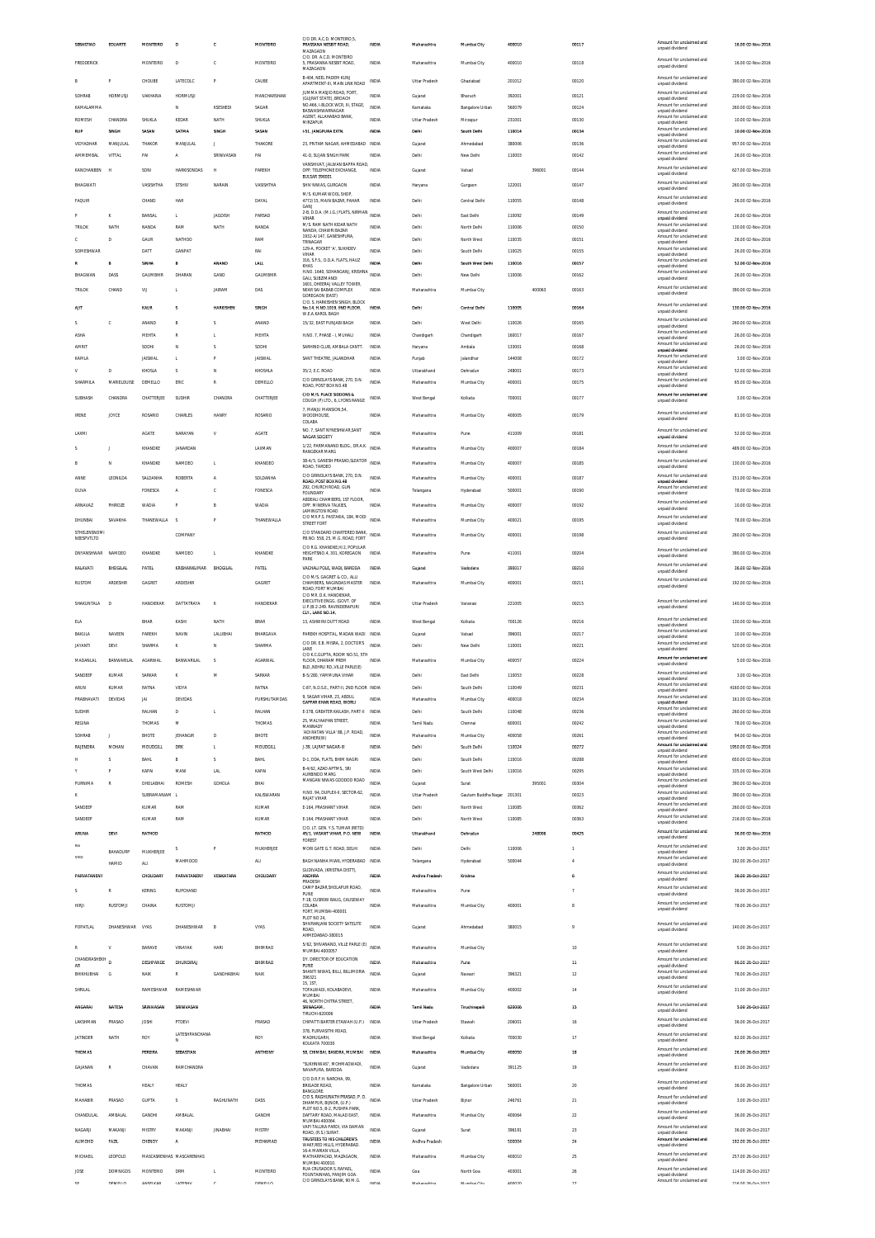| SEBASTIAO                 | EDUARTE                         | MONTEIRO               | D                                        | ¢                | MONTEIRO            | C/O DR. A.C.D. MONTEIRO,5,<br>PRASSANA NESBIT ROAD,<br>MAZAGAON                           | INDIA                 | Maharashtra               | Mumbal City                     | 400010           |        | 00117          | Amount for unclaimed and<br>unpaid dividend                             | 16.00 02-Nov-2016                        |
|---------------------------|---------------------------------|------------------------|------------------------------------------|------------------|---------------------|-------------------------------------------------------------------------------------------|-----------------------|---------------------------|---------------------------------|------------------|--------|----------------|-------------------------------------------------------------------------|------------------------------------------|
| FREDDERICK                |                                 | MONTEIRO               | D                                        | c                | MONTEIRO            | C/O DR A C D MONTFIRD<br>5, PRASANNA NESBIT ROAD,<br>MAZAGAON                             | INDIA                 | Maharashtra               | Mumbai City                     | 400010           |        | 00118          | Amount for unclaimed and<br>unpaid dividend                             | 16.00 02-Nov-2016                        |
|                           | p                               | CHOUBE                 | LATECOLO                                 | P                | CAUBE               | B-404, NEEL PADEM KUNJ<br>APARTMENT-III. MAIN LINK ROAD                                   | INDIA                 | Uttar Pradesh             | Ghaziabad                       | 201012           |        | 00120          | Amount for unclaimed and<br>unpaid dividend                             | 390.00 02-Nov-2016                       |
| SOHRAB                    | <b>HORMUSJ</b>                  | VAKHARIA               | <b>HORMUSJI</b>                          |                  | MANCHARSHAW         | JUMMA MASJID ROAD, FORT<br>(GUJRAT STATE), BROACH                                         | INDIA                 | Gujarat                   | Bharuch                         | 392001           |        | 00121          | Amount for unclaimed and<br>unpaid dividend                             | 229.00 02-Nov-2016                       |
| KAMAI AMMA                |                                 |                        | N                                        | KSESHEDI         | SAGAR               | NO.466, I-BLOCK WCR, III, STAGE,<br>BASWASHWARNAGAR<br>AGENT. ALLAHABAD BANK              | <b>INDIA</b>          | Karnataka                 | Bangalore Urban                 | 560079           |        | 00124          | Amount for unclaimed and<br>unpaid dividend<br>Amount for unclaimed and | 260.00 02-Nov-2016                       |
| ROMESH<br>RUP             | CHANDRA<br><b>SINGH</b>         | SHUKLA<br>SASAN        | KEDAR<br>SATMA                           | NATH<br>SINGH    | SHUKLA<br>SASAN     | MIRZAPUR<br>1-51, JANGPURA EXTN.                                                          | INDIA<br>INDIA        | Uttar Pradesh<br>Delhi    | Mirzapur<br>South Delhi         | 231001<br>110014 |        | 00130<br>00134 | unpaid dividend<br>Amount for unclaimed and                             | 10.00 02-Nov-2016<br>10.00 02-Nov-2016   |
| VIDYADHAR                 | MANJULA                         | THAKOR                 | MANJULAL                                 |                  | THAKORE             | 23, PRITAM NAGAR, AHMEDABAD INDIA                                                         |                       | Gujarat                   | Ahmedabad                       | 380006           |        | 00136          | unpaid dividend<br>Amount for unclaimed and<br>unpaid dividend          | 957.00 02-Nov-2016                       |
| <b>AMMEMBAL</b>           | VITTAL                          | PAI                    | A                                        | SRINIVASAN       | PAI                 | 41-D, SUJAN SINGH PARK                                                                    | <b>INDIA</b>          | Delhi                     | New Delhi                       | 110003           |        | 00142          | Amount for unclaimed and<br>unpaid dividend                             | 26.00 02-Nov-2016                        |
| KANCHANBEN                | k                               | SON                    | <b>HARKISONDAS</b>                       |                  | PAREKH              | VANSHIVAT, JALWAN BAPPA ROAD,<br>OPP. TELEPHONE EXCHANGE,<br>BULSAR 396001                | INDIA                 | Gujarat                   | Valsad                          |                  | 396001 | 00144          | Amount for unclaimed and<br>unpaid dividend                             | 627.00 02-Nov-2016                       |
| BHAGWATI                  |                                 | VASISHTHA              | STSHIV                                   | NARAIN           | VASISHTHA           | SHIV NIWAS, GURGAON                                                                       | <b>INDIA</b>          | Haryana                   | Gurgaon                         | 122001           |        | 00147          | Amount for unclaimed and<br>unpaid dividend                             | 260.00 02-Nov-2016                       |
| <b>FAQUIR</b>             |                                 | CHAND                  | HAR                                      |                  | DAYAL               | M/S KUMAR WOOL SHOP<br>4772/15, MAIN BAZAR, PAHAR<br>GANJ                                 | <b>INDIA</b>          | Delhi                     | Central Delhi                   | 110055           |        | 00148          | Amount for unclaimed and<br>unpaid dividend                             | 26.00 02-Nov-2016                        |
|                           | K                               | BANSAL                 | L.                                       | <b>JAGDISH</b>   | PARSAD              | 2-B, D.D.A. (M.I.G.) FLATS, NIRMAN<br><b>VIHAR</b>                                        | <b>INDIA</b>          | Delhi                     | East Delhi                      | 110092           |        | 00149          | Amount for unclaimed and<br>unpaid dividend                             | 26.00 02-Nov-2016                        |
| TRILOK                    | NATH                            | NANDA                  | RAM                                      | NATH             | NANDA               | M/S. RAM NATH KIDAR NATH<br>NANDA, CHAWRI BAZAR                                           | INDIA                 | Delhi                     | North Delhi                     | 110006           |        | 00150          | Amount for unclaimed and<br>unpaid dividend                             | 130.00 02-Nov-2016                       |
| c                         | D                               | GAUR                   | NATHOD                                   |                  | RAM                 | 1932-A/147, GANESHPURA<br>TRINAGAR<br>129-A, POCKET 'A', SUKHDEV                          | INDIA                 | Delhi                     | North West                      | 110035           |        | 00151          | Amount for unclaimed and<br>unpaid dividend<br>Amount for unclaimed and | 26.00 02-Nov-2016                        |
| SOMESHWAR                 |                                 | DATT<br>Stitte         | GANPAT                                   | ANAND            | RAI<br>LALL         | VIHAR<br>316, S.F.S., D.D.A. FLATS, HAUZ                                                  | <b>INDIA</b><br>mou   | Delhi<br>Deth             | South Delhi<br>South West Delhi | 110025<br>110016 |        | 00155<br>00157 | unpaid dividend<br>Amount for unclaimed and                             | 26.00 02-Nov-2016<br>52.00 02-Nov-2016   |
| BHAGWAN                   | DASS                            | GAUMBHIR               | DHARAN                                   | GAND             | GAUMBHIR            | KHAS<br>H.NO. 1640, SOHANGANJ, KRISHNA<br>GALI, SUBZIMANDI                                | <b>INDIA</b>          | Delhi                     | New Delhi                       | 110006           |        | 00162          | unpaid dividend<br>Amount for unclaimed and<br>unpaid dividend          | 26.00 02-Nov-2016                        |
| <b>TRILOK</b>             | CHAND                           | VU                     | L.                                       | <b>JAIRAM</b>    | DAS                 | 1601. DHEERAJ VALLEY TOWER<br>NEAR SAI BABAB COMPLEX                                      | INDIA                 | Maharashtra               | Mumbai City                     |                  | 400063 | 00163          | Amount for unclaimed and<br>unpaid dividend                             | 390.00 02-Nov-2016                       |
| AIT                       |                                 | KAUR                   | s                                        | <b>HARKISHEN</b> | SINGH               | <b>GOREGAON (EAST)</b><br>C/O. S. HARKISHEN SINGH. BLOCK<br>No.14, H.NO.1019, IIND FLOOR, | INDIA                 | Delhi                     | Central Delhi                   | 110005           |        | 00164          | Amount for unclaimed and                                                | 130.00 02-Nov-2016                       |
|                           | c                               | ANAND                  |                                          |                  | ANAND               | W.E.A.KAROL BAGH<br>15/32. EAST PUNJABI BAGH                                              | INDIA                 | Delhi                     | West Delh                       | 110026           |        | 00165          | unpaid dividend<br>Amount for unclaimed and                             | 260.00 02-Nov-2016                       |
| ASHA                      |                                 | <b>MEHTA</b>           | R                                        |                  | MEHTA               | H.NO. 7. PHASE - I. MUHALI                                                                | <b>INDIA</b>          | Chandigarh                | Chandigarh                      | 160017           |        | 00167          | unpaid dividend<br>Amount for unclaimed and<br>unpaid dividend          | 26.00 02-Nov-2016                        |
| AMRIT                     |                                 | SODH                   | N                                        | s                | SODHI               | SARHIND CLUB. AMBALA CANTT.                                                               | INDIA                 | Haryana                   | Ambala                          | 133001           |        | 00168          | Amount for unclaimed and<br>unpaid dividend                             | 26.00 02-Nov-2016                        |
| KAMLA                     |                                 | <b>JAISWAL</b>         | L.                                       |                  | <b>JAISWAL</b>      | SANT THEATRE, JALANDHAR                                                                   | INDIA                 | Punjab                    | Jalandhar                       | 144008           |        | 00172          | Amount for unclaimed and<br>unpaid dividend<br>Amount for unclaimed and | 3.00 02-Nov-2016                         |
| $\mathsf{V}$              | $\overline{D}$                  | KHOSLA                 | $\hat{\mathbf{z}}$                       | N                | KHOSHLA             | 35/2, E.C. ROAD<br>C/O GRINDLAYS BANK, 270, D.N.                                          | <b>INDIA</b>          | Uttarakhand               | Dehradun                        | 248001           |        | 00173          | unpaid dividend<br>Amount for unclaimed and                             | 52.00 02-Nov-2016                        |
| SHARMILA                  | MARIELOUISE                     | DEMELLO                | ERIC                                     | R                | DEMELLO             | ROAD, POST BOX NO.48<br>C/O M/S. PLACE SIDDONS &                                          | <b>INDIA</b>          | Maharashtra               | Mumbai City                     | 400001           |        | 00175          | unpaid dividend<br>Amount for unclaimed and                             | 65.00 02-Nov-2016                        |
| <b>SUBHASH</b>            | CHANDRA                         | CHATTERJEE             | SUDHIR                                   | CHANDRA          | CHATTERJEE          | COUGH (P) LTD., 6, LYONS RANGE<br>7. MANJU MANSION.54.                                    | INDIA                 | West Bengal               | Kolkata                         | 700001           |        | 00177          | unpaid dividend                                                         | 3.00 02-Nov-2016                         |
| <b>IRENE</b>              | JOYCE                           | ROSARIO                | CHARLES                                  | HANRY            | ROSARIO             | <b>WOODHOUSE</b><br>COLABA                                                                | INDIA                 | Maharashtra               | Mumbai City                     | 400005           |        | 00179          | Amount for unclaimed and<br>unpaid dividend                             | 81.00 02-Nov-2016                        |
| LAXMI                     |                                 | AGATE                  | NARAYAN                                  | V                | AGATE               | NO. 7, SANT NYNESHWAR, SANT<br>NAGAR SOCIETY                                              | <b>INDIA</b>          | Maharashtra               | Pune                            | 411009           |        | 00181          | Amount for unclaimed and<br>unpaid dividend                             | 52.00 02-Nov-2016                        |
|                           |                                 | KHANDKE                | JANARDAN                                 |                  | LAXMAN              | 1/22, PARMANAND BLDG., DR.A.K. INDIA<br><b>RANGEKAR MARG</b>                              |                       | Maharashtra               | Mumbai City                     | 400007           |        | 00184          | Amount for unclaimed and<br>unpaid dividend                             | 489.00 02-Nov-2016                       |
| R                         | N                               | KHANDKE                | NAMDEO                                   | L.               | KHANDEO             | 38-A/5, GANESH PRASAD, SLEATOR<br>ROAD, TARDEO                                            | <b>INDIA</b>          | Maharashtra               | Mumbai City                     | 400007           |        | 00185          | Amount for unclaimed and<br>unpaid dividend                             | 130.00 02-Nov-2016                       |
| ANNE                      | LEONILDA                        | SALDANHA               | ROBERTA                                  | A                | SOLDANHA            | C/O GRINDLAYS BANK, 270, D.N.<br>ROAD, POST BOX NO.48                                     | INDIA                 | Maharashtra               | Mumbai City                     | 400001           |        | 00187          | Amount for unclaimed and<br>unpaid dividend                             | 151.00 02-Nov-2016                       |
| OLIVA                     |                                 | FONESCA                |                                          | c                | FONESCA             | 292, CHURCH ROAD, GUN<br><b>FOUNDARY</b><br>ABDEALI CHAMBERS, 1ST FLOOR,                  | INDIA                 | Telangana                 | Hyderabad                       | 500001           |        | 00190          | Amount for unclaimed and<br>unpaid dividend                             | 78.00 02-Nov-2016                        |
| ARNAVAZ                   | PHIROZE                         | <b>WADIA</b>           |                                          | B                | <b>WADIA</b>        | OPP. MINERVA TALKIES,<br>LAMINGTON ROAD                                                   | <b>INDIA</b>          | Maharashtra               | Mumbai City                     | 400007           |        | 00192          | Amount for unclaimed and<br>unpaid dividend                             | 10.00 02-Nov-2016                        |
| DHUNBAI                   | SAVAKHA                         | THANEWALLA             | $\overline{\mathbf{s}}$                  | P                | THANEWALLA          | C/O MR.P.S. PASTAKIA, 184, MODI<br>STREET FORT                                            | INDIA                 | Maharashtra               | Mumbai City                     | 400021           |        | 00195          | Amount for unclaimed and<br>unpaid dividend                             | 78.00 02-Nov-2016                        |
| STHELENSNOM<br>NEESPVTLTD |                                 |                        | COMPANY                                  |                  |                     | C/O STANDARD CHARTERED BANK,<br>PB.NO. 558, 25, M.G. ROAD, FORT                           | INDIA                 | Maharashtra               | Mumbai City                     | 400001           |        | 00198          | Amount for unclaimed and<br>unpaid dividend                             | 260.00 02-Nov-2016                       |
| DNYANSHWAR NAMDEO         |                                 | KHANDKE                | NAMDEO                                   | п.               | KHANDKE             | C/O R.G. KHANDKE.H/2. POPULAR<br>HEIGHTSNO.4, 301, KOREGAON                               | INDIA                 | Maharashtra               | Pune                            | 411001           |        | 00204          | Amount for unclaimed and<br>unpaid dividend                             | 390.00 02-Nov-2016                       |
| KALAVATI                  | BHOGLAL                         | PATEL                  | KRISHANKUMAR                             | <b>BHOGILAL</b>  | PATEL               | PARK<br>VACHALI POLE, WADI, BARODA                                                        | <b>INDIA</b>          | Gujarat                   | Vadodara                        | 390017           |        | 00210          | Amount for unclaimed and<br>unpaid dividend                             | 36.00 02-Nov-2016                        |
| RUSTOM                    | <b>ARDESHIP</b>                 | GAGRET                 | ARDESHIR                                 |                  | GAGRET              | C/O M/S. GAGRET & CO., ALLI<br>CHAMBERS, NAGINDAS MASTER                                  | INDIA                 | Maharashtra               | Mumbai City                     | 400001           |        | 00211          | Amount for unclaimed and<br>unpaid dividend                             | 192.00 02-Nov-2016                       |
|                           |                                 |                        | DATTATRAYA                               |                  |                     | ROAD, FORT MUMBAI<br>C/O MR. D.K. HANDIEKAR.<br>EXECUTIVE ENGG. (GOVT. OF                 |                       |                           |                                 |                  |        |                | Amount for unclaimed and                                                |                                          |
| SHAKUNTALA                | Ð                               | HANDIEKAR              |                                          |                  |                     |                                                                                           |                       |                           |                                 |                  |        |                |                                                                         |                                          |
|                           |                                 |                        |                                          | $\kappa$         | HANDIEKAR           | U.P.)B-2-249. RAVINDERAPURI<br>CLY., LANE NO.14.                                          | <b>INDIA</b>          | Uttar Pradesh             | Varanasi                        | 221005           |        | 00215          | unpaid dividend                                                         | 140.00.02-Nov-2016                       |
| <b>ELA</b>                |                                 | BHAR                   | KASHI                                    | NATH             | <b>BRAR</b>         | 13. ASHWINI DUTT ROAD                                                                     | <b>INDIA</b>          | West Bengal               | Kolkata                         | 700126           |        | 00216          | Amount for unclaimed and<br>unpaid dividend                             | 130.00 02-Nov-2016                       |
| BAKULA                    | NAVEEN                          | PAREKH                 | NAVID                                    | LALUBHA          | BHARGAVA            | PAREKH HOSPITAL, MADAN WADI<br>C/O DR. E.B. MISRA, 2, DOCTOR'S                            | INDIA                 | Gujarat                   | Valsad                          | 396001           |        | 00217          | Amount for unclaimed and<br>unpaid dividend<br>Amount for unclaimed and | 10.00 02-Nov-2016                        |
| <b>JAYANTI</b>            | DEVI                            | SHARMA                 | ĸ                                        | N                | SHARMA              | LANE<br>C/O K C GUPTA ROOM NO 51 STH                                                      | INDIA                 | Delhi                     | New Delhi                       | 110001           |        | 00221          | unpaid dividend<br>Amount for unclaimed and                             | 520.00 02-Nov-2016                       |
| MADANLAL                  | <b>BANWARILAL</b>               | AGARWAL                | BANWARILAL                               | -S               | <b>AGARWAL</b>      | FLOOR, DHARAM PREM<br>BLD. NEHRU RD. VILLE PARLE(E)                                       | INDIA                 | Maharashtra               | Mumbai City                     | 400057           |        | 00224          | unpaid dividend<br>Amount for unclaimed and                             | 5.00 02-Nov-2016                         |
| SANDEEP<br>ARUN           | KUMAR<br>KUMAR                  | SARKAR<br>RATNA        | VIDYA                                    | M                | SARKAR<br>RATNA     | B-5/280, YAMMUNA VIHAR<br>C-87, N.D.S.E., PART-II, 2ND FLOOR INDIA                        | INDIA                 | Delhi<br>Delhi            | East Delhi<br>South Delhi       | 110053<br>110049 |        | 00228<br>00231 | unpaid dividend<br>Amount for unclaimed and                             | 3.00 02-Nov-2016<br>4160.00 02-Nov-2016  |
| PRABHAVATI                | DEVIDAS                         | <b>JAI</b>             | DEVIDAS                                  |                  | PURSHUTAMDAS        | 9. SAGAR VIHAR, 23. ABDUL<br>GAFFAR KHAN ROAD, WORLD                                      | INDIA                 | Maharashtra               | Mumbai City                     | 400018           |        | 00234          | Amount for unclaimed and<br>unpaid dividend                             | 161.00 02-Nov-2016                       |
| SUDHIR                    |                                 | RALHAN                 | D                                        |                  | RALHAN              | E-378, GREATER KAILASH, PART-II INDIA                                                     |                       | Delhi                     | South Delhi                     | 110048           |        | 00236          | Amount for unclaimed and<br>unpaid dividend                             | 260.00 02-Nov-2016                       |
| REGINA                    |                                 | THOMAS                 | M                                        |                  | THOMAS              | 25, MALYAAPAN STREET,<br>MANNADY                                                          | <b>INDIA</b>          | Tamil Nadu                | Chennai                         | 600001           |        | 00242          | Amount for unclaimed and<br>unpaid dividend<br>Amount for unclaimed and | 78.00 02-Nov-2016                        |
| SOHRAB<br>RAJENDRA        | <b>MOHAN</b>                    | BHOTE<br>MOUDGILL      | JEHANGIR<br><b>DRK</b>                   | D<br>л.          | BHOTE<br>MOUDGILL   | ADI RATAN VILLA' 88, J.P. ROAD<br><b>ANDHERIOVO</b><br>J-39. LAJPAT NAGAR-III             | INDIA<br><b>INDIA</b> | Maharashtra<br>Delhi      | Mumbai City<br>South Delhi      | 400058<br>110024 |        | 00261<br>00272 | unpaid dividend<br>Amount for unciaimed and                             | 94.00 02-Nov-2016<br>1950.00 02-Nov-2016 |
|                           | S                               | BAHL                   |                                          | s                | BAHL                | D-1, DDA, FLATS, BHIM NAGRI                                                               | INDIA                 | Delhi                     | South Delhi                     | 110016           |        | 00288          | unpaid dividend<br>Amount for unclaimed and                             | 650.00 02-Nov-2016                       |
|                           | Р                               | KAPAI                  | MANI                                     | <b>LAL</b>       | KAPAI               | B-4/62, AZAD APTMS., SRI<br>AURBINDO MARG                                                 | <b>INDIA</b>          | Delhi                     | South West Delhi                | 110016           |        | 00295          | unpaid dividend<br>Amount for unclaimed and<br>unpaid dividend          | 335.00 02-Nov-2016                       |
| PURNIMA                   | R                               | DHOLABHAI              | <b>ROMESH</b>                            | GDHQLA           | BHAI                | MANGAN NIWAS GODDOD ROAD                                                                  | INDIA                 | Gujarat                   | Surat                           |                  | 395001 | 00304          | Amount for unclaimed and<br>unpaid dividend                             | 390.00 02-Nov-2016                       |
|                           |                                 | SUBRAMANIAM I          |                                          |                  | KALISWARAN          | H.NO. 94, DUPLEX-II, SECTOR-62,<br><b>RAJAT VIHAR</b>                                     | <b>INDIA</b>          | Uttar Pradesh             | Gautam Buddha Nagar             | 201301           |        | 00323          | Amount for unclaimed and<br>unpaid dividend<br>Amount for unclaimed and | 390.00 02-Nov-2016                       |
| SANDEEP<br>SANDEEF        |                                 | KUMAR<br>KUMAR         | RAM<br>RAM                               |                  | KUMAR<br>KUMAR      | E-164, PRASHANT VIHAR<br>E-164, PRASHANT VIHAR                                            | <b>INDIA</b><br>INDIA | Delhi<br>Delhi            | North West<br>North West        | 110085<br>110085 |        | 00362<br>00363 | unpaid dividend<br>Amount for unclaimed and                             | 260.00 02-Nov-2016<br>216.00 02-Nov-2016 |
| ARUNA                     | DEVI                            |                        |                                          |                  |                     | C/O. LT. GEN. Y.S. TUMAR (RETD)<br>45/1, VASANT VIHAR, P.O. NEW                           | INDM                  | Uttarakhand               | Dehradur                        |                  | 248006 | 00425          | unpaid dividend<br>Amount for unclaimed and                             |                                          |
|                           |                                 | RATHOD                 | s                                        | P                | RATHOD<br>MUKHERJEE | FOREST                                                                                    | INDIA                 | Delhi                     | Delhi                           | 110006           |        |                | unpaid dividend<br>Amount for unclaimed and                             | 36.00 02-Nov-2016                        |
| SYED                      | <b>BAHADURP</b><br><b>HAMID</b> | MUKHERJEE<br><b>AU</b> | MAHMOOD                                  |                  | <b>ALI</b>          | MORI GATE G.T. ROAD, DELHI<br>BAGH NANHA MIAN, HYDERABAD INDIA                            |                       | Telangana                 | Hyderabao                       | 500044           |        |                | unpaid dividend<br>Amount for unclaimed and<br>unpaid dividend          | 3.00 26-Oct-2017<br>192.00 26-Oct-2017   |
| PARVATANENY               |                                 | CHOUDARY               | PARVATANENY                              | VENKATARA        | CHOUDARY            | GUDIVADA, (KRISTNA DISTT),<br>ANDHRA                                                      | aupua                 | Andhra Pradesh            | Krishna                         |                  |        | h              | Amount for unclaimed and                                                | 36.00 26-Oct-2017                        |
| s                         | R                               | <b>KERING</b>          | <b>RUPCHAND</b>                          |                  |                     | PRADESH<br>CAMP BAZAR, SHOLAPUR ROAD,<br>PUNE                                             | <b>INDIA</b>          | Maharashtra               | Pune                            |                  |        | 7              | unpaid dividend<br>Amount for unclaimed and<br>unpaid dividend          | 36.00 26-Oct-2017                        |
| <b>HIRJI</b>              | RUSTOMJ                         | CHAINA                 | <b>RUSTOMJI</b>                          |                  |                     | F-18, CUSROW BAUG, CAUSEWAY<br>COLABA                                                     | <b>INDIA</b>          | Maharashtra               | Mumbai City                     | 400001           |        | 8              | Amount for unclaimed and                                                | 78.00 26-Oct-2017                        |
|                           |                                 |                        |                                          |                  |                     | FORT, MUMBAI-400001<br>PLOT NO 24                                                         |                       |                           |                                 |                  |        |                | unpaid dividend                                                         |                                          |
| POPATLAL                  | DHANESHWAR                      | VYAS                   | DHANESHWAR                               |                  | VYAS                | SHIVRANJANI SOCIETY SATELITE<br>ROAD,<br>AHMEDABAD-380015                                 | INDIA                 | Gujarat                   | Ahmedabad                       | 380015           |        | 9              | Amount for unclaimed and<br>unpaid dividend                             | 140.00 26-Oct-2017                       |
| R                         | V                               | <b>BARAVE</b>          | VINAYAK                                  | <b>HARI</b>      | BHIMRAO             | 5/62, SHIVANAND, VILLE PARLE (E)<br>MUMBAI-4000057                                        | <b>INDIA</b>          | Maharashtra               | Mumbai City                     |                  |        | 10             | Amount for unclaimed and                                                | 5.00 26-Oct-2017                         |
| CHANDRASHEKH<br>AR        | D                               | DESHPANDE              | DHUNDIRAJ                                |                  | BHIMRAO             | DY. DIRECTOR OF EDUCATION<br>PUNE                                                         | INDIA                 | Maharashtra               | Pune                            |                  |        | $11\,$         | unpaid dividend<br>Amount for unclaimed and<br>unpaid dividend          | 96.00 26-Oct-2017                        |
| BHIKHUBHAI                | G                               | NAIK                   | R                                        | GANDHABHAI       | NAIK                | SHANTI NIWAS, BILLI, BILLIMORIA<br>396321                                                 | INDIA                 | Gujarat                   | Navsari                         | 396321           |        | 12             | Amount for unclaimed and<br>unpaid dividend                             | 78.00 26-Oct-2017                        |
| SHRILAL                   |                                 | RAMESHWAR              | RAMESHWAR                                |                  |                     | 15, 1ST,<br>TOFALWADI, KOLABADEVI,<br>MUMBAI                                              | INDIA                 | Maharashtra               | Mumbai City                     | 400002           |        | $14\,$         | Amount for unclaimed and<br>unpaid dividend                             | 31.00 26-Oct-2017                        |
| ANGARAI                   | NATESA                          | SRINIVASAN             | SRINIVASAN                               |                  |                     | 46, NORTH CHITRA STREET<br><b>SRINAGAM</b>                                                | INDIA                 | Tamii Nadu                | Tiruchirapalli                  | 620006           |        | 15             | Amount for unclaimed and                                                | 5.00 26-Oct-2017                         |
| LAKSHMAN                  | PRASAD                          | <b>JOSHI</b>           | PTDEVI                                   |                  | PRASAD              | TIRUCHI-620006<br>CHIPATTI BARTER ETAWAH (U.P.)                                           | INDIA                 | Uttar Pradesh             | Etawah                          | 206001           |        | 16             | unpaid dividend<br>Amount for unclaimed and                             | 36.00 26-Oct-2017                        |
| <b>JATINDER</b>           | NATH                            | ROY                    | LATESHPANCHANA                           |                  | ROY                 | 378, PURVASITHI ROAD,<br>MADHUGARH                                                        | INDIA                 | West Bengal               | Kolkata                         | 700030           |        | 17             | unpaid dividend<br>Amount for unclaimed and                             | 62.00 26-Oct-2017                        |
| THOMAS                    |                                 | PEREIRA                | N<br>SEBASTIAN                           |                  | <b>ANTHONY</b>      | KOLKATA 700030<br>58, CHIMBAI, BANDRA, MUMBAI                                             | INDM                  | Maharashtra               | Mumbai City                     | 400050           |        | 18             | unpaid dividend<br>Amount for unclaimed and                             | 26.00 26-Oct-2017                        |
| GAJANAN                   | R                               | CHAVAN                 | RAMCHANDRA                               |                  |                     | "SUKHNIWAS", MOHMADWADI,                                                                  | <b>INDIA</b>          | Gujarat                   | Vadodara                        | 391125           |        | 19             | unpaid dividend<br>Amount for unclaimed and                             | 81.00 26-Oct-2017                        |
|                           |                                 |                        |                                          |                  |                     | NAVAPURA, BARODA<br>C/O D.R.F.H. NAROHA, 99,                                              | <b>INDIA</b>          |                           |                                 |                  |        |                | unpaid dividend<br>Amount for unclaimed and                             |                                          |
| THOMAS                    |                                 | HEALY                  | <b>HEALY</b><br>$\overline{\phantom{a}}$ |                  |                     | <b>BRIGADE ROAD</b><br><b>BANGLORE</b><br>C/O S. RAGHUNATH PRASAD, P. O.                  |                       | Karnataka                 | Bangalore Urban                 | 560001           |        | 20             | unpaid dividend<br>Amount for unclaimed and                             | 36.00 26-Oct-2017                        |
| MAHABIR                   | PRASAD                          | <b>GUPTA</b>           |                                          | RAGHUNATH        | DASS                | DHAMPUR, BUNOR, (U.P.)<br>PLOT NO.5. B-2. PUSHPA PARK                                     | INDIA                 | Uttar Pradesh             | Bijnor                          | 246761           |        | 21             | unpaid dividend<br>Amount for unclaimed and                             | 3.00 26-Oct-2017                         |
| CHANDULAL                 | AMBALAL                         | GANDHI                 | AMBALAL                                  |                  | GANDHI              | DAFTARY ROAD, MALAD EAST,<br>MUMBAI-400064<br>VAPI TALUKA PARDI, VIA DAMAN                | INDIA                 | Maharashtra               | Mumbai City                     | 400064           |        | 22             | unpaid dividend<br>Amount for unclaimed and                             | 36.00 26-Oct-2017                        |
| NAGARJI<br><b>ALIMOHD</b> | MAKANJ<br><b>FAZIL</b>          | MISTRY<br>CHENOY       | MAKANJI<br>A                             | <b>JINABHAI</b>  | MISTRY<br>MOHAMAD   | ROAD, (R.S.) SURAT<br>TRUSTEES TO HIS CHILDREN'S                                          | INDIA<br>INDIA        | Gujarat<br>Andhra Pradesh | Surat                           | 396191<br>500004 |        | 23<br>24       | unpaid dividend<br>Amount for unclain<br>red and                        | 36.00 26-Oct-2017<br>192.00 26-Oct-2017  |
| MICHAEIL                  | LEOPOLD                         |                        | MASCASRENHAS MASCARENHAS                 |                  |                     | WAKE, RED HILLS, HYDERABAD<br>16-A MARIAN VILLA.<br>MATHARPACAD, MAZAGAON,                | INDIA                 | Maharashtra               | Mumbai City                     | 400010           |        | 25             | unpaid dividend<br>Amount for unclaimed and                             | 257.00 26-Oct-2017                       |
| JOSE                      | <b>DOMNIGOS</b>                 | <b>MONTERIO</b>        | DRM                                      |                  | MONTEIRO            | MUMBAI 400010<br>RUA CRUSADOR S. RAFAEL<br>FOUNTAINHAS, PANJIM GOA                        | INDIA                 | Goa                       | North Goa                       | 403001           |        | 26             | unpaid dividend<br>Amount for unclaimed and<br>unpaid dividend          | 114.00 26-Oct-2017                       |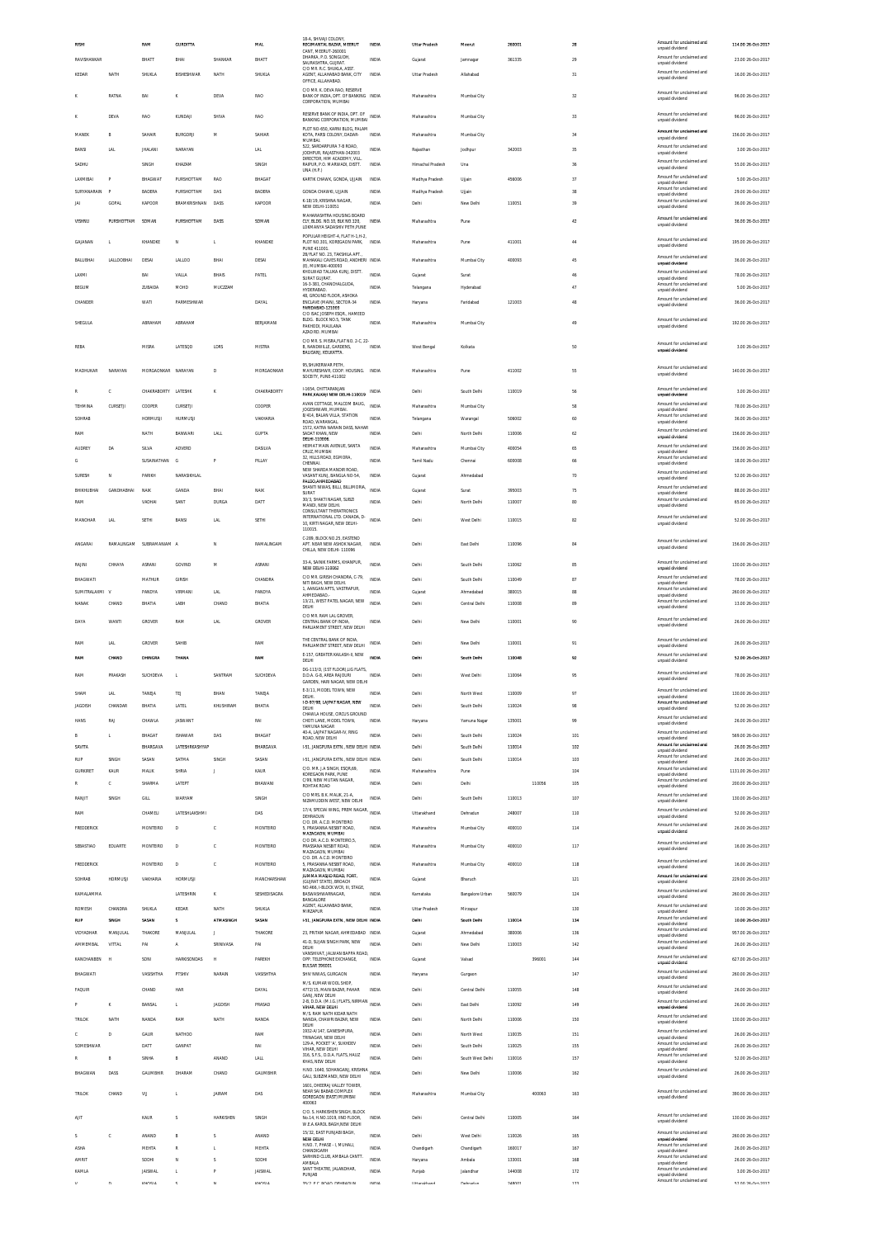| <b>RISH</b>          |                | RAM                 | <b>GURDITTA</b>                  |                         | MAI                | 18-A, SHIVAJI COLONY<br>REGIMANTAL BAZAR, MEERUT                                                | INDM                  | Uttar Pradesh        | Meerut                     | 26000            |        | 28         | Amount for unclaimed and                                                | 114.00 26-Oct-2017                      |
|----------------------|----------------|---------------------|----------------------------------|-------------------------|--------------------|-------------------------------------------------------------------------------------------------|-----------------------|----------------------|----------------------------|------------------|--------|------------|-------------------------------------------------------------------------|-----------------------------------------|
|                      |                |                     |                                  |                         |                    | CANT. MEERUT-260001<br>DHARKA, P.O. SONGUDH.                                                    |                       |                      |                            |                  |        |            | unpaid dividend<br>Amount for unclaimed and                             |                                         |
| RAVISHANKAR          |                | BHATT               | BHAI                             | SHANKAR                 | BHATT              | SAURASHTRA, GUJRAT.<br>C/O MR. R.C. SHUKLA, ASST                                                | INDIA                 | Gujarat              | Jamnager                   | 361335           |        | 29         | unpaid dividend<br>Amount for unclaimed and                             | 23.00 26-Oct-2017                       |
| KEDAR                | NATH           | SHUKLA              | BISHESHWAR                       | NATH                    | SHUKLA             | AGENT. ALLAHABAD BANK. CITY<br>OFFICE, ALLAHABAD.<br>C/O MR. K. DEVA RAO, RESERVE               | <b>INDIA</b>          | <b>Uttar Pradesh</b> | Allahabad                  |                  |        | 31         | unpaid dividend                                                         | 16.00 26-Oct-2017                       |
|                      | RATNA          | BAI                 |                                  | DEVA                    | RAO                | BANK OF INDIA, DPT. OF BANKING INDIA<br>CORPORATION, MUMBAI                                     |                       | Maharashtra          | Mumbai City                |                  |        | 32         | Amount for unclaimed and<br>unpaid dividend                             | 96.00 26-Oct-2017                       |
|                      | <b>DEVA</b>    | RAO                 | KUNDAJI                          | SHIVA                   | <b>RAO</b>         | RESERVE BANK OF INDIA, DPT. OF<br>BANKING CORPORATION, MUMBAI<br>PLOT NO-650, KARNI BLOG, PALAM | INDIA                 | Maharashtra          | Mumbai City                |                  |        | 33         | Amount for unclaimed and<br>unpaid dividend                             | 96.00 26-Oct-2017                       |
| MANEK<br>B           |                | SAHAIR              | <b>BURGORJI</b>                  | м                       | SAHIAF             | KOTA, PARSI COLONY, DADAR-<br>MUMBAL                                                            | <b>INDIA</b>          | Maharashtra          | Mumbai City                |                  |        | 34         | Amount for unclaimed and<br>unpaid dividend                             | 156.00 26-Oct-2017                      |
| BANSI                | LAL            | <b>JHALANI</b>      | NARAYAN                          |                         | LAL                | 522, SARDARPURA 7-B ROAD,<br>JODHPUR, RAJASTHAN-342003                                          | <b>INDIA</b>          | Raiasthan            | Jodhpur                    | 342003           |        | 35         | Amount for unclaimed and<br>unpaid dividend                             | 3.00 26-Oct-2017                        |
| SADHU                |                | SINGH               | KHAZAM                           |                         | SINGH              | DIRECTOR. HIM ACADEMY. VILL<br>RAIPUR, P.O. MARWADI, DISTT.<br>UNA (H.P.)                       | INDIA                 | Himachal Pradesh     | Una                        |                  |        | 36         | Amount for unclaimed and<br>unpaid dividend                             | 55.00 26-Oct-2017                       |
| LAXMIBA              |                | BHAGWAT             | PURSHOTTAM                       | RAC                     | BHAGAT             | KARTIK CHAWK, GONDA, UJJAIN                                                                     | INDIA                 | Madhya Pradesh       | Ujjain                     | 456006           |        | 37         | Amount for unclaimed and<br>unpaid dividend                             | 5.00 26-Oct-2017                        |
| SURYANARAIN<br>- P   |                | <b>BADERA</b>       | PURSHOTTAM                       | DAS                     | <b>BADERA</b>      | GONDA CHAWKI, UJJAIN                                                                            | <b>INDIA</b>          | Madhya Pradesh       | Ujjain                     |                  |        | 38         | Amount for unclaimed and<br>unpaid dividend                             | 29.00 26-Oct-2017                       |
| JAI                  | GOPAL          | KAPOOR              | RRAMKRISHNAN                     | DASS                    | KAPOOR             | K-18/19, KRISHNA NAGAR<br>NEW DELHI-110051                                                      | <b>INDIA</b>          | Delhi                | New Delhi                  | 110051           |        | 39         | Amount for unclaimed and<br>unpaid dividend                             | 36.00 26-Oct-2017                       |
| VISHNU               | PURSHOTTAM     | SOMAN               | PURSHOTTAM                       | DASS                    | SOMAN              | MAHARASHTRA HOUSING BOARD<br>CLY, BLDG. NO.10, BLK NO.120,<br>LOKMANYA SADASHIV PETH, PUNE      | INDIA                 | Maharashtra          | Pune                       |                  |        | 42         | Amount for unclaimed and<br>unpaid dividend                             | 36.00 26-Oct-2017                       |
| GAJANAN<br>т         |                | KHANDKE             | N                                | $\mathbf{L}$            | KHANDKE            | POPULAR HEIGHT-4, FLAT H-1.H-2.<br>PLOT NO.301. KOREGAON PARK.                                  | INDIA                 | Maharashtra          | Pune                       | 411001           |        | 44         | Amount for unclaimed and<br>unpaid dividend                             | 195.00.26-0rt-2017                      |
|                      |                |                     |                                  |                         |                    | PUNE 411001<br>2B/FLAT NO. 23, TAKSHILA APT.                                                    |                       |                      |                            |                  |        |            | Amount for unclaimed and                                                |                                         |
| BALUBHAI             | LALLOOBHAI     | DESAI               | LALLOO                           | BHAI                    | DESAI              | MAHAKALI CAVES ROAD, ANDHERI INDIA<br>(E), MUMBAI-400093<br>KHOLWAD TALUKA KUNJ, DISTT.         |                       | Maharashtra          | Mumbai City                | 400093           |        | 45         | unpaid dividend<br>Amount for unclaimed and                             | 36.00 26-Oct-2017                       |
| LAXMI<br>BEGUM       |                | BAI<br>ZUBAIDA      | VALLA<br>MOHD                    | <b>BHAIS</b><br>MUCZZAM | PATEL              | SURAT GUJRAT.<br>16-3-381, CHANCHALGUDA                                                         | INDIA<br><b>INDIA</b> | Gujarat<br>Telangana | Surat<br>Hyderabad         |                  |        | 46<br>47   | unpaid dividend<br>Amount for unclaimed and                             | 78.00 26-Oct-2017<br>5.00 26-Oct-2017   |
| CHANDER              |                | WATI                | PARMESHWAR                       |                         | DAYAL              | HYDERABAD.<br>48, GROUND FLOOR, ASHOKA                                                          | INDIA                 |                      | Faridabad                  | 121003           |        | 48         | unpaid dividend<br>Amount for unclaimed and                             | 36.00 26-Oct-2017                       |
|                      |                |                     |                                  |                         |                    | ENCLAVE (MAIN), SECTOR-34<br>FARIDABAD-121003<br>C/O ISAC JOSEPH ESOR., HAMEED                  |                       | Haryana              |                            |                  |        |            | unpaid dividend                                                         |                                         |
| SHEGULA              |                | ABRAHAM             | ABRAHAM                          |                         | BERJAMANI          | BLDG. BLOCK NO.5, TANK<br>PAKHODI, MAULANA                                                      | INDV                  | Maharashtra          | Mumbai City                |                  |        | 49         | Amount for unclaimed and<br>unpaid dividend                             | 192.00 26-Oct-2017                      |
|                      |                |                     |                                  |                         |                    | AZAD RD, MUMBAI<br>C/O MR. S. MISRA, FLAT NO. 2-C, 22-                                          |                       |                      |                            |                  |        |            |                                                                         |                                         |
| <b>REBA</b>          |                | MISR/               | LATESQD                          | LDRS                    | <b>MISTRA</b>      | B, NANDWILLE, GARDENS,<br>BALIGANJ, KOLKATTA.                                                   | INDV                  | West Bengal          | Kolkata                    |                  |        | 50         | Amount for unclaimed and<br>unpaid dividend                             | 3.00 26-Oct-2017                        |
| MADHUKAR             | NARAYAN        | MORGAONKAR NARAYAN  |                                  |                         | MORGAONKAR         | 95, SHUKERWAR PETH,<br>MAYURESHWR, COOP. HOUSING. INDIA                                         |                       | Maharashtra          |                            | 411002           |        | 55         | Amount for unclaimed and                                                | 140.00 26-Oct-2017                      |
|                      |                |                     |                                  | D                       |                    | SOCEITY, PUNE-411002                                                                            |                       |                      | Pune                       |                  |        |            | unpaid dividend                                                         |                                         |
| C                    |                | CHAKRABORTY LATESHK |                                  | K                       | CHAKRABORTY        | I-1654, CHITTARANJAN<br>PARK, KALKAJI NEW DELHI-110019 INDIA                                    |                       | Delhi                | South Delhi                | 110019           |        | 56         | Amount for unclaimed and<br>unpaid dividend                             | 3.00 26-Oct-2017                        |
| TEHMINA              | CURSETJI       | COOPER              | CURSETJI                         |                         | COOPER             | AVAN COTTAGE, MALCOM BAUG, INDIA<br>JOGESHWARI, MUMBAI,                                         |                       | Maharashtra          | Mumbai City                |                  |        | 58         | Amount for unclaimed and<br>unnaid dividend                             | 78.00 26-Oct-2017                       |
| SOHRAB               |                | <b>HORMUSJI</b>     | <b>HURMUSJI</b>                  |                         | VAKHARIA           | 8/414, BALAN VILLA, STATION<br>ROAD, WARANGAL                                                   | INDIA                 | Telangana            | Warangal                   | 506002           |        | 60         | Amount for unclaimed and<br>unpaid dividend                             | 36.00 26-Oct-2017                       |
| RAM                  |                | NATH                | BANWARI                          | LALL                    | <b>GUPTA</b>       | 1572 KATRA NARAIN DASS NAHAR<br>SADAT KHAN, NEW                                                 | INDIA                 | Delhi                | North Delhi                | 110006           |        | 62         | Amount for unclaimed and<br>unpaid dividend                             | 156.00 26-Oct-2017                      |
| <b>AUDREY</b>        | DA             | SILVA               | ADVERD                           |                         | DASILVA            | DELHI-110006<br>HEIMAT MAIN AVENUE, SANTA<br>CRUZ, MUMBAI                                       | INDIA                 | Maharashtra          | Mumbai City                | 400054           |        | 65         | Amount for unclaimed and<br>unpaid dividend                             | 156.00 26-Oct-2017                      |
| G                    |                | SUSAINATHAN         | G                                | P.                      | PILLAY             | 32, HILLS ROAD, EGMORA,<br>CHENNAL                                                              | <b>INDIA</b>          | Tamil Nadu           | Chennai                    | 600008           |        | 66         | Amount for unclaimed and<br>unpaid dividend                             | 18.00 26-Oct-2017                       |
| SURESH<br>N          |                | <b>PARKH</b>        | NARASIKHLAL                      |                         |                    | NEW SHARDA MANDIR ROAD<br>VASANT KUNJ, BANGLA NO-54,                                            | INDIA                 | Gujarat              | Ahmedabad                  |                  |        | 70         | Amount for unclaimed and<br>unpaid dividend                             | 52.00 26-Oct-2017                       |
| BHIKHUBHAI           | GANDHABHAI     | NAIK                | GANDA                            | BHAI                    | NAIK               | PALDO AHMEDABAD<br>SHANTI NIWAS, BILLI, BILLIMORIA,<br>SURAT                                    | <b>INDV</b>           | Gujarat              | Surat                      | 395003           |        | 75         | Amount for unclaimed and                                                | 88.00 26-Oct-2017                       |
| RAM                  |                | VADHAI              | SANT                             | <b>DURGA</b>            | DATT               | 30/3, SHAKTI NAGAR, SUBZI<br>MANDI. NEW DELHI.                                                  | <b>INDIA</b>          | Delhi                | North Delhi                | 110007           |        | 80         | unpaid dividend<br>Amount for unclaimed and<br>unpaid dividend          | 65.00 26-Oct-2017                       |
| <b>MANOHAR</b>       | LAL            | SETHI               | BANS                             | <b>LAL</b>              | SETHI              | CONSULTANT THERATRONICS<br>INTERNATIONAL LTD. CANADA, D-                                        | INDIA                 | Delhi                | West Delhi                 | 110015           |        | 82         | Amount for unclaimed and                                                | 52.00 26-Oct-2017                       |
|                      |                |                     |                                  |                         |                    | 10, KIRTI NAGAR, NEW DELHI-<br>110015.                                                          |                       |                      |                            |                  |        |            | unpaid dividend                                                         |                                         |
| ANGARAI              | RAMALINGAM     | SUBRAMANIAM A       |                                  | N                       | RAMALINGAM         | C-289. BLOCK NO.25. EASTEND<br>APT. NEAR NEW ASHOK NAGAR,                                       | INDIA                 | Delhi                | East Delhi                 | 110096           |        | 84         | Amount for unclaimed and<br>unpaid dividend                             | 156.00 26-Oct-2017                      |
|                      |                |                     |                                  |                         |                    | CHILLA, NEW DELHI-110096                                                                        |                       |                      |                            |                  |        |            | Amount for unclaimed and                                                |                                         |
| RAJINI               | CHHAYA         | ASRANI              | GOVIND                           | M                       | ASRANI             | 33-A, SAINIK FARMS, KHANPUR,<br>NEW DELHI-110062                                                | <b>INDIA</b>          | Delhi                | South Delhi                | 110062           |        | 85         | unpaid dividend                                                         | 130.00 26-Oct-2017                      |
| BHAGWATI             |                | MATHUR              | GIRISH                           |                         | CHANDRA            | C/O MR. GIRISH CHANDRA, C-79<br>NITI BAGH, NEW DELHI.                                           | INDIA                 | Delhi                | South Delhi                | 110049           |        | 87         | Amount for unclaimed and<br>unpaid dividend<br>Amount for unclaimed and | 78.00 26-Oct-2017                       |
| SUMITRALAXMI V       |                | PANDYA              | VIRMAN                           | <b>LAL</b>              | PANDYA             | 1, AANGAN APTS, VASTRAPUR,<br>AHMEDABAD.<br>13/21, WEST PATEL NAGAR, NEW                        | <b>INDV</b>           | Gujarat              | Ahmedabad                  | 380015           |        | 88         | unpaid dividend<br>Amount for unclaimed and                             | 260.00 26-Oct-2017                      |
| <b>NANAK</b>         | CHAND          | BHATIA              | LABH                             | CHAND                   | BHATIA             | DELHI                                                                                           | INDIA                 | Delhi                | Central Delhi              | 110008           |        | 89         | unpaid dividend                                                         | 13.00 26-Oct-2017                       |
| DAYA                 | <b>WANTI</b>   | GROVER              | RAM                              | <b>LAL</b>              | GROVER             | C/O MR. RAM LAL GROVER,<br>CENTRAL BANK OF INDIA.                                               | INDIA                 | Delhi                | New Delhi                  | 110001           |        | 90         | Amount for unclaimed and                                                | 26.00 26-Oct-2017                       |
|                      |                |                     |                                  |                         |                    |                                                                                                 |                       |                      |                            |                  |        |            | unpaid dividend                                                         |                                         |
|                      |                |                     |                                  |                         |                    | PARLIAMENT STREET, NEW DELHI<br>THE CENTRAL BANK OF INDIA                                       |                       |                      |                            |                  |        |            |                                                                         |                                         |
| RAM                  | LAL            | GROVER              | SAHIE                            |                         | RAM                | PARLIAMENT STREET. NEW DELHI                                                                    | INDIA                 | Delhi                | New Delhi                  | 110001           |        | 91         | Amount for unclaimed and<br>unpaid dividend                             | 26.00 26-Oct-2017                       |
| RMA                  | CHAND          | DHINGRA             | THAN                             |                         | RAM                | E-157, GREATER KAILASH-II, NEW<br>DELHI                                                         | <b>INDU</b>           | Delh                 | South Delhi                | 110048           |        | 92         | Amount for unclaimed and<br>unpaid dividend                             | 52.00 26-Oct-2017                       |
| RAM                  | <b>PRAKASH</b> | SUCHDEVA            | t,                               | SANTRAM                 | SUCHDEVA           | DG-113/D, (1ST FLOOR),LIG FLATS,<br><b>D.D.A. G-8. AREA RAJOURI</b>                             | INDIA                 | Delhi                | West Delhi                 | 110064           |        | 95         | Amount for unclaimed and<br>unpaid dividend                             | 78.00 26-Oct-2017                       |
| SHAM                 | LAL            | TANEJA              | TEJ                              | BHAN                    | TANEJA             | GARDEN. HARI NAGAR. NEW DELHI                                                                   | INDIA                 | Delhi                | North West                 | 110009           |        | 97         |                                                                         | 130.00 26-Oct-2017                      |
| <b>JAGDISH</b>       | CHANDAR        | BHATIA              | LATEL                            | KHUSHIRAM               | BHATIA             | DELHI.<br>I-D-97/98. LAJPAT NAGAR. NEW                                                          | <b>INDIA</b>          | Delhi                | South Delhi                | 110024           |        | 98         | unpaid dividend<br>Amount for unclaimed and                             | 52.00 26-Oct-2017                       |
| HANS                 | RAJ            | CHAWLA              | JASWANT                          |                         | RAI                | DELHI<br>CHAWLA HOUSE. CIRCUS GROUND<br>CHOTI LANE, MODEL TOWN,                                 | <b>INDIA</b>          | Haryana              | Yamuna Nagar               | 135001           |        | 99         | unpaid dividend<br>Amount for unclaimed and                             | 26.00 26-Oct-2017                       |
| B<br>L               |                |                     |                                  |                         |                    | YAMUNA NAGAR<br>40-A. LAJPAT NAGAR-IV. RING                                                     | <b>INDIA</b>          |                      |                            |                  |        |            | unpaid dividend<br>Amount for unclaimed and                             |                                         |
| SAVITA               |                | BHAGAT<br>BHARGAVA  | ISHAWAR<br><b>LATESHRKASHYAP</b> | DAS                     | BHAGAT<br>BHARGAVA | ROAD, NEW DELHI<br>1-51. JANGPURA EXTN NEW DELHI INDIA                                          |                       | Delhi<br>Delhi       | South Delhi<br>South Delhi | 110024<br>110014 |        | 101<br>102 | unpaid dividend<br>Amount for unclaimed and                             | 569.00 26-Oct-2017<br>26.00 26-Oct-2017 |
| RUP                  | SINGH          | SASAN               | SATMA                            | SINGH                   | SASAN              | 1-51, JANGPURA EXTN., NEW DELHI INDIA                                                           |                       | Delhi                | South Delhi                | 110014           |        | 103        | unpaid dividend<br>Amount for unclaimed and                             | 26.00 26-Oct-2017                       |
| <b>GURKIRET</b>      | KAUR           | <b>MALIK</b>        | SHRIA                            | п.                      | KAUR               | C/O. MR. J.A SINGH, ESQR,69<br>KOREGAON PARK, PUNE                                              | <b>INDIA</b>          | Maharashtra          | Pune                       |                  |        | 104        | unpaid dividend<br>Amount for unclaimed and<br>unpaid dividend          | 1131.00 26-Oct-2017                     |
| R<br>c               |                | SHARMA              | LATEPT                           |                         | BHAWANI            | C/99, NEW MUTAN NAGAR<br>ROHTAK ROAD                                                            | <b>INDIA</b>          | Delhi                | Delhi                      |                  | 110056 | 105        | Amount for unclaimed and<br>unpaid dividend                             | 200.00 26-Oct-2017                      |
| RANJIT               | <b>SINGH</b>   | GILL                | WARYAM                           |                         | SINGH              | C/O MRS. B.K. MALIK, 21-A<br>NIZAMUDDIN WEST, NEW DELHI                                         | INDIA                 | Delhi                | South Delhi                | 110013           |        | 107        | Amount for unclaimed and<br>unpaid dividend                             | 130.00.26-0rt-2017                      |
| RAM                  |                | CHAMELI             | LATESHLAKSHMI                    |                         | DAS                | 17/4, SPECIAL WING, PREM NAGAR, INDIA<br>DEHRADUN                                               |                       | Uttarakhand          | Dehradun                   | 248007           |        | 110        | Amount for unclaimed and<br>unpaid dividend                             | 52.00 26-Oct-2017                       |
| FREDDERICK           |                | MONTEIRO            | D                                | c                       | MONTEIRO           | C/O. DR. A.C.D. MONTEIRO<br>5, PRASANNA NESBIT ROAD,                                            | INDIA                 | Maharashtra          | Mumbai City                | 400010           |        | 114        | Amount for unclaimed and<br>unpaid dividend                             | 26.00 26-Oct-2017                       |
| SEBASTIAO            |                |                     | D                                | c                       |                    | MAZAGAON, MUMBAI<br>C/O DR. A.C.D. MONTEIRO.5<br>PRASSANA NESBIT ROAD,                          | INDIA                 | Maharashtra          | Mumbai City                | 400010           |        | 117        | Amount for unclaimed and                                                | 16.00 26-Oct-2017                       |
|                      | EDUARTE        | MONTEIRO            |                                  |                         | MONTEIRO           | MAZAGAON, MUMBAI<br>C/O. DR. A.C.D. MONTEIRO                                                    |                       |                      |                            |                  |        |            | unpaid dividend                                                         |                                         |
| <b>FREDDERICK</b>    |                | MONTEIRO            | D                                | c                       | MONTEIRO           | 5. PRASANNA NESBIT ROAD.<br>MAZAGAON, MUMBAI                                                    | <b>INDIA</b>          | Maharashtra          | Mumbai City                | 400010           |        | 118        | Amount for unclaimed and<br>unpaid dividend                             | 16.00 26-Oct-2017                       |
| SOHRAB               | HORMUSJI       | VAKHARIA            | <b>HORMUSJI</b>                  |                         | MANCHARSHAW        | JUMMA MASJID ROAD, FORT<br>(GUJRAT STATE). BROACH                                               | INDIA                 | Gujarat              | Bharuch                    |                  |        | 121        | Amount for unclaimed and<br>unpaid dividend                             | 229.00 26-Oct-2017                      |
| KAMALAMMA            |                |                     | LATESHRIN                        | ĸ                       | SESHEDISAGRA       | NO.466, I-BLOCK WCR, III, STAGE<br>BASWASHWARNAGAR,<br>BANGALORE                                | INDIA                 | Karnataka            | Bangalore Urban            | 560079           |        | 124        | Amount for unclaimed and<br>unpaid dividend                             | 260.00 26-Oct-2017                      |
| ROMESH               | CHANDRA        | SHUKLA              | KEDAR                            | NATH                    | SHUKLA             | AGENT, ALLAHABAD BANK<br>MIRZAPUR                                                               | <b>INDIA</b>          | Uttar Pradesh        | Mirzapur                   |                  |        | 130        | Amount for unclaimed and<br>unpaid dividend                             | 10.00 26-Oct-2017                       |
| RUP                  | <b>SINGH</b>   | SASAN               | s                                | <b>ATMASINGH</b>        | SASAN              | 1-51, JANGPURA EXTN., NEW DELHI INDIA                                                           |                       | Delhi                | South Delhi                | 110014           |        | 134        | Amount for unclaimed and<br>unpaid dividend                             | 10.00 26-Oct-2017                       |
| VIDYADHAR            | MANJULAL       | THAKORE             | MANJULAL                         | $\blacksquare$          | THAKORE            | 23. PRITAM NAGAR. AHMEDABAD INDIA                                                               |                       | Gujarat              | Ahmedabad                  | 380006           |        | 136        | Amount for unclaimed and<br>unpaid dividend                             | 957.00 26-Oct-2017                      |
| AMMEMBAL             | VITTAL         | PAI                 | A                                | SRINIVASA               | PAI                | 41-D, SUJAN SINGH PARK, NEW<br>DELHI<br>VANSHIVAT, JALWAN BAPPA ROAD                            | INDIA                 | Delhi                | New Delhi                  | 110003           |        | 142        | Amount for unclaimed and<br>unpaid dividend                             | 26.00 26-Oct-2017                       |
| KANCHANBEN<br>H      |                | SONI                | <b>HARKISONDAS</b>               | H                       | PAREKH             | OPP. TELEPHONE EXCHANGE,<br>BULSAR 396001                                                       | INDIA                 | Gujarat              | Valsad                     |                  | 396001 | 144        | Amount for unclaimed and<br>unpaid dividend                             | 627.00 26-Oct-2017                      |
| BHAGWATI             |                | VASISHTHA           | PTSHIV                           | NARAIN                  | VASISHTHA          | SHIV NIWAS, GURGAON                                                                             | <b>INDIA</b>          | Haryana              | Gurgaon                    |                  |        | 147        | Amount for unclaimed and<br>unpaid dividend                             | 260.00 26-Oct-2017                      |
| FAQUIR               |                | CHAND               | HAR                              |                         | DAYAL              | M/S KLIMAR WOOL SHOP<br>4772/15, MAIN BAZAR, PAHAR<br>GANJ, NEW DELHI                           | INDIA                 | Delhi                | Central Delhi              | 110055           |        | 148        | Amount for unclaimed and<br>unpaid dividend                             | 26.00 26-Oct-2017                       |
| K                    |                | BANSAL              | L.                               | <b>JAGDISH</b>          | PRASAD             | GANU, NEW DELLEY PLATS, NIRMAN<br>2-B, D.D.A. (M.I.G.) FLATS, NIRMAN<br>VIHAR, NEW DELHI        |                       | Delhi                | East Delhi                 | 110092           |        | 149        | Amount for unclaimed and<br>unpaid dividend                             | 26.00 26-Oct-2017                       |
| TRILOK               | NATH           | NAND/               | RAM                              | NATH                    | NANDA              | M/S. RAM NATH KIDAR NATH<br>NANDA, CHAWRI BAZAR, NEW                                            | INDIA                 | Delhi                | North Delhi                | 110006           |        | 150        | Amount for unclaimed and<br>unpaid dividend                             | 130.00 26-Oct-2017                      |
| D<br>c               |                | GAUR                | NATHOO                           |                         | RAM                | DELHI<br>1932-A/147, GANESHPURA,                                                                | <b>INDIA</b>          | Delhi                | North West                 | 110035           |        | 151        | Amount for unclaimed and                                                | 26.00 26-Oct-2017                       |
| SOMESHWAR            |                | DATT                | GANPAT                           |                         | RAI                | TRINAGAR, NEW DELHI<br>129-A, POCKET 'A', SUKHDEV<br>VIHAR. NEW DELHI                           | <b>INDV</b>           | Delhi                | South Delhi                | 110025           |        | 155        | unpaid dividend<br>Amount for unclaimed and<br>unpaid dividend          | 26.00 26-Oct-2017                       |
| R<br>B               |                | SINHA               | B                                | ANAND                   | LALL               | 316, S.F.S., D.D.A. FLATS, HAUZ<br>KHAS, NEW DELHI                                              | <b>INDIA</b>          | Delhi                | South West Delhi           | 110016           |        | 157        | Amount for unclaimed and<br>unpaid dividend                             | 52.00 26-Oct-2017                       |
| BHAGWAN              | DASS           | GAUMBHIR            | DHARAM                           | CHAND                   | GAUMBHIR           | H.NO. 1640, SOHANGANJ, KRISHNA INDIA                                                            |                       | Delhi                | New Delhi                  | 110006           |        | 162        | Amount for unclaimed and                                                | 26.00 26-Oct-2017                       |
|                      |                |                     |                                  |                         |                    | GALI, SUBZIMANDI, NEW DELHI<br>1601. DHEERAJ VALLEY TOWER                                       |                       |                      |                            |                  |        |            | unpaid dividend                                                         |                                         |
| TRILOK               | CHAND          | VU                  | L                                | <b>JAIRAM</b>           | DAS                | NEAR SAI BABAB COMPLEX<br>GOREGAON (EAST) MUMBAI<br>400063                                      | INDIA                 | Maharashtra          | Mumbai City                |                  | 400063 | 163        | Amount for unclaimed and<br>unpaid dividend                             | 390.00 26-Oct-2017                      |
| AIIT                 |                | KAUR                | s                                | <b>HARKISHEN</b>        | SINGH              | C/O. S. HARKISHEN SINGH, BLOCK<br>No.14. H.NO.1019. IIND FLOOR.                                 | INDIA                 | Delhi                | Central Delhi              | 110005           |        |            | Amount for unclaimed and                                                |                                         |
|                      |                |                     |                                  |                         |                    | W.E.A.KAROL BAGH,NEW DELHI<br>15/32. EAST PUNJABI BAGH.                                         |                       |                      |                            |                  |        | 164        | unpaid dividend<br>Amount for unclaimed and                             | 130.00 26-Oct-2017                      |
| s<br>C               |                | ANAND               | B                                | s                       | ANAND              | NEW DELHI<br>H.NO. 7, PHASE - I, MUHALI,                                                        | <b>INDIA</b>          | Delhi                | West Delhi                 | 110026           |        | 165        | unpaid dividend<br>Amount for unclaimed and                             | 260.00 26-Oct-2017                      |
| ASHA<br><b>AMRIT</b> |                | MEHTA<br>SODHI      |                                  | s                       | MEHTA<br>SODHI     | CHANDIGARH<br>SARHIND CLUB, AMBALA CANTT                                                        | INDIA<br><b>INDIA</b> | Chandigarh           | Chandigarh                 | 160017           |        | 167        | unpaid dividend<br>Amount for unclaimed and                             | 26.00 26-Oct-2017                       |
| KAMLA                |                | <b>JAISWAL</b>      | N<br>L                           |                         | <b>JAISWAL</b>     | <b>AMBALA</b><br>SANT THEATRE, JALANDHAR<br>PUNJAB                                              | INDIA                 | Haryana<br>Punjab    | Ambala<br>Jalandhar        | 133001<br>144008 |        | 168<br>172 | unpaid dividend<br>Amount for unclaimed and<br>unpaid dividend          | 26.00 26-Oct-2017<br>3.00 26-Oct-2017   |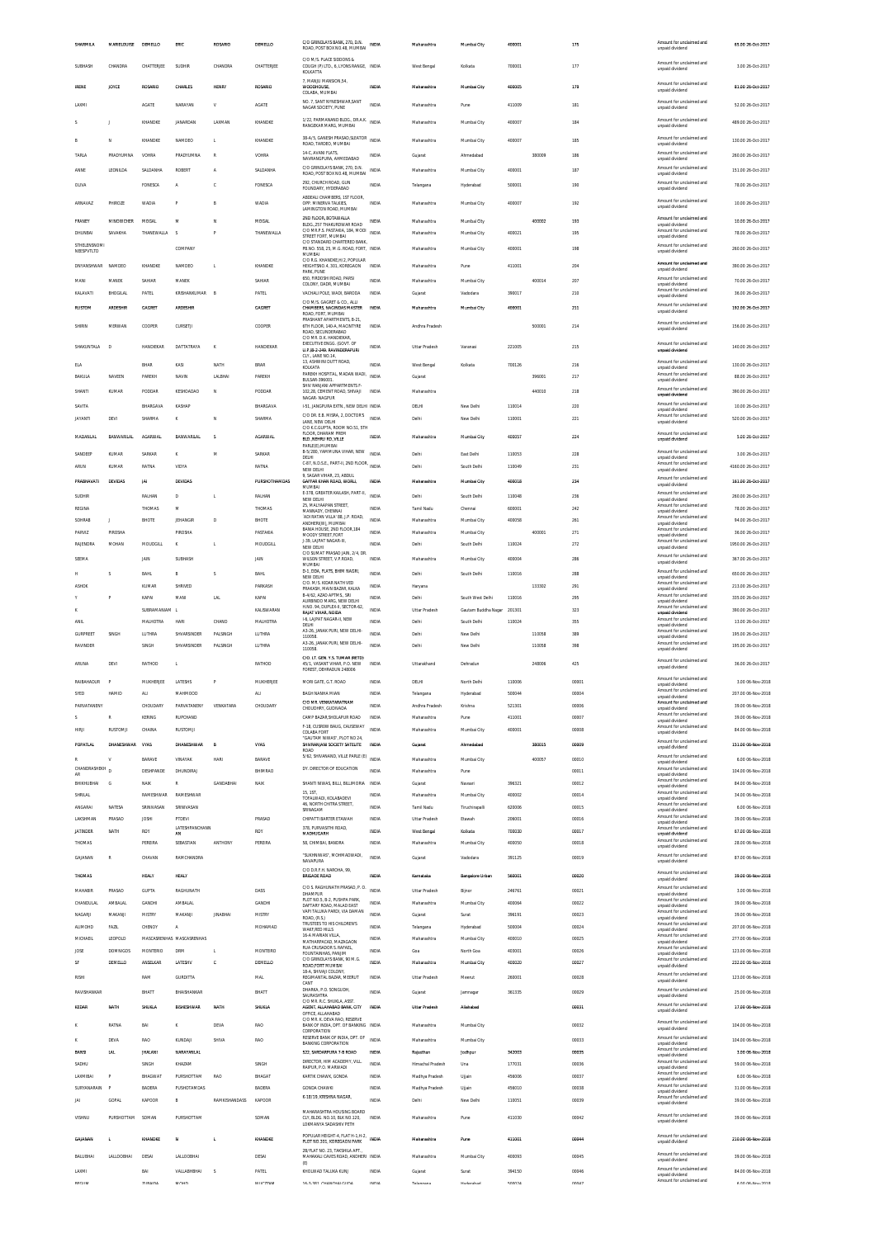| SHARMILA                  | MARIELOUISE      | DEMELLO                  | ERIC                       | ROSARIO         | <b>DEMELLO</b>      | C/O GRINDLAYS BANK, 270, D.N.<br>ROAD, POST BOX NO.48, MUMBAL INDIA                     |                              | Maharashtra                      | Mumbal City                             | 400001           |        | 175            | Amount for unclaimed and<br>unpaid dividend                             | 65.00 26-Oct-2017                        |
|---------------------------|------------------|--------------------------|----------------------------|-----------------|---------------------|-----------------------------------------------------------------------------------------|------------------------------|----------------------------------|-----------------------------------------|------------------|--------|----------------|-------------------------------------------------------------------------|------------------------------------------|
| SUBHASH                   | CHANDRA          | CHATTERJEE               | SUDHIR                     | CHANDRA         | CHATTERJEE          | C/O M/S. PLACE SIDDONS &<br>COUGH (P) LTD., 6, LYONS RANGE, INDIA                       |                              | West Bengal                      | Kolkata                                 | 700001           |        | 177            | Amount for unclaimed and<br>unpaid dividend                             | 3.00 26-Oct-2017                         |
|                           |                  |                          |                            |                 |                     | KOLKATTA<br>7. MANJU MANSION.54                                                         |                              |                                  |                                         |                  |        |                | Amount for unclaimed and                                                |                                          |
| <b>IRENE</b>              | JOYCE            | <b>ROSARIO</b>           | CHARLES                    | <b>HENRY</b>    | ROSARIO             | WOODHOUSE,<br>COLABA, MUMBAI                                                            | INDIA                        | Maharashtra                      | Mumbai City                             | 400005           |        | 179            | unpaid dividend                                                         | 81.00 26-Oct-2017                        |
| LAXM                      |                  | <b>AGATE</b>             | NARAYAN                    | v               | AGATE               | NO. 7, SANT NYNESHWAR, SANT<br>NAGAR SOCIETY. PUNE                                      | INDIA                        | Maharashtra                      | Pune                                    | 411009           |        | 181            | Amount for unclaimed and<br>unpaid dividend                             | 52.00 26-Oct-2017                        |
| ς                         | $\mathbf{I}$     | KHANDKE                  | <b>JANARDAN</b>            | LAXMAN          | KHANDKE             | 1/22, PARMANAND BLDG., DR.A.K. INDIA<br>RANGEKAR MARG, MUMBAI                           |                              | Maharashtra                      | Mumbai City                             | 400007           |        | 184            | Amount for unclaimed and<br>unpaid dividend                             | 489.00.26-0ct-2017                       |
| R                         | N                | KHANDKE                  | NAMDEO                     | L.              | KHANDKE             | 38-A/5, GANESH PRASAD, SLEATOR<br>ROAD, TARDEO, MUMBAI                                  | <b>INDIA</b>                 | Maharashtra                      | Mumbai City                             | 400007           |        | 185            | Amount for unclaimed and<br>unpaid dividend                             | 130.00 26-Oct-2017                       |
| TARLA                     | PRADYUMNA        | VOHRA                    | PRADYUMNA                  | $\mathbb{R}$    | VOHRA               | 14-C, AVANI FLATS,                                                                      | <b>INDIA</b>                 | Gujarat                          | Ahmedabad                               |                  | 380009 | 186            | Amount for unclaimed and<br>unpaid dividend                             | 260.00 26-Oct-2017                       |
| ANNE                      | LEONILDA         | SALDANHA                 | <b>ROBERT</b>              | A               | SALDANHA            | NAVRANGPURA, AHMEDABAD<br>C/O GRINDLAYS RANK 270 D.N.                                   | <b>INDIA</b>                 | Maharashtra                      | Mumbai City                             | 400001           |        | 187            | Amount for unclaimed and                                                | 151.00 26-Oct-2017                       |
| OLIVA                     |                  | <b>FONESCA</b>           | A                          |                 | FONESCA             | ROAD, POST BOX NO.48, MUMBAI<br>292. CHURCH ROAD, GUN                                   | <b>INDIA</b>                 | Telangana                        | Hyderabad                               | 500001           |        | 190            | unpaid dividend<br>Amount for unclaimed and                             | 78.00 26-Oct-2017                        |
|                           |                  |                          |                            |                 |                     | FOUNDARY, HYDERABAD<br>ABDEALI CHAMBERS, 1ST FLOOR,                                     |                              |                                  |                                         |                  |        |                | unpaid dividend<br>Amount for unclaimed and                             |                                          |
| ARNAVAZ                   | PHIROZE          | WADIA                    | P                          |                 | <b>WADIA</b>        | OPP. MINERVA TALKIES,<br>LAMINGTON ROAD, MUMBAI                                         | INDIA                        | Maharashtra                      | Mumbai City                             | 400007           |        | 192            | unpaid dividend                                                         | 10.00 26-Oct-2017                        |
| FRANEY                    | MINOWCHER        | MOGAL                    | M                          | N               | MOGAL               | 2ND FLOOR, BOTAWALLA<br>BLDG. 257 THAKURDWAR ROAD<br>C/O MR.P.S. PASTAKIA, 184, MODI    | INDIA                        | Maharashtra                      | Mumbai City                             |                  | 400002 | 193            | Amount for unclaimed and<br>unpaid dividend<br>Amount for unclaimed and | 10.00 26-Oct-2017                        |
| DHUNRAL<br>STHELENSNOM    | SAVAKHA          | THANEWALLA               | -S                         | D               | THANEWALLA          | STREET FORT, MUMBAI<br>C/O STANDARD CHARTERED BANK                                      | <b>INDIA</b>                 | Maharashtra                      | Mumbai City                             | 400021           |        | 195            | unpaid dividend<br>Amount for unclaimed and                             | 78.00 26-Oct-2017                        |
| NEESPVTLTD                |                  |                          | COMPANY                    |                 |                     | PB.NO. 558, 25, M.G. ROAD, FORT, INDIA<br>MUMBAI<br>C/O R.G. KHANDKE, H/2, POPULAR      |                              | Maharashtra                      | Mumbai City                             | 400001           |        | 198            | unpaid dividend                                                         | 260.00 26-Oct-2017                       |
| DNYANSHWAR                | NAMDEO           | KHANDKE                  | NAMDEO                     | L.              | KHANDKE             | HEIGHTSNO.4, 301, KOREGAON<br>PARK, PUNE                                                | <b>INDIA</b>                 | Maharashtra                      | Pune                                    | 411001           |        | 204            | Amount for unclaimed and<br>unpaid dividend                             | 390.00 26-Oct-2017                       |
| MANI                      | MANEK            | SAHIAR                   | MANEK                      |                 | SAHIAR              | 650, FIRDOSHI ROAD, PARS<br>COLONY, DADR, MUMBAI                                        | <b>INDIA</b>                 | Maharashtra                      | Mumbai City                             |                  | 400014 | 207            | Amount for unclaimed and<br>unpaid dividend                             | 70.00 26-Oct-2017                        |
| KALAVATI                  | RHOGILA          | PATEL                    | KRISHANKUMAR               | <b>R</b>        | PATEL               | VACHALI POLE, WADI, BARODA<br>C/O M/S. GAGRET & CO., ALLI                               | <b>INDIA</b>                 | Gujarat                          | Vadodara                                | 390017           |        | 210            | Amount for unclaimed and<br>unpaid dividend                             | 36.00 26-Oct-2017                        |
| <b>RUSTOM</b>             | <b>ARDESHIR</b>  | GAGRET                   | <b>ARDESHIR</b>            |                 | <b>GAGRET</b>       | CHAMBERS, NAGINDAS MASTER<br>ROAD, FORT, MUMBAI                                         | INDIA                        | Maharashtra                      | Mumbai City                             | 400001           |        | 211            | Amount for unclaimed and<br>unpaid dividend                             | 192.00 26-Oct-2017                       |
| SHIRIN                    | MERWAN           | COOPER                   | CURSETJI                   |                 | COOPER              | PRASHANT APARTMENTS, B-21,<br>6TH FLOOR, 140-A, MACINTYRE<br>ROAD, SECUNDERABAD         | INDIA                        | Andhra Pradesh                   |                                         |                  | 500001 | 214            | Amount for unclaimed and<br>unpaid dividend                             | 156.00 26-Oct-2017                       |
| SHAKUNTALA                | D                | HANDIEKAS                | DATTATRAYA                 | K               | HANDIEKAR           | C/O MR. D.K. HANDIEKAR<br>EXECUTIVE ENGG. (GOVT. OF                                     | INDIA                        | Uttar Pradesh                    | Varanasi                                | 221005           |        | 215            | Amount for unclaimed and                                                | 140.00 26-Oct-2017                       |
|                           |                  |                          |                            |                 |                     | LLP 18-2-249 RAVINDERAPURL<br>CLY., LANE NO.14,                                         |                              |                                  |                                         |                  |        |                | unpaid dividend<br>Amount for unclaimed and                             |                                          |
| ELA<br>BAKULA             | NAVEEN           | BHAR<br>PAREKH           | KASI<br>NAVIN              | NATH<br>LALBHAI | BRAR<br>PAREKH      | 13, ASHWINI DUTT ROAD,<br>KOLKATA<br>PAREKH HOSPITAL, MADAN WADI,                       | <b>INDIA</b><br><b>INDIA</b> | West Bengal                      | Kolkata                                 | 700126           | 396001 | 216<br>217     | unpaid dividend<br>Amount for unclaimed and                             | 130.00 26-Oct-2017<br>88.00 26-Oct-2017  |
| SHANTI                    | <b>KUMAR</b>     | PODDAR                   | KESHOADAO                  | N               | PODDAR              | BULSAR-396001<br>SHIV RANJANI APPARTMENTS F<br>102.28. CEMENT ROAD. SHIVAJI             | INDIA                        | Gujarat<br>Maharashtra           |                                         |                  | 440010 | 218            | unpaid dividend<br>Amount for unclaimed and                             | 390.00 26-Oct-2017                       |
|                           |                  |                          |                            |                 |                     | NAGAR- NAGPUR                                                                           |                              |                                  |                                         |                  |        |                | unpaid dividend<br>Amount for unclaimed and                             |                                          |
| SAVITA<br><b>JAYANTI</b>  | DEVI             | BHARGAVA<br>SHARMA       | KASHAF<br>ĸ                | N               | BHARGAVA<br>SHARMA  | 1-51, JANGPURA EXTN., NEW DELHI INDIA<br>C/O DR. E.B. MISRA, 2, DOCTOR'S                | <b>INDIA</b>                 | DELHI<br>Delhi                   | New Delhi<br>New Delhi                  | 110014<br>110001 |        | 220<br>221     | unpaid dividend<br>Amount for unclaimed and                             | 10.00 26-Oct-2017<br>520.00 26-Oct-2017  |
|                           |                  |                          |                            |                 |                     | LANE, NEW DELHI<br>C/O K.C.GUPTA. ROOM NO.51. 5TH<br>FLOOR. DHARAM PREM                 |                              |                                  |                                         |                  |        |                | unpaid dividend<br>Amount for unclaimed and                             |                                          |
| <b>MADANLAL</b>           | BANWARILAL       | AGARWAL                  | BANWARILAL                 | s               | <b>AGARWAL</b>      | BLD. NEHRU RD. VILLE<br>PARLE(E), MUMBAI                                                | INDIA                        | Maharashtra                      | Mumbai City                             | 400057           |        | 224            | unpaid dividend                                                         | 5.00 26-Oct-2017                         |
| SANDEEP                   | KUMAR            | SARKAR                   | K                          | M               | SARKAR              | B-5/280, YAMMUNA VIHAR, NEW<br>DELHI<br>C-87, N.D.S.E., PART-II, 2ND FLOOR,             | <b>INDV</b>                  | Delhi                            | East Delhi                              | 110053           |        | 228            | Amount for unclaimed and<br>unpaid dividend<br>Amount for unclaimed and | 3.00 26-Oct-2017                         |
| ARUN                      | <b>KUMAR</b>     | RATNA                    | VIDYA                      |                 | RATNA               | NEW DELHI<br>9. SAGAR VIHAR, 23, ABDUL                                                  | INDIA                        | Delhi                            | South Delhi                             | 110049           |        | 231            | unpaid dividend<br>Amount for unclaimed and                             | 4160.00 26-Oct-2017                      |
| PRABHAVATI                | DEVIDAS          | JA                       | DEVIDAS                    |                 | PURSHOTHAMDAS       | <b>GAFFAR KHAN ROAD, WORLI</b><br>MUMBAI<br>E-378, GREATER KAILASH, PART-II,            | INDV                         | Maharashtra                      | Mumbai City                             | 400018           |        | 234            | unpaid dividend<br>Amount for unclaimed and                             | 161.00 26-Oct-2017                       |
| SUDHIP<br>REGINA          |                  | RALHAN<br>THOMAS         | D<br>M                     | t,              | RALHAN<br>THOMAS    | NEW DELHI<br>25, MALYAAPAN STREET,                                                      | <b>INDIA</b><br>INDIA        | Delhi<br>Tamil Nadu              | South Delhi<br>Chennai                  | 110048<br>600001 |        | 236<br>242     | unpaid dividend<br>Amount for unclaimed and                             | 260.00 26-Oct-2017<br>78.00 26-Oct-2017  |
| SOHRAB                    | J.               | BHOTE                    | <b>JEHANGIR</b>            | D               | <b>BHOTE</b>        | MANNADY, CHENNAI<br>'ADI RATAN VILLA' 88, J.P. ROAD                                     | <b>INDIA</b>                 | Maharashtra                      | Mumbai City                             | 400058           |        | 261            | unpaid dividend<br>Amount for unclaimed and                             | 94.00 26-Oct-2017                        |
| PARVIZ                    | PIROSHA          |                          | <b>PIROSHA</b>             |                 | PASTAKIA            | ANDHERI(W), MUMBAI<br>BANIA HOUSE, 2ND FLOOR, 184<br>MOODY STREET FORT                  | <b>INDIA</b>                 | Maharashtra                      | Mumbai City                             |                  | 400001 | 271            | unpaid dividend<br>Amount for unclaimed and<br>unpaid dividend          | 36.00 26-Oct-2017                        |
| RAJENDRA                  | MOHAN            | MOUDGILL                 | $\kappa$                   | L.              | MOUDGILL            | J-39, LAJPAT NAGAR-III,<br>NEW DELH                                                     | <b>INDIA</b>                 | Delhi                            | South Delhi                             | 110024           |        | 272            | Amount for unclaimed and<br>unpaid dividend                             | 1950.00 26-Oct-2017                      |
| SEEMA                     |                  | JAIN                     | SUBHASH                    |                 | JAIN                | C/O SUMAT PRASAD JAIN, 2/4, DR<br>WILSON STREET, V.P.ROAD<br>MUMBAI                     | <b>INDIA</b>                 | Maharashtra                      | Mumbai City                             | 400004           |        | 286            | Amount for unclaimed and<br>unpaid dividend                             | 367.00 26-Oct-2017                       |
| н                         | s                | BAHL                     | B                          | s               | <b>BAHL</b>         | D-1, DDA, FLATS, BHIM NAGRI,<br>NEW DELHI                                               | <b>INDIA</b>                 | Delhi                            | South Delhi                             | 110016           |        | 288            | Amount for unclaimed and<br>unpaid dividend                             | 650.00 26-Oct-2017                       |
| <b>ASHOK</b>              |                  | <b>KUMAR</b>             | SHRIVED                    |                 | PARKASH             | C/O. M/S. KIDAR NATH VED<br>PRAKASH, MAIN BAZAR, KALKA<br>B-4/62, AZAD APTMS., SRI      | INDIA                        | Haryana                          |                                         |                  | 133302 | 291            | Amount for unclaimed and<br>unpaid dividend<br>Amount for unclaimed and | 213.00 26-Oct-2017                       |
| ĸ                         |                  | KAPAI<br>SUBRAMANIAM L   | MANI                       | LAL             | KAPAI<br>KALISWARAN | AURBINDO MARG. NEW DELHI<br>H.NO. 94, DUPLEX-II, SECTOR-62,                             | INDIA<br><b>INDIA</b>        | Delhi<br><b>Uttar Pradesh</b>    | South West Delhi<br>Gautam Buddha Nagar | 110016<br>201301 |        | 295<br>323     | unpaid dividend<br>Amount for unclaimed and                             | 335.00 26-Oct-2017<br>390.00 26-Oct-2017 |
|                           |                  |                          |                            |                 |                     | RAIAT VIHAR NOIDA                                                                       |                              |                                  |                                         |                  |        |                | unpaid dividend                                                         |                                          |
| <b>ANIL</b>               |                  | MALHOTRA                 | HARI                       | CHAND           | MALHOTRA            | <b>1-6 LAIPAT NAGAR-IL NEW</b>                                                          | <b>INDIA</b>                 | Delhi                            | South Delhi                             | 110024           |        | 355            | Amount for unclaimed and                                                | 13.00 26-Oct-2017                        |
| <b>GURPREET</b>           | SINGH            | LUTHRA                   | SHVARSINDER                | PALSINGH        | LUTHRA              | DELHI<br>A3-26, JANAK PURI, NEW DELHI-<br>110058                                        | INDIA                        | Delhi                            | New Delhi                               |                  | 110058 | 389            | unpaid dividend<br>Amount for unclaimed and                             | 195.00 26-Oct-2017                       |
| RAVINDER                  |                  | SINGH                    | SHVARSINDER                | PALSINGH        | LUTHRA              | A3-26, JANAK PURI, NEW DELHI-<br>110058                                                 | <b>INDIA</b>                 | Delhi                            | New Delhi                               |                  | 110058 | 398            | unpaid dividend<br>Amount for unclaimed and<br>unpaid dividend          | 195.00 26-Oct-2017                       |
| ARUNA                     | DEVI             | RATHOD                   | L                          |                 | RATHOD              | C/O. LT. GEN. Y.S. TUMAR (RETD)<br>45/1. VASANT VIHAR, P.O. NEW                         | INDIA                        | Uttarakhand                      | Dehradun                                |                  | 248006 | 425            | Amount for unclaimed and                                                | 36.00 26-Oct-2017                        |
|                           |                  |                          |                            |                 |                     | FOREST DEHRADUN 248006                                                                  |                              |                                  |                                         |                  |        |                | unpaid dividend<br>Amount for unclaimed and                             |                                          |
| RAIBAHADUR<br>SYED        | P<br>HAMID       | MUKHERJEE<br><b>ALI</b>  | LATESHS<br>MAHMOOD         |                 | MUKHERJEE<br>ALI.   | MORI GATE, G.T. ROAD<br>BAGH NANHA MIAN                                                 | INDIA<br><b>INDIA</b>        | DELHI<br>Telangana               | North Delhi<br>Hyderabad                | 110006<br>500044 |        | 00001<br>00004 | unpaid dividend<br>Amount for unclaimed and                             | 3.00 06-Nov-2018<br>207.00 06-Nov-2018   |
| PARVATANENY               |                  | CHOUDARY                 | PARVATANENY                | VENKATARA       | CHOUDARY            | C/O MR. VENKATARATNAM<br>CHOUDHRY, GUDIVADA                                             | <b>INDIA</b>                 | Andhra Pradesh                   | Krishna                                 | 521301           |        | 00006          | unpaid dividend<br>Amount for unclaimed and<br>unpaid dividend          | 39.00 06-Nov-2018                        |
| s                         | $\mathbb{R}$     | KERING                   | RUPCHAND                   |                 |                     | CAMP BAZAR SHOLAPUR ROAD                                                                | INDIA                        | Maharashtra                      | Pune                                    | 411001           |        | 00007          | Amount for unclaimed and<br>unpaid dividend                             | 39.00 06-Nov-2018                        |
| HIRJI                     | RUSTOMI          | CHAINA                   | <b>RUSTOMJI</b>            |                 |                     | F-18, CUSROW BAUG, CAUSEWAY<br>COLABA FORT<br>"GALITAM NIWAS" PLOT NO 24                | INDIA                        | Maharashtra                      | Mumbai City                             | 400001           |        | 00008          | Amount for unclaimed and<br>unpaid dividend                             | 84.00 06-Nov-2018                        |
| <b>POPATLAL</b>           | DHANESHWAR       | VYAS                     | DHANESHWAR                 | R               | <b>VYAS</b>         | SHIVRANJANI SOCIETY SATELITE<br>ROAD                                                    | INDIA                        | Guiarat                          | Ahmedabad                               |                  | 380015 | 00009          | Amount for unclaimed and<br>unpaid dividend                             | 151.00 06-Nov-2018                       |
|                           |                  | <b>BARAVE</b>            | VINAYAR                    | HARI            | <b>BARAVE</b>       | 5/62, SHIVANAND, VILLE PARLE (E) INDIA                                                  |                              | Maharashtra                      | Mumbai City                             |                  | 400057 | 00010          | Amount for unclaimed and<br>Innehivib history                           | 6.00 06-Nov-2018                         |
| CHANDRASHEKH              | $\mathsf{D}$     | DESHPANDE                | <b>DHUNDIRAL</b>           |                 | <b>RHIMRAO</b>      | DY. DIRECTOR OF EDUCATION                                                               | <b>INDIA</b>                 | Maharashtra                      | Pune                                    |                  |        | 00011          | Amount for unclaimed and<br>unpaid dividend<br>Amount for unclaimed and | 104.00 06-Nov-2018                       |
| BHIKHUBHAI<br>SHRILAL     | G                | NAIK<br>RAMESHWAR        | ${\mathbb R}$<br>RAMESHWAR | GANDABHAI       | NAIK                | SHANTI NIWAS, BILLI, BILLIMORIA INDIA<br>15, 1ST                                        | <b>INDIA</b>                 | Gujarat<br>Maharashtra           | Navsari<br>Mumbai City                  | 396321<br>400002 |        | 00012<br>00014 | unpaid dividend<br>Amount for unclaimed and                             | 84.00 06-Nov-2018<br>34.00 06-Nov-2018   |
| ANGARAI                   | NATESA           | SRINIVASAN               | SRINIVASAN                 |                 |                     | TOFALWADI. KOLABADEVI<br>46. NORTH CHITRA STREET<br>SRINAGAM                            | INDIA                        | Tamil Nadu                       | Tiruchirapall                           | 620006           |        | 00015          | unpaid dividend<br>Amount for unclaimed and<br>unpaid dividend          | 6.00 06-Nov-2018                         |
| LAKSHMAN                  | PRASAD           | <b>JOSHI</b>             | PTDEVI                     |                 | PRASAD              | CHIPATTI BARTER ETAWAH                                                                  | INDIA                        | Uttar Pradesh                    | Etawah                                  | 206001           |        | 00016          | Amount for unclaimed and<br>unpaid dividend                             | 39.00 06-Nov-2018                        |
| <b>JATINDER</b>           | NATH             | ROY                      | LATESHPANCHANN<br>AN       |                 | ROY                 | 378. PURVASITHI ROAD.<br>MADHUGARH                                                      | INDIA                        | West Bengal                      | Kolkata                                 | 700030           |        | 00017          | Amount for unclaimed and<br>unpaid dividend<br>Amount for unclaimed and | 67.00 06-Nov-2018                        |
| THOMAS                    |                  | PEREIRA                  | SEBASTIAN                  | ANTHONY         | PEREIRA             | 58, CHIMBAI, BANDRA<br>"SLIKHNIWAS" MOHMADWADI                                          | INDIA                        | Maharashtra                      | Mumbai City                             | 400050           |        | 00018          | unpaid dividend<br>Amount for unclaimed and                             | 28.00 06-Nov-2018                        |
| GAJANAN                   | $\mathbb{R}$     | CHAVAN                   | RAMCHANDRA                 |                 |                     | NAVAPURA<br>C/O D.R.F.H. NAROHA, 99                                                     | <b>INDIA</b>                 | Gujarat                          | Vadodara                                | 391125           |        | 00019          | unpaid dividend                                                         | 87.00 06-Nov-2018                        |
| THOMAS                    |                  | <b>HEALY</b>             | HEALY                      |                 |                     | <b>SRIGADE ROAD</b>                                                                     | INDIA                        | Karnataka                        | <b>Bangalore Urbar</b>                  | 560001           |        | 00020          | Amount for unclaimed and<br>unpaid dividend                             | 39.00 06-Nov-2018                        |
| MAHABIR                   | PRASAD           | <b>GUPTA</b>             | RAGHUNATH                  |                 | DASS                | C/O S. RAGHUNATH PRASAD, P. O.<br>DHAMPUR                                               | <b>INDIA</b>                 | Uttar Pradesh                    | Bijnor                                  | 246761           |        | 00021          | Amount for unclaimed and<br>unpaid dividend                             | 3.00 06-Nov-2018                         |
| CHANDULAL                 | AMBALAL          | GANDHI                   | AMBALAL                    |                 | GANDHI              | PLOT NO.5, B-2, PUSHPA PARK<br>DAFTARY ROAD, MALAD EAST<br>VAPI TALUKA PARDI, VIA DAMAN | <b>INDIA</b>                 | Maharashtra                      | Mumbai City                             | 400064           |        | 00022          | Amount for unclaimed and<br>unpaid dividend<br>Amount for unclaimed and | 39.00 06-Nov-2018                        |
| NAGARJI<br><b>ALIMOHD</b> | MAKANIL<br>FAZIL | <b>MISTRY</b><br>CHENOY  | MAKANI<br>$\mathbb A$      | <b>IINARHAI</b> | MISTRY<br>MOHAMAD   | ROAD, (R.S.)<br>TRUSTEES TO HIS CHILDREN'S                                              | <b>INDIA</b><br>INDIA        | Gujarat<br>Telangana             | Surat<br>Hyderabad                      | 396191<br>500004 |        | 00023<br>00024 | unpaid dividend<br>Amount for unclaimed and                             | 39.00 06-Nov-2018<br>207.00 06-Nov-2018  |
| MICHAEIL                  | LEOPOLD          |                          | MASCASRENHAS MASCASRENHAS  |                 |                     | WAKE RED HILLS<br>16-A MARIAN VILLA<br>MATHARPACAD, MAZAGAON                            | <b>INDIA</b>                 | Maharashtra                      | Mumbai City                             | 400010           |        | 00025          | unpaid dividend<br>Amount for unclaimed and<br>unpaid dividend          | 277.00 06-Nov-2018                       |
| JOSE                      | <b>DOMNIGOS</b>  | <b>MONTERIO</b>          | DRM                        | $\mathbf{t}$    | MONTEIRO            | RUA CRUSADOR S. RAFAEL,<br>FOUNTAINHAS, PANJIM                                          | INDIA                        | Goa                              | North Goa                               | 403001           |        | 00026          | Amount for unclaimed and<br>unpaid dividend                             | 123.00 06-Nov-2018                       |
| SF                        | DEMELLO          | ANSELKAR                 | LATESHV                    | c               | DEMELLO             | C/O GRINDLAYS BANK, 90 M.G.<br>ROAD.FORT MUMBAI<br>18-A. SHIVAII COLONY                 | INDIA                        | Maharashtra                      | Mumbai City                             | 400020           |        | 00027          | Amount for unclaimed and<br>unpaid dividend                             | 232.00 06-Nov-2018                       |
| RISHI                     |                  | RAM                      | GURDITTA                   |                 | MAL                 | REGIMANTAL BAZAR, MEERUT<br>CANT                                                        | INDIA                        | Uttar Pradesh                    | Meerut                                  | 260001           |        | 00028          | Amount for unclaimed and<br>unpaid dividend                             | 123.00 06-Nov-2018                       |
| RAVISHANKAR               |                  | BHATT                    | BHAISHANKAR                |                 | BHATT               | DHARKA, P.O. SONGUDH<br>SAURASHTRA<br>C/O MR. R.C. SHUKLA, ASST                         | INDV                         | Gujarat                          | Jamnaga                                 | 361335           |        | 00029          | Amount for unclaimed and<br>unpaid dividend                             | 25.00 06-Nov-2018                        |
| KEDAR                     | NATH             | SHUKLA                   | <b>RISHESHWAR</b>          | NATH            | SHUKLA              | AGENT. ALLAHABAD BANK, CITY<br>OFFICE, ALLAHABAD                                        | INDIA                        | <b>Uttar Pradesh</b>             | Aliahahari                              |                  |        | 00031          | Amount for unclaimed and<br>unpaid dividend                             | 17.00 06-Nov-2018                        |
|                           | RATNA            | BAI                      | ĸ                          | DEVA            | <b>RAO</b>          | C/O MR. K. DEVA RAO, RESERVE<br>BANK OF INDIA, DPT. OF BANKING INDIA<br>CORPORATION     |                              | Maharashtra                      | Mumbai City                             |                  |        | 00032          | Amount for unclaimed and<br>unpaid dividend                             | 104.00 06-Nov-2018                       |
|                           | DEVA             | <b>RAO</b>               | KUNDAJI                    | SHIVA           | <b>RAO</b>          | RESERVE BANK OF INDIA, DPT. OF<br><b>BANKING CORPORATION</b>                            | <b>INDIA</b>                 | Maharashtra                      | Mumbai City                             |                  |        | 00033          | Amount for unclaimed and<br>unpaid dividend                             | 104.00 06-Nov-2018                       |
| BANS                      | LN               | <b>JHALANI</b>           | NARAYANLAL                 |                 |                     | 522, SARDARPURA 7-B ROAD                                                                | mpu                          | Rajasthan                        | Jodhpur                                 | 342003           |        | 00035          | Amount for unclaimed and<br>unpaid dividend                             | 3.00 06-Nov-2018                         |
| SADHU                     |                  | SINGH                    | KHAZAM                     |                 | SINGH               | DIRECTOR, HIM ACADEMY, VILL.<br>RAIPUR, P.O. MARWADI                                    | INDIA                        | Himachal Pradesh                 | Una                                     | 177031           |        | 00036          | Amount for unclaimed and<br>unpaid dividend<br>Amount for unclaimed and | 59.00 06-Nov-2018                        |
| LAXMIBAI<br>SURYANARAIN   | F                | <b>BHAGWAT</b><br>BADERA | PURSHOTTAM<br>PUSHOTAMDAS  | RAO             | BHAGAT<br>BADERA    | KARTIK CHAWK, GONDA<br><b>GONDA CHAWKI</b>                                              | INDIA<br>INDIA               | Madhya Pradesh<br>Madhya Pradesh | Ujjain<br>Ujjain                        | 456006<br>456010 |        | 00037<br>00038 | unpaid dividend<br>Amount for unclaimed and                             | 6.00 06-Nov-2018<br>31.00 06-Nov-2018    |
| JAI                       | GOPAL            | KAPOOR                   | $\,$ B                     | RAMKISHANDASS   | KAPOOR              | K-18/19, KRISHNA NAGAR.                                                                 | <b>INDIA</b>                 | Delhi                            | New Delhi                               | 110051           |        | 00039          | unpaid dividend<br>Amount for unclaimed and<br>unpaid dividend          | 39.00 06-Nov-2018                        |
| VISHNU                    | PURSHOTTAM       | SOMAN                    | PURSHOTTAN                 |                 | SOMAN               | MAHARASHTRA HOUSING BOARD<br>CLY, BLDG. NO.10, BLK NO.120,                              | INDIA                        | Maharashtra                      | Pune                                    | 411030           |        | 00042          | Amount for unclaimed and                                                | 39.00 06-Nov-2018                        |
|                           |                  |                          |                            |                 |                     | LOKMANYA SADASHIV PETH                                                                  |                              |                                  |                                         |                  |        |                | unpaid dividend                                                         |                                          |
| GAIANAN                   | ٠                | KHANDKE                  | N                          | ٠               | KHANDKE             | POPULAR HEIGHT-4, FLAT H-1, H-2,<br>PLOT NO.301, KOREGAON PARK                          | INDIA                        | Maharashtra                      | Pune                                    | 411001           |        | 00044          | Amount for unclaimed and<br>unpaid dividend                             | 210.00 06-Nov-2018                       |
| BALUBHAI                  | LALLOOBHAI       | DESAI                    | <b>LALLOOBHAI</b>          |                 | DESAI               | 2B/FLAT NO. 23. TAKSHILA APT<br>MAHAKALI CAVES ROAD, ANDHERI INDIA<br>(E)               |                              | Maharashtra                      | Mumbai City                             | 400093           |        | 00045          | Amount for unclaimed and<br>unpaid dividend                             | 39.00 06-Nov-2018                        |
| LAXMI                     |                  | BAI<br><b>ZUDAINA</b>    | VALLABHBHAI                | s               | PATEL               | KHOLWAD TALUKA KUNJ                                                                     | INDIA                        | Gujarat                          | Surat                                   | 394150           |        | 00046          | Amount for unclaimed and<br>unpaid dividend<br>Amount for unclaimed and | 84.00 06-Nov-2018                        |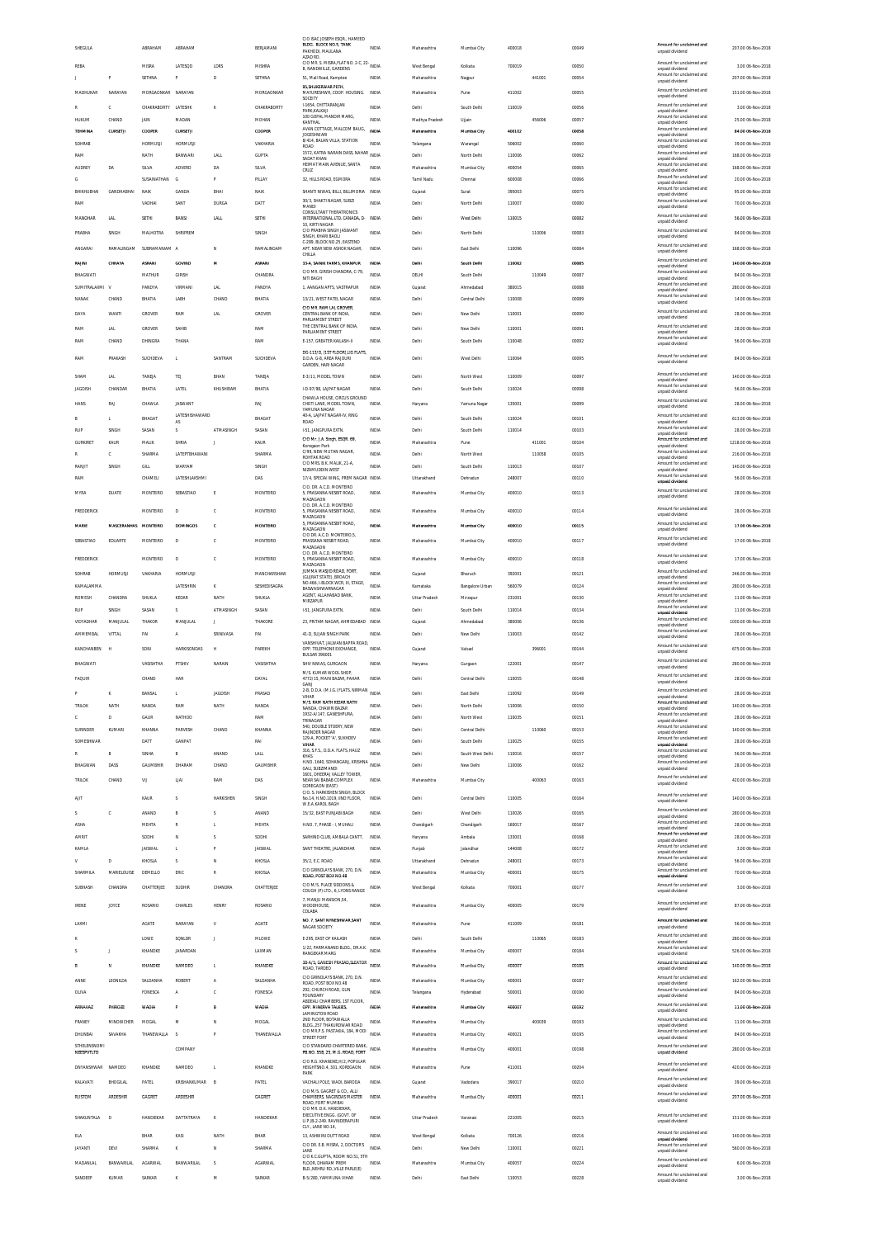|                                                 | ABRAHAM                   | ABRAHAM                           |                     | BERJAMANI                | C/O ISAC JOSEPH ESOR., HAMEED<br>BLDG. BLOCK NO.5, TANK<br>PAKHODI, MAULANA           | INDIA                 | Maharashtra              | Mumbai City                     | 400018           |        | 00049          | Amount for unclaimed and<br>unpaid dividend                             | 207.00 06-Nov-2018                       |
|-------------------------------------------------|---------------------------|-----------------------------------|---------------------|--------------------------|---------------------------------------------------------------------------------------|-----------------------|--------------------------|---------------------------------|------------------|--------|----------------|-------------------------------------------------------------------------|------------------------------------------|
| REBA                                            | <b>MISRA</b>              | LATESQD                           | LDRS                | MISHRA                   | AZAD RD.<br>C/O MR. S. MISRA, FLAT NO. 2-C, 22- INDIA                                 |                       | West Bengal              | Kolkata                         | 700019           |        | 00050          | Amount for unclaimed and                                                | 3.00 06-Nov-2018                         |
|                                                 | SETHNA                    | P                                 | D                   | SETHNA                   | B, NANDWILLE, GARDENS<br>51, Mall Road, Kamptee                                       | INDIA                 | Maharashtra              | Nagpur                          |                  | 441001 | 00054          | unpaid dividend<br>Amount for unclaimed and<br>unpaid dividend          | 207.00 06-Nov-2018                       |
| MADHLIKAR<br>NARAYAN                            | MORGAONKAR NARAYAN        |                                   |                     | MORGAONKAR               | 95, SHUKERWAR PETH,<br>MAYURESHWR, COOP. HOUSING. INDIA<br>SOCEITY                    |                       | Maharashtra              | Pune                            | 411002           |        | 00055          | Amount for unclaimed and<br>unpaid dividend                             | 151.00 06-Nov-2018                       |
| R<br>C.                                         | CHAKRABORTY LATESHK       |                                   | ĸ                   | CHAKRARORTY              | I-1654, CHITTARANJAN<br>PARK.KALKAJI                                                  | <b>INDIA</b>          | Delhi                    | South Delhi                     | 110019           |        | 00056          | Amount for unclaimed and<br>unpaid dividend                             | 3.00 06-Nov-2018                         |
| HUKUM<br>CHAND                                  | <b>JAIN</b>               | MADAN                             |                     | MOHAN                    | 100 GOPAL MANDIR MARG<br>KANTHAL<br>AVAN COTTAGE, MALCOM BAUG,                        | INDIA                 | Madhya Pradesh           | Ujjair                          |                  | 456006 | 00057          | Amount for unclaimed and<br>unpaid dividend<br>Amount for unclaimed and | 25.00 06-Nov-2018                        |
| TEHMINA<br>CURSETJI<br>SOHRAB                   | COOPER<br><b>HORMUSJI</b> | <b>CURSETJI</b><br><b>HORMUSJ</b> |                     | COOPER<br>VAKHARIA       | <b>INCESHMADI</b><br>8/414, BALAN VILLA, STATION                                      | INDIA<br>INDIA        | Maharashtra<br>Telangana | Mumbai City<br>Warangal         | 400102<br>506002 |        | 00058<br>00060 | unpaid dividend<br>Amount for unclaimed and                             | 84.00 06-Nov-2018<br>39.00 06-Nov-2018   |
| RAM                                             | NATH                      | BANWARI                           | <b>LALI</b>         | GUPTA                    | ROAD<br>1572, KATRA NARAIN DASS, NAHAR<br>SADAT KHAN                                  | INDIA                 | Delhi                    | North Delhi                     | 110006           |        | 00062          | unpaid dividend<br>Amount for unclaimed and<br>unpaid dividend          | 168.00 06-Nov-2018                       |
| <b>AUDREY</b><br>DA                             | SILVA                     | ADVERD                            | DA                  | SILVA                    | HEIMAT MAIN AVENUE, SANTA<br>CRUZ                                                     | <b>INDIA</b>          | Maharashtra              | Mumbai City                     | 400054           |        | 00065          | Amount for unclaimed and<br>unpaid dividend                             | 168.00 06-Nov-2018                       |
| G<br>BHIKHUBHAI<br>GANDHABHAI                   | SUSAINATHAN<br>NAIK       | G<br>GANDA                        | Þ<br>BHAI           | PILLAY<br>NAIK           | 32, HILLS ROAD, EGMORA<br>SHANTI NIVAS. BILLI, BILLIMORIA INDIA                       | INDIA                 | Tamil Nadu<br>Guiarat    | Chennai<br>Surat                | 600008<br>395003 |        | 00066<br>00075 | Amount for unclaimed and<br>unpaid dividend<br>Amount for unclaimed and | 20.00 06-Nov-2018<br>95.00.06-Nov-2018   |
| RAM                                             | VADHAI                    | SANT                              | DURGA               | DATT                     | 30/3. SHAKTI NAGAR. SUBZI<br>MANDI                                                    | <b>INDIA</b>          | Delhi                    | North Delhi                     | 110007           |        | 00080          | unpaid dividend<br>Amount for unclaimed and<br>unpaid dividend          | 70.00 06-Nov-2018                        |
| MANOHAR<br>LA                                   | SETHI                     | BANSI                             | <b>LALL</b>         | <b>SETHI</b>             | CONSULTANT THERATRONICS<br>INTERNATIONAL LTD. CANADA, D- INDIA                        |                       | Deihi                    | West Delhi                      | 110015           |        | 00082          | Amount for unclaimed and<br>unpaid dividend                             | 56.00 06-Nov-2018                        |
| <b>PRABHA</b><br>SINGH                          | MALHOTRA                  | SHRIPREM                          |                     | SINGH                    | 10, KIRTI NAGAR<br>C/O PRABHA SINGH JASWANT<br>SINGH KHARLBAOLI                       | <b>INDIA</b>          | Delhi                    | North Delhi                     |                  | 110006 | 00083          | Amount for unclaimed and<br>unpaid dividend                             | 84.00 06-Nov-2018                        |
| ANGARAI<br>RAMALINGAM                           | SUBRAMANIAM A             |                                   | N                   | RAMALINGAM               | C-289. BLOCK NO.25. EASTEND<br>APT. NEAR NEW ASHOK NAGAR,                             | <b>INDIA</b>          | Delhi                    | East Delhi                      | 110096           |        | 00084          | Amount for unclaimed and<br>unpaid dividend                             | 168.00 06-Nov-2018                       |
| RAINI<br>CHHAYA                                 | ASRAN                     | GOVIND                            | M                   | ASRAN                    | CHILLA<br>33-A, SAINIK FARMS, KHANPUR                                                 | INDIA                 | Dethi                    | South Delh                      | 110062           |        | 00085          | Amount for unclaimed and<br>unpaid dividend                             | 140.00 06-Nov-2018                       |
| BHAGWATI                                        | MATHUR                    | GIRISH                            |                     | CHANDRA                  | C/O MR. GIRISH CHANDRA, C-79,<br>NITI BAGH                                            | INDIA                 | DELHI                    | South Delhi                     |                  | 110049 | 00087          | Amount for unclaimed and<br>unpaid dividend                             | 84.00 06-Nov-2018                        |
| SUMITRALAXML V<br>CHAND<br>NANAK                | PANDYA<br>BHATIA          | VIRMANI<br>LABH                   | <b>LAL</b><br>CHAND | PANDYA<br>BHATIA         | 1, AANGAN APTS, VASTRAPUR<br>13/21, WEST PATEL NAGAR                                  | INDIA<br>INDIA        | Gujarat<br>Delhi         | Ahmedabad<br>Central Delhi      | 380015<br>110008 |        | 00088<br>00089 | Amount for unclaimed and<br>unpaid dividend<br>Amount for unclaimed and | 280.00 06-Nov-2018<br>14.00 06-Nov-2018  |
| DAYA<br>WANTI                                   | GROVER                    | RAM                               | LAL                 | GROVER                   | C/O MR. RAM LAL GROVER,<br>CENTRAL BANK OF INDIA,                                     | INDIA                 | Delhi                    | New Delhi                       | 110001           |        | 00090          | unpaid dividend<br>Amount for unclaimed and                             | 28.00 06-Nov-2018                        |
| RAM<br>LAL                                      | GROVER                    | SAHIR                             |                     | RAM                      | PARLIAMENT STREET<br>THE CENTRAL BANK OF INDIA.                                       | <b>INDIA</b>          | Delhi                    | New Delhi                       | 110001           |        | 00091          | unpaid dividend<br>Amount for unclaimed and                             | 28.00 06-Nov-2018                        |
| CHAND<br>RAM                                    | DHINGRA                   | THANA                             |                     | RAM                      | PARLIAMENT STREET<br>E-157, GREATER KAILASH-II                                        | INDIA                 | Delhi                    | South Delhi                     | 110048           |        | 00092          | unpaid dividend<br>Amount for unclaimed and<br>unnaid dividend          | 56.00 06-Nov-2018                        |
| PRAKASH<br>RAM                                  | SUCHDEVA                  |                                   | SANTRAM             | SUCHDEVA                 | DG-113/D. (1ST FLOOR) LIG FLATS<br>D.D.A. G-8, AREA RAJOURI                           | INDIA                 | Delhi                    | West Delhi                      | 110064           |        | 00095          | Amount for unclaimed and                                                | 84.00 06-Nov-2018                        |
|                                                 |                           |                                   |                     |                          | GARDEN, HARI NAGAR                                                                    |                       |                          |                                 |                  |        |                | unpaid dividend<br>Amount for unclaimed and                             |                                          |
| SHAM<br><b>LAL</b><br><b>JAGDISH</b><br>CHANDAR | TANEJA<br>BHATIA          | <b>TEJ</b><br>LATEL               | BHAN<br>KHUSHIRAM   | TANEJA<br>BHATIA         | E-3/11. MODEL TOWN<br>I-D-97/98, LAJPAT NAGAR                                         | <b>INDIA</b><br>INDIA | Delhi<br>Delhi           | North West<br>South Delh        | 110009<br>110024 |        | 00097<br>00098 | unpaid dividend<br>Amount for unclaimed and                             | 140.00 06-Nov-2018<br>56.00 06-Nov-2018  |
| <b>HANS</b><br>RAI                              | CHAWLA                    | <b>IASWANT</b>                    |                     | RAI                      | CHAWLA HOUSE, CIRCUS GROUND<br>CHOTI LANE, MODEL TOWN,                                | INDIA                 | Haryana                  | Yamuna Nagar                    | 135001           |        | 00099          | unpaid dividend<br>Amount for unclaimed and<br>unpaid dividend          | 28.00 06-Nov-2018                        |
| L.<br>R                                         | BHAGAT                    | LATESHISHAWARD                    |                     | BHAGAT                   | YAMUNA NAGAR<br>40-A. LAJPAT NAGAR-IV. RING<br>ROAD                                   | <b>INDIA</b>          | Delhi                    | South Delhi                     | 110024           |        | 00101          | Amount for unclaimed and<br>unpaid dividend                             | 613.00 06-Nov-2018                       |
| SINGH<br>RIP                                    | SASAN                     | AS<br>s                           | ATMASINGH           | SASAN                    | I-51, JANGPURA EXTN.                                                                  | INDIA                 | Delhi                    | South Delhi                     | 110014           |        | 00103          | Amount for unclaimed and<br>unpaid dividend                             | 28.00 06-Nov-2018                        |
| GURKIRET<br>KAUR                                | MALIK                     | SHRIA                             |                     | KAUR                     | C/O Mr. J.A. Singh, ESOR. 69,<br>Koregaon Park<br>C/99, NEW MUTAN NAGAR               | INDIA                 | Maharashtra              | Pune                            |                  | 411001 | 00104          | Amount for unclaimed and<br>unpaid dividend<br>Amount for unclaimed and | 1218.00 06-Nov-2018                      |
| c<br>RANJIT                                     | SHARMA<br>GILL            | <b>LATEPTRHAWANI</b><br>WARYAM    |                     | SHARMA<br>SINGH          | ROHTAK ROAD<br>C/O MRS. B.K. MALIK, 21-A                                              | <b>INDIA</b><br>INDIA | Delhi<br>Delhi           | North West<br>South Delhi       | 110013           | 110058 | 00105<br>00107 | unpaid dividend<br>Amount for unclaimed and                             | 216.00 06-Nov-2018<br>140.00 06-Nov-2018 |
| SINGH<br>RAM                                    | CHAMELI                   | LATESHLAKSHMI                     |                     | DAS                      | NIZAMUDDIN WEST<br>17/4. SPECIAI WING, PREM NAGAR INDIA                               |                       | Uttarakhand              | Dehradun                        | 248007           |        | 00110          | unpaid dividend<br>Amount for unclaimed and<br>unpaid dividend          | 56.00 06-Nov-2018                        |
| DUATE<br>MYRA                                   | MONTEIRO                  | SEBASTIAO                         | Ė                   | MONTEIRO                 | C/O. DR. A.C.D. MONTEIRO<br>5, PRASANNA NESBIT ROAD,                                  | <b>INDIA</b>          | Maharashtra              | Mumbai City                     | 400010           |        | 00113          | Amount for unclaimed and<br>unpaid dividend                             | 28.00 06-Nov-2018                        |
| FREDDERICK                                      | MONTEIRO                  | D                                 | c                   | MONTEIRO                 | MAZAGAON<br>C/O. DR. A.C.D. MONTEIRO<br>5. PRASANNA NESBIT ROAD.                      | <b>INDIA</b>          | Maharashtra              | Mumbai City                     | 400010           |        | 00114          | Amount for unclaimed and                                                | 28.00 06-Nov-2018                        |
| MARIE                                           | MASCERANHAS MONTEIRO      | <b>DOMINGOS</b>                   | ¢                   | MONTEIRO                 | MAZAGAON<br>5, PRASANNA NESBIT ROAD,                                                  | INDIA                 | Maharashtra              | Mumbai City                     | 400010           |        | 00115          | unpaid dividend<br>Amount for unclaimed and                             | 17.00 06-Nov-2018                        |
| SEBASTIAO<br>EDUARTE                            | MONTEIRO                  | D                                 | c                   | MONTEIRO                 | MAZAGAON<br>C/O DR. A.C.D. MONTEIRO,5,<br>PRASSANA NESBIT ROAD,                       | INDIA                 | Maharashtra              | Mumbai City                     | 400010           |        | 00117          | unpaid dividend<br>Amount for unclaimed and                             | 17.00 06-Nov-2018                        |
|                                                 |                           | D                                 | c                   | MONTEIRO                 | MAZAGAON<br>C/O. DR. A.C.D. MONTEIRO                                                  |                       |                          |                                 |                  |        |                | unpaid dividend<br>Amount for unclaimed and                             |                                          |
| <b>FREDDERICK</b><br>SOHRAB<br>HORMUSJI         | MONTEIRO<br>VAKHARIA      | <b>HORMUSJ</b>                    |                     | MANCHARSHAW              | 5, PRASANNA NESBIT ROAD,<br>MAZAGAON<br>JUMMA MASJID ROAD, FORT                       | INDIA<br>INDIA        | Maharashtra<br>Gujarat   | Mumbai City<br>Bharuch          | 400010<br>392001 |        | 00118<br>00121 | unpaid dividend<br>Amount for unclaimed and                             | 17.00 06-Nov-2018<br>246.00 06-Nov-2018  |
| KAMALAMMA                                       |                           | LATESHRIN                         | K                   | SESHEDISAGRA             | (GUJRAT STATE), BROACH<br>NO.466, I-BLOCK WCR, III, STAGE<br>BASWASHWARNAGAR          | INDIA                 | Karnataka                | Bangalore Urban                 | 560079           |        | 00124          | unpaid dividend<br>Amount for unclaimed and<br>unpaid dividend          | 280.00 06-Nov-2018                       |
| ROMESH<br>CHANDRA                               | SHUKLA                    | KEDAR                             | NATH                | SHUKLA                   | AGENT. ALLAHABAD BANK<br>MIRZAPUR                                                     | INDIA                 | Uttar Pradesh            | Mirzapur                        | 231001           |        | 00130          | Amount for unclaimed and<br>unpaid dividend                             | 11.00 06-Nov-2018                        |
| SINGH<br><b>RUP</b>                             | SASAN                     | s                                 | ATMASINGH           | SASAN                    | I-51, JANGPURA EXTN.                                                                  | INDIA                 | Delhi                    | South Delhi                     | 110014           |        | 00134          | Amount for unclaimed and<br>unpaid dividend<br>Amount for unclaimed and | 11.00 06-Nov-2018                        |
| VIDYADHAR<br>MANJULAL<br>AMMEMBAL<br>VITTAL     | THAKOR<br>PA              | MANJULAL<br>$\mathbb A$           | п<br>SRINIVASA      | THAKORE<br>PAI           | 23. PRITAM NAGAR. AHMEDABAD INDIA<br>41-D, SUJAN SINGH PARK                           | INDIA                 | Guiarat<br>Delhi         | Ahmedabad<br>New Delhi          | 380006<br>110003 |        | 00136<br>00142 | unpaid dividend<br>Amount for unclaimed and                             | 1030.00 06-Nov-2018<br>28.00 06-Nov-2018 |
| <b>KANCHANREN</b><br><b>H</b>                   | SONI                      | <b>HARKISONDAS</b>                | н                   | PARFKH                   | VANSHIVAT, JALWAN BAPPA ROAD,<br>OPP. TELEPHONE EXCHANGE                              | <b>INDIA</b>          | Gujarat                  | Valsad                          |                  | 396001 | 00144          | unpaid dividend<br>Amount for unclaimed and                             | 675.00 06-Nov-2018                       |
| BHAGWATI                                        | VASISHTHA                 | PTSHIV                            | NARAIN              | VASISHTHA                | BULSAR 396001<br>SHIV NIWAS, GURGAON                                                  | <b>INDIA</b>          | Harvana                  | Gurason                         | 122001           |        | 00147          | unpaid dividend<br>Amount for unclaimed and                             | 280.00 06-Nov-2018                       |
| <b>FAQUIR</b>                                   | CHAND                     | HAR                               |                     | DAYAL                    | M/S KUMAR WOOL SHOP<br>4772/15 MAIN RAZAR PAHAR                                       | <b>INDIA</b>          | Delhi                    | Central Delhi                   | 110055           |        | 00148          | unpaid dividend<br>Amount for unclaimed and                             | 28.00 06-Nov-2018                        |
|                                                 | BANSAL                    |                                   | <b>JAGDISH</b>      | PRASAD                   | GANJ<br>C 1 ELATS NIPAAN                                                              | INDIA                 | Delhi                    | East Delhi                      | 110092           |        | 00149          | unpaid dividend<br>nt for<br>unnaid dividend                            | 28.00 06-Nov-2018                        |
| <b>TRILOK</b><br>NATH                           | NANDA                     | RAM                               | NATH                | NANDA                    | VIHAR<br>M/S. RAM NATH KIDAR NATH<br>NANDA, CHAWRI BAZAR                              | <b>INDIA</b>          | Delhi                    | North Delhi                     | 110006           |        | 00150          | Amount for unclaimed and<br>unpaid dividend                             | 140.00 06-Nov-2018                       |
| D                                               | GAUR                      |                                   |                     | RAM                      | 1932-A/147, GANESHPURA,<br>TRINAGAR                                                   | INDIA                 | Delhi                    | North West                      |                  |        |                |                                                                         |                                          |
|                                                 |                           | NATHOO                            |                     |                          |                                                                                       |                       |                          |                                 | 110035           |        | 00151          | Amount for unclaimed and<br>unpaid dividend                             | 28.00 06-Nov-2018                        |
| SURINDER<br>KUMARI                              | KHANNA                    | PARVESH                           | CHAND               | KHANNA                   | 540. DOUBLE STOERY. NEW<br><b>RAJINDER NAGAR</b><br>129-A, POCKET 'A', SUKHDEV        | <b>INDIA</b>          | Delhi                    | Central Delhi                   |                  | 110060 | 00153          | Amount for unclaimed and<br>unpaid dividend<br>Amount for unclaimed and | 140.00.06-Nov-2018                       |
| SOMESHWAR<br>R                                  | DATT<br>SINHA             | GANPAT<br>B                       | ANAND               | RAI<br>LALL              | VIHAR<br>316, S.F.S., D.D.A. FLATS, HAUZ                                              | INDIA<br><b>INDIA</b> | Delhi<br>Delhi           | South Delhi<br>South West Delhi | 110025<br>110016 |        | 00155<br>00157 | unpaid dividend<br>Amount for unclaimed and                             | 28.00 06-Nov-2018<br>56.00 06-Nov-2018   |
| BHAGWAN<br>DASS                                 | GAUMBHIR                  | DHARAM                            | CHAND               | GAUMBHIR                 | KHAS<br>H.NO. 1640, SOHANGANJ, KRISHNA<br>GALI, SUBZIMANDI                            | INDIA                 | Delhi                    | New Delhi                       | 110006           |        | 00162          | unpaid dividend<br>Amount for unclaimed and<br>unpaid dividend          | 28.00 06-Nov-2018                        |
| <b>TRILOK</b><br>CHAND                          | VU                        | LIAI                              | RAM                 | DAS                      | 1601, DHEERAJ VALLEY TOWER,<br>NEAR SALBARAR COMPLEX                                  | <b>INDIA</b>          | Maharashtra              | Mumbai City                     |                  | 400063 | 00163          | Amount for unclaimed and<br>unpaid dividend                             | 420.00.06-Nov-2018                       |
| AIIT                                            | KAUR                      | s                                 | <b>HARKISHEN</b>    | SINGH                    | GOREGAON (EAST)<br>C/O. S. HARKISHEN SINGH, BLOCK<br>No.14, H.NO.1019, IIND FLOOR,    | <b>INDIA</b>          | Delhi                    | Central Delhi                   | 110005           |        | 00164          | Amount for unclaimed and                                                | 140.00.06-Nov-2018                       |
| $\tilde{\phantom{a}}$<br>C.                     | ANAND                     | B                                 | s                   | ANAND                    | W.E.A.KAROL BAGH<br>15/32 FAST PUNJARI RAGH                                           | <b>INDIA</b>          | Delhi                    | West Delhi                      | 110026           |        | 00165          | unpaid dividend<br>Amount for unclaimed and                             | 280.00 06-Nov-2018                       |
| <b>ASHA</b>                                     | MEHTA                     | R                                 |                     | MEHTA                    | H.NO. 7, PHASE - I, MUHALI                                                            | INDIA                 | Chandigarh               | Chandigarh                      | 160017           |        | 00167          | unpaid dividend<br>Amount for unclaimed and<br>unpaid dividend          | 28.00 06-Nov-2018                        |
| AMRIT                                           | SODHI                     | N<br>T.                           | Ś<br>Þ              | SODHI                    | SARHIND CLUB, AMBALA CANTT.                                                           | INDIA                 | Haryana                  | Ambala                          | 133001           |        | 00168          | Amount for unclaimed and<br>unpaid dividend<br>Amount for unclaimed and | 28.00 06-Nov-2018                        |
| KAMLA<br>D                                      | <b>JAISWAL</b><br>KHOSLA  | s                                 | N                   | <b>JAISWAL</b><br>KHOSLA | SANT THEATRE, JALANDHAR<br>35/2, E.C. ROAD                                            | INDIA<br>INDIA        | Punjab<br>Uttarakhand    | Jalandhar<br>Dehradun           | 144008<br>248001 |        | 00172<br>00173 | unpaid dividend<br>Amount for unclaimed and<br>unpaid dividend          | 3.00 06-Nov-2018<br>56.00 06-Nov-2018    |
| SHARMILA<br>MARIFLOUISE                         | DEMELLO                   | ERIC                              | R                   | KHOSLA                   | C/O GRINDLAYS BANK, 270, D.N.<br>ROAD, POST BOX NO.48                                 | <b>INDIA</b>          | Maharashtra              | Mumbai City                     | 400001           |        | 00175          | Amount for unclaimed and<br>unpaid dividend                             | 70.00 06-Nov-2018                        |
| SUBHASH<br>CHANDRA                              | CHATTERJEE                | SUDHIR                            | CHANDRA             | CHATTERJEE               | C/O M/S. PLACE SIDDONS &<br>COUGH (P) LTD., 6, LYONS RANGE                            | INDIA                 | West Bengal              | Kolkata                         | 700001           |        | 00177          | Amount for unclaimed and<br>unpaid dividend                             | 3.00 06-Nov-2018                         |
| <b>IRENE</b><br>JOYCE                           | ROSARIO                   | CHARLES                           | <b>HENRY</b>        | ROSARIO                  | 7, MANJU MANSION, 54<br>WOODHOUSE,                                                    | <b>INDIA</b>          | Maharashtra              | Mumbai City                     | 400005           |        | 00179          | Amount for unclaimed and                                                | 87.00 06-Nov-2018                        |
| LAXMI                                           | <b>AGATE</b>              | NARAYAN                           | V                   | <b>AGATE</b>             | COLABA<br>NO. 7, SANT NYNESHWAR, SANT                                                 | <b>INDIA</b>          | Maharashtra              | Pune                            | 411009           |        | 00181          | unpaid dividend<br>Amount for unclaimed and                             | 56.00 06-Nov-2018                        |
|                                                 | LOWE                      | SQNLDR                            | $\overline{1}$      | MLOWE                    | NAGAR SOCIETY<br>E-295, EAST OF KAILASH                                               | INDIA                 | Delhi                    | South Delhi                     |                  | 110065 | 00183          | unpaid dividend<br>Amount for unclaimed and                             | 280.00 06-Nov-2018                       |
| J.                                              | KHANDKE                   | <b>IANARDAN</b>                   |                     | LAXMAN                   | 1/22, PARMANAND BLDG., DR.A.K. INDIA<br>RANGEKAR MARG                                 |                       | Maharashtra              | Mumbai City                     | 400007           |        | 00184          | unpaid dividend<br>Amount for unclaimed and<br>unpaid dividend          | 526.00 06-Nov-2018                       |
| N<br>R                                          | KHANDKE                   | NAMDEO                            | L.                  | KHANDKE                  | 38-A/5, GANESH PRASAD, SLEATOR<br>ROAD, TARDEO                                        | <b>INDIA</b>          | Maharashtra              | Mumbai City                     | 400007           |        | 00185          | Amount for unclaimed and<br>unpaid dividend                             | 140.00 06-Nov-2018                       |
| ANNE<br>LEONILDA                                | SALDANHA                  | ROBERT                            | A                   | SALDANHA                 | C/O GRINDLAYS BANK, 270, D.N.<br>ROAD, POST BOX NO.48                                 | <b>INDIA</b>          | Maharashtra              | Mumbai City                     | 400001           |        | 00187          | Amount for unclaimed and<br>unpaid dividend                             | 162.00 06-Nov-2018                       |
| OLIVA                                           | FONESCA                   | A                                 | c                   | FONESCA                  | 292, CHURCH ROAD, GUN<br><b>FOUNDARY</b><br>ABDEALI CHAMBERS, 1ST FLOOR               | <b>INDIA</b>          | Telangana                | Hyderabad                       | 500001           |        | 00190          | Amount for unclaimed and<br>unpaid dividend                             | 84.00 06-Nov-2018                        |
| <b>ARNAVAZ</b><br>PHIROZE                       | WADIA                     |                                   | B                   | WADIA                    | OPP. MINERVA TALKIES.<br>LAMINGTON ROAD                                               | INDIA                 | Maharashtra              | Mumbai City                     | 400007           |        | 00192          | Amount for unclaimed and<br>unpaid dividend                             | 11.00 06-Nov-2018                        |
| FRANEY<br>MINOWCHER                             | MOGAL                     | M                                 | N                   | MOGAL                    | 2ND FLOOR, BOTAWALLA<br>BLDG. 257 THAKURDWAR ROAD<br>C/O MR.P.S. PASTAKIA, 184, MODI  | INDIA                 | Maharashtra              | Mumbai City                     |                  | 400039 | 00193          | Amount for unclaimed and<br>unpaid dividend<br>Amount for unclaimed and | 11.00 06-Nov-2018                        |
| DHUNBAI<br>SAVAKHA<br>STHELENSNOMI              | THANEWALLA                | $\mathcal{S}$                     | P                   | THANEWALLA               | STREET FORT<br>C/O STANDARD CHARTERED BANK                                            | INDIA                 | Maharashtra              | Mumbai City                     | 400021           |        | 00195          | unpaid dividend<br>Amount for unclaimed and                             | 84.00 06-Nov-2018                        |
| NEESPVTLTD                                      |                           | COMPANY                           |                     |                          | PB.NO. 558, 25, M.G. ROAD, FORT                                                       | <b>INDIA</b>          | Maharashtra              | Mumbai City                     | 400001           |        | 00198          | unpaid dividend                                                         | 280.00 06-Nov-2018                       |
| DNYANSHWAR<br>NAMDEO                            | KHANDKE                   | NAMDEO                            | L.                  | KHANDKE                  | C/O R.G. KHANDKE, H/2, POPULAR<br>HEIGHTSNO.4, 301, KOREGAON<br>PARK                  | <b>INDIA</b>          | Maharashtra              | Pune                            | 411001           |        | 00204          | Amount for unclaimed and<br>unpaid dividend                             | 420.00 06-Nov-2018                       |
| KALAVATI<br>BHOGILAL                            | PATEL                     | KRISHANKUMAR                      | B                   | PATEL                    | VACHALI POLE, WADI, BARODA<br>C/O M/S. GAGRET & CO., ALLI                             | INDIA                 | Gujarat                  | Vadodara                        | 390017           |        | 00210          | Amount for unclaimed and<br>unpaid dividend                             | 39.00 06-Nov-2018                        |
| <b>ARDESHIR</b><br>RUSTOM                       | GAGRET                    | ARDESHIR                          |                     | GAGRET                   | CHAMBERS, NAGINDAS MASTER<br>ROAD, FORT MUMBAI                                        | <b>INDIA</b>          | Maharashtra              | Mumbai City                     | 400001           |        | 00211          | Amount for unclaimed and<br>unpaid dividend                             | 207.00 06-Nov-2018                       |
| SHAKUNTALA<br>D                                 | HANDIEKAR                 | DATTATRAYA                        | K                   | HANDIEKAR                | C/O MR. D.K. HANDIEKAR<br>EXECUTIVE ENGG. (GOVT. OF<br>U.P.)B-2-249. RAVINDERAPURI    | INDIA                 | Uttar Pradesh            | Varanasi                        | 221005           |        | 00215          | Amount for unclaimed and<br>unpaid dividend                             | 151.00 06-Nov-2018                       |
| ELA                                             | BHAR                      | KASI                              | <b>NATH</b>         | BHAR                     | CLY., LANE NO.14<br>13, ASHWINI DUTT ROAD                                             | INDIA                 | West Bengal              | Kolkata                         | 700126           |        | 00216          | Amount for unclaimed and                                                | 140.00 06-Nov-2018                       |
| <b>JAYANTI</b><br>DEVI                          | SHARMA                    | ĸ                                 | N                   | SHARMA                   | C/O DR. E.B. MISRA, 2, DOCTOR'S<br>LANE                                               | <b>INDIA</b>          | Delhi                    | New Delhi                       | 110001           |        | 00221          | unpaid dividend<br>Amount for unclaimed and<br>unpaid dividend          | 560.00 06-Nov-2018                       |
| MADANLAI<br><b>BANWARILAL</b>                   | AGARWAL                   | BANWARILAL                        | s                   | <b>AGARWAL</b>           | C/O K.C.GUPTA, ROOM NO.51, 5TH<br>FLOOR, DHARAM PREM<br>BLD. NEHRU RD. VILLE PARLE(E) | INDIA                 | Maharashtra              | Mumbai City                     | 400057           |        | 00224          | Amount for unclaimed and<br>unpaid dividend                             | 6.00 06-Nov-2018                         |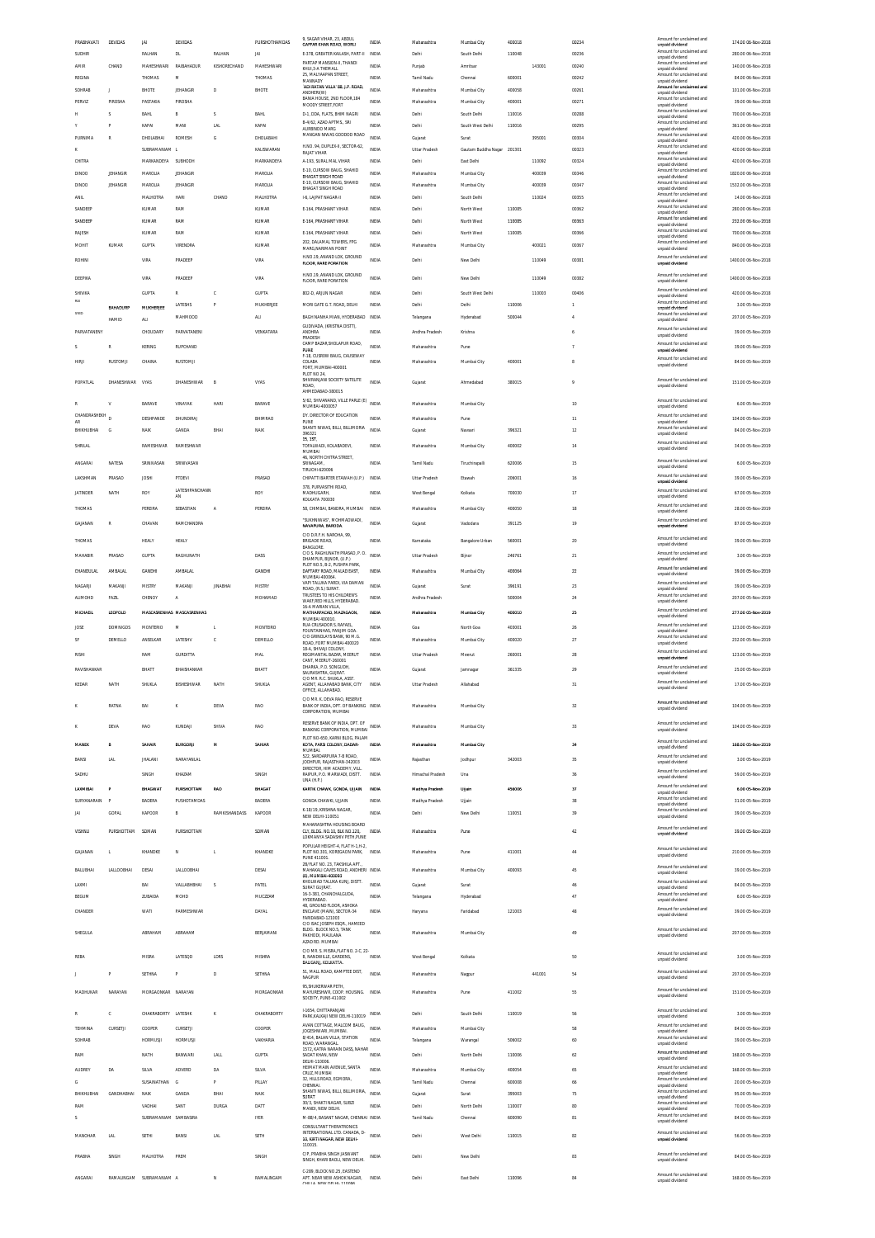|                       | DEVIDAS              | <b>IAI</b>                     | DEVIDAS                     |                        | PURSHOTHAMDAS            | 9, SAGAR VIHAR, 23, ABDUL<br>GAFFAR KHAN ROAD, WORLD                                    | INDIA                 | Maharashtra                | Mumbai City                     | 400018           |                  | 00234          | Amount for unclaimed and<br>unpaid dividend<br>Amount for unclaimed and | 174.00 06-Nov-2018                         |
|-----------------------|----------------------|--------------------------------|-----------------------------|------------------------|--------------------------|-----------------------------------------------------------------------------------------|-----------------------|----------------------------|---------------------------------|------------------|------------------|----------------|-------------------------------------------------------------------------|--------------------------------------------|
| SUDHIR<br>AMIR        | CHAND                | RALHAN<br><b>MAHESHWARI</b>    | DL.<br>RAIBAHADUR           | RALHAN<br>KISHORECHAND | JAI<br><b>MAHESHWARI</b> | E-378, GREATER KAILASH, PART-II<br>PARTAP MANSION-II, THANDI                            | INDIA<br><b>INDIA</b> | Delhi<br>Punjab            | South Delhi<br>Amritsar         | 110048           | 143001           | 00236<br>00240 | unpaid dividend<br>Amount for unclaimed and                             | 280.00 06-Nov-2018<br>140.00 06-Nov-2018   |
| REGINA                |                      | THOMAS                         | M                           |                        | THOMAS                   | KHUI.3-A THEMALL<br>25, MALYAAPAN STREET<br>MANNADY                                     | INDIA                 | Tamil Nadu                 | Chennai                         | 600001           |                  | 00242          | unpaid dividend<br>Amount for unclaimed and<br>unpaid dividend          | 84.00 06-Nov-2018                          |
| SOHRAB                | J.                   | BHOTE                          | JEHANGIR                    | D                      | BHOTE                    | ADI RATAN VILLA' 88, J.P. ROAD,<br>ANDHERI(W)                                           | INDIA                 | Maharashtra                | Mumbai City                     | 400058           |                  | 00261          | Amount for unclair<br>unpaid dividend                                   | 101.00 06-Nov-2018                         |
| PERVIZ                | PIROSHA              | PASTAKIA                       | PIROSHA                     |                        |                          | BANIA HOUSE, 2ND FLOOR 184<br>MOODY STREET, FORT                                        | <b>INDIA</b>          | Maharashtra                | Mumbai City                     | 400001           |                  | 00271          | Amount for unclaimed and<br>unpaid dividend<br>Amount for unclaimed and | 39.00 06-Nov-2018                          |
|                       | s<br>P               | BAHL<br><b>KAPAI</b>           | B<br>MANI                   | s<br><b>LAL</b>        | <b>BAHL</b><br>KAPAI     | D-1, DDA, FLATS, BHIM NAGRI<br>B-4/62, AZAD APTMS., SRI                                 | INDIA<br><b>INDIA</b> | Delhi<br>Delhi             | South Delhi<br>South West Delhi | 110016<br>110016 |                  | 00288<br>00295 | unpaid dividend<br>Amount for unclaimed and                             | 700.00 06-Nov-2018<br>361.00 06-Nov-2018   |
| <b>PURNIMA</b>        | $\mathbb R$          | DHOLABHAI                      | <b>ROMESH</b>               | G                      | DHOLABAHI                | AURBINDO MARG<br>MANGAN NIWAS GODDOD ROAD                                               | INDIA                 | Gujarat                    | Surat                           |                  | 395001           | 00304          | unpaid dividend<br>Amount for unclaimed and<br>unpaid dividend          | 420.00 06-Nov-2018                         |
| ĸ                     |                      | SUBRAMANIAM L                  |                             |                        | KALISWARAN               | H.NO. 94, DUPLEX-II, SECTOR-62,<br>RAJAT VIHAR                                          | INDIA                 | Uttar Pradesh              | Gautam Buddha Nagar 201301      |                  |                  | 00323          | Amount for unclaimed and<br>unpaid dividend                             | 420.00 06-Nov-2018                         |
| CHITRA                |                      | MARKANDEYA                     | SUBHODH                     |                        | MARKANDEYA               | A-193, SURAL MAL VIHAR<br>E-10, CURSOW BAUG, SHAHID                                     | INDIA                 | Delhi                      | East Delhi                      |                  | 110092           | 00324          | Amount for unclaimed and<br>unpaid dividend<br>Amount for unclaimed and | 420.00 06-Nov-2018                         |
| DINOO<br><b>DINOO</b> | JEHANGIR<br>JEHANGIR | MAROLIA<br>MAROUA              | JEHANGIR<br><b>JEHANGIR</b> |                        | MAROLIA<br>MAROLIA       | <b>RHAGAT SINGH ROAD</b><br>E-10, CURSOW BAUG, SHAHID                                   | INDIA<br><b>INDIA</b> | Maharashtra<br>Maharashtra | Mumbai City<br>Mumbai City      |                  | 400039<br>400039 | 00346<br>00347 | unpaid dividend<br>Amount for unclaimed and                             | 1820.00 06-Nov-2018<br>1532.00 06-Nov-2018 |
| ANIL                  |                      | MALHOTRA                       | HARI                        | CHAND                  | MALHOTRA                 | BHAGAT SINGH ROAD<br>I-6, LAIPAT NAGAR-II                                               | INDIA                 | Delhi                      | South Delhi                     |                  | 110024           | 00355          | unpaid dividend<br>Amount for unclaimed and<br>unpaid dividend          | 14.00 06-Nov-2018                          |
| SANDEEP               |                      | <b>KUMAR</b>                   | RAM                         |                        | <b>KUMAR</b>             | E-164. PRASHANT VIHAR                                                                   | <b>INDIA</b>          | Delhi                      | North West                      | 110085           |                  | 00362          | Amount for unclaimed and<br>unpaid dividend                             | 280.00 06-Nov-2018                         |
| SANDEEP               |                      | KUMAR                          | RAM                         |                        | KUMAR                    | E-164, PRASHANT VIHAR                                                                   | INDIA                 | Delh                       | North West                      | 110085           |                  | 00363          | Amount for unclaimed and<br>unpaid dividend<br>Amount for unclaimed and | 232.00 06-Nov-2018                         |
| RAJESH<br>MOHIT       | KUMAR                | <b>KUMAR</b><br><b>GUPTA</b>   | RAM<br>VIRENDRA             |                        | <b>KUMAR</b><br>KUMAR    | E-164. PRASHANT VIHAR<br>202, DALAMAL TOWERS, FPG                                       | <b>INDIA</b><br>INDIA | Delhi<br>Maharashtra       | North West                      | 110085           | 400021           | 00366<br>00367 | unpaid dividend<br>Amount for unclaimed and                             | 700.00 06-Nov-2018                         |
|                       |                      |                                |                             |                        |                          | MARG.NARIMAN POINT<br>H.NO.19, ANAND LOK, GROUND                                        |                       |                            | Mumbai City                     |                  |                  |                | unpaid dividend<br>Amount for unclaimed and                             | 840.00 06-Nov-2018                         |
| <b>ROHINI</b>         |                      | <b>VIRA</b>                    | PRADEEF                     |                        | VIRA                     | FLOOR, RARE PORATION                                                                    | INDIA                 | Delhi                      | New Delhi                       |                  | 110049           | 00381          | unpaid dividend                                                         | 1400.00 06-Nov-2018                        |
| DEEPIKA               |                      | VIRA                           | PRADEEF                     |                        | VIRA                     | H.NO.19, ANAND LOK, GROUND<br>FLOOR, RARE PORATION                                      | <b>INDIA</b>          | Delhi                      | New Delhi                       |                  | 110049           | 00382          | Amount for unclaimed and<br>unpaid dividend                             | 1400.00 06-Nov-2018                        |
| SHIVIKA<br>RAI        |                      | <b>GUPTA</b>                   | $\mathbb{R}$                | c                      | <b>GUPTA</b>             | 802-D. ARJUN NAGAR                                                                      | <b>INDIA</b>          | Delhi                      | South West Delhi                |                  | 110003           | 00406          | Amount for unclaimed and<br>unpaid dividend<br>Amount for unclaimed and | 420.00 06-Nov-2018                         |
| SYED                  | <b>BAHADURE</b>      | MUKHERJEE                      | LATESHS<br>MAHMOOD          | P                      | MUKHERJEE<br>ALI         | MORI GATE G.T. ROAD, DELHI<br>BAGH NANHA MIAN, HYDERABAD                                | INDIA<br>INDIA        | Delhi<br>Telangana         | Delhi<br>Hyderabad              | 110006<br>500044 |                  |                | unpaid dividend<br>Amount for unclaimed and                             | 3.00 05-Nov-2019<br>207.00 05-Nov-2019     |
|                       | HAMID                | ALI.                           |                             |                        |                          | GUDIVADA. (KRISTNA DISTT).                                                              |                       |                            |                                 |                  |                  |                | unpaid dividend<br>Amount for unclaimed and                             |                                            |
| PARVATANENY           |                      | CHOUDARY                       | PARVATANENI                 |                        | VENKATARA                | ANDHRA<br>PRADESH<br>CAMP BAZAR SHOLAPUR ROAD.                                          | INDIA                 | Andhra Pradesh             | Krishna                         |                  |                  |                | unpaid dividend<br>Amount for unclaimed and                             | 39.00 05-Nov-2019                          |
|                       |                      | KERING                         | RUPCHAND                    |                        |                          | PUNE<br>F-18, CUSROW BAUG, CAUSEWAY                                                     | INDIA                 | Maharashtra                | Pune                            |                  |                  |                | unpaid dividend<br>Amount for unclaimed and                             | 39.00 05-Nov-2019                          |
| HIRI                  | RUSTOMIL             | CHAINA                         | <b>RUSTOMJI</b>             |                        |                          | COLABA<br>FORT. MUMBAI-400001<br>PLOT NO 24                                             | INDIA                 | Maharashtra                | Mumbai City                     | 400001           |                  |                | unpaid dividend                                                         | 84.00 05-Nov-2019                          |
| POPATLAL              | DHANESHWAR VYAS      |                                | DHANESHWAR                  | B                      | VYAS                     | SHIVRANJANI SOCIETY SATELITE<br>ROAD.                                                   | <b>INDIA</b>          | Gujarat                    | Ahmedabad                       | 380015           |                  |                | Amount for unclaimed and<br>unpaid dividend                             | 151.00 05-Nov-2019                         |
| R                     | v                    | <b>RARAVE</b>                  | VINAYAR                     | <b>HAR1</b>            | RARAVE                   | AHMEDABAD-380015<br>5/62, SHIVANAND, VILLE PARLE (E) INDIA                              |                       | Maharashtra                | Mumbai City                     |                  |                  | 10             | Amount for unclaimed and                                                | 6.00 05-Nov-2019                           |
| CHANDRASHEKH          |                      | DESHPANDE                      | DHUNDIRAJ                   |                        | BHIMRAO                  | MUMBAI-4000057<br>DY. DIRECTOR OF EDUCATION                                             | INDIA                 | Maharashtra                | Pune                            |                  |                  | 11             | unpaid dividend<br>Amount for unclaimed and                             | 104.00.05-Nov-2019                         |
| AR<br>BHIKHUBHAI      | G                    | NAIK                           | GANDA                       | BHAI                   | NAIK                     | PLINE<br>SHANTI NIWAS, BILLI, BILLIMORIA<br>396321                                      | <b>INDIA</b>          | Gujarat                    | Navsari                         | 396321           |                  | 12             | unpaid dividend<br>Amount for unclaimed and<br>unpaid dividend          | 84.00 05-Nov-2019                          |
| SHRILAL               |                      | <b>RAMESHWAR</b>               | RAMESHWAR                   |                        |                          | 15, 15T<br>TOFALWADI, KOLABADEVI,<br>MUMBAI                                             | INDIA                 | Maharashtra                | Mumbai City                     | 400002           |                  | 14             | Amount for unclaimed and<br>unpaid dividend                             | 34.00 05-Nov-2019                          |
| ANGARAI               | NATESA               | SRINIVASAN                     | SRINIVASAN                  |                        |                          | 46, NORTH CHITRA STREET<br>SRINAGAM                                                     | INDIA                 | Tamil Nadu                 | Tiruchirapalli                  | 620006           |                  | 15             | Amount for unclaimed and                                                | 6.00 05-Nov-2019                           |
|                       |                      |                                |                             |                        |                          | TIRUCHI-620006                                                                          |                       |                            |                                 |                  |                  |                | unpaid dividend<br>Amount for unclaimed and                             |                                            |
| LAKSHMAN              | PRASAD               | <b>JOSHI</b>                   | PTDEVI<br>LATESHPANCHANN    |                        | PRASAD                   | CHIPATTI BARTER ETAWAH (U.P.)<br>378, PURVASITHI ROAD,                                  | <b>INDIA</b>          | Uttar Pradesh              | Etawah                          | 206001           |                  | 16             | unpaid dividend<br>Amount for unclaimed and                             | 39.00 05-Nov-2019                          |
| JATINDER              | NATH                 | ROY                            | AN                          |                        | ROY                      | MADHUGARH,<br>KOLKATA 700030                                                            | INDIA                 | West Bengal                | Kolkata                         | 700030           |                  | $17\,$         | unpaid dividend<br>Amount for unclaimed and                             | 67.00 05-Nov-2019                          |
| THOMAS                |                      | PEREIRA                        | SEBASTIAN                   | A                      | PEREIRA                  | 58, CHIMBAI, BANDRA, MUMBAI<br>"SUKHNIWAS". MOHMADWADI                                  | INDIA                 | Maharashtra                | Mumbai City                     | 400050           |                  | 18             | unpaid dividend<br>Amount for unclaimed and                             | 28.00 05-Nov-2019                          |
| GAJANAN               | $\mathbb R$          | CHAVAN                         | RAMCHANDRA                  |                        |                          | NAVAPURA, BARODA<br>C/O D.R.F.H. NAROHA, 99,                                            | INDIA                 | Gujarat                    | Vadodara                        | 391125           |                  | 19             | unpaid dividend                                                         | 87.00 05-Nov-2019                          |
| THOMAS                |                      | HEALY                          | HEALY                       |                        |                          | <b>BRIGADE ROAD</b><br><b>BANGLORE</b>                                                  | INDIA                 | Karnataka                  | Bangalore Urban                 | 560001           |                  | 20             | Amount for unclaimed and<br>unpaid dividend                             | 39.00 05-Nov-2019                          |
| MAHARIR               | PRASAD               | <b>GLIPTA</b>                  | RAGHUNATH                   |                        | DASS                     | C/O S. RAGHUNATH PRASAD, P. O.<br>DHAMPUR, BUNOR, (U.P.)<br>PLOT NO.5. B-2. PUSHPA PARK | <b>INDIA</b>          | <b>Uttar Pradesh</b>       | Bijnor                          | 246761           |                  | 21             | Amount for unclaimed and<br>unpaid dividend                             | 3.00 05-Nov-2019                           |
| CHANDULAL             | <b>AMBALAL</b>       | <b>GANDHI</b>                  | <b>AMBALAL</b>              |                        | <b>GANDHI</b>            | DAFTARY ROAD. MALAD EAST.<br>MUMBAI-400064                                              | INDIA                 | Maharashtra                | Mumbai City                     | 400064           |                  | 22             | Amount for unclaimed and<br>unpaid dividend                             | 39.00 05-Nov-2019                          |
| NAGARJI               | MAKANJI              | MISTRY                         | MAKANJ                      | <b>JINABHAI</b>        | MISTRY                   | VAPI TALUKA PARDI, VIA DAMAN<br>ROAD, (R.S.) SURAT.                                     | INDIA                 | Gujarat                    | Surat                           | 396191           |                  | 23             | Amount for unclaimed and<br>unpaid dividend                             | 39.00 05-Nov-2019                          |
| <b>ALIMOHD</b>        | FAZIL                | CHENOY                         | $\mathbb A$                 |                        | MOHAMAD                  | TRUSTEES TO HIS CHILDREN'S<br>WAKE, RED HILLS, HYDERABAD.<br>16-A MARIAN VILLA          | INDIA                 | Andhra Pradesh             |                                 | 500004           |                  | 24             | Amount for unclaimed and<br>unpaid dividend                             | 207.00 05-Nov-2019                         |
| MICHAEIL              | LEOPOLD              |                                | MASCASRENHAS MASCASRENHAS   |                        |                          | MATHARPACAD, MAZAGAON<br>MUMBAI 400010.                                                 | INDIA                 | Maharashtra                | Mumbai City                     | 400010           |                  | 25             | Amount for unclaimed and<br>unpaid dividend                             | 277.00 05-Nov-2019                         |
| JOSE                  | <b>DOMNIGOS</b>      | <b>MONTERIO</b>                | M                           | L.                     | MONTEIRO                 | RUA CRUSADOR S. RAFAEL,<br>FOUNTAINHAS, PANJIM GOA<br>C/O GRINDLAYS BANK, 90 M.G.       | INDIA                 | Goa                        | North Goa                       | 403001           |                  | 26             | Amount for unclaimed and<br>unpaid dividend<br>Amount for unclaimed and | 123.00 05-Nov-2019                         |
| SF                    | DEMELLO              | ANSELKAR                       | LATESHV                     | с                      | DEMELLO                  | ROAD, FORT MUMBAI-400020<br>18-A, SHIVAII COLONY,                                       | INDIA                 | Maharashtra                | Mumbai City                     | 400020           |                  | 27             | unpaid dividend<br>Amount for unclaimed and                             | 232.00 05-Nov-2019                         |
| <b>RISHI</b>          |                      | RAM                            | <b>GURDITTA</b>             |                        | MAL                      | REGIMANTAL BAZAR. MEERUT<br>CANT, MEERUT-260001<br>DHARKA, P.O. SONGUDH                 | INDIA                 | <b>Uttar Pradesh</b>       | Meerut                          | 260001           |                  | 28             | unpaid dividend<br>Amount for unclaimed and                             | 123.00 05-Nov-2019                         |
| RAVISHANKAR           |                      | BHATT                          | BHAISHANKAR                 |                        | BHATT                    | SAURASHTRA GUIRAT<br>C/O MR R C SHUKLA ASST                                             | INDIA                 | Gujarat                    | Jamnagar                        | 361335           |                  | 29             | unpaid dividend<br>Amount for unclaimed and                             | 25.00 05-Nov-2019                          |
| KEDAR                 |                      | SHUKL/                         | BISHESHWAR                  | NATH                   | SHUKLA                   | AGENT, ALLAHABAD BANK, CITY<br>OFFICE, ALLAHABAD                                        | INDIA                 | Uttar Pradesh              | Allahabad                       |                  |                  | 31             | unpaid dividend                                                         | 17.00 05-Nov-2019                          |
|                       | NATH                 |                                |                             |                        |                          |                                                                                         |                       |                            |                                 |                  |                  |                |                                                                         |                                            |
|                       | RATNA                | BAI                            | к                           | DEVA                   | <b>RAO</b>               | C/O MR. K. DEVA RAO. RESERVE<br>BANK OF INDIA, DPT, OF BANKING INDIA                    |                       | Maharashtra                | Mumbai City                     |                  |                  | 32             | Amount for unclaimed and                                                | 104.00 05-Nov-2019                         |
|                       |                      |                                |                             |                        |                          | CORPORATION, MUMBAI<br>RESERVE BANK OF INDIA, DPT. OF                                   |                       |                            |                                 |                  |                  |                | unpaid dividend<br>Amount for unclaimed and                             |                                            |
|                       | DEVA                 | RAO                            | KUNDAJ                      | SHIVA                  | RAO                      | BANKING CORPORATION, MUMBAL INDIA                                                       |                       | Maharashtra                | Mumbai City                     |                  |                  | 33             | unpaid dividend                                                         | 104.00 05-Nov-2019                         |
| <b>MANER</b>          |                      | SAHAIR                         | <b>BURGORI</b>              | м                      | SAHIAR                   | PLOT NO-650, KARNI BLOG, PALAM<br>KOTA, PARSI COLONY, DADAR-<br>MUMBAI.                 | <b>INDIA</b>          | Maharashtra                | Mumbai City                     |                  |                  | 34             | Amount for unclaimed and<br>unpaid dividend                             | 168.00 05-Nov-2019                         |
| BANSI                 | LAL                  | <b>JHALANI</b>                 | NARAYANLAL                  |                        |                          | 522 SARDARPURA 7-R ROAD<br>JODHPUR, RAJASTHAN-342003                                    | INDIA                 | Rajasthan                  | Jodhpur                         | 342003           |                  | 35             | Amount for unclaimed and<br>unpaid dividend                             | 3.00 05-Nov-2019                           |
| SADHU                 |                      | SINGH                          | KHAZAM                      |                        | SINGH                    | DIRECTOR. HIM ACADEMY. VILL<br>RAIPUR, P.O. MARWADI, DISTT.<br><b>UNA (H.P.)</b>        | INDIA                 | Himachal Pradesh           | Una                             |                  |                  | 36             | Amount for unclaimed and<br>unpaid dividend                             | 59.00 05-Nov-2019                          |
| LAXMIBA               | P                    | <b>BHAGWAT</b>                 | PURSHOTTAM                  | RAO                    | <b>BHAGAT</b>            | KARTIK CHAWK, GONDA, UJJAIN                                                             | INDIA                 | Madhya Pradesh             | Ujjain                          | 456006           |                  | 37             | Amount for unclaimed and<br>unpaid dividend                             | 6.00 05-Nov-2019                           |
| SURYANARAIN           | P                    | BADERA                         | PUSHOTAMDAS                 |                        | BADERA                   | GONDA CHAWKI, UJJAIN<br>K-18/19, KRISHNA NAGAR,                                         | INDIA                 | Madhya Pradesh             | Ujjain                          |                  |                  | 38             | Amount for unclaimed and<br>unpaid dividend<br>Amount for unclaimed and | 31.00 05-Nov-2019                          |
| JAI                   | GOPAL                | KAPOOR                         | B                           | <b>RAMKISHANDASS</b>   | KAPOOR                   | NEW DELHI-110051<br>MAHARASHTRA HOUSING BOARD                                           | <b>INDIA</b>          | Delhi                      | New Delhi                       | 110051           |                  | 39             | unpaid dividend                                                         | 39.00 05-Nov-2019                          |
| <b>VISHNU</b>         | PURSHOTTAM           | SOMAN                          | PURSHOTTAM                  |                        | SOMAN                    | CLY RUGS NO 10 REK NO 120<br>LOKMANYA SADASHIV PETH, PUNE                               | INDIA                 | Maharashtra                | Pune                            |                  |                  | 42             | Amount for unclaimed and<br>unpaid dividend                             | 39.00 05-Nov-2019                          |
| GAJANAN               |                      | KHANDKE                        | N                           | L                      | KHANDKE                  | POPULAR HEIGHT-4, FLAT H-1.H-2.<br>PLOT NO.301, KOREGAON PARK,                          | INDIA                 | Maharashtra                | Pune                            | 411001           |                  | 44             | Amount for unclaimed and<br>unpaid dividend                             | 210.00 05-Nov-2019                         |
|                       |                      |                                |                             |                        |                          | PUNE 411001.<br>2B/FLAT NO. 23. TAKSHILA APT.                                           |                       |                            |                                 |                  |                  |                | Amount for unclaimed and                                                |                                            |
| BALUBHAI              | LALLOOBHAI           | DESAI                          | LALLOOBHA                   |                        | DESAI                    | MAHAKALI CAVES ROAD, ANDHERI INDIA<br>(E), MUMBAI-400093<br>KHOLWAD TALUKA KUNJ, DISTT  |                       | Maharashtra                | Mumbai City                     | 400093           |                  | 45             | unpaid dividend<br>Amount for unclaimed and                             | 39.00 05-Nov-2019                          |
| LAXMI<br><b>BEGUM</b> |                      | BAI<br>ZUBAIDA                 | VALLABHBHAI<br>MOHD         | s                      | PATEL<br>MUCZZAM         | SURAT GUJRAT.<br>16-3-381, CHANCHALGUDA,                                                | INDIA<br>INDIA        | Gujarat<br>Telangana       | Surat<br>Hyderabad              |                  |                  | 46<br>$47\,$   | unpaid dividend<br>Amount for unclaimed and                             | 84.00 05-Nov-2019<br>6.00 05-Nov-2019      |
| CHANDER               |                      | WATI                           | PARMESHWAR                  |                        | DAYAL                    | HYDERABAD.<br>48. GROUND FLOOR, ASHOKA<br>ENCLAVE (MAIN), SECTOR-34                     | INDIA                 | Haryana                    | Faridabad                       | 121003           |                  | 48             | unpaid dividend<br>Amount for unclaimed and                             | 39.00 05-Nov-2019                          |
|                       |                      |                                |                             |                        |                          | FARIDABAD-121003<br>C/O ISAC JOSEPH ESOR HAMEED                                         |                       |                            |                                 |                  |                  |                | unpaid dividend                                                         |                                            |
| SHEGULA               |                      | ABRAHAM                        | ABRAHAM                     |                        | BERJAMANI                | BLDG. BLOCK NO.5, TANK<br>PAKHODI, MAULANA<br>AZAD RD. MUMBAI                           | INDIA                 | Maharashtra                | Mumbai City                     |                  |                  | 49             | Amount for unclaimed and<br>unpaid dividend                             | 207.00 05-Nov-2019                         |
| REBA                  |                      | <b>MISRA</b>                   | LATESQD                     | LDRS                   | <b>MISHRA</b>            | C/O MR. S. MISRA, FLAT NO. 2-C, 22-                                                     | INDIA                 | West Bengal                | Kolkata                         |                  |                  | 50             | Amount for unclaimed and                                                | 3.00 05-Nov-2019                           |
|                       |                      |                                |                             |                        |                          | B, NANDWILLE, GARDENS,<br>BALIGANI, KOLKATTA.                                           |                       |                            |                                 |                  |                  |                | unpaid dividend                                                         |                                            |
|                       | P                    | SETHNA                         | P                           | D                      | SETHNA                   | 51, MALL ROAD, KAMPTEE DIST,<br>NAGPUR                                                  | INDIA                 | Maharashtra                | Nagpur                          |                  | 441001           | 54             | Amount for unclaimed and<br>unpaid dividend                             | 207.00 05-Nov-2019                         |
| MADHUKAR              | NARAYAN              | MORGAONKAR NARAYAN             |                             |                        | MORGAONKAR               | 95, SHUKERWAR PETH,<br>MAYURESHWR, COOP. HOUSING. INDIA<br>SOCEITY. PUNE-411002         |                       | Maharashtra                | Pune                            | 411002           |                  | 55             | Amount for unclaimed and<br>unpaid dividend                             | 151.00 05-Nov-2019                         |
|                       | c                    | CHAKRABORTY LATESHK            |                             | ĸ                      | CHAKRABORTY              | I-1654, CHITTARANJAN                                                                    | INDIA                 | Delhi                      | South Delhi                     | 110019           |                  | 56             | Amount for unclaimed and                                                | 3.00 05-Nov-2019                           |
| TEHMINA               | CURSETJI             | COOPER                         | CURSETJI                    |                        | COOPER                   | PARK, KALKAJI NEW DELHI-110019<br>AVAN COTTAGE, MALCOM BAUG,                            | INDIA                 | Maharashtra                | Mumbai City                     |                  |                  | 58             | unpaid dividend<br>Amount for unclaimed and                             | 84.00 05-Nov-2019                          |
| SOHRAB                |                      | <b>HORMUSJI</b>                | <b>HORMUSJI</b>             |                        | VAKHARIA                 | JOGESHWARI, MUMBAI.<br>8/414, BALAN VILLA, STATION<br>ROAD, WARANGAL                    | INDIA                 | Telangana                  | Warangal                        | 506002           |                  | 60             | unpaid dividend<br>Amount for unclaimed and<br>unpaid dividend          | 39.00 05-Nov-2019                          |
| RAM                   |                      | NATH                           | BANWARI                     | LALL                   | GUPTA                    | 1572. KATRA NARAIN DASS. NAHAR<br>SADAT KHAN, NEW                                       | INDIA                 | Delhi                      | North Delhi                     | 110006           |                  | 62             | Amount for unclaimed and<br>unpaid dividend                             | 168.00 05-Nov-2019                         |
| <b>AUDREY</b>         | DA                   | SILVA                          | ADVERD                      | DA                     | SILVA                    | DELHI-110006.<br>HEIMAT MAIN AVENUE. SANTA<br>CRUZ, MUMBAI                              | INDIA                 | Maharashtra                | Mumbai City                     | 400054           |                  | 65             | Amount for unclaimed and<br>unpaid dividend                             | 168.00 05-Nov-2019                         |
| G                     |                      | SUSAINATHAN G                  |                             | P                      | PILLAY                   | 32, HILLS ROAD, EGMORA,<br>CHENNAL                                                      | <b>INDIA</b>          | Tamil Nadu                 | Chennai                         | 600008           |                  | 66             | Amount for unclaimed and<br>unpaid dividend                             | 20.00 05-Nov-2019                          |
| BHIKHUBHAI            | <b>GANDHABHAI</b>    | NAIK                           | GANDA                       | BHAI                   | <b>NAJK</b>              | SHANTI NIWAS, BILLI, BILLIMORIA<br>SURAT                                                | INDIA                 | Gujarat                    | Surat                           | 395003           |                  | 75             | Amount for unclaimed and<br>unpaid dividend                             | 95.00 05-Nov-2019                          |
| RAM<br>$\leq$         |                      | VADHA<br>SURRAMANIAM SAMRASIRA | SANT                        | DURG/                  | DATT<br><b>IYER</b>      | 30/3, SHAKTI NAGAR, SUBZI<br>MANDI, NEW DELHI.                                          | <b>INDIA</b>          | Delhi<br>Tamil Nadu        | North Delhi<br>Chennai          | 110007<br>600090 |                  | 80<br>81       | Amount for unclaimed and<br>unpaid dividend<br>Amount for unclaimed and | 70.00 05-Nov-2019<br>84.00 05-Nov-2019     |
|                       |                      |                                |                             |                        |                          | M-88/4, BASANT NAGAR, CHENNAI INDIA<br>CONSULTANT THERATRONICS                          |                       |                            |                                 |                  |                  |                | unpaid dividend<br>Amount for unclaimed and                             |                                            |
| MANOHAR               | <b>LAL</b>           | SETHI                          | BANSI                       | <b>LAL</b>             | SETH                     | INTERNATIONAL LTD. CANADA, D-<br>10, KIRTI NAGAR, NEW DELHI-<br>110015                  | INDIA                 | Delhi                      | West Delhi                      | 110015           |                  | 82             | unpaid dividend                                                         | 56.00 05-Nov-2019                          |
| <b>PRABHA</b>         | SINGH                | MALHOTRA                       | PREM                        |                        | SINGH                    | C/P, PRABHA SINGH JASWANT<br>SINGH, KHARI BAOLI, NEW DELHI.                             | INDIA                 | Delhi                      | New Delhi                       |                  |                  | 83             | Amount for unclaimed and<br>unpaid dividend                             | 84.00 05-Nov-2019                          |
| ANGARAI               |                      | RAMALINGAM SUBRAMANIAM A       |                             | N                      | RAMALINGAM               | C-289. BLOCK NO.25. EASTEND<br>APT. NEAR NEW ASHOK NAGAR,                               | INDIA                 | Delhi                      | East Delhi                      | 110096           |                  | 84             | Amount for unclaimed and<br>unpaid dividend                             | 168.00 05-Nov-2019                         |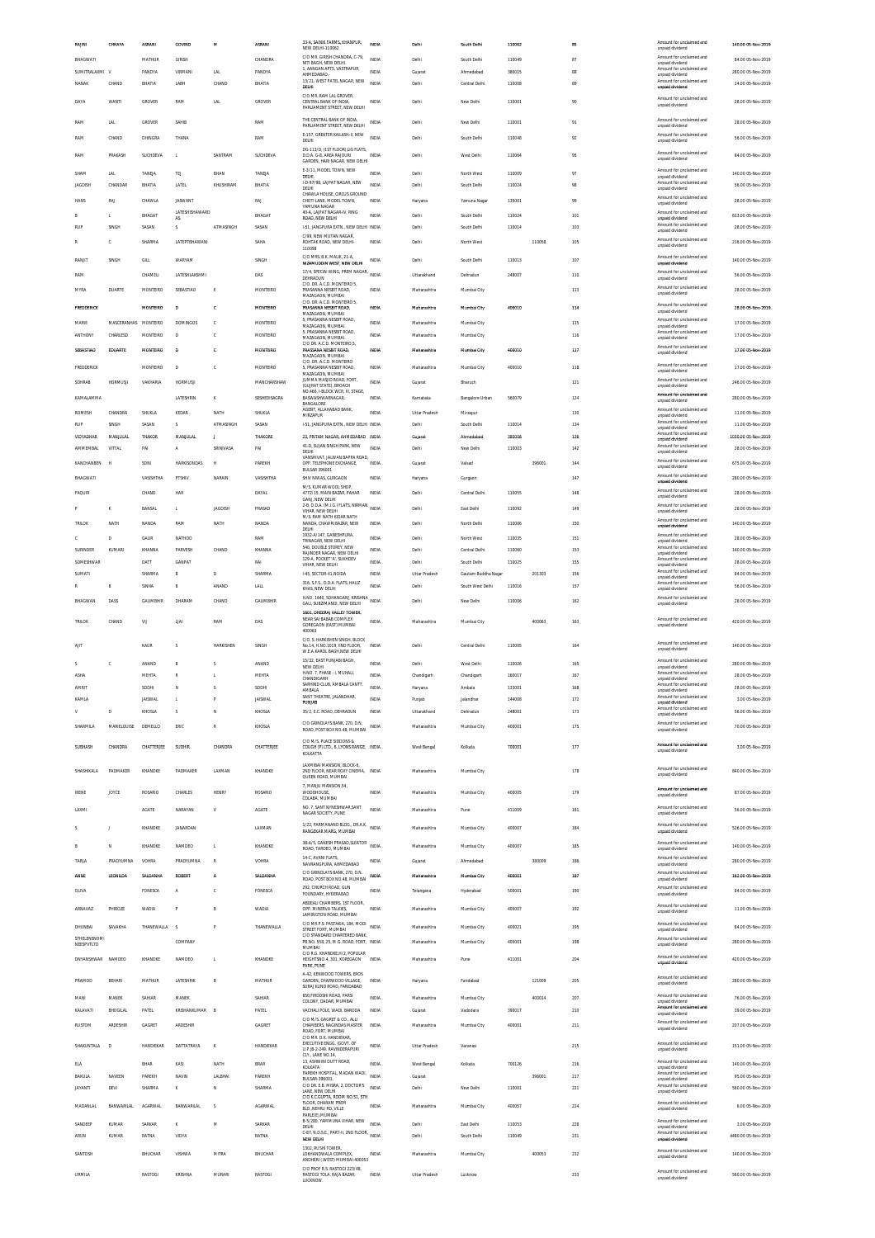| RAINI                 | CHHAYA             | ASRANI           | GOVIND                   | м               | <b>ASRANI</b>            | 33-A. SAINIK FARMS, KHANPUR.<br>NEW DELHI-110062                                               | <b>INDIA</b>                 | Delhi                  | South Delhi            | 110062           |        | 85         | Amount for unclaimed and<br>unpaid dividend                             | 140.00 05-Nov-2019                       |
|-----------------------|--------------------|------------------|--------------------------|-----------------|--------------------------|------------------------------------------------------------------------------------------------|------------------------------|------------------------|------------------------|------------------|--------|------------|-------------------------------------------------------------------------|------------------------------------------|
| BHAGWATI              |                    | MATHUR           | GIRISH                   |                 | CHANDRA                  | C/O MR. GIRISH CHANDRA, C-79<br>NITI BAGH. NEW DELHI.                                          | <b>INDIA</b>                 | Delhi                  | South Delhi            | 110049           |        | 87         | Amount for unclaimed and<br>unpaid dividend                             | 84.00 05-Nov-2019                        |
| SUMITRALAXMI V        |                    | PANDYA           | VIRMANI                  | <b>LAL</b>      | PANDYA                   | 1, AANGAN APTS, VASTRAPUR,<br>AHMEDABAD<br>13/21, WEST PATEL NAGAR, NEW                        | INDIA<br>INDIA               | Gujarat                | Ahmedabad              | 380015           |        | <b>RR</b>  | Amount for unclaimed and<br>unpaid dividend<br>Amount for unclaimed and | 280.00 05-Nov-2019                       |
| NANAK                 | CHAND              | BHATIA           | LABH                     | CHAND           | BHATIA                   | DELHI<br>C/O MR. RAM LAL GROVER                                                                |                              | Delhi                  | Central Delhi          | 110008           |        | 89         | unnaid dividend<br>Amount for unclaimed and                             | 14.00 05-Nov-2019                        |
| DAYA                  | WANTI              | GROVER           | RAM                      | LAL             | GROVER                   | CENTRAL BANK OF INDIA<br>PARLIAMENT STREET, NEW DELHI                                          | INDIA                        | Delhi                  | New Delhi              | 110001           |        | 90         | unpaid dividend                                                         | 28.00 05-Nov-2019                        |
| RAM                   | LAL                | GROVER           | SAHIR                    |                 | RAM                      | THE CENTRAL BANK OF INDIA<br>PARLIAMENT STREET, NEW DELHI                                      | INDIA                        | Delhi                  | New Delhi              | 110001           |        | 91         | Amount for unclaimed and<br>unpaid dividend                             | 28.00 05-Nov-2019                        |
| RAM                   | CHAND              | DHINGRA          | THANA                    |                 | RAM                      | E-157, GREATER KAILASH-II, NEW<br>DELHI                                                        | <b>INDIA</b>                 | Delhi                  | South Delhi            | 110048           |        | 92         | Amount for unclaimed and<br>unpaid dividend                             | 56.00 05-Nov-2019                        |
| <b>RAM</b>            | <b>PRAKASH</b>     | SUCHDEVA         | L.                       | SANTRAM         | SUCHDEVA                 | DG-113/D, (1ST FLOOR), LIG FLATS,<br>D.D.A. G-8. AREA RAJOURI<br>GARDEN, HARI NAGAR, NEW DELHI | INDIA                        | Delhi                  | West Delhi             | 110064           |        | 95         | Amount for unclaimed and<br>unpaid dividend                             | 84.00 05-Nov-2019                        |
| SHAM                  | LAL                | TANEJA           | TEI                      | BHAN            | TANEJA                   | E-3/11. MODEL TOWN. NEW<br>DELHI.                                                              | <b>INDIA</b>                 | Delhi                  | North West             | 110009           |        | 97         | Amount for unclaimed and<br>unpaid dividend                             | 140.00 05-Nov-2019                       |
| <b>JAGDISH</b>        | CHANDAR            | BHATIA           | LATEL                    | KHUSHIRAM       | BHATIA                   | I-D-97/98, LAJPAT NAGAR, NEW<br>DELHI                                                          | <b>INDIA</b>                 | Delhi                  | South Delhi            | 110024           |        | 98         | Amount for unclaimed and<br>unpaid dividend                             | 56.00 05-Nov-2019                        |
| HANS                  | RAJ                | CHAWLA           | <b>JASWANT</b>           |                 | RAJ                      | CHAWLA HOUSE, CIRCUS GROUND<br>CHOTI LANE. MODEL TOWN.<br>YAMI INA NAGAR                       | INDIA                        | Haryana                | Yamuna Nagar           | 135001           |        | 99         | Amount for unclaimed and<br>unpaid dividend                             | 28.00 05-Nov-2019                        |
| R                     | T.                 | BHAGAT           | LATESHISHAWARD<br>AS     |                 | RHAGAT                   | 40-A. LAJPAT NAGAR-IV. RING<br>ROAD, NEW DELHI                                                 | <b>INDIA</b>                 | Delhi                  | South Delhi            | 110024           |        | 101        | Amount for unclaimed and<br>unpaid dividend                             | 613.00.05-Nov-2019                       |
| RUF                   | SINGH              | SASAN            | s                        | ATMASINGH       | SASAN                    | 1-51. JANGPURA EXTN NEW DELHI INDIA<br>C/99, NEW MUTAN NAGAR                                   |                              | Delhi                  | South Delhi            | 110014           |        | 103        | Amount for unclaimed and<br>unpaid dividend                             | 28.00 05-Nov-2019                        |
| R                     | c                  | SHARMA           | LATEPTBHAWAN             |                 | SAHA                     | ROHTAK ROAD, NEW DELHI<br>110058                                                               | INDIA                        | Delhi                  | North West             |                  | 110058 | 105        | Amount for unclaimed and<br>unpaid dividend                             | 216.00 05-Nov-2019                       |
| RANJIT                | SINGH              | GILL             | WARYAN                   |                 | SINGH                    | C/O MRS. B.K. MALIK, 21-A<br>NIZAMUDDIN WEST. NEW DELHI                                        | INDIA                        | Delhi                  | South Delhi            | 110013           |        | 107        | Amount for unclaimed and<br>unpaid dividend                             | 140.00 05-Nov-2019                       |
| <b>RAM</b>            |                    | CHAMELI          | LATESHLAKSHMI            |                 | DAS                      | 17/4. SPECIAI WING. PREM NAGAR.<br>DEHRADUN<br>C/O. DR. A.C.D. MONTEIRO 5,                     | <b>INDIA</b>                 | Uttarakhand            | Dehradun               | 248007           |        | 110        | Amount for unclaimed and<br>unpaid dividend                             | 56.00 05-Nov-2019                        |
| <b>MYRA</b>           | <b>DUARTE</b>      | <b>MONTFIRD</b>  | SERASTIAO                | E               | <b>MONTFIRD</b>          | PRASANNA NESBIT ROAD.<br>MAZAGAON, MUMBAI                                                      | <b>INDIA</b>                 | Maharashtra            | Mumbai City            |                  |        | 113        | Amount for unclaimed and<br>unpaid dividend                             | 28.00 05-Nov-2019                        |
| <b>FREDDERICK</b>     |                    | <b>MONTFIRO</b>  | $\mathbf{D}$             | ¢               | <b>MONTFIRD</b>          | C/O. DR. A.C.D. MONTEIRO 5,<br>PRASANNA NESBIT ROAD.<br>MAZAGAON, MUMBAI                       | mmta                         | Maharashtra            | Mumbai City            | 400010           |        | 114        | Amount for unclaimed and<br>unpaid dividend                             | 28.00 05-Nov-2019                        |
| MARIE                 | MASCERANHAS        | MONTEIRO         | <b>DOMINGOS</b>          | c               | MONTEIRO                 | 5, PRASANNA NESBIT ROAD,<br>MAZAGAON, MUMBAI                                                   | <b>INDIA</b>                 | Maharashtra            | Mumbai City            |                  |        | 115        | Amount for unclaimed and<br>unpaid dividend                             | 17.00 05-Nov-2019                        |
| ANTHONY               | CHARLESD           | MONTEIRO         | D                        | c               | MONTEIRC                 | 5, PRASANNA NESBIT ROAD,<br>MAZAGAON, MUMBAI.<br>C/O DR. A.C.D. MONTEIRO.5.                    | INDIA                        | Maharashtra            | Mumbai City            |                  |        | 116        | Amount for unclaimed and<br>unpaid dividend                             | 17.00 05-Nov-2019                        |
| SEBASTIAO             | EDUARTE            | MONTFIRO         | $\overline{a}$           | c               | <b>MONTFIRD</b>          | PRASSANA NESBIT ROAD,<br>MAZAGAON, MUMBAI                                                      | INDIA                        | Maharashtra            | Mumbai City            | 400010           |        | 117        | Amount for unclaimed and<br>unpaid dividend                             | 17.00 05-Nov-2019                        |
| FREDDERICK            |                    | MONTEIRO         | D                        | c               | MONTEIRO                 | C/O. DR. A.C.D. MONTEIRO<br>, PRASANNA NESBIT ROAD,<br>MAZAGAON, MUMBAI                        | INDIA                        | Maharashtra            | Mumbai City            | 400010           |        | 118        | Amount for unclaimed and<br>unpaid dividend                             | 17.00 05-Nov-2019                        |
| SOHRAB                | <b>HORMUSJI</b>    | VAKHARIA         | <b>HORMUSJI</b>          |                 | MANCHARSHAW              | JUMMA MASJID ROAD, FORT,<br>(GUJRAT STATE), BROACH                                             | <b>INDIA</b>                 | Gujarat                | Bharuch                |                  |        | 121        | Amount for unclaimed and<br>unpaid dividend                             | 246.00 05-Nov-2019                       |
| KAMAI AMMA            |                    |                  | LATESHRIN                | K               | SESHEDISAGRA             | NO.466, I-BLOCK WCR, III, STAGE,<br>BASWASHWARNAGAR<br>BANGALORE                               | <b>INDIA</b>                 | Karnataka              | Bangalore Urban        | 560079           |        | 124        | Amount for unclaimed and<br>unpaid dividend                             | 280.00.05-Nov-2019                       |
| ROMESH                | CHANDRA            | SHUKLA           | KEDAR                    | NATH            | SHUKLA                   | AGENT, ALLAHABAD BANK<br>MIRZAPUR                                                              | <b>INDIA</b>                 | Uttar Pradesh          | Mirzapur               |                  |        | 130        | Amount for unclaimed and<br>unpaid dividend                             | 11.00 05-Nov-2019                        |
| RIP                   | SINGH              | SASAN            | $\overline{\mathbf{S}}$  | ATMASINGH       | SASAN                    | 1-51, JANGPURA EXTN., NEW DELHI INDIA                                                          |                              | Delhi                  | South Delhi            | 110014           |        | 134        | Amount for unclaimed and<br>unpaid dividend<br>Amount for unclaimed and | 11.00 05-Nov-2019                        |
| VIDYADHAR<br>AMMEMBAL | MANJULAL<br>VITTAL | THAKOR<br>PAI    | MANJULAL<br>$\mathsf{A}$ | J.<br>SRINIVASA | THAKORE<br>PAI           | 23, PRITAM NAGAR, AHMEDABAD INDIA<br>41-D, SUJAN SINGH PARK, NEW                               | <b>INDIA</b>                 | Gujarat<br>Delhi       | Ahmedabad<br>New Delhi | 380006<br>110003 |        | 136<br>142 | unpaid dividend<br>Amount for unclaimed and                             | 1030.00 05-Nov-2019<br>28.00 05-Nov-2019 |
| KANCHANBEN            | н                  | SONI             | <b>HARKISONDAS</b>       | н               | PAREKH                   | DELHI<br>VANSHIVAT IAI WAN RAPPA ROAD<br>OPP. TELEPHONE EXCHANGE,                              | INDIA                        | Gujarat                | Valsad                 |                  | 396001 | 144        | unpaid dividend<br>Amount for unclaimed and                             | 675.00 05-Nov-2019                       |
| BHAGWATI              |                    | VASISHTHA        | PTSHIV                   | NARAIN          | VASISHTHA                | <b>BULSAR 396001</b><br>SHIV NIWAS, GURGAON                                                    | INDIA                        | Haryana                | Gurgaon                |                  |        | 147        | unpaid dividend<br>Amount for unclaimed and                             | 280.00 05-Nov-2019                       |
| FAQUIR                |                    | CHAND            | HAR                      |                 | DAYAL                    | M/S. KUMAR WOOL SHOP,<br>4772/15, MAIN BAZAR, PAHAR                                            | INDIA                        | Delhi                  | Central Delhi          | 110055           |        | 148        | unpaid dividend<br>Amount for unclaimed and                             | 28.00 05-Nov-2019                        |
|                       | ĸ                  | BANSAL           | L.                       | <b>JAGDISH</b>  | PRASAD                   | GANJ. NEW DELHI<br>2-B, D.D.A. (M.I.G.) FLATS, NIRMAN INDIA                                    |                              | Delhi                  | East Delhi             | 110092           |        | 149        | unpaid dividend<br>Amount for unclaimed and                             | 28.00 05-Nov-2019                        |
| <b>TRILOK</b>         | NATH               | NANDA            | RAM                      | NATH            | <b>NANDA</b>             | VIHAR, NEW DELHI<br>M/S. RAM NATH KIDAR NATH<br>NANDA, CHAWRI BAZAR, NEW                       | <b>INDIA</b>                 | Delhi                  | North Delhi            | 110006           |        | 150        | unpaid dividend<br>Amount for unclaimed and                             | 140.00 05-Nov-2019                       |
| c                     | D                  | GAUR             | NATHOO                   |                 | RAM                      | DELHI<br>1932-A/147, GANESHPURA                                                                | INDIA                        | Delhi                  | North West             | 110035           |        | 151        | unpaid dividend<br>Amount for unclaimed and                             | 28.00 05-Nov-2019                        |
| SURINDER              | KUMARI             | KHANNA           | PARVESH                  | CHAND           | KHANNA                   | TRINAGAR. NEW DELHI<br>540, DOUBLE STOREY, NEW<br>RAIINDER NAGAR, NEW DELHI                    | <b>INDIA</b>                 | Delhi                  | Central Delhi          | 110060           |        | 153        | unpaid dividend<br>Amount for unclaimed and<br>unpaid dividend          | 140.00 05-Nov-2019                       |
| SOMESHWAP             |                    | DATT             | <b>GANPAT</b>            |                 | RA                       | 129-A, POCKET 'A', SUKHDEV<br>VIHAR, NEW DELHI                                                 | INDIA                        | Delhi                  | South Delhi            | 110025           |        | 155        | Amount for unclaimed and<br>unpaid dividend                             | 28.00 05-Nov-2019                        |
| SUMATI<br>R           |                    | SHARMA<br>SINHA  | R                        | D<br>ANAND      | SHARMA                   | I-45, SECTOR-41, NOIDA<br>316. S.F.S., D.D.A. FLATS, HAUZ                                      | <b>INDIA</b><br><b>INDIA</b> | Uttar Pradesh<br>Delhi | Gautam Buddha Nagar    |                  | 201303 | 156        | Amount for unclaimed and<br>unpaid dividend<br>Amount for unclaimed and | 84.00 05-Nov-2019                        |
|                       | B                  | <b>GALIMBHIR</b> | B<br>DHARAM              |                 | LALL<br><b>GALIMBHIR</b> | KHAS, NEW DELHI<br>H.NO. 1640, SOHANGANJ, KRISHNA                                              |                              |                        | South West Delhi       | 110016           |        | 157        | unpaid dividend<br>Amount for unclaimed and                             | 56.00 05-Nov-2019                        |
| BHAGWAN               | DASS               |                  |                          | CHAND           |                          | GALI, SUBZIMANDI, NEW DELHI                                                                    | INDIA                        | Delhi                  | New Delhi              | 110006           |        | 162        | unpaid dividend                                                         | 28.00 05-Nov-2019                        |
|                       |                    |                  |                          |                 |                          | 1601. DHEERAJ VALLEY TOWER                                                                     |                              |                        |                        |                  |        |            |                                                                         |                                          |
| TRILOK                | CHAND              | VU               | LIAI                     | RAM             | DAS                      | NEAR SAI BABAB COMPLEX<br>GOREGAON (EAST) MUMBAI                                               | INDIA                        | Maharashtra            | Mumbai City            |                  | 400063 | 163        | Amount for unclaimed and<br>unnaid dividend                             | 420.00 05-Nov-2019                       |
|                       |                    |                  |                          |                 |                          | 400063<br>C/O. S. HARKISHEN SINGH, BLOCK                                                       |                              |                        |                        |                  |        |            | Amount for unclaimed and                                                |                                          |
| AIT                   |                    | KAUR             |                          | HARKISHEN       | SINGH                    | No.14, H.NO.1019, IIND FLOOR.<br>W.E.A.KAROL BAGH,NEW DELHI                                    | INDIA                        | Delhi                  | Central Delhi          | 110005           |        | 164        | unpaid dividend                                                         | 140.00 05-Nov-2019                       |
| s                     | c                  | ANAND            | B                        |                 | ANAND                    | 15/32. EAST PUNJABI BAGH<br>NEW DELHI                                                          | INDIA                        | Delhi                  | West Delhi             | 110026           |        | 165        | Amount for unclaimed and<br>unpaid dividend                             | 280.00 05-Nov-2019                       |
| <b>ASHA</b><br>AMRIT  |                    | MEHTA<br>SODH    | R<br>N                   | T.<br>S         | MEHTA<br>SODH            | H.NO. 7, PHASE - I, MUHALI,<br>CHANDIGARH<br>SARHIND CLUB AMBALA CANTT                         | <b>INDIA</b><br>INDIA        | Chandigarh<br>Haryana  | Chandigarh<br>Ambala   | 160017<br>133001 |        | 167<br>168 | Amount for unclaimed and<br>unpaid dividend<br>Amount for unclaimed and | 28.00.05-Nov-2019<br>28.00 05-Nov-2019   |
| KAMLA                 |                    | <b>JAISWAL</b>   | L.                       | P               | <b>JAISWAL</b>           | <b>AMBALA</b><br>SANT THEATRE, JALANDHAR,<br>PUNJAB                                            | INDIA                        | Punjab                 | Jalandhar              | 144008           |        | 172        | unpaid dividend<br>Amount for unclaimed and                             | 3.00 05-Nov-2019                         |
| V                     | D                  | KHOSLA           | s                        | N               | KHOSLA                   | 35/2, E.C. ROAD, DEHRADUN                                                                      | INDIA                        | Uttarakhand            | Dehradun               | 248001           |        | 173        | unpaid dividend<br>Amount for unclaimed and<br>unpaid dividend          | 56.00 05-Nov-2019                        |
| SHARMILA              | MARIELOUISE        | DEMELLO          | ERIC                     | R               | KHOSLA                   | C/O GRINDLAYS BANK, 270, D.N.<br>ROAD, POST BOX NO.48, MUMBAI                                  | <b>INDIA</b>                 | Maharashtra            | Mumbai City            | 400001           |        | 175        | Amount for unclaimed and<br>unpaid dividend                             | 70.00 05-Nov-2019                        |
| SUBHASH               | CHANDRA            | CHATTERJEE       | SUDHIR                   | CHANDRA         | CHATTERJEE               | C/O M/S. PLACE SIDDONS &                                                                       |                              | West Bengal            | Kolkata                | 700001           |        | 177        | Amount for unclaimed and                                                | 3.00 05-Nov-2019                         |
|                       |                    |                  |                          |                 |                          | COUGH (P) LTD., 6, LYONS RANGE, INDIA<br>KOLKATTA                                              |                              |                        |                        |                  |        |            | unnaid dividend                                                         |                                          |
| SHASHIKALA            | PADMAKER           | KHANDKE          | PADMAKER                 | LAXMAN          | KHANDKE                  | LAXMIBAI MANSION, BLOCK-6,<br>2ND FLOOR. NEAR ROXY CINEMA. INDIA<br>QUEEN ROAD, MUMBAI         |                              | Maharashtra            | Mumbai City            |                  |        | 178        | Amount for unclaimed and<br>unpaid dividend                             | 840.00 05-Nov-2019                       |
| <b>IRENE</b>          | JOYCE              | <b>ROSARIO</b>   | CHARLES                  | <b>HENRY</b>    | ROSARIO                  | 7, MANJU MANSION, 54,<br>WOODHOUSE                                                             | <b>INDIA</b>                 | Maharashtra            | Mumbai City            | 400005           |        | 179        | Amount for unclaimed and                                                | 87.00 05-Nov-2019                        |
|                       |                    |                  |                          |                 |                          | COLABA, MUMBAI                                                                                 |                              |                        |                        |                  |        |            | unpaid dividend<br>Amount for unclaimed and                             |                                          |
| LAXMI                 |                    | <b>AGATE</b>     | NARAYAN                  | V               | <b>AGATE</b>             | NO. 7, SANT NYNESHWAR, SANT<br>NAGAR SOCIETY, PUNE                                             | <b>INDIA</b>                 | Maharashtra            | Pune                   | 411009           |        | 181        | unpaid dividend                                                         | 56.00 05-Nov-2019                        |
| s                     | J.                 | KHANDKE          | JANARDAN                 |                 | LAXMAN                   | 1/22, PARMANAND BLDG., DR.A.K.<br>RANGEKAR MARG, MUMBAI                                        | <b>INDIA</b>                 | Maharashtra            | Mumbai City            | 400007           |        | 184        | Amount for unclaimed and<br>unpaid dividend                             | 526.00 05-Nov-2019                       |
| R                     | N                  | KHANDKE          | NAMDEO                   | L.              | KHANDKE                  | 38-A/5, GANESH PRASAD SLEATOR<br>ROAD, TARDEO, MUMBAI                                          | <b>INDIA</b>                 | Maharashtra            | Mumbai City            | 400007           |        | 185        | Amount for unclaimed and<br>unpaid dividend                             | 140.00 05-Nov-2019                       |
| TARLA                 | PRADYLIMNA         | VOHRA            | PRADYUMNA                | $\mathbb{R}$    | VOHRA                    | 14-C. AVANI FLATS.<br>NAVRANGPURA, AHMEDABAD                                                   | INDIA                        | Gujarat                | Ahmedabad              |                  | 380009 | 186        | Amount for unclaimed and<br>unpaid dividend                             | 280.00.05-Nov-2019                       |
| ANNE                  | LEONILDA           | SALDANHA         | ROBERT                   | A               | SALDANHA                 | C/O GRINDLAYS BANK, 270, D.N.<br>ROAD, POST BOX NO.48, MUMBAI                                  | INDIA                        | Maharashtra            | Mumbai City            | 400001           |        | 187        | Amount for unclaimed and<br>unpaid dividend                             | 162.00 05-Nov-2019                       |
| OLIVA                 |                    | FONESCA          |                          | c               | FONESCA                  | 292, CHURCH ROAD, GUN<br>FOUNDARY, HYDERABAD                                                   | INDIA                        | Telangana              | Hyderabad              | 500001           |        | 190        | Amount for unclaimed and<br>unpaid dividend                             | 84.00 05-Nov-2019                        |
| ARNAVAZ               | PHIROZE            | WADIA            |                          | B               | WADIA                    | ABDEALI CHAMBERS. 1ST FLOOR<br>OPP. MINERVA TALKIES,                                           | <b>INDIA</b>                 | Maharashtra            | Mumbai City            | 400007           |        | 192        | Amount for unclaimed and<br>unpaid dividend                             | 11.00 05-Nov-2019                        |
| DHUNBAI               | SAVAKHA            | THANEWALLA S     |                          | p               | THANEWALLA               | LAMINGTON ROAD, MUMBAI<br>C/O MR.P.S. PASTAKIA, 184, MODI                                      | <b>INDIA</b>                 | Maharashtra            | Mumbai City            | 400021           |        | 195        | Amount for unclaimed and                                                | 84.00 05-Nov-2019                        |
| STHELENSNOMI          |                    |                  | COMPANY                  |                 |                          | STREET FORT, MUMBAI<br>C/O STANDARD CHARTERED BANK<br>PB.NO. 558, 25, M.G. ROAD, FORT, INDIA   |                              | Maharashtra            | Mumbai City            | 400001           |        | 198        | unpaid dividend<br>Amount for unclaimed and                             | 280.00 05-Nov-2019                       |
| NEESPVTLTD            |                    |                  |                          |                 |                          | MUMBAI<br>C/O R.G. KHANDKE.H/2. POPULAR                                                        |                              |                        |                        |                  |        |            | unpaid dividend<br>Amount for unclaimed and                             |                                          |
| <b>DNYANSHWAR</b>     | NAMDEO             | KHANDKE          | NAMDEO                   | L.              | KHANDKE                  | HEIGHTSNO.4, 301, KOREGAON<br>PARK, PUNE                                                       | INDIA                        | Maharashtra            | Pune                   | 411001           |        | 204        | unpaid dividend                                                         | 420.00 05-Nov-2019                       |
| PRAMOD                | BEHAR              | MATHUR           | LATESHRIK                | B               | <b>MATHUR</b>            | A-42, KENWOOD TOWERS, EROS<br>GARDEN, CHARWOOD VILLAGE,<br>SURAJ KUND ROAD. FARIDABAD          | <b>INDIA</b>                 | Haryana                | Faridabad              |                  | 121009 | 205        | Amount for unclaimed and<br>unpaid dividend                             | 280.00 05-Nov-2019                       |
| MANI                  | MANEK              | SAHIAR           | MANEK                    |                 | SAHIAR                   | 650.FIRDOSHI ROAD, PARSI<br>COLONY, DADAR, MUMBAI                                              | INDIA                        | Maharashtra            | Mumbai City            |                  | 400014 | 207        | Amount for unclaimed and<br>unpaid dividend                             | 76.00 05-Nov-2019                        |
| KALAVATI              | BHOGILAL           | PATEL            | KRISHANKUMAR             | B               | PATEL                    | VACHALI POLE, WADI, BARODA                                                                     | INDIA                        | Gujarat                | Vadodara               | 390017           |        | 210        | Amount for unclaimed and<br>unpaid dividend                             | 39.00 05-Nov-2019                        |
| RUSTOM                | ARDESHIR           | GAGRET           | ARDESHIR                 |                 | GAGRET                   | C/O M/S. GAGRET & CO., ALLI<br>CHAMBERS, NAGINDAS MASTER<br>ROAD, FORT, MUMBAI                 | INDIA                        | Maharashtra            | Mumbai City            | 400001           |        | 211        | Amount for unclaimed and<br>unpaid dividend                             | 207.00 05-Nov-2019                       |
| SHAKUNTALA            | D                  | HANDIEKAR        | DATTATRAYA               | K               | HANDIEKAR                | C/O MR. D.K. HANDIEKAR.<br>EXECUTIVE ENGG. (GOVT. OF                                           | <b>INDIA</b>                 | Uttar Pradesh          | Varanasi               |                  |        | 215        | Amount for unclaimed and                                                | 151.00 05-Nov-2019                       |
|                       |                    | BHAR             |                          |                 | <b>BRAR</b>              | U.P.)B-2-249. RAVINDERAPURI<br>CLY., LANE NO.14.<br>13. ASHWINI DUTT ROAD.                     | <b>INDIA</b>                 |                        | Kolkata                |                  |        |            | unpaid dividend<br>Amount for unclaimed and                             |                                          |
| ELA<br>BAKULA         | NAVEEN             | PAREKH           | KASI<br>NAVIN            | NATH<br>LALBHAI | PAREKH                   | KOLKATA<br>PAREKH HOSPITAL, MADAN WADI,<br>BULSAR-396001.                                      | <b>INDIA</b>                 | West Bengal<br>Gujarat |                        | 700126           | 396001 | 216<br>217 | unpaid dividend<br>Amount for unclaimed and<br>unpaid dividend          | 140.00 05-Nov-2019<br>95.00 05-Nov-2019  |
| <b>JAYANTI</b>        | DEVI               | SHARMA           | $\kappa$                 | N               | SHARMA                   | C/O DR. E.B. MISRA, 2, DOCTOR'S<br>LANE, NEW DELHI                                             | <b>INDIA</b>                 | Delhi                  | New Delhi              | 110001           |        | 221        | Amount for unclaimed and<br>unpaid dividend                             | 560.00 05-Nov-2019                       |
| <b>MADANLAL</b>       | <b>BANWARILAL</b>  | <b>AGARWAL</b>   | BANWARILAL               | s               | <b>AGARWAL</b>           | C/O K.C.GUPTA, ROOM NO.51, 5TH<br>FLOOR. DHARAM PREM<br>BLD. NEHRU RD. VILLE                   | <b>INDIA</b>                 | Maharashtra            | Mumbai City            | 400057           |        | 224        | Amount for unclaimed and<br>unpaid dividend                             | 6.00 05-Nov-2019                         |
| SANDEEP               | KUMAR              | SARKAR           | к                        | M               | SARKAR                   | PARLE(E), MUMBAI<br>B-5/280, YAMMUNA VIHAR, NEW INDIA                                          |                              | Delhi                  | East Delhi             | 110053           |        |            | Amount for unclaimed and                                                | 3.00 05-Nov-2019                         |
| ARUN                  | KUMAR              | RATNA            | VIDYA                    |                 | RATNA                    | DELHI<br>C-87, N.D.S.E., PART-II, 2ND FLOOR, INDIA<br>NEW DELHI                                |                              | Delhi                  | South Delhi            | 110049           |        | 228<br>231 | unpaid dividend<br>Amount for unclaimed and<br>unpaid dividend          | 4480.00 05-Nov-2019                      |
| SANTOSH               |                    | BHUCHAR          | VISHWA                   | <b>MITRA</b>    | <b>BHUCHAR</b>           | 1302, RUSHI TOWER<br>LOKHANDWALA COMPLEX.                                                      | <b>INDIA</b>                 | Maharashtra            | Mumbai City            |                  | 400053 | 232        | Amount for unclaimed and                                                | 140.00 05-Nov-2019                       |
| URMILA                |                    | RASTOGI          | KRISHNA                  | MURARI          | RASTOGI                  | ANDHERI (WEST) MUMBAI-400053<br>C/O PROF R.S. RASTOGI 223/48.<br>RASTOGI TOLA, RAJA BAZAR,     | INDIA                        | Uttar Pradesh          | Lucknow                |                  |        | 233        | unpaid dividend<br>Amount for unclaimed and                             | 560.00 05-Nov-2019                       |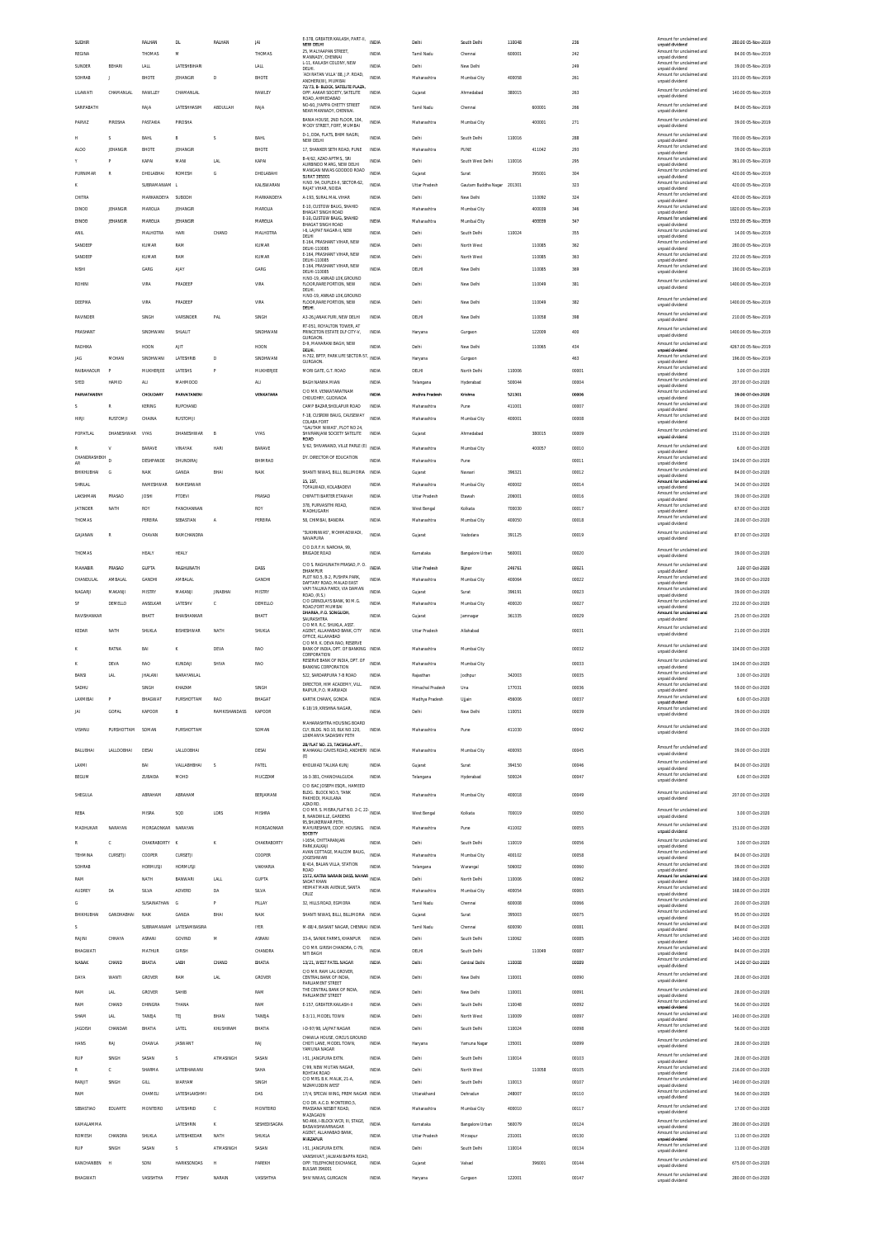|           | SUDHIR             |                   | RALHAN             | DL.                       | RALHAN          | <b>JAI</b>    | E-378, GREATER KAILASH, PART-II<br>NEW DELHI                                  | INDIA        | Delhi                | South Delhi            | 110048 |        | 236   | Amount for unclai<br>unpaid dividend        | 280.00 05-Nov-2019  |
|-----------|--------------------|-------------------|--------------------|---------------------------|-----------------|---------------|-------------------------------------------------------------------------------|--------------|----------------------|------------------------|--------|--------|-------|---------------------------------------------|---------------------|
|           | <b>REGINA</b>      |                   | THOMAS             | M                         |                 | THOMAS        | 25, MALYAAPAN STREET,<br>MANNADY, CHENNAI                                     | <b>INDIA</b> | Tamil Nadu           | Chennai                | 600001 |        | 242   | Amount for unclaimed and<br>unpaid dividend | 84.00 05-Nov-2019   |
|           | SUNDER             | BEHARI            | LALL               | LATESHBIHAR               |                 | LALL          | L-11, KAILASH COLONY, NEW<br>DELHI.                                           | INDIA        | Delhi                | New Delhi              |        |        | 249   | Amount for unclaimed and<br>unpaid dividend | 39.00 05-Nov-2019   |
|           | SOHRAB             | J                 | BHOTE              | <b>JEHANGIR</b>           | D               | <b>BHOTE</b>  | ADI RATAN VILLA' 88, J.P. ROAD,<br>ANDHERI(W), MUMBAI                         | <b>INDIA</b> | Maharashtra          | Mumbai City            | 400058 |        | 261   | Amount for unclaimed and<br>unpaid dividend | 101.00.05-Nov-2019  |
|           | LILAWATI           | CHAMANLAL         | RAWLLEY            | CHAMANLAL                 |                 | RAWLEY        | 72/73. B- BLOCK, SATELITE PLAZA<br>OPP. AAKAR SOCIETY, SATELITE               | INDIA        | Gujarat              | Ahmedabad              | 380015 |        | 263   | Amount for unclaimed and<br>unpaid dividend | 140.00 05-Nov-2019  |
|           | SARIFABATH         |                   | RAJA               | LATESHHASIM               | ABDULLAH        | RAIA          | ROAD, AHMEDABAD<br>NO-60. JYAPPA CHETTY STREET                                | <b>INDV</b>  | Tamil Nadu           | Chenna                 |        | 600001 | 266   | Amount for unclaimed and                    | 84.00 05-Nov-2019   |
|           |                    |                   |                    |                           |                 |               | NEAR MANNADY, CHENNAL                                                         |              |                      |                        |        |        |       | unpaid dividend                             |                     |
|           | PARVIZ             | PIROSHA           | PASTAKIA           | PIROSHA                   |                 |               | BANIA HOUSE, 2ND FLOOR, 184<br>MODY STREET. FORT. MUMBA                       | <b>INDIA</b> | Maharashtra          | Mumbai City            |        | 400001 | 271   | Amount for unclaimed and<br>unpaid dividend | 39.00 05-Nov-2019   |
| н         |                    | s                 | BAHL               | B                         | s               | <b>BAHL</b>   | D-1, DDA, FLATS, BHIM NAGRI,<br>NEW DELHI                                     | <b>INDIA</b> | Delhi                | South Delhi            | 110016 |        | 288   | Amount for unclaimed and<br>unpaid dividend | 700.00.05-Nov-2019  |
|           | ALO <sub>C</sub>   | JEHANGIR          | BHOTE              | JEHANGI                   |                 | BHOTE         | 17, SHANKER SETH ROAD, PUNE                                                   | INDIA        | Maharashtra          | PUNE                   |        | 411042 | 293   | Amount for unclaimed and<br>unpaid dividend | 39.00 05-Nov-2019   |
|           |                    |                   | KAPAI              | MANI                      | LAL             | KAPAI         | B-4/62, AZAD APTMS., SRI<br>AURBINDO MARG, NEW DELHI                          | <b>INDIA</b> | Delhi                | South West Delhi       | 110016 |        | 295   | Amount for unclaimed and<br>unpaid dividend | 361.00 05-Nov-2019  |
|           | PURNIMAR           | R                 | DHOLABHAI          | <b>ROMESH</b>             | G               | DHOLABAHI     | MANGAN NIWAS GODDOD ROAD                                                      | <b>INDIA</b> | Gujarat              | Surat                  |        | 395001 | 304   | Amount for unclaimed and                    | 420.00 05-Nov-2019  |
| K         |                    |                   | SUBRAMANIAM I      |                           |                 | KALISWARAN    | SURAT 395001<br>H.NO. 94, DUPLEX-II, SECTOR-62,                               | <b>INDIA</b> | Uttar Pradesh        | Gautam Buddha Nagar    | 201301 |        | 323   | unpaid dividend<br>Amount for unclaimed and | 420.00 05-Nov-2019  |
|           | CHITRA             |                   | MARKANDEYA         | SUBODH                    |                 | MARKANDEYA    | RAJAT VIHAR, NOIDA<br>A-193. SURAL MAL VIHAR                                  | <b>INDIA</b> | Delhi                | New Delhi              |        | 110092 | 324   | unnaid dividend<br>Amount for unclaimed and | 420.00 05-Nov-2019  |
|           | <b>DINOO</b>       | JEHANGIR          | MAROLIA            | JEHANGIR                  |                 | MAROLIA       | E-10. CUSTOW BAUG. SHAHID                                                     | INDIA        | Maharashtra          | Mumbai City            |        | 400039 | 346   | unpaid dividend<br>Amount for unclaimed and | 1820.00 05-Nov-2019 |
|           |                    |                   |                    |                           |                 |               | <b>BHAGAT SINGH ROAD</b><br>E-10, CUSTOW BAUG, SHAHID                         |              |                      |                        |        |        |       | unpaid dividend<br>Amount for unclaimed and |                     |
|           | <b>DINOO</b>       | JEHANGIR          | MAROUA             | <b>JEHANGIR</b>           |                 | MAROLIA       | BHAGAT SINGH ROAD<br><b>1-6 LAIPAT NAGAR-IL NEW</b>                           | <b>INDIA</b> | Maharashtra          | Mumbai City            |        | 400039 | 347   | unpaid dividend<br>Amount for unclaimed and | 1532.00 05-Nov-2019 |
|           | ANII.              |                   | MALHOTRA           | HARI                      | CHAND           | MALHOTRA      | DELHI<br>E-164, PRASHANT VIHAR, NEW                                           | INDIA        | Delh                 | South Delhi            | 110024 |        | 355   | unpaid dividend<br>Amount for unclaimed and | 14.00 05-Nov-2019   |
|           | SANDEEP            |                   | KUMAR              | RAM                       |                 | KUMAR         | DELHI-110085<br>E-164. PRASHANT VIHAR, NEW                                    | INDIA        | Delhi                | North West             |        | 110085 | 362   | unpaid dividend<br>Amount for unclaimed and | 280.00 05-Nov-2019  |
|           | SANDEEP            |                   | KUMAR              | RAM                       |                 | KUMAR         | DELHI-110085<br>E-164, PRASHANT VIHAR, NEW                                    | INDIA        | Delh                 | North West             |        | 110085 | 363   | unpaid dividend<br>Amount for unclaimed and | 232.00 05-Nov-2019  |
|           | NISHI              |                   | GARG               | AIA)                      |                 | GARG          | DELHI-110085                                                                  | <b>INDIA</b> | DELHI                | New Delhi              |        | 110085 | 369   | unpaid dividend                             | 190.00 05-Nov-2019  |
|           | <b>ROHINI</b>      |                   | VIRA               | PRADEEP                   |                 | VIRA          | H.NO-19, ANNAD LOK, GROUND<br>FLOOR, RARE PORTION, NEW                        | INDIA        | Delh                 | New Delhi              |        | 110049 | 381   | Amount for unclaimed and<br>unpaid dividend | 1400.00 05-Nov-2019 |
|           |                    |                   |                    |                           |                 |               | DELHI.<br>H.NO-19, ANNAD LOK, GROUND                                          |              |                      |                        |        |        |       | Amount for unclaimed and                    |                     |
|           | DEEPIKA            |                   | VIRA               | PRADEEP                   |                 | VIRA          | FLOOR, RARE PORTION, NEW<br>DELHI.                                            | INDIA        | Delh                 | New Delhi              |        | 110049 | 382   | unpaid dividend                             | 1400.00 05-Nov-2019 |
|           | RAVINDER           |                   | SINGH              | VARSINDER                 | <b>PAL</b>      | SINGH         | A3-26, JANAK PURI, NEW DELHI                                                  | <b>INDIA</b> | DELHI                | New Delhi              |        | 110058 | 398   | Amount for unclaimed and<br>unpaid dividend | 210.00 05-Nov-2019  |
|           | PRASHANT           |                   | SINDHWANI          | SHLALIT                   |                 | SINDHWANI     | RT-051, ROYALTON TOWER, AT<br>PRINCETON ESTATE DLF CITY-V,                    | <b>INDIA</b> | Haryana              | Gurgaon                |        | 122009 | 400   | Amount for unclaimed and                    | 1400.00 05-Nov-2019 |
|           |                    |                   |                    |                           |                 |               | GURGAON.<br>D-9, MAHARANI BAGH, NEW                                           |              |                      |                        |        |        |       | unpaid dividend<br>Amount for unclaimed and |                     |
|           | RADHIKA            |                   | HOON               | AIT                       |                 | HOON          | DELHI.<br>H-702. BPTP. PARK LIFE SECTOR-57                                    | <b>INDIA</b> | Delhi                | New Delhi              |        | 110065 | 434   | unpaid dividend<br>Amount for unclaimed and | 4267.00 05-Nov-2019 |
|           | JAG                | MOHAN             | SINDHWANI          | LATESHRIB                 | D               | SINDHWANI     | GURGAON                                                                       | <b>INDIA</b> | Haryana              | Gurgaon                |        |        | 463   | unpaid dividend                             | 196.00 05-Nov-2019  |
|           | RAIBAHADUR         |                   | MUKHERJEE          | LATESHS                   | P               | MUKHERJEE     | MORI GATE, G.T. ROAD                                                          | <b>INDIA</b> | DELHI                | North Delhi            | 110006 |        | 00001 | Amount for unclaimed and<br>unpaid dividend | 3.00 07-Oct-2020    |
|           | SYED               | <b>HAMID</b>      | <b>AU</b>          | MAHMOOD                   |                 | ALI           | BAGH NANHA MIAN                                                               | <b>INDIA</b> | Telangana            | Hyderabad              | 500044 |        | 00004 | Amount for unclaimed and<br>unpaid dividend | 207.00 07-Oct-2020  |
|           | <b>PARVATANENY</b> |                   | CHOUDARY           | PARVATANENI               |                 | VENKATARA     | C/O MR. VENKATARATNAM<br>CHOUDHRY, GUDIVADA                                   | INDV         | Andhra Pradesh       | Krishna                | 521301 |        | 0000t | Amount for unclaimed and<br>unpaid dividend | 39.00 07-Oct-2020   |
|           |                    | R                 | <b>KERING</b>      | <b>RUPCHAND</b>           |                 |               | CAMP BAZAR SHOLAPUR ROAD                                                      | <b>INDIA</b> | Maharashtra          | Pune                   | 411001 |        | 00007 | Amount for unclaimed and<br>unpaid dividend | 39.00 07-Oct-2020   |
|           | HIRJI              | RUSTOMJI          | CHAINA             | RUSTOMJI                  |                 |               | F-18. CUSROW BAUG, CAUSEWAY<br>COLABA FORT                                    | INDIA        | Maharashtra          | Mumbai City            | 400001 |        | 00008 | Amount for unclaimed and<br>unpaid dividend | 84.00 07-Oct-2020   |
|           | POPATLAL           | DHANESHWAR        | VYAS               | DHANESHWAR                | B               | VYAS          | "GAUTAM NIWAS", PLOT NO 24,<br>SHIVRANJANI SOCIETY SATELITE                   | INDIA        | Gujarat              | Ahmedabad              |        | 380015 | 00009 | Amount for unclaimed and                    | 151.00 07-Oct-2020  |
|           |                    |                   |                    |                           |                 |               | ROAD                                                                          |              |                      |                        |        |        |       | unpaid dividend                             |                     |
| R         |                    | V                 | <b>BARAVE</b>      | VINAYAK                   | <b>HARI</b>     | <b>BARAVE</b> | 5/62, SHIVANAND, VILLE PARLE (E)                                              | INDIA        | Maharashtra          | Mumbai City            |        | 400057 | 00010 | Amount for unclaimed and<br>unpaid dividend | 6.00 07-Oct-2020    |
| <b>AR</b> | CHANDRASHEKH       |                   | DESHPANDE          | DHUNDIRAJ                 |                 | BHIMRAC       | DY. DIRECTOR OF EDUCATION                                                     | <b>INDV</b>  | Maharashtra          | Pune                   |        |        | 00011 | Amount for unclaimed and<br>unpaid dividend | 104.00 07-Oct-2020  |
|           | BHIKHUBHAI         | G                 | NAIK               | GANDA                     | BHAI            | NAIK          | SHANTI NIWAS, BILLI, BILLIMORIA                                               | INDIA        | Gujarat              | Navsari                | 396321 |        | 00012 | Amount for unclaimed and<br>unpaid dividend | 84.00 07-Oct-2020   |
|           | SHRILAL            |                   | RAMESHWAR          | RAMESHWAR                 |                 |               | 15.1ST<br>TOFALWADI, KOLABADEVI                                               | <b>INDIA</b> | Maharashtra          | Mumbai City            | 400002 |        | 00014 | Amount for unciaimed and<br>unpaid dividend | 34.00 07-Oct-2020   |
|           | LAKSHMAN           | PRASAD            | <b>JOSHI</b>       | PTDEVI                    |                 | PRASAD        | CHIPATTI BARTER ETAWAH                                                        | INDIA        | Uttar Pradesh        | Etawah                 | 206001 |        | 00016 | Amount for unclaimed and<br>unpaid dividend | 39.00 07-Oct-2020   |
|           | <b>JATINDER</b>    | NATH              | <b>ROY</b>         | PANCHANNAN                |                 | ROY           | 378, PURVASITHI ROAD,<br>MADHUGARH                                            | <b>INDIA</b> | West Bengal          | Kolkata                | 700030 |        | 00017 | Amount for unclaimed and<br>unpaid dividend | 67.00 07-Oct-2020   |
|           | THOMAS             |                   | PEREIRA            | SEBASTIAN                 | A               | PEREIRA       | 58, CHIMBAI, BANDRA                                                           | INDIA        | Maharashtra          | Mumbai City            | 400050 |        | 00018 | Amount for unclaimed and                    | 28.00 07-Oct-2020   |
|           |                    | R                 |                    |                           |                 |               | "SUKHNIWAS". MOHMADWADI.                                                      | <b>INDIA</b> |                      |                        |        |        |       | unpaid dividend<br>Amount for unclaimed and |                     |
|           | GAJANAN            |                   | CHAVAN             | RAMCHANDRA                |                 |               | NAVAPURA                                                                      |              | Gujarat              | Vadodara               | 391125 |        | 00019 | unpaid dividend                             | 87.00 07-Oct-2020   |
|           | THOMAS             |                   | <b>HEALY</b>       | HEALY                     |                 |               | C/O D.R.F.H. NAROHA, 99,<br><b>BRIGADE ROAD</b>                               | INDIA        | Karnataka            | <b>Bangalore Urban</b> | 560001 |        | 00020 | Amount for unclaimed and<br>unpaid dividend | 39.00 07-Oct-2020   |
|           | MAHABIR            | PRASAD            | <b>GUPTA</b>       | RAGHUNATH                 |                 | DASS          | C/O S. RAGHUNATH PRASAD, P. O.                                                | INDIA        | <b>Uttar Pradesh</b> | Bijnor                 | 246761 |        | 00021 | Amount for unclaimed and                    | 3.00 07-Oct-2020    |
|           |                    |                   |                    |                           |                 |               | DHAMPUR<br>PLOT NO.5, B-2, PUSHPA PARK                                        |              |                      |                        |        |        |       | unpaid dividend<br>Amount for unclaimed and |                     |
|           | CHANDULAL          | AMBALAL           | GANDHI             | AMBALAL                   |                 | GANDHI        | DAFTARY ROAD, MALAD EAST<br>VAPI TALUKA PARDI, VIA DAMAN                      | <b>INDIA</b> | Maharashtra          | Mumbai City            | 400064 |        | 00022 | unpaid dividend<br>Amount for unclaimed and | 39.00 07-Oct-2020   |
|           |                    | MAKANJI           | <b>MISTRY</b>      | MAKANJI                   | <b>JINABHAI</b> | MISTRY        | ROAD, (R.S.)<br>C/O GRINDLAYS BANK, 90 M.G                                    | <b>INDIA</b> | Gujarat              | Surat                  | 396191 |        | 00023 | unpaid dividend                             | 39.00 07-Oct-2020   |
|           | NAGARJI            |                   |                    |                           |                 |               |                                                                               |              |                      |                        |        |        |       |                                             |                     |
| SF        |                    | DEMELLO           | ANSELKAR           | LATESHV                   | Ċ               | DEMELLO       | ROAD.FORT MUMBAI                                                              | INDV         | Maharashtra          | Mumbai City            | 400020 |        | 00027 | Amount for unclaimed and<br>unpaid dividend | 232.00 07-Oct-2020  |
|           | RAVISHANKAR        |                   | BHATT              | BHAISHANKAR               |                 | BHATT         | DHARKA, P.O. SONGUDH<br>SAURASHTRA                                            | <b>INDIA</b> | Gujarat              | Jamnaga                | 361335 |        | 00029 | Amount for unclaimed and                    | 25.00 07-Oct-2020   |
|           |                    |                   |                    |                           |                 |               | C/O MR. R.C. SHUKLA, ASST.                                                    | <b>INDIA</b> |                      |                        |        |        |       | unpaid dividend<br>Amount for unclaimed and | 21.00 07-Oct-2020   |
|           | KEDAR              | NATH              | SHUKLA             | BISHESHWAR                | NATH            | SHUKLA        | AGENT, ALLAHABAD BANK, CITY<br>OFFICE, ALLAHABAD<br>C/O MR K DEVA RAO RESERVE |              | Uttar Pradesh        | Allahabad              |        |        | 00031 | unnaid dividend                             |                     |
|           |                    | RATNA             | BAI                |                           | DEVA            | RAO           | BANK OF INDIA. DPT. OF BANKING INDIA                                          |              | Maharashtra          | Mumbai City            |        |        | 00032 | Amount for unclaimed and<br>unpaid dividend | 104.00 07-Oct-2020  |
|           |                    | DEVA              | RAO                | KUNDAJ                    | <b>SHIVA</b>    | RAO           | CORPORATION<br>RESERVE BANK OF INDIA, DPT. OF                                 | INDV         | Maharashtra          | Mumbai City            |        |        | 00033 | Amount for unclaimed and                    | 104.00 07-Oct-2020  |
|           |                    |                   |                    |                           |                 |               | <b>BANKING CORPORATION</b><br>522 SARDARPURA 7-B ROAD                         |              |                      |                        |        |        |       | unpaid dividend<br>Amount for unclaimed and |                     |
|           | BANSI              | LAL               | <b>JHALANI</b>     | NARAYANLAL                |                 |               | DIRECTOR, HIM ACADEMY, VILL.                                                  | <b>INDIA</b> | Raiasthan            | Jodhpur                | 342003 |        | 00035 | unpaid dividend<br>Amount for unclaimed and | 3.00 07-Oct-2020    |
|           | SADHU              |                   | SINGH              | KHAZAM                    |                 | SINGH         | RAIPUR, P.O. MARWADI                                                          | <b>INDIA</b> | Himachal Pradesh     | Una                    | 177031 |        | 00036 | unpaid dividend<br>Imount for unclai        | 59.00 07-Oct-2020   |
|           |                    |                   | внас               | IOTTAN                    |                 | BHAGA         | KARTIK CHAWK. GONDJ                                                           | IND L        |                      |                        | 456006 |        |       | unpaid dividend<br>Amount for unclaimed and | 6.00 07-Oct-2020    |
| IAI       |                    | GOPAI             | KAPOOR             | $\,$ B                    | RAMKISHANDASS   | KAPOOR        | K-18/19, KRISHNA NAGAR                                                        | <b>INDIA</b> | Delhi                | New Delhi              | 110051 |        | 00039 | unpaid dividend                             | 39.00 07-Oct-2020   |
|           | VISHNU             | PURSHOTTAM        | SOMAN              | PURSHOTTAM                |                 | SOMAN         | MAHARASHTRA HOUSING BOARD<br>CLY, BLDG. NO.10, BLK NO.120,                    | INDIA        | Maharashtra          | Pune                   | 411030 |        | 00042 | Amount for unclaimed and                    | 39.00 07-Oct-2020   |
|           |                    |                   |                    |                           |                 |               | LOKMANYA SADASHIV PETH                                                        |              |                      |                        |        |        |       | unpaid dividend                             |                     |
|           | BALUBHAI           | <b>LALLOOBHAI</b> | DESAI              | LALLOOBHAI                |                 | DESAI         | 2B/FLAT NO. 23, TAKSHILA APT<br>MAHAKALI CAVES ROAD, ANDHERI INDIA            |              | Maharashtra          | Mumbai City            | 400093 |        | 00045 | Amount for unclaimed and                    | 39.00 07-Oct-2020   |
|           |                    |                   |                    |                           |                 |               | (E)                                                                           |              |                      |                        |        |        |       | unpaid dividend<br>Amount for unclaimed and |                     |
|           | LAXMI              |                   | BAI                | VALLABHBHAI               | s               | PATEL         | KHOLWAD TALUKA KUNJ                                                           | INDIA        | Gujarat              | Surat                  | 394150 |        | 00046 | unpaid dividend<br>Amount for unclaimed and | 84.00 07-Oct-2020   |
|           | <b>BEGUM</b>       |                   | ZUBAIDA            | MOHD                      |                 | MUCZZAM       | 16-3-381 CHANCHALGUDA<br>C/O ISAC JOSEPH ESQR., HAMEED                        | <b>INDIA</b> | Telangana            | Hyderabad              | 500024 |        | 00047 | unpaid dividend                             | 6.00 07-Oct-2020    |
|           | SHEGULA            |                   | ARRAHAM            | ARRAHAM                   |                 | BERJAMANI     | BLDG. BLOCK NO.5. TANK                                                        | <b>INDIA</b> | Maharashtra          | Mumbai City            | 400018 |        | 00049 | Amount for unclaimed and                    | 207.00 07-Oct-2020  |
|           |                    |                   |                    |                           |                 |               | PAKHODI, MAULANA<br>AZAD RD.                                                  |              |                      |                        |        |        |       | unpaid dividend                             |                     |
|           | REBA               |                   | MISR/              | SQD                       | LDRS            | MISHRA        | C/O MR. S. MISRA, FLAT NO. 2-C, 22-<br>NDIA<br>B, NANDWILLE, GARDENS          |              | West Bengal          | Kolkata                | 700019 |        | 00050 | Amount for unclaimed and<br>unpaid dividend | 3.00 07-Oct-2020    |
|           | MADHUKAR           | NARAYAN           | MORGAONKAR NARAYAN |                           |                 | MORGAONKAR    | 95. SHUKERWAR PETH<br>MAYURESHWR, COOP. HOUSING. INDIA                        |              | Maharashtra          | Pune                   | 411002 |        | 00055 | Amount for unclaimed and<br>unpaid dividend | 151.00 07-Oct-2020  |
|           |                    | c                 | CHAKRARORTY K      |                           | K               | CHAKRABORTY   | SOCEITY<br>I-1654, CHITTARANJAN                                               | <b>INDIA</b> | Delhi                | South Delhi            | 110019 |        | 00056 | Amount for unclaimed and                    |                     |
|           | TEHMINA            |                   |                    |                           |                 |               | PARK, KALKAJI<br>AVAN COTTAGE, MALCOM BAUG,                                   | <b>INDIA</b> |                      |                        |        |        |       | unpaid dividend<br>Amount for unclaimed and | 3.00 07-Oct-2020    |
|           |                    | CURSETJI          | COOPER             | CURSETJI                  |                 | COOPER        | <b>JOGESHWARI</b><br>8/414, BALAN VILLA, STATION                              |              | Maharashtra          | Mumbai City            | 400102 |        | 00058 | unpaid dividend<br>Amount for unclaimed and | 84.00 07-Oct-2020   |
|           | SOHRAB             |                   | <b>HORMUSJI</b>    | <b>HORMUSJI</b>           |                 | VAKHARIA      | ROAD                                                                          | <b>INDIA</b> | Telangana            | Warangal               | 506002 |        | 00060 | unpaid dividend<br>Amount for unclaimed and | 39.00 07-Oct-2020   |
|           | RAM                |                   | NATH               | BANWARI                   | LALL            | <b>GUPTA</b>  | 1572, KATRA NARAIN DASS, NAHAR<br>SADAT KHAN                                  | <b>INDIA</b> | Delhi                | North Delhi            | 110006 |        | 00062 | unpaid dividend                             | 168.00 07-Oct-2020  |
|           | <b>AUDREY</b>      | DA                | SILVA              | ADVERE                    | DA              | SILVA         | HEIMAT MAIN AVENUE, SANTA<br>CRUZ                                             | INDIA        | Maharashtra          | Mumbai City            | 400054 |        | 00065 | Amount for unclaimed and<br>unpaid dividend | 168.00 07-Oct-2020  |
| G         |                    |                   | SUSAINATHAN        | G                         | p               | PILLAY        | 32. HILLS ROAD, EGMORA                                                        | <b>INDIA</b> | Tamil Nadu           | Chennai                | 600008 |        | 00066 | Amount for unclaimed and<br>unpaid dividend | 20.00 07-Oct-2020   |
|           | BHIKHUBHAI         | GANDHABHAI        | NAIK               | <b>GAND/</b>              | BHAI            | NAI           | SHANTI NIWAS, BILLI, BILLIMORIA INDIA                                         |              | Gujarat              | Surat                  | 395003 |        | 00075 | Amount for unclaimed and<br>unpaid dividend | 95.00 07-Oct-2020   |
| $\leq$    |                    |                   |                    | SUBRAMANIAM LATESAMBASIRA |                 | <b>IYER</b>   | M-88/4, BASANT NAGAR, CHENNAL INDIA                                           |              | Tamil Nadu           | Chennai                | 600090 |        | 00081 | Amount for unclaimed and<br>unpaid dividend | 84.00 07-Oct-2020   |
|           | RAJINI             | CHHAYA            | ASRANI             | GOVINE                    | м               | ASRANI        | 33-A, SAINIK FARMS, KHANPUR                                                   | INDIA        | Delhi                | South Delhi            | 110062 |        | 00085 | Amount for unclaimed and                    | 140.00 07-Oct-2020  |
|           | BHAGWATI           |                   | MATHUR             | GIRISH                    |                 | CHANDRA       | C/O MR. GIRISH CHANDRA, C-79,<br>NITI BAGH                                    | <b>INDIA</b> | DELHI                | South Delhi            |        | 110049 | 00087 | unpaid dividend<br>Amount for unclaimed and | 84.00 07-Oct-2020   |
|           | NANAK              | CHAND             | BHATIA             | LABH                      | CHAND           | BHATIA        | 13/21, WEST PATEL NAGAR                                                       | <b>INDIA</b> | Delhi                | Central Delhi          | 110008 |        | 00089 | unpaid dividend<br>Amount for unclaimed and | 14.00 07-Oct-2020   |
|           |                    |                   |                    |                           |                 |               | C/O MR. RAM LAL GROVER                                                        |              |                      |                        |        |        |       | unpaid dividend<br>Amount for unclaimed and |                     |
|           | DAYA               | <b>WANTI</b>      | GROVER             | RAM                       | <b>LAL</b>      | GROVER        | CENTRAL BANK OF INDIA.<br>PARLIAMENT STREET                                   | <b>INDIA</b> | Delhi                | New Delhi              | 110001 |        | 00090 | unpaid dividend                             | 28.00 07-Oct-2020   |
|           | RAM                | LAL               | GROVER             | SAHIB                     |                 | RAM           | THE CENTRAL BANK OF INDIA<br>PARLIAMENT STREET                                | <b>INDIA</b> | Delhi                | New Delhi              | 110001 |        | 00091 | Amount for unclaimed and<br>unpaid dividend | 28.00 07-Oct-2020   |
|           | RAM                | CHAND             | DHINGRA            | THANA                     |                 | RAM           | E-157, GREATER KAILASH-II                                                     | <b>INDIA</b> | Delhi                | South Delhi            | 110048 |        | 00092 | Amount for unclaimed and<br>unpaid dividend | 56.00 07-Oct-2020   |
|           | SHAM               | LAL               | TANEJA             | TEJ                       | BHAN            | TANEJA        | E-3/11, MODEL TOWN                                                            | INDIA        | Delh                 | North West             | 110009 |        | 00097 | Amount for unclaimed and<br>unpaid dividend | 140.00 07-Oct-2020  |
|           | JAGDISH            | CHANDAR           | BHATIA             | LATEL                     | KHUSHIRAM       | BHATIA        | I-D-97/98. LAJPAT NAGAR                                                       | <b>INDIA</b> | Delhi                | South Delhi            | 110024 |        | 00098 | Amount for unclaimed and<br>unpaid dividend | 56.00 07-Oct-2020   |
|           | HANS               | RAJ               | CHAWLA             | <b>JASWANT</b>            |                 | RAJ           | CHAWLA HOUSE. CIRCUS GROUND<br>CHOTI LANE, MODEL TOWN,                        | <b>INDIA</b> | Haryana              | Yamuna Naga            | 135001 |        | 00099 | Amount for unclaimed and                    | 28.00 07-Oct-2020   |
|           |                    |                   |                    |                           |                 |               | YAMUNA NAGAR                                                                  |              |                      |                        |        |        |       | unpaid dividend                             |                     |
|           | RUP                | SINGH             | SASAN              |                           | ATMASINGH       | SASAN         | I-51, JANGPURA EXTN                                                           | INDIA        | Delh                 | South Delhi            | 110014 |        | 00103 | Amount for unclaimed and<br>unpaid dividend | 28.00 07-Oct-2020   |
|           |                    | c                 | SHARMA             | LATEBHAWANI               |                 | SAHA          | C/99, NEW MUTAN NAGAR<br>ROHTAK ROAD                                          | <b>INDIA</b> | Delhi                | North West             |        | 110058 | 00105 | Amount for unclaimed and<br>unpaid dividend | 216.00 07-Oct-2020  |
|           | RANJIT             | SINGH             | GILL               | WARYAN                    |                 | <b>SINGH</b>  | C/O MRS. B.K. MALIK, 21-A<br>NIZAMUDDIN WEST                                  | INDIA        | Delhi                | South Delhi            | 110013 |        | 00107 | Amount for unclaimed and<br>unpaid dividend | 140.00 07-Oct-2020  |
|           | RAM                |                   | CHAMELI            | LATESHLAKSHMI             |                 | DAS           | 17/4, SPECIAI WING, PREM NAGAR INDIA                                          |              | Uttarakhand          | Dehradun               | 248007 |        | 00110 | Amount for unclaimed and<br>unpaid dividend | 56.00 07-Oct-2020   |
|           | SEBASTIAO          | EDUART            | MONTEIRC           | LATESHRID                 | c               | MONTEIRO      | C/O DR. A.C.D. MONTEIRO.5<br>PRASSANA NESBIT ROAD,                            | INDIA        | Maharashtra          | Mumbai City            | 400010 |        | 00117 | Amount for unclaimed and                    | 17.00 07-Oct-2020   |
|           |                    |                   |                    |                           |                 |               | MAZAGAON<br>NO.466, I-BLOCK WCR, III, STAGE,                                  |              |                      |                        |        |        |       | unpaid dividend<br>Amount for unclaimed and |                     |
|           | KAMALAMMA          |                   |                    | LATESHRIN                 | K               | SESHEDISAGRA  | BASWASHWARNAGAR                                                               | <b>INDIA</b> | Karnataka            | Bangalore Urban        | 560079 |        | 00124 | unpaid dividend                             | 280.00 07-Oct-2020  |
|           | ROMESH             | CHANDRA           | SHUKLA             | LATESHKEDAR               | NATH            | SHUKLA        | AGENT, ALLAHABAD BANK<br>MIRZAPUR                                             | <b>INDIA</b> | Uttar Pradesh        | Mirzapur               | 231001 |        | 00130 | Amount for unclaimed and<br>unpaid divident | 11.00 07-Oct-2020   |
|           | RUP                | SINGH             | SASAN              | $\overline{\phantom{a}}$  | ATMASINGH       | SASAN         | I-51, JANGPURA EXTN.                                                          | <b>INDIA</b> | Delh                 | South Delhi            | 110014 |        | 00134 | Amount for unclaimed and<br>unpaid dividend | 11.00 07-Oct-2020   |
|           | KANCHANBEN         | <b>H</b>          | SONI               | HARIKSONDAS               | н               | PAREKH        | VANSHIVAT, JALWAN BAPPA ROAD<br>OPP. TELEPHONE EXCHANGE,                      | <b>INDIA</b> | Gujarat              | Valsad                 |        | 396001 | 00144 | Amount for unclaimed and<br>unpaid dividend | 675.00 07-Oct-2020  |
|           | BHAGWATI           |                   | VASISHTHA          | PTSHIV                    | NARAIN          | VASISHTHA     | <b>BULSAR 396001</b><br>SHIV NIWAS, GURGAON                                   | <b>INDIA</b> | Haryana              | Gurgson                | 122001 |        | 00147 | Amount for unclaimed and<br>unpaid dividend | 280.00 07-Oct-2020  |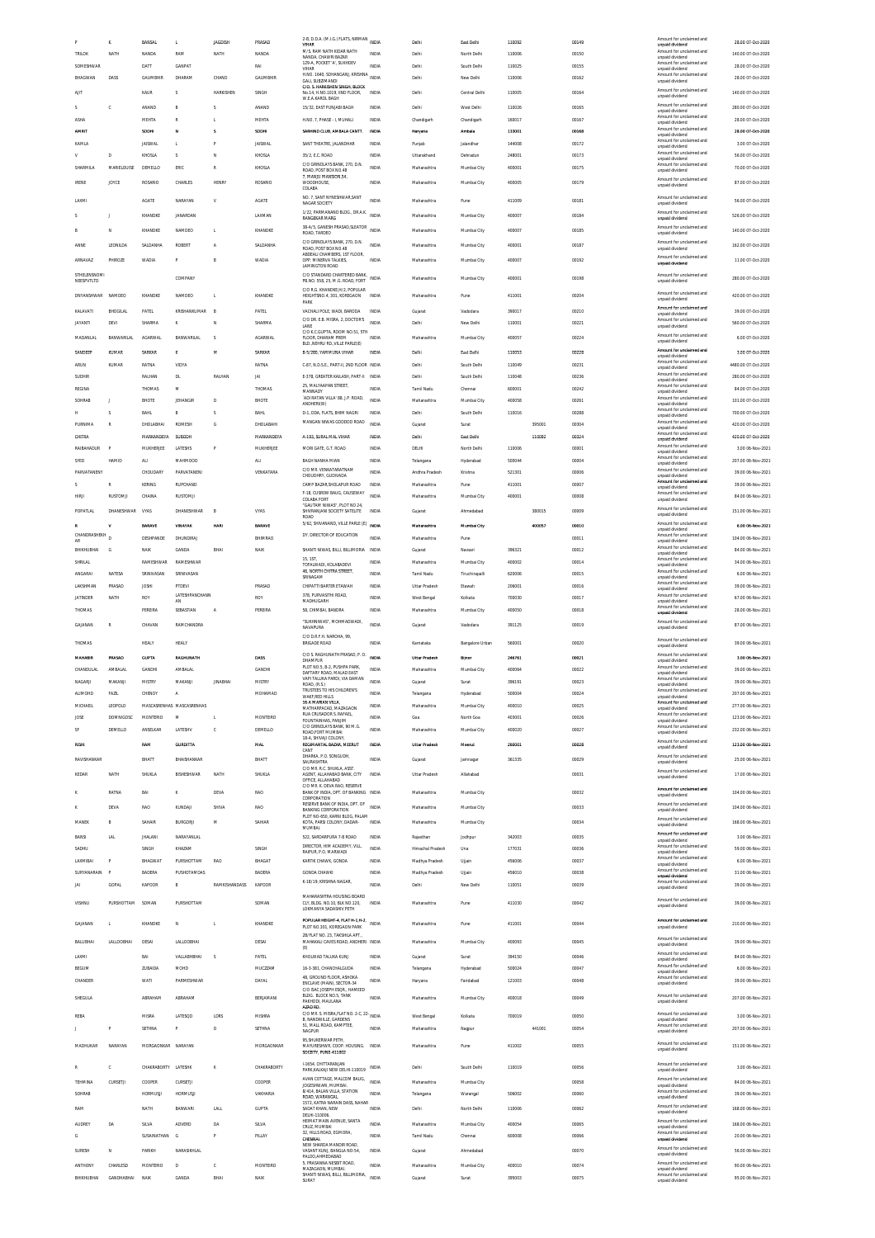|                                   | ĸ                      | BANSAL                  | <b>L</b>                  | <b>JAGDISH</b>           | PRASAD           | 2-B, D.D.A. (M.I.G.) FLATS, NIRMAN<br>VIHAR                                                          | <b>INDIA</b>                 | Delhi                  | East Delhi           | 110092           |        | 00149          | Amount for unclai<br>unnaid dividend        | 28.00 07-Oct-2020                      |
|-----------------------------------|------------------------|-------------------------|---------------------------|--------------------------|------------------|------------------------------------------------------------------------------------------------------|------------------------------|------------------------|----------------------|------------------|--------|----------------|---------------------------------------------|----------------------------------------|
| <b>TRILOK</b>                     | NATH                   | NANDA                   | RAM                       | NATH                     | NANDA            | M/S. RAM NATH KIDAR NATH<br>NANDA, CHAWRI BAZAR                                                      | <b>INDIA</b>                 | Delhi                  | North Delhi          | 110006           |        | 00150          | Amount for unclaimed and<br>unpaid dividend | 140.00 07-Oct-2020                     |
| SOMESHWAP                         |                        | DATT                    | <b>GANPAT</b>             |                          | RAI              | 129-A, POCKET 'A', SUKHDEV<br>VIHAR                                                                  | INDIA                        | Delhi                  | South Delhi          | 110025           |        | 00155          | Amount for unclaimed and<br>unpaid dividend | 28.00 07-Oct-2020                      |
| BHAGWAN                           | DASS                   | <b>GAUMBHIR</b>         | DHARAM                    | CHAND                    | GAUMBHIR         | H.NO. 1640, SOHANGANJ, KRISHNA INDIA                                                                 |                              | Delhi                  | New Delhi            | 110006           |        | 00162          | Amount for unclaimed and                    | 28.00 07-Oct-2020                      |
|                                   |                        |                         |                           |                          |                  | GALI. SUBZIMANDI<br>C/O. S. HARKISHEN SINGH, BLOCK                                                   |                              |                        |                      |                  |        |                | unpaid dividend<br>Amount for unclaimed and |                                        |
| AIIT                              |                        | KAUR                    | -S                        | <b>HARKISHEN</b>         | SINGH            | No.14, H.NO.1019, IIND FLOOR,<br>W.E.A.KAROL BAGH                                                    | INDIA                        | Delhi                  | Central Delhi        | 110005           |        | 00164          | unpaid dividend                             | 140.00 07-Oct-2020                     |
|                                   | c                      | ANAND                   | B                         | Ś                        | ANAND            | 15/32, EAST PUNJABI BAGH                                                                             | INDIA                        | Delhi                  | West Delhi           | 110026           |        | 00165          | Amount for unclaimed and<br>unpaid dividend | 280.00 07-Oct-2020                     |
| ASHA                              |                        | MEHTA                   | R                         |                          | MEHTA            | H.NO. 7. PHASE - I. MUHALI                                                                           | <b>INDIA</b>                 | Chandigarh             | Chandigarh           | 160017           |        | 00167          | Amount for unclaimed and                    | 28.00 07-Oct-2020                      |
| <b>AMRIT</b>                      |                        |                         |                           |                          |                  |                                                                                                      |                              |                        |                      |                  |        |                | unpaid dividend<br>Amount for unclaimed and |                                        |
|                                   |                        | SODH                    | N                         | $\overline{\phantom{a}}$ | SODHI            | SARHIND CLUB, AMBALA CANTT                                                                           | INDIA                        | Haryans                | Ambala               | 133001           |        | 00168          | unpaid dividend<br>Amount for unclaimed and | 28.00 07-Oct-2020                      |
| KAMLA                             |                        | <b>JAISWAL</b>          | <b>L</b>                  |                          | <b>JAISWAL</b>   | SANT THEATRE, JALANDHAR                                                                              | INDIA                        | Punjab                 | Jalandhar            | 144008           |        | 00172          | unpaid dividend                             | 3.00 07-Oct-2020                       |
| v                                 | $\mathbf{D}$           | KHOSLA                  | $\overline{\mathbf{S}}$   | N                        | KHOSLA           | 35/2, E.C. ROAD                                                                                      | <b>INDIA</b>                 | Uttarakhand            | Dehradun             | 248001           |        | 00173          | Amount for unclaimed and<br>unpaid dividend | 56.00 07-Oct-2020                      |
| SHARMILA                          | MARIELOUISE            | DEMELLO                 | ERIC                      | R                        | KHOSLA           | C/O GRINDLAYS BANK, 270, D.N.<br>ROAD, POST BOX NO.48                                                | INDIA                        | Maharashtra            | Mumbai City          | 400001           |        | 00175          | Amount for unclaimed and<br>unpaid dividend | 70.00 07-Oct-2020                      |
|                                   |                        |                         |                           |                          |                  | 7, MANJU MANSION, 54                                                                                 |                              |                        |                      |                  |        |                | Amount for unclaimed and                    |                                        |
| <b>IRENE</b>                      | JOYCE                  | ROSARIO                 | CHARLES                   | <b>HENRY</b>             | ROSARIO          | <b>WOODHOUSE</b><br>COLABA                                                                           | <b>INDIA</b>                 | Maharashtra            | Mumbai City          | 400005           |        | 00179          | unpaid dividend                             | 87.00 07-Oct-2020                      |
| LAXMI                             |                        | AGATE                   | NARAYAN                   | V                        | <b>AGATE</b>     | NO. 7. SANT NYNESHWAR.SANT                                                                           | <b>INDIA</b>                 | Maharashtra            | Pune                 | 411009           |        | 00181          | Amount for unclaimed and                    | 56.00 07-Oct-2020                      |
|                                   |                        |                         |                           |                          |                  | NAGAR SOCIETY                                                                                        |                              |                        |                      |                  |        |                | unpaid dividend                             |                                        |
|                                   | T                      | KHANDKE                 | JANARDAN                  |                          | LAXMAN           | 1/22. PARMANAND BLDG., DR.A.K.<br><b>RANGEKAR MARG</b>                                               | <b>INDIA</b>                 | Maharashtra            | Mumbai City          | 400007           |        | 00184          | Amount for unclaimed and<br>unpaid dividend | 526.00 07-Oct-2020                     |
|                                   | N                      | KHANDKE                 | NAMDEO                    | L.                       | KHANDKE          | 38-A/5, GANESH PRASAD, SLEATOR                                                                       | <b>INDIA</b>                 | Maharashtra            | Mumbai City          | 400007           |        | 00185          | Amount for unclaimed and                    | 140.00 07-Oct-2020                     |
|                                   |                        |                         |                           |                          |                  | ROAD, TARDEO                                                                                         |                              |                        |                      |                  |        |                | unpaid dividend                             |                                        |
| ANNE                              | LEONILDA               | SALDANHA                | <b>ROBERT</b>             | A                        | SALDANHA         | C/O GRINDLAYS BANK, 270, D.N.<br>ROAD, POST BOX NO.48                                                | <b>INDIA</b>                 | Maharashtra            | Mumbai City          | 400001           |        | 00187          | Amount for unclaimed and<br>unpaid dividend | 162.00 07-Oct-2020                     |
| ARNAVAZ                           | PHIROZE                | WADIA                   |                           |                          | WADIA            | ABDEALI CHAMBERS, 1ST FLOOR<br>OPP. MINERVA TALKIES                                                  | <b>INDIA</b>                 | Maharashtra            | Mumbai City          | 400007           |        | 00192          | Amount for unclaimed and                    | 11.00 07-Oct-2020                      |
|                                   |                        |                         |                           |                          |                  | <b>LAMINGTON ROAD</b>                                                                                |                              |                        |                      |                  |        |                | unpaid dividend                             |                                        |
| <b>STHELENSNOMI</b><br>NEESPVTLTD |                        |                         | COMPANY                   |                          |                  | C/O STANDARD CHARTERED BANK<br>PB.NO. 558, 25, M.G. ROAD, FORT                                       | <b>INDIA</b>                 | Maharashtra            | Mumbai City          | 400001           |        | 00198          | Amount for unclaimed and<br>unpaid dividend | 280.00 07-Oct-2020                     |
|                                   |                        |                         |                           |                          |                  | C/O R.G. KHANDKE, H/2, POPULAR                                                                       |                              |                        |                      |                  |        |                | Amount for unclaimed and                    |                                        |
| DNYANSHWAR NAMDEO                 |                        | KHANDKE                 | NAMDEO                    |                          | KHANDKE          | HEIGHTSNO.4, 301, KOREGAON<br>PARK                                                                   | INDIA                        | Maharashtra            | Pune                 | 411001           |        | 00204          | unpaid dividend                             | 420.00 07-Oct-2020                     |
| KALAVATI                          | BHOGILAL               | PATEL                   | KRISHANKUMAR              | B                        | PATEL            | VACHALI POLE, WADI, BARODA                                                                           | INDIA                        | Gujarat                | Vadodara             | 390017           |        | 00210          | Amount for unclaimed and<br>unpaid dividend | 39.00 07-Oct-2020                      |
| <b>JAYANTI</b>                    | DEVI                   | SHARMA                  | $\kappa$                  | N                        | SHARMA           | C/O DR. E.B. MISRA, 2, DOCTOR'S                                                                      | <b>INDIA</b>                 | Delhi                  | New Delhi            | 110001           |        | 00221          | Amount for unclaimed and                    | 560.00 07-Oct-2020                     |
|                                   |                        |                         |                           |                          |                  | C/O K.C.GUPTA, ROOM NO.51, 5TH                                                                       |                              |                        |                      |                  |        |                | unpaid dividend                             |                                        |
| MADANLAL                          | <b>BANWARILAL</b>      | AGARWAL                 | BANWARILAL                | -S                       | <b>AGARWAL</b>   | FLOOR. DHARAM PREM<br>BLD. NEHRU RD. VILLE PARLE(E)                                                  | <b>INDIA</b>                 | Maharashtra            | Mumbai City          | 400057           |        | 00224          | Amount for unclaimed and<br>unpaid dividend | 6.00 07-Oct-2020                       |
| SANDEEF                           | KUMAR                  | SARKAR                  |                           | м                        | SARKAR           | B-5/280, YAMMUNA VIHAR                                                                               | INDIA                        | Delhi                  | East Delhi           | 110053           |        | 00228          | Amount for unclaimed and                    | 3.00 07-Oct-2020                       |
| ARUN                              | <b>KUMAR</b>           | RATNA                   | VIDYA                     |                          | RATNA            |                                                                                                      |                              | Delhi                  | South Delhi          | 110049           |        | 00231          | unpaid dividend<br>Amount for unclaimed and | 4480.00 07-Oct-2020                    |
|                                   |                        |                         |                           |                          |                  | C-87, N.D.S.E., PART-II, 2ND FLOOR INDIA                                                             |                              |                        |                      |                  |        |                | unpaid dividend<br>Amount for unclaimed and |                                        |
| SUDHIR                            |                        | RALHAN                  | <b>DL</b>                 | RALHAN                   | JAI              | E-378, GREATER KAILASH, PART-II INDIA                                                                |                              | Delhi                  | South Delhi          | 110048           |        | 00236          | unpaid dividend                             | 280.00 07-Oct-2020                     |
| <b>REGINA</b>                     |                        | THOMAS                  | M                         |                          | THOMAS           | 25, MALYAAPAN STREET,<br>MANNADY                                                                     | <b>INDIA</b>                 | Tamil Nadu             | Chennai              | 600001           |        | 00242          | Amount for unclaimed and<br>unpaid dividend | 84.00 07-Oct-2020                      |
| SOHRAB                            | J                      | BHOTE                   | JEHANGIR                  | D                        | BHOTE            | 'ADI RATAN VILLA' 88. J.P. ROAD.<br>ANDHERI(W)                                                       | <b>INDIA</b>                 | Maharashtra            | Mumbai City          | 400058           |        | 00261          | Amount for unclaimed and<br>unpaid dividend | 101.00 07-Oct-2020                     |
| н                                 | S                      | BAHL                    | B                         | s                        | <b>BAHL</b>      | D-1, DDA, FLATS, BHIM NAGRI                                                                          | INDIA                        | Delhi                  | South Delhi          | 110016           |        | 00288          | Amount for unclaimed and                    | 700.00 07-Oct-2020                     |
| PURNIMA                           | R                      | DHOLABHAI               | ROMES-                    | G                        | DHOLABAHI        | MANGAN NIWAS GODDOD ROAD                                                                             | <b>INDIA</b>                 | Gujarat                | Surat                |                  | 395001 | 00304          | unpaid dividend<br>Amount for unclaimed and | 420.00 07-Oct-2020                     |
|                                   |                        |                         |                           |                          |                  |                                                                                                      |                              |                        |                      |                  |        |                | unpaid dividend<br>Amount for unclaimed and |                                        |
| CHITRA                            |                        | MARKANDEYA              | SUBODI                    |                          | MARKANDEYA       | A-193, SURAL MAL VIHAR                                                                               | INDIA                        | Delhi                  | East Delhi           |                  | 110092 | 00324          | unpaid dividend                             | 420.00 07-Oct-2020                     |
| RAIBAHADUR                        |                        | MUKHERJEE               | LATESHS                   | P                        | MUKHERJEE        | MORI GATE, G.T. ROAD                                                                                 | <b>INDIA</b>                 | DELHI                  | North Delhi          | 110006           |        | 00001          | Amount for unclaimed and<br>unpaid dividend | 3.00.06-Nov-2021                       |
| SYED                              | HAMID                  | ALI                     | MAHMOOD                   |                          | ALI              | BAGH NANHA MIAN                                                                                      | INDIA                        | Telangana              | Hyderabad            | 500044           |        | 00004          | Amount for unclaimed and<br>unpaid dividend | 207.00 06-Nov-2021                     |
| PARVATANENY                       |                        | CHOUDARY                | PARVATANENI               |                          | VENKATARA        | C/O MR. VENKATARATNAM                                                                                | INDIA                        | Andhra Pradesh         | Krishna              | 521301           |        | 00006          | Amount for unclaimed and                    | 39.00 06-Nov-2021                      |
|                                   |                        |                         |                           |                          |                  | CHOUDHRY, GUDIVADA                                                                                   |                              |                        |                      |                  |        |                | unpaid dividend<br>Amount for unclaimed and |                                        |
| ×.                                | R                      | KERING                  | <b>RUPCHAND</b>           |                          |                  | CAMP BAZAR, SHOLAPUR ROAD<br>F-18, CUSROW BAUG, CAUSEWAY                                             | <b>INDIA</b>                 | Maharashtra            | Pune                 | 411001           |        | 00007          | unpaid dividend<br>Amount for unclaimed and | 39.00 06-Nov-2021                      |
| <b>HIRJI</b>                      | RUSTOMJI               | CHAINA                  | RUSTOMJI                  |                          |                  | COLABA FORT                                                                                          | <b>INDIA</b>                 | Maharashtra            | Mumbai City          | 400001           |        | 00008          | unpaid dividend                             | 84.00 06-Nov-2021                      |
| POPATLA                           | DHANESHWAR             | VYAS                    | DHANESHWAR                |                          | VYAS             | "GAUTAM NIWAS", PLOT NO 24,<br>SHIVRANJANI SOCIETY SATELITE                                          | INDIA                        | Gujarat                | Ahmedabao            |                  | 380015 | 00009          | Amount for unclaimed and                    | 151.00 06-Nov-2021                     |
|                                   |                        |                         |                           |                          |                  | ROAD                                                                                                 |                              |                        |                      |                  |        |                | unpaid dividend                             |                                        |
|                                   | ٧                      | <b>RARAVE</b>           | VINAYAK                   | HART                     | <b>BARAVE</b>    | 5/62, SHIVANAND, VILLE PARLE (E) MDIA                                                                |                              | Maharashtra            | Mumbai City          |                  | 400057 | 00010          | Amount for unclaimed and<br>unpaid dividend | 6.00 06-Nov-2021                       |
| CHANDRASHEKH<br>AR                |                        | DESHPANDE               | DHUNDIRAJ                 |                          | BHIMRAO          | DY. DIRECTOR OF EDUCATION                                                                            | <b>INDIA</b>                 | Maharashtra            | Pune                 |                  |        | 00011          | Amount for unclaimed and<br>unpaid dividend | 104.00 06-Nov-2021                     |
| BHIKHUBHAI                        | G                      | NAIK                    | GANDA                     | BHAI                     | NAIK             | SHANTI NIWAS. BILLI. BILLIMORIA INDIA                                                                |                              | Gujarat                | Navsari              | 396321           |        | 00012          | Amount for unclaimed and                    | 84.00 06-Nov-2021                      |
| SHRILAL                           |                        | RAMESHWAR               | RAMESHWAP                 |                          |                  | <b>15 1ST</b>                                                                                        | INDIA                        | Maharashtra            | Mumbai City          | 400002           |        | 00014          | unpaid dividend<br>Amount for unclaimed and | 34.00 06-Nov-2021                      |
|                                   |                        |                         |                           |                          |                  | TOFALWADI, KOLABADEVI<br>46, NORTH CHITRA STREET,                                                    |                              |                        |                      |                  |        |                | unpaid dividend<br>Amount for unclaimed and |                                        |
| ANGARAI                           | NATESA                 | SRINIVASAN              | SRINIVASAN                |                          |                  | SRINAGAM                                                                                             | <b>INDIA</b>                 | Tamil Nadu             | Tiruchirapalli       | 620006           |        | 00015          | unpaid dividend                             | 6.00 06-Nov-2021                       |
| LAKSHMAN                          | PRASAD                 | <b>JOSHI</b>            | PTDEVI                    |                          | PRASAD           | CHIPATTI BARTER ETAWAH                                                                               | <b>INDIA</b>                 | Uttar Pradesh          | Etawah               | 206001           |        | 00016          | Amount for unclaimed and<br>unpaid dividend | 39.00 06-Nov-2021                      |
| <b>JATINDER</b>                   | NATH                   | ROY                     | LATESHPANCHANN            |                          | ROY              | 378, PURVASITHI ROAD<br>MADHUGARH                                                                    | INDIA                        | West Bengal            | Kolkata              | 700030           |        | 00017          | Amount for unclaimed and                    | 67.00 06-Nov-2021                      |
|                                   |                        |                         |                           |                          |                  |                                                                                                      |                              |                        |                      |                  |        |                |                                             |                                        |
|                                   |                        |                         | AN                        |                          |                  |                                                                                                      |                              |                        |                      |                  |        |                | unpaid dividend<br>Amount for unclaimed and |                                        |
| THOMAS                            |                        | PEREIRA                 | SEBASTIAN                 | Α                        | PEREIRA          | 58, CHIMBAI, BANDRA                                                                                  | <b>INDIA</b>                 | Maharashtra            | Mumbai City          | 400050           |        | 00018          | unpaid dividend                             | 28.00 06-Nov-2021                      |
| GAJANAN                           | R                      | CHAVAN                  | RAMCHANDRA                |                          |                  | "SUKHNIWAS", MOHMADWADI,<br>NAVAPURA                                                                 | <b>INDIA</b>                 | Guiarat                | Vadodara             | 391125           |        | 00019          | Amount for unclaimed and<br>unpaid dividend | 87.00 06-Nov-2021                      |
|                                   |                        |                         |                           |                          |                  | C/O D.R.F.H. NAROHA, 99,                                                                             |                              |                        |                      |                  |        |                |                                             |                                        |
| THOMAS                            |                        | HEALY                   | HEALY                     |                          |                  | <b>BRIGADE ROAD</b>                                                                                  | <b>INDIA</b>                 | Karnataka              | Bangalore Urban      | 560001           |        | 00020          | Amount for unclaimed and<br>unpaid dividend | 39.00 06-Nov-2021                      |
| <b>MAHABIR</b>                    | PRASAD                 | <b>GUPTA</b>            | RAGHUNATH                 |                          | DASS             | C/O S. RAGHUNATH PRASAD, P. O.                                                                       | INDIA                        | Uttar Pradesh          | Bijnor               | 246761           |        | 00021          | Amount for unclaimed and                    | 3.00.06.Mov-2021                       |
|                                   | AMRALAI                |                         |                           |                          | <b>GANDHI</b>    | DHAMPUR<br>PLOT NO.5. B-2. PUSHPA PARK.                                                              | <b>INDIA</b>                 |                        |                      |                  |        |                | unpaid dividend<br>Amount for unclaimed and |                                        |
| CHANDULAL                         |                        | GANDHI                  | AMBALAL                   |                          |                  | DAFTARY ROAD, MALAD EAST                                                                             |                              | Maharashtra            | Mumbai City          | 400064           |        | 00022          | unpaid dividend                             | 39.00 06-Nov-2021                      |
| NAGARJI                           | MAKANJI                | <b>MISTRY</b>           | MAKANJI                   | <b>JINABHA</b>           | MISTRY           | VAPI TALUKA PARDI, VIA DAMAN<br>ROAD, (R.S.)                                                         | <b>INDIA</b>                 | Gujarat                | Surat                | 396191           |        | 00023          | Amount for unclaimed and<br>unpaid dividend | 39.00 06-Nov-2021                      |
| <b>ALIMOHD</b>                    | FAZIL                  | CHENOY                  | Α                         |                          | MOHAMAD          | TRUSTEES TO HIS CHILDREN'S<br>WAKF, RED HILLS                                                        | <b>INDIA</b>                 | Telangana              | Hyderabad            | 500004           |        | 00024          | Amount for unclaimed and<br>unpaid dividend | 207.00 06-Nov-2021                     |
| MICHAEL                           | LEOPOLD                |                         | MASCASRENHAS MASCASRENHAS |                          |                  | 16-A MARIAN VILLA<br>MATHARPACAD, MAZAGAON                                                           | INDIA                        | Maharashtra            | Mumbai City          | 400010           |        | 00025          | Amount for unclaimed and<br>unpaid dividend | 277.00 06-Nov-2021                     |
| JOSE                              | <b>DOMNIGOSC</b>       | <b>MONTERIO</b>         | M                         | L.                       | MONTEIRO         | RUA CRUSADOR S. RAFAEL,                                                                              | <b>INDIA</b>                 | Goa                    | North Goa            | 403001           |        | 00026          | Amount for unclaimed and                    | 123.00 06-Nov-2021                     |
|                                   |                        |                         |                           |                          |                  | FOUNTAINHAS, PANJIM<br>C/O GRINDLAYS RANK 90 M G                                                     |                              |                        |                      |                  |        |                | unpaid dividend<br>Amount for unclaimed and |                                        |
| SF                                | DEMELLO                | ANSELKAR                | LATESHV                   | c                        | DEMELLO          | ROAD, FORT MUMBAI<br>18-A, SHIVAJI COLONY                                                            | INDIA                        | Maharashtra            | Mumbai City          | 400020           |        | 00027          | unpaid dividend                             | 232.00 06-Nov-2021                     |
| RISHI                             |                        | RAM                     | <b>GURDITTA</b>           |                          | MAL              | REGIMANTAL BAZAR, MEERUT                                                                             | INDIA                        | <b>Uttar Pradesh</b>   | Meerut               | 260001           |        | 00028          | Amount for unclaimed and<br>unpaid dividend | 123.00 06-Nov-2021                     |
| RAVISHANKAR                       |                        | BHATT                   | RHAISHANKAR               |                          | BHATT            | CANT<br>DHARKA, P.O. SONGUDH,                                                                        | <b>INDIA</b>                 |                        | Jamnaga              | 361335           |        | 00029          | Amount for unclaimed and                    | 25.00 06-Nov-2021                      |
|                                   |                        |                         |                           |                          |                  | SAURASHTRA<br>C/O MR R.C. SHUKLA ASST                                                                |                              | Gujarat                |                      |                  |        |                | unpaid dividend                             |                                        |
| KEDAR                             | NATH                   | SHUKLA                  | BISHESHWAR                | NATH                     | SHUKLA           | AGENT, ALLAHABAD BANK, CITY                                                                          | <b>INDIA</b>                 | Uttar Pradesh          | Allahabad            |                  |        | 00031          | Amount for unclaimed and<br>unpaid dividend | 17.00 06-Nov-2021                      |
|                                   |                        |                         |                           |                          |                  | OFFICE, ALLAHABAD<br>C/O MR. K. DEVA RAO, RESERVE                                                    |                              |                        |                      |                  |        |                |                                             |                                        |
|                                   | RATNA                  | BAI                     | $\kappa$                  | DEVA                     | <b>RAO</b>       | BANK OF INDIA, DPT. OF BANKING INDIA<br>CORPORATION                                                  |                              | Maharashtra            | Mumbai City          |                  |        | 00032          | Amount for unclaimed and<br>unpaid dividend | 104.00 06-Nov-2021                     |
|                                   | DEVA                   | RAO                     | KUNDAJI                   | SHIVA                    | RAO              | RESERVE BANK OF INDIA, DPT. OF<br><b>BANKING CORPORATION</b>                                         | <b>INDIA</b>                 | Maharashtra            | Mumbai City          |                  |        | 00033          | Amount for unclaimed and                    | 104.00 06-Nov-2021                     |
|                                   |                        |                         |                           |                          |                  | PLOT NO-650, KARNI BLOG, PALAM                                                                       |                              |                        |                      |                  |        |                | unpaid dividend<br>Amount for unclaimed and |                                        |
| MANEK                             | B                      | SAHAIR                  | <b>BURGORI</b>            | м                        | SAHIAF           | KOTA, PARSI COLONY, DADAR-<br><b>MUMBAL</b>                                                          | INDIA                        | Maharashtra            | Mumbai City          |                  |        | 00034          | unpaid dividend                             | 168.00 06-Nov-2021                     |
| BANSI                             | LAL                    | <b>JHALANI</b>          | NARAYANLAL                |                          |                  | 522. SARDARPURA 7-B ROAD                                                                             | <b>INDIA</b>                 | Rajasthan              | Jodhpur              | 342003           |        | 00035          | Amount for unclaimed and                    | 3.00 06-Nov-2021                       |
| SADHU                             |                        | SINGH                   | KHAZAM                    |                          | SINGH            | DIRECTOR. HIM ACADEMY. VILL                                                                          | <b>INDIA</b>                 | Himachal Pradesh       | Una                  | 177031           |        | 00036          | unpaid dividend<br>Amount for unclaimed and | 59.00 06-Nov-2021                      |
|                                   | p                      |                         |                           |                          |                  | RAIPUR, P.O. MARWADI                                                                                 |                              |                        |                      |                  |        |                | unpaid dividend<br>Amount for unclaimed and |                                        |
| LAXMIBAI                          |                        | BHAGWAT                 | PURSHOTTAM                | RAO                      | BHAGAT           | KARTIK CHAWK, GONDA                                                                                  | <b>INDIA</b>                 | Madhya Pradesh         | Ujjain               | 456006           |        | 00037          | unpaid dividend                             | 6.00 06-Nov-2021                       |
| SURYANARAIN                       | p                      | BADERA                  | PUSHOTAMDAS               |                          | BADERA           | <b>GONDA CHAWKI</b>                                                                                  | INDIA                        | Madhya Pradesh         | Ujjain               | 456010           |        | 00038          | Amount for unclaimed and<br>unpaid dividend | 31.00 06-Nov-2021                      |
| JAI                               | GOPAL                  | KAPOOR                  | B                         | <b>RAMKISHANDASS</b>     | KAPOOR           | K-18/19, KRISHNA NAGAR                                                                               | <b>INDIA</b>                 | Delhi                  | New Delhi            | 110051           |        | 00039          | Amount for unclaimed and<br>unpaid dividend | 39.00 06-Nov-2021                      |
|                                   |                        |                         |                           |                          |                  | MAHARASHTRA HOUSING BOARD                                                                            |                              |                        |                      |                  |        |                |                                             |                                        |
| VISHNU                            | PURSHOTTAM             | SOMAN                   | PURSHOTTAM                |                          | SOMAN            | CLY, BLDG. NO.10, BLK NO.120,<br>LOKMANYA SADASHIV PETH                                              | <b>INDIA</b>                 | Maharashtra            | Pune                 | 411030           |        | 00042          | Amount for unclaimed and<br>unpaid dividend | 39.00 06-Nov-2021                      |
|                                   |                        |                         |                           |                          |                  |                                                                                                      |                              |                        |                      |                  |        |                |                                             |                                        |
| GAJANAN                           |                        | KHANDKE                 | $\mathbb N$               |                          | KHANDKE          | POPULAR HEIGHT-4, FLAT H-1, H-2, INDIA<br>PLOT NO.301. KOREGAON PARK                                 |                              | Maharashtra            | Pune                 | 411001           |        | 00044          | Amount for unclaimed and<br>unpaid dividend | 210.00 06-Nov-2021                     |
|                                   |                        |                         |                           |                          |                  | 2B/FLAT NO. 23. TAKSHILA APT.                                                                        |                              |                        |                      |                  |        |                |                                             |                                        |
| BALUBHAI                          | LALLOOBHAI             | DESAI                   | LALLOOBHAI                |                          | DESAI            | MAHAKALI CAVES ROAD, ANDHERI INDIA<br>(E)                                                            |                              | Maharashtra            | Mumbai City          | 400093           |        | 00045          | Amount for unclaimed and<br>unpaid dividend | 39.00 06-Nov-2021                      |
| LAXMI                             |                        | BAI                     | VALLABHBHAI               |                          | PATEL            | KHOLWAD TALUKA KUNJ                                                                                  | INDIA                        | Gujarat                | Surat                | 394150           |        | 00046          | Amount for unclaimed and                    | 84.00 06-Nov-2021                      |
|                                   |                        |                         | MOHD                      |                          |                  |                                                                                                      |                              |                        |                      |                  |        |                | unpaid dividend<br>Amount for unclaimed and |                                        |
| <b>BEGUM</b>                      |                        | ZUBAIDA                 |                           |                          | MUCZZAM          | 16-3-381, CHANCHALGUDA<br>48. GROUND FLOOR, ASHOKA                                                   | INDIA                        | Telangana              | Hyderabad            | 500024           |        | 00047          | unpaid dividend<br>Amount for unclaimed and | 6.00 06-Nov-2021                       |
| CHANDER                           |                        | WATI                    | PARMESHWAR                |                          | DAYAL            | ENCLAVE (MAIN), SECTOR-34                                                                            | <b>INDIA</b>                 | Haryana                | Faridabad            | 121003           |        | 00048          | unpaid dividend                             | 39.00 06-Nov-2021                      |
|                                   |                        |                         |                           |                          |                  | C/O ISAC JOSEPH ESOR., HAMEED<br>BLDG. BLOCK NO.5. TANK                                              |                              |                        |                      |                  |        |                | Amount for unclaimed and                    |                                        |
| SHEGULA                           |                        | ABRAHAM                 | ABRAHAM                   |                          | BERJAMANI        | PAKHODI, MAULANA                                                                                     | INDIA                        | Maharashtra            | Mumbai City          | 400018           |        | 00049          | unpaid dividend                             | 207.00 06-Nov-2021                     |
|                                   |                        |                         |                           |                          |                  | AZAD RD.                                                                                             |                              |                        |                      |                  |        |                | Amount for unclaimed and                    |                                        |
| REBA                              |                        | MISRA                   | LATESQD                   | LDRS                     | MISHRA           | C/O MR. S. MISRA, FLAT NO. 2-C, 22- INDIA<br><b>B. NANDWILLE, GARDENS</b><br>51, MALL ROAD, KAMPTEE, |                              | West Bengal            | Kolkata              | 700019           |        | 00050          | unpaid dividend<br>Amount for unclaimed and | 3.00 06-Nov-2021                       |
|                                   | p                      | SETHNA                  | P                         | D                        | SETHNA           | NAGPUR                                                                                               | <b>INDIA</b>                 | Maharashtra            | Nagpur               |                  | 441001 | 00054          | unpaid dividend                             | 207.00 06-Nov-2021                     |
|                                   |                        |                         |                           |                          |                  | 95, SHUKERWAR PETH,                                                                                  |                              |                        |                      |                  |        |                | Amount for unclaimed and                    |                                        |
| MADHUKAR                          | NARAYAN                | MORGAONKAR NARAYAN      |                           |                          | MORGAONKAR       | MAYURESHWR. COOP. HOUSING. INDIA<br>SOCEITY, PUNE-411002                                             |                              | Maharashtra            | Pune                 | 411002           |        | 00055          | unpaid dividend                             | 151.00 06-Nov-2021                     |
|                                   |                        |                         |                           |                          |                  | I-1654, CHITTARANJAN                                                                                 |                              |                        |                      |                  |        |                | Amount for unclaimed and                    |                                        |
|                                   | d                      | CHAKRABORTY LATESHK     |                           | K                        | CHAKRABORTY      | PARK, KALKAJI NEW DELHI-110019                                                                       | INDIA                        | Delhi                  | South Delhi          | 110019           |        | 00056          | unpaid dividend                             | 3.00 06-Nov-2021                       |
| TEHMINA                           | CURSETJI               | COOPER                  | CURSETJI                  |                          | COOPER           | AVAN COTTAGE, MALCOM BAUG,                                                                           | <b>INDIA</b>                 | Maharashtra            | Mumbai City          |                  |        | 00058          | Amount for unclaimed and                    | 84.00 06-Nov-2021                      |
|                                   |                        |                         |                           |                          |                  | JOGESHWARI, MUMBAI.<br>8/414, BALAN VILLA, STATION                                                   | INDIA                        |                        |                      |                  |        |                | unpaid dividend<br>Amount for unclaimed and |                                        |
| SOHRAB                            |                        | HORMUSJI                | <b>HORMUSJI</b>           |                          | VAKHARIA         | ROAD, WARANGAL<br>1572. KATRA NARAIN DASS. NAHAR                                                     |                              | Telangana              | Warangal             | 506002           |        | 00060          | unpaid dividend                             | 39.00 06-Nov-2021                      |
| RAM                               |                        | NATH                    | BANWAR                    | LALL                     | <b>GUPTA</b>     | SADAT KHAN, NEW                                                                                      | INDIA                        | Delhi                  | North Delhi          | 110006           |        | 00062          | Amount for unclaimed and<br>unpaid dividend | 168.00 06-Nov-2021                     |
|                                   |                        |                         |                           |                          |                  | DELHI-110006<br>HEIMAT MAIN AVENUE, SANTA                                                            | <b>INDIA</b>                 |                        |                      |                  |        |                | Amount for unclaimed and                    |                                        |
| <b>AUDREY</b>                     | DA                     | SILVA                   | ADVERD                    | DA                       | SILVA            | CRUZ, MUMBAI                                                                                         |                              | Maharashtra            | Mumbai City          | 400054           |        | 00065          | unpaid dividend                             | 168.00 06-Nov-2021                     |
| G                                 |                        | SUSAINATHAN             | G                         | P                        | PILLAY           | 32, HILLS ROAD, EGMORA,<br>CHENNAL                                                                   | INDIA                        | Tamil Nadu             | Chennai              | 600008           |        | 00066          | Amount for unclaimed and<br>unpaid dividend | 20.00 06-Nov-2021                      |
| SURESH                            | N                      | <b>PARKH</b>            | NARASIKHLA                |                          |                  | NEW SHARDA MANDIR ROAD,<br>VASANT KUNJ, BANGLA NO-54,                                                | INDIA                        | Gujarat                | Ahmedabad            |                  |        | 00070          | Amount for unclaimed and                    | 56.00 06-Nov-2021                      |
|                                   |                        |                         |                           |                          |                  | PALDO AHMEDABAD<br>5. PRASANNA NESBIT ROAD.                                                          |                              |                        |                      |                  |        |                | unpaid dividend<br>Amount for unclaimed and |                                        |
| <b>ANTHONY</b><br>BHIKHUBHAI      | CHARLESD<br>GANDHABHAI | <b>MONTERIO</b><br>NAIK | D<br>GANDA                | ¢<br>BHAI                | MONTEIRO<br>NAIK | MAZAGAON, MUMBAI.<br>SHANTI NIWAS, BILLI, BILLIMORIA,                                                | <b>INDIA</b><br><b>INDIA</b> | Maharashtra<br>Gujarat | Mumbai City<br>Surat | 400010<br>395003 |        | 00074<br>00075 | unpaid dividend<br>Amount for unclaimed and | 90.00 06-Nov-2021<br>95.00 06-Nov-2021 |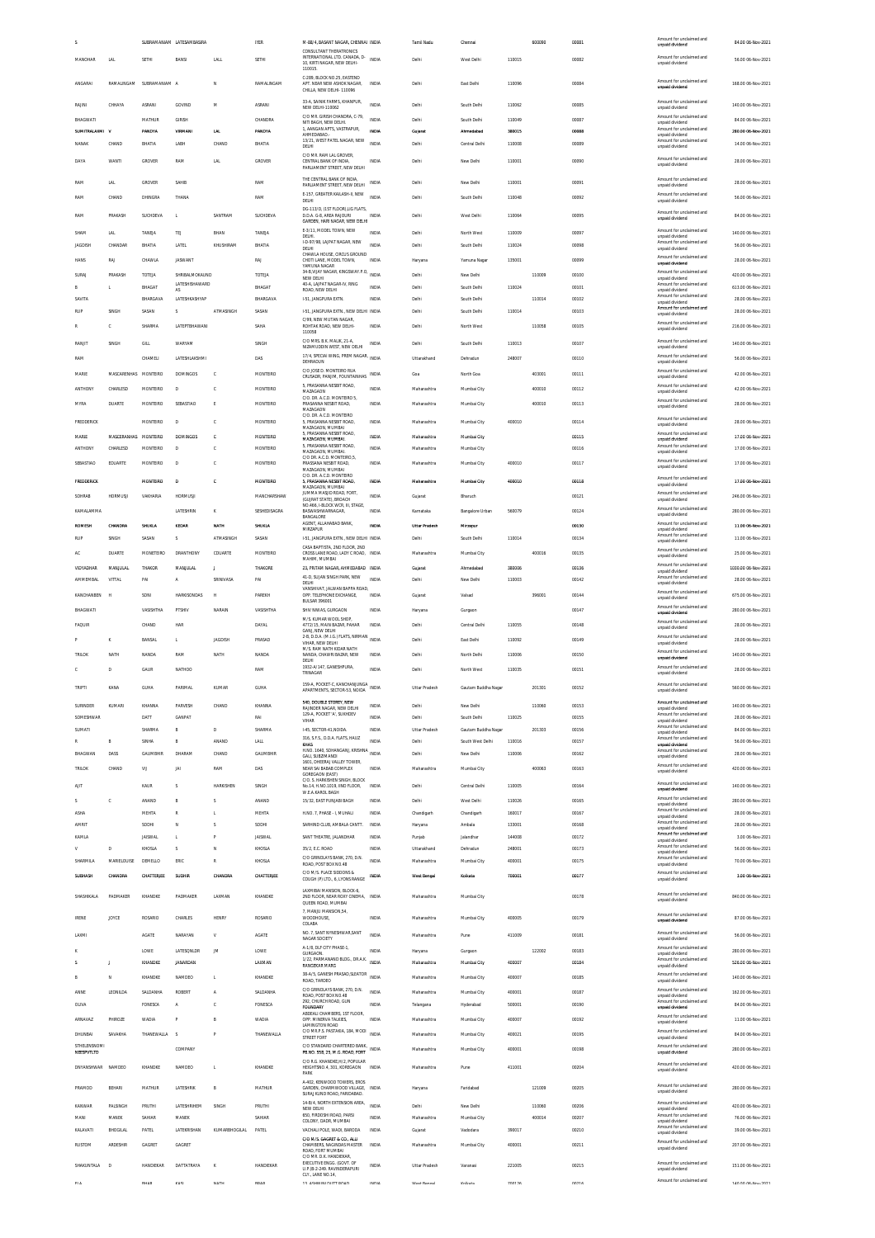|                               |                  | SUBRAMANIAM LATESAMBASIRA |                      | IYER              | M-88/4, BASANT NAGAR, CHENNAI INDIA<br>CONSULTANT THERATRONICS                                 |                | Tamil Nadu       | Chennai                    |                  | 600090 | 00081          | Amount for unck<br>unpaid dividend                                      | 84.00 06-Nov-2021                       |
|-------------------------------|------------------|---------------------------|----------------------|-------------------|------------------------------------------------------------------------------------------------|----------------|------------------|----------------------------|------------------|--------|----------------|-------------------------------------------------------------------------|-----------------------------------------|
| MANOHAR<br>LAL                | SETHI            | BANS                      | LALL                 | SETHI             | INTERNATIONAL LTD. CANADA, D- INDIA<br>10, KIRTI NAGAR, NEW DELHI-                             |                | Delhi            | West Delhi                 | 110015           |        | 00082          | Amount for unclaimed and<br>unpaid dividend                             | 56.00 06-Nov-2021                       |
|                               |                  |                           |                      |                   | 110015.                                                                                        |                |                  |                            |                  |        |                |                                                                         |                                         |
| ANGARA<br>RAMALINGAM          | SUBRAMANIAM A    |                           | N                    | RAMALINGAM        | C-289. BLOCK NO.25. EASTEND<br>APT. NEAR NEW ASHOK NAGAR.<br>CHILLA, NEW DELHI-110096          | INDIA          | Delhi            | East Delhi                 | 110096           |        | 00084          | Amount for unclaimed and<br>unpaid dividend                             | 168.00 06-Nov-2021                      |
| RAJINI<br>CHHAYA              | <b>ASRANI</b>    | GOVIND                    | M                    | <b>ASRANI</b>     | 33-A, SAINIK FARMS, KHANPUR,                                                                   | <b>INDIA</b>   | Delhi            | South Delhi                | 110062           |        | 00085          | Amount for unclaimed and                                                | 140.00 06-Nov-2021                      |
|                               |                  |                           |                      |                   | <b>NEW DELHI-110062</b><br>C/O MR. GIRISH CHANDRA, C-79.                                       |                |                  |                            |                  |        |                | unpaid dividend<br>Amount for unclaimed and                             |                                         |
| BHAGWATI<br>SUMITRALAXMI V    | MATHUR<br>PANDYA | GIRISH<br>VIRMAN          | LAL                  | CHANDRA<br>PANDYA | NITI BAGH. NEW DELHI.<br>1, AANGAN APTS, VASTRAPUR,                                            | INDIA<br>INDIA | Delhi<br>Gujarat | South Delhi<br>Ahmerishari | 110049<br>380015 |        | 00087<br>00088 | unpaid dividend<br>Amount for unclaimed and                             | 84.00 06-Nov-2021<br>280.00 06-Nov-2021 |
| CHAND<br>NANAK                | BHATIA           | LABH                      | CHAND                | BHATIA            | AHMEDABAD.<br>13/21, WEST PATEL NAGAR, NEW                                                     | <b>INDIA</b>   | Delhi            | Central Delhi              | 110008           |        | 00089          | unpaid dividend<br>Amount for unclaimed and                             | 14.00 06-Nov-2021                       |
|                               |                  |                           |                      |                   | DELHI<br>C/O MR. RAM LAL GROVER,                                                               |                |                  |                            |                  |        |                | unpaid dividend<br>Amount for unclaimed and                             |                                         |
| WANTI<br>DAYA                 | GROVER           | RAM                       | LAL                  | GROVER            | CENTRAL BANK OF INDIA,<br>PARLIAMENT STREET, NEW DELHI                                         | INDIA          | Delhi            | New Delhi                  | 110001           |        | 00090          | unpaid dividend                                                         | 28.00 06-Nov-2021                       |
| RAM<br>LAL                    | GROVER           | SAHIR                     |                      | RAM               | THE CENTRAL BANK OF INDIA.<br>PARLIAMENT STREET, NEW DELHI                                     | INDIA          | Delhi            | New Delhi                  | 110001           |        | 00091          | Amount for unclaimed and                                                | 28.00 06-Nov-2021                       |
| RAM<br>CHAND                  | DHINGRA          | THANA                     |                      | RAM               | E-157. GREATER KAILASH-II. NEW                                                                 | <b>INDIA</b>   | Delhi            | South Delhi                | 110048           |        | 00092          | unpaid dividend<br>Amount for unclaimed and                             | 56.00 06-Nov-2021                       |
|                               |                  |                           |                      |                   | DELHI<br>DG-113/D, (1ST FLOOR), LIG FLATS,                                                     |                |                  |                            |                  |        |                | unpaid dividend<br>Amount for unclaimed and                             |                                         |
| RAM<br>PRAKASH                | SUCHDEVA         | $\mathbf{L}$              | SANTRAM              | SHCHDEVA          | D.D.A. G.R. AREA RAIOURI<br>GARDEN HARLNAGAR NEW DELHI                                         | <b>INDIA</b>   | Delhi            | West Delhi                 | 110064           |        | 00095          | unpaid dividend                                                         | 84.00 06-Nov-2021                       |
| SHAM<br>LAL                   | TANEJA           | TEJ                       | BHAN                 | TANEJA            | E-3/11. MODEL TOWN. NEW<br>DELHI.                                                              | <b>INDIA</b>   | Delhi            | North West                 | 110009           |        | 00097          | Amount for unclaimed and<br>unpaid dividend                             | 140.00 06-Nov-2021                      |
| <b>JAGDISH</b><br>CHANDAR     | BHATIA           | LATEL                     | KHUSHIRAM            | BHATIA            | I-D-97/98. LAJPAT NAGAR. NEW<br>DELHI                                                          | <b>INDIA</b>   | Delhi            | South Delhi                | 110024           |        | 00098          | Amount for unclaimed and<br>unpaid dividend                             | 56.00 06-Nov-2021                       |
| HANS<br>RAJ                   | CHAWLA           | <b>JASWANT</b>            |                      | RAJ               | CHAWLA HOUSE, CIRCUS GROUND<br>CHOTI LANE, MODEL TOWN,<br>YAMI INA NAGAR                       | INDIA          | Haryana          | Yamuna Nagar               | 135001           |        | 00099          | Amount for unclaimed and<br>unpaid dividend                             | 28.00 06-Nov-2021                       |
| SURAJ<br>PRAKASH              | TOTEJA           | SHRIRALMOKALIND           |                      | TOTEJA            | 34-B.VUAY NAGAR, KINGSWAY.P.O.<br>NEW DELHI                                                    | <b>INDIA</b>   | Delhi            | New Delhi                  |                  | 110009 | 00100          | Amount for unclaimed and<br>unpaid dividend                             | 420.00 06-Nov-2021                      |
| ι                             | BHAGAT           | LATESHISHAWARD<br>AS      |                      | BHAGAT            | 40-A, LAJPAT NAGAR-IV, RING<br>ROAD, NEW DELHI                                                 | INDIA          | Delhi            | South Delhi                | 110024           |        | 00101          | Amount for unclaimed and<br>unpaid dividend                             | 613.00 06-Nov-2021                      |
| SAVITA                        | BHARGAVA         | LATESHKASHYAP             |                      | BHARGAVA          | 1-51, JANGPURA EXTN.                                                                           | <b>INDIA</b>   | Delhi            | South Delhi                |                  | 110014 | 00102          | Amount for unclaimed and<br>unpaid dividend                             | 28.00 06-Nov-2021                       |
| SINGH<br>RUP                  | SASAN            | s                         | ATMASINGH            | SASAN             | 1-51, JANGPURA EXTN., NEW DELHI INDIA<br>C/99, NEW MUTAN NAGAR,                                |                | Delhi            | South Delhi                | 110014           |        | 00103          | Amount for unclaimed and<br>unpaid dividend                             | 28.00 06-Nov-2021                       |
| d                             | SHARMA           | LATEPTBHAWAN              |                      | SAHA              | ROHTAK ROAD, NEW DELHI<br>110058                                                               | <b>INDIA</b>   | Delhi            | North West                 |                  | 110058 | 00105          | Amount for unclaimed and<br>unpaid dividend                             | 216.00 06-Nov-2021                      |
| RANJIT<br>SINGH               | GILL             | WARYAM                    |                      | SINGH             | C/O MRS. B.K. MALIK, 21-A.<br>NIZAMUDDIN WEST. NEW DELHI                                       | INDIA          | Delhi            | South Delhi                | 110013           |        | 00107          | Amount for unclaimed and<br>unpaid dividend                             | 140.00 06-Nov-2021                      |
| RAM                           | CHAMELI          | LATESHLAKSHMI             |                      | DAS               | 17/4. SPECIAL WING, PREM NAGAR,                                                                | <b>INDIA</b>   | Uttarakhand      | Dehradun                   | 248007           |        | 00110          | Amount for unclaimed and                                                | 56.00 06-Nov-2021                       |
| MARIE<br>MASCARENHAS MONTEIRO |                  | <b>DOMINGOS</b>           | $\mathbf c$          | MONTEIRO          | DEHRADUN<br>C/O JOSE D. MONTEIRO RUA                                                           | INDIA          | Goa              | North Goa                  |                  | 403001 | 00111          | unpaid dividend<br>Amount for unclaimed and                             | 42.00 06-Nov-2021                       |
|                               |                  |                           |                      |                   | CRUSADR, PANJIM, FOUNTAINHAS<br>5, PRASANNA NESBIT ROAD,                                       |                |                  |                            |                  |        |                | unpaid dividend<br>Amount for unclaimed and                             |                                         |
| <b>ANTHONY</b><br>CHARLESD    | MONTEIRO         | D                         | c                    | MONTEIRO          | MAZAGAON<br>C/O. DR. A.C.D. MONTEIRO 5                                                         | <b>INDIA</b>   | Maharashtra      | Mumbai City                |                  | 400010 | 00112          | unpaid dividend<br>Amount for unclaimed and                             | 42.00 06-Nov-2021                       |
| DUARTE<br>MYRA                | MONTEIRO         | SEBASTIAO                 | E                    | MONTEIRO          | PRASANNA NESBIT ROAD,<br>MAZAGAON                                                              | INDIA          | Maharashtra      | Mumbai City                |                  | 400010 | 00113          | unpaid dividend                                                         | 28.00 06-Nov-2021                       |
| FREDDERICK                    | MONTEIRO         | D                         | c                    | MONTEIRO          | C/O, DR. A.C.D. MONTEIRO<br>5, PRASANNA NESBIT ROAD,<br>MAZAGAON, MUMBAI                       | INDIA          | Maharashtra      | Mumbai City                | 400010           |        | 00114          | Amount for unclaimed and<br>unpaid dividend                             | 28.00 06-Nov-2021                       |
| MARIE<br>MASCERANHAS          | MONTEIRO         | DOMINGOS                  | c                    | MONTEIRO          | 5. PRASANNA NESBIT ROAD<br>MAZAGAON, MUMBAI,                                                   | INDIA          | Maharashtra      | Mumbai City                |                  |        | 00115          | Amount for unclaimed and<br>boebivib bisonu                             | 17.00 06-Nov-2021                       |
| <b>ANTHONY</b><br>CHARLESD    | MONTEIRO         | D                         | c                    | MONTEIRO          | 5. PRASANNA NESBIT ROAD.<br>MAZAGAON, MUMBAI,                                                  | <b>INDIA</b>   | Maharashtra      | Mumbai City                |                  |        | 00116          | Amount for unclaimed and<br>unpaid dividend                             | 17.00 06-Nov-2021                       |
| SEBASTIAO<br>EDUARTE          | MONTEIRO         | D                         | c                    | MONTEIRO          | C/O DR. A.C.D. MONTEIRO.5.<br>PRASSANA NESBIT ROAD,                                            | <b>INDIA</b>   | Maharashtra      | Mumbai City                | 400010           |        | 00117          | Amount for unclaimed and<br>unpaid dividend                             | 17.00 06-Nov-2021                       |
| <b>FREDDERICK</b>             | <b>MONTEIRO</b>  | $\overline{0}$            | c                    | <b>MONTEIRO</b>   | MAZAGAON, MUMBAI<br>C/O. DR. A.C.D. MONTEIRO<br>5. PRASANNA NESBIT ROAD.                       | INDIA          | Maharashtra      | Mumbai City                | 400010           |        | 00118          | Amount for unclaimed and                                                | 17.00 06-Nov-2021                       |
|                               |                  |                           |                      |                   | MAZAGAON, MUMBAI<br>JUMMA MASJID ROAD, FORT.                                                   |                |                  |                            |                  |        |                | unpaid dividend<br>Amount for unclaimed and                             |                                         |
| HORMUSJI<br>SOHRAB            | VAKHARIA         | <b>HORMUSJI</b>           |                      | MANCHARSHAW       | (GUJRAT STATE), BROACH<br>NO.466, I-BLOCK WCR, III, STAGE,                                     | <b>INDIA</b>   | Gujarat          | Bharuch                    |                  |        | 00121          | unpaid dividend<br>Amount for unclaimed and                             | 246.00 06-Nov-2021                      |
| KAMALAMMA                     |                  | LATESHRIN                 |                      | SESHEDISAGRA      | BASWASHWARNAGAR,<br>BANGALORE                                                                  | INDIA          | Karnataka        | Bangalore Urban            | 560079           |        | 00124          | unpaid dividend                                                         | 280.00 06-Nov-2021                      |
| <b>ROMESH</b><br>CHANDRA      | SHUKLA           | KEDAR                     | MATH                 | SHUKLA            | AGENT. ALLAHABAD BANK<br>MIRZAPUR                                                              | <b>INDIA</b>   | Uttar Pradesh    | Mirzapur                   |                  |        | 00130          | Amount for unclaimed and<br>unpaid dividend<br>Amount for unclaimed and | 11.00 06-Nov-2021                       |
| SINGH<br><b>RUP</b>           | SASAN            | s                         | ATMASINGH            | SASAN             | 1-51, JANGPURA EXTN., NEW DELHI INDIA<br>CASA BAPTISTA, 2ND FLOOR, 2ND                         |                | Delhi            | South Delhi                | 110014           |        | 00134          | unpaid dividend<br>Amount for unclaimed and                             | 11.00 06-Nov-2021                       |
| AC<br>DUARTE                  | MONETEIRO        | DRANTHONY                 | CDUARTE              | MONTEIRO          | CROSS LANE ROAD, LADY C ROAD, INDIA<br>MAHIM, MUMBAI                                           |                | Maharashtra      | Mumbai City                |                  | 400016 | 00135          | unpaid dividend                                                         | 25.00 06-Nov-2021                       |
| VIDYADHAR<br><b>MANJULAL</b>  | THAKOR           | MANULAI                   | - 11                 | THAKORE           | 23, PRITAM NAGAR, AHMEDABAD INDIA                                                              |                | Gujarat          | Ahmedabad                  | 380006           |        | 00136          | Amount for unclaimed and<br>unpaid dividend<br>Amount for unclaimed and | 1030.00 06-Nov-2021                     |
| <b>AMMEMBAL</b><br>VITTAL     | PAI              | A                         | SRINIVASA            | PAI               | 41-D, SUJAN SINGH PARK, NEW<br>DELHI<br>VANSHIVAT, JALWAN BAPPA ROAD                           | <b>INDIA</b>   | Delhi            | New Delhi                  | 110003           |        | 00142          | unpaid dividend                                                         | 28.00 06-Nov-2021                       |
| KANCHANBEN<br>k               | SON              | <b>HARKISONDAS</b>        | H                    | PAREKH            | OPP. TELEPHONE EXCHANGE                                                                        | INDIA          | Gujarat          | Valsad                     |                  | 396001 | 00144          | Amount for unclaimed and                                                | 675.00 06-Nov-2021                      |
|                               |                  |                           |                      |                   | BULSAR 396001                                                                                  |                |                  |                            |                  |        |                | unpaid dividend                                                         |                                         |
| BHAGWATI                      | VASISHTHA        | PTSHIV                    | NARAIN               | VASISHTHA         | SHIV NIWAS, GURGAON                                                                            | <b>INDIA</b>   | Haryana          | Gurgaon                    |                  |        | 00147          | Amount for unclaimed and<br>unpaid dividend                             | 280.00 06-Nov-2021                      |
| <b>FAQUIR</b>                 | CHAND            | HAR                       |                      | DAYAL             | M/S. KUMAR WOOL SHOP<br>4772/15 MAIN RAZAR PAHAR                                               | <b>INDIA</b>   | Delhi            | Central Delhi              | 110055           |        | 00148          | Amount for unclaimed and                                                | 28.00 06-Nov-2021                       |
| ĸ                             | BANSAL           | L.                        | <b>JAGDISH</b>       | PRASAD            | GANJ. NEW DELHI<br>2-B, D.D.A. (M.I.G.) FLATS, NIRMAN                                          | <b>INDIA</b>   | Delhi            | East Delhi                 | 110092           |        | 00149          | unpaid dividend<br>Amount for unclaimed and                             | 28.00 06-Nov-2021                       |
| TRILOK<br>NATH                | NANDA            | RAM                       | NATH                 | NANDA             | VIHAR NEW DELHI<br>M/S. RAM NATH KIDAR NATH<br>NANDA, CHAWRI BAZAR, NEW                        | INDIA          | Delhi            | North Delh                 | 110006           |        | 00150          | unpaid dividend<br>Amount for unclaimed and                             | 140.00 06-Nov-2021                      |
| Ċ.                            |                  |                           |                      | RAM               | DELHI<br>1932-A/147, GANESHPURA,                                                               | <b>INDIA</b>   | Delhi            |                            |                  |        |                | unpaid dividend<br>Amount for unclaimed and                             |                                         |
| D                             | GAUR             | NATHOO                    |                      |                   | TRINAGAR                                                                                       |                |                  | North West                 | 110035           |        | 00151          | unpaid dividend                                                         | 28.00 06-Nov-2021                       |
| TRIPTI<br>KANA                | GUHA             | PARIMAL                   | KUMAR                | <b>GUHA</b>       | 159-A POCKET-C KANCHANILINGA<br>APARTMENTS, SECTOR-53, NOIDA                                   | <b>INDIA</b>   | Uttar Pradesh    | Gautam Buddha Nagar        |                  | 201301 | 00152          | Amount for unclaimed and<br>unpaid dividend                             | 560.00 06-Nov-2021                      |
| SURINDER<br>KUMARI            | KHANNA           | PARVESH                   | CHAND                | KHANNA            | 540, DOUBLE STOREY, NEW<br>RAJINDER NAGAR. NEW DELHI                                           | INDIA          | Delhi            | New Delhi                  |                  | 110060 | 00153          | Amount for unclaimed and<br>unpaid dividend                             | 140.00 06-Nov-2021                      |
| SOMESHWAR                     | DATT             | GANPAT                    |                      | RAI               | 129-A, POCKET 'A', SUKHDEV<br>VIHAR                                                            | <b>INDIA</b>   | Delhi            | South Delhi                | 110025           |        | 00155          | Amount for unclaimed and<br>unpaid dividend                             | 28.00 06-Nov-2021                       |
| SUMATI                        | SHARMA           | B                         | D                    | SHARMA            | I-45, SECTOR-41, NOIDA                                                                         | INDIA          | Uttar Pradesh    | Gautam Buddha Nagar        |                  | 201303 | 00156          | Amount for unclaimed and<br>unpaid dividend                             | 84.00 06-Nov-2021                       |
| E                             | SINHA            | B                         | ANAND                | LALL              | 316, S.F.S., D.D.A. FLATS, HAUZ<br>KHAS<br>H NO 1640 SOHANGANI KRISHNA                         | <b>INDIA</b>   | Delhi            | South West Delhi           | 110016           |        | 00157          | Amount for unclaimed and<br>unpaid dividend<br>Amount for unclaimed and | 56.00 06-Nov-2021                       |
| BHAGWAN<br>DASS               | <b>GAUMBHIR</b>  | DHARAM                    | CHAND                | <b>GALIMBHIR</b>  | GALI, SUBZIMANDI<br>1601, DHEERAJ VALLEY TOWER                                                 | <b>INDIA</b>   | Delhi            | New Delhi                  | 110006           |        | 00162          | unpaid dividend                                                         | 28.00 06-Nov-2021                       |
| <b>TRILOK</b><br>CHAND        | VU               | JAI                       | RAM                  | DAS               | NEAR SALBABAR COMPLEX<br>GOREGAON (EAST)                                                       | INDIA          | Maharashtra      | Mumbai City                |                  | 400063 | 00163          | Amount for unclaimed and<br>unpaid dividend                             | 420.00 06-Nov-2021                      |
| AIIT                          | KAUR             | s                         | <b>HARKISHEN</b>     | SINGH             | C/O. S. HARKISHEN SINGH, BLOCK<br>No.14, H.NO.1019, IIND FLOOR,                                | INDIA          | Delhi            | Central Delhi              | 110005           |        | 00164          | Amount for unclaimed and<br>unpaid dividend                             | 140.00 06-Nov-2021                      |
| s<br>C                        | ANAND            | B                         | s                    | ANAND             | W.E.A.KAROL BAGH<br>15/32 FAST PUNJARI RAGH                                                    | <b>INDIA</b>   | Delhi            | West Delhi                 | 110026           |        | 00165          | Amount for unclaimed and                                                | 280.00 06-Nov-2021                      |
| ASHA                          | MEHTA            |                           |                      | MEHTA             | H.NO. 7, PHASE - I, MUHALI                                                                     | INDIA          | Chandigarh       | Chandigarh                 | 160017           |        | 00167          | unpaid dividend<br>Amount for unclaimed and<br>unpaid dividend          | 28.00 06-Nov-2021                       |
| AMRIT                         | SODHI            | N                         |                      | SODHI             | SARHIND CLUB, AMBALA CANTT.                                                                    | INDIA          | Haryana          | Ambala                     | 133001           |        | 00168          | Amount for unclaimed and<br>unpaid dividend                             | 28.00 06-Nov-2021                       |
| KAMLA                         | <b>JAISWAL</b>   | L.                        | P                    | <b>JAISWAL</b>    | SANT THEATRE, JALANDHAR                                                                        | <b>INDIA</b>   | Punjab           | Jalandhar                  | 144008           |        | 00172          | Amount for unclaimed and<br>unpaid dividend                             | 3.00 06-Nov-2021                        |
| D<br>v                        | KHOSLA           | s                         | N                    | KHOSLA            | 35/2, E.C. ROAD                                                                                | <b>INDIA</b>   | Uttarakhand      | Dehradun                   | 248001           |        | 00173          | Amount for unclaimed and<br>unpaid dividend                             | 56.00 06-Nov-2021                       |
| MARIELOUISE<br>SHARMILA       | DEMELLO          | ERIC                      | R                    | KHOSLA            | C/O GRINDLAYS BANK, 270, D.N.<br>ROAD, POST BOX NO.48                                          | INDIA          | Maharashtra      | Mumbai City                | 400001           |        | 00175          | Amount for unclaimed and<br>unpaid dividend                             | 70.00 06-Nov-2021                       |
| <b>CHANDRA</b><br>SUBHASH     | CHATTERJEE       | <b>SUDHIR</b>             | CHANDRA              | CHATTERJEE        | C/O M/S. PLACE SIDDONS &<br>COUGH (P) LTD., 6, LYONS RANGE                                     | INDIA          | West Bengal      | Kolkata                    | 700001           |        | 00177          | Amount for unclaimed and<br>unpaid dividend                             | 3.00 06-Nov-2021                        |
| SHASHIKALA<br>PADMAKER        | KHANDKE          | PADMAKER                  | LAXMAN               | KHANDKE           | LAXMIBAI MANSION, BLOCK-6<br>2ND FLOOR, NEAR ROXY CINEMA, INDIA<br>QUEEN ROAD, MUMBAI          |                | Maharashtra      | Mumbai City                |                  |        | 00178          | Amount for unclaimed and<br>unpaid dividend                             | 840.00 06-Nov-2021                      |
| JOYCE<br><b>IRENE</b>         | ROSARIO          | CHARLES                   | HENRY                | ROSARIO           | 7. MANJU MANSION.54.<br>WOODHOUSE,                                                             | INDIA          | Maharashtra      | Mumbai City                | 400005           |        | 00179          | Amount for unclaimed and<br>unpaid dividend                             | 87.00 06-Nov-2021                       |
|                               |                  |                           |                      |                   | COLABA<br>NO. 7, SANT NYNESHWAR, SANT                                                          |                |                  |                            |                  |        |                | Amount for unclaimed and                                                |                                         |
| LAXMI                         | <b>AGATE</b>     | NARAYAN                   | V                    | <b>AGATE</b>      | NAGAR SOCIETY<br>A-1/8, DLF CITY PHASE-1,                                                      | <b>INDIA</b>   | Maharashtra      | Pune                       | 411009           |        | 00181          | unpaid dividend<br>Amount for unclaimed and                             | 56.00 06-Nov-2021                       |
|                               | LOWE             | LATESQNLDR                | JM.                  | LOWE              | GURGAON.<br>1/22, PARMANAND BLDG., DR.A.K.                                                     | <b>INDIA</b>   | Haryana          | Gurgson                    |                  | 122002 | 00183          | unpaid dividend<br>Amount for unclaimed and                             | 280.00 06-Nov-2021                      |
| s<br>J.                       | KHANDKE          | <b>IANARDAN</b>           |                      | LAXMAN            | <b>RANGEKAR MARG</b><br>38-A/5, GANESH PRASAD, SLEATOR                                         | INDIA          | Maharashtra      | Mumbai City                | 400007           |        | 00184          | unpaid dividend<br>Amount for unclaimed and                             | 526.00 06-Nov-2021                      |
| B<br>N                        | KHANDKE          | NAMDEO                    | $\mathbf{L}$         | KHANDKE           | ROAD, TARDEO                                                                                   | <b>INDIA</b>   | Maharashtra      | Mumbai City                | 400007           |        | 00185          | unpaid dividend<br>Amount for unclaimed and                             | 140.00 06-Nov-2021                      |
| LEONILDA<br>ANNE              | SALDANHA         | ROBERT                    | А                    | SALDANHA          | C/O GRINDLAYS BANK, 270, D.N.<br>ROAD, POST BOX NO.48<br>292, CHURCH ROAD, GUN                 | INDIA          | Maharashtra      | Mumbai City                | 400001           |        | 00187          | unpaid dividend<br>Amount for unclaimed and                             | 162.00 06-Nov-2021                      |
| OLIVA                         | FONESCA          | $\Lambda$                 | c                    | FONESCA           | <b>FOUNDARY</b><br>ABDEALI CHAMBERS. 1ST FLOOR                                                 | <b>INDIA</b>   | Telangana        | Hyderabad                  | 500001           |        | 00190          | unpaid dividend                                                         | 84.00 06-Nov-2021                       |
| ARNAVAZ<br>PHIROZE            | <b>WADIA</b>     |                           | B                    | <b>WADIA</b>      | OPP. MINERVA TALKIES,<br>LAMINGTON ROAD                                                        | <b>INDIA</b>   | Maharashtra      | Mumbai City                | 400007           |        | 00192          | Amount for unclaimed and<br>unpaid dividend                             | 11.00 06-Nov-2021                       |
| SAVAKHA<br>DHUNBAI            | THANEWALLA       | -S                        | P                    | THANEWALLA        | C/O MR.P.S. PASTAKIA, 184, MODI<br>STREET FORT                                                 | <b>INDIA</b>   | Maharashtra      | Mumbai City                | 400021           |        | 00195          | Amount for unclaimed and<br>unpaid dividend                             | 84.00 06-Nov-2021                       |
| STHELENSNOMI<br>NEESPVTLTD    |                  | COMPANY                   |                      |                   | C/O STANDARD CHARTERED BANK.<br>PB.NO. 558, 25, M.G. ROAD, FORT                                | INDIA          | Maharashtra      | Mumbai City                | 400001           |        | 00198          | Amount for unclaimed and<br>unpaid dividend                             | 280.00 06-Nov-2021                      |
| <b>DNYANSHWAR</b><br>NAMDEO   | KHANDKE          | NAMDEO                    | $\mathbf{L}$         | KHANDKE           | C/O R.G. KHANDKE.H/2. POPULAR<br>HEIGHTSNO.4, 301, KOREGAON                                    | INDIA          | Maharashtra      | Pune                       | 411001           |        | 00204          | Amount for unclaimed and                                                | 420.00 06-Nov-2021                      |
|                               |                  |                           |                      |                   | PARK                                                                                           |                |                  |                            |                  |        |                | unpaid dividend                                                         |                                         |
| PRAMOD<br>BEHARI              | MATHUR           | LATESHRIK                 | B                    | MATHUR            | A-402, KENWOOD TOWERS, EROS<br>GARDEN, CHARMWOOD VILLAGE. INDIA<br>SURAJ KUND ROAD, FARIDABAD. |                | Haryana          | Faridabad                  |                  | 121009 | 00205          | Amount for unclaimed and<br>unpaid dividend                             | 280.00 06-Nov-2021                      |
| KANWAR<br>PALSINGH            | PRUTHI           | LATESHRIHEM               | SINGH                | PRUTHI            | 14-B/4, NORTH EXTENSION AREA,<br>NEW DELHI                                                     | <b>INDIA</b>   | Delhi            | New Delhi                  |                  | 110060 | 00206          | Amount for unclaimed and                                                | 420.00 06-Nov-2021                      |
| MANI<br>MANEK                 | SAHIAR           | MANEK                     |                      | SAHIAR            | 650. FIRDOSHI ROAD, PARSI<br>COLONY, DADR, MUMBAI                                              | <b>INDIA</b>   | Maharashtra      | Mumbai City                |                  | 400014 | 00207          | unpaid dividend<br>Amount for unclaimed and<br>unpaid dividend          | 76.00 06-Nov-2021                       |
| KALAVATI<br>BHOGILAL          | PATEL            | LATEKRISHAN               | <b>KUMARBHOGILAL</b> | PATEL             | VACHALI POLE. WADI. BARODA                                                                     | INDIA          | Gujarat          | Vadodara                   | 390017           |        | 00210          | Amount for unclaimed and<br>unpaid dividend                             | 39.00 06-Nov-2021                       |
| <b>ARDESHIR</b><br>RUSTOM     | GAGRET           | GAGRET                    |                      |                   | C/O M/S. GAGRET & CO., ALLI<br>CHAMBERS, NAGINDAS MASTER                                       | <b>INDIA</b>   | Maharashtra      | Mumbai City                | 400001           |        | 00211          | Amount for unclaimed and<br>unpaid dividend                             | 207.00 06-Nov-2021                      |
|                               |                  |                           |                      |                   | ROAD, FORT MUMBAI<br>C/O MR. D.K. HANDIEKAR<br>EXECUTIVE ENGG. (GOVT. OF                       |                |                  |                            |                  |        |                | Amount for unclaimed and                                                |                                         |
| SHAKUNTALA<br>$\overline{D}$  | HANDIFKAR        | DATTATRAYA                | K                    | HANDIEKAR         | U.P.)B-2-249. RAVINDERAPURI<br>CLY., LANE NO.14,                                               | INDIA          | Uttar Pradesh    | Varanasi                   | 221005           |        | 00215          | unpaid dividend<br>Amount for unclaimed and                             | 151.00 06-Nov-2021                      |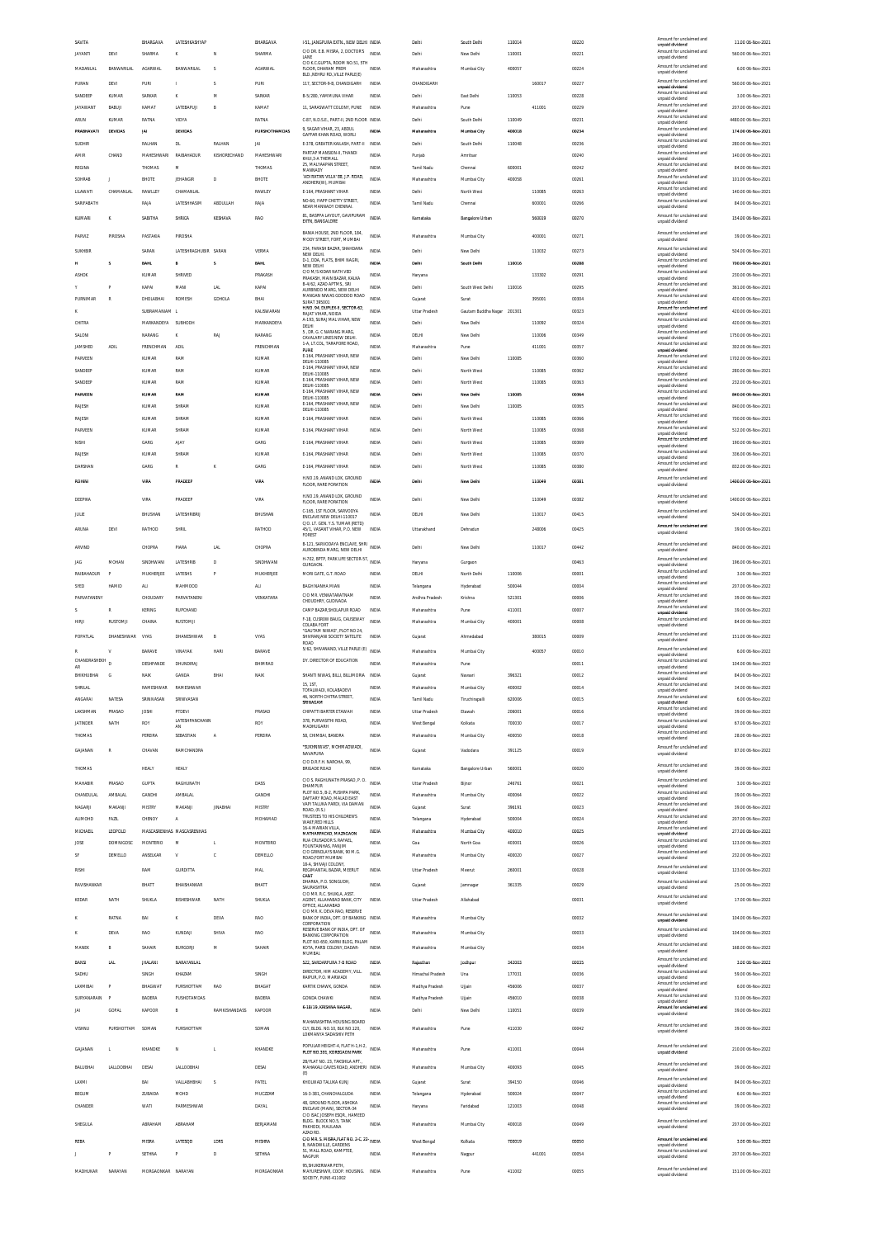| SAVITA          |                   | BHARGAVA           | LATESHKASHYAP             |                | BHARGAVA          | 1-51, JANGPURA EXTN., NEW DELHI INDIA                                |              | Delhi                | South Delhi            | 110014 |        | 00220 | Amount for unclai<br>unnaid dividend        | 11.00 06-Nov-2021   |
|-----------------|-------------------|--------------------|---------------------------|----------------|-------------------|----------------------------------------------------------------------|--------------|----------------------|------------------------|--------|--------|-------|---------------------------------------------|---------------------|
| <b>JAYANTI</b>  | DEVI              | SHARMA             | $\kappa$                  | N              | SHARMA            | C/O DR. E.B. MISRA, 2, DOCTOR'S<br>LANE                              | <b>INDIA</b> | Delhi                | New Delhi              | 110001 |        | 00221 | Amount for unclaimed and<br>unpaid dividend | 560.00 06-Nov-2021  |
| MADANLAL        | <b>BANWARILAL</b> | AGARWAL            | BANWARILAL                | S              | <b>AGARWAL</b>    | C/O K.C.GUPTA, ROOM NO.51, 5TH<br>FLOOR, DHARAM PREM                 | INDIA        | Maharashtra          | Mumbai City            | 400057 |        | 00224 | Amount for unclaimed and                    | 6.00 06-Nov-2021    |
|                 |                   |                    |                           |                |                   | BLD. NEHRU RD. VILLE PARLE(E)                                        |              |                      |                        |        |        |       | unpaid dividend                             |                     |
| PURAN           | DEVI              | PUR                |                           | S              | PUR               | 117. SECTOR-9-B. CHANDIGARH                                          | INDIA        | CHANDIGARI           |                        |        | 160017 | 00227 | Amount for unclaimed and<br>unpaid dividend | 560.00 06-Nov-2021  |
| SANDEEP         | <b>KUMAR</b>      | SARKAR             | $\kappa$                  | M              | SARKAR            | B-5/280. YAMMUNA VIHAR                                               | INDIA        | Delhi                | East Delhi             | 110053 |        | 00228 | Amount for unclaimed and<br>unpaid dividend | 3.00 06-Nov-2021    |
| <b>JAYAWANT</b> | BABUJI            | KAMAT              | LATEBAPUJ                 | B              | KAMAT             | 11, SARASWATT COLONY, PUNE                                           | INDIA        | Maharashtra          | Pune                   |        | 411001 | 00229 | Amount for unclaimed and<br>unpaid dividend | 207.00 06-Nov-2021  |
| ARUN            | KUMAR             | RATNA              | VIDYA                     |                | RATNA             | C-87, N.D.S.E., PART-II, 2ND FLOOR INDIA                             |              | Delhi                | South Delhi            | 110049 |        | 00231 | Amount for unclaimed and                    | 4480.00 06-Nov-2021 |
| PRABHAVATI      |                   | JAI                | DEVIDAS                   |                | PURSHOTHAMDAS     | 9. SAGAR VIHAR, 23, ABDUL                                            | INDIA        | Maharashtra          |                        |        |        |       | unpaid dividend<br>Amount for unclaimed and | 174.00 06-Nov-2021  |
|                 | DEVIDAS           |                    |                           |                |                   | GAFFAR KHAN ROAD. WORLL                                              |              |                      | Mumbai City            | 400018 |        | 00234 | unpaid dividend<br>Amount for unclaimed and |                     |
| SUDHIR          |                   | RALHAN             | DL                        | RALHAN         | JAI               | E-378, GREATER KAILASH, PART-II                                      | INDIA        | Delhi                | South Delhi            | 110048 |        | 00236 | unpaid dividend                             | 280.00 06-Nov-2021  |
| AMIR            | CHAND             | MAHESHWARI         | <b>RAIRAHADLIR</b>        | KISHORECHAND   | <b>MAHESHWARI</b> | PARTAP MANSION-II, THANDI<br>KHUI, 3-A THEMALL                       | INDIA        | Punjab               | Amritsan               |        |        | 00240 | Amount for unclaimed and<br>unpaid dividend | 140.00 06-Nov-2021  |
| REGINA          |                   | THOMAS             | M                         |                | THOMAS            | 25, MALYAAPAN STREET<br>MANNADY                                      | INDIA        | Tamil Nadu           | Chennai                | 600001 |        | 00242 | Amount for unclaimed and<br>unpaid dividend | 84.00 06-Nov-2021   |
| SOHRAB          |                   | BHOTE              | <b>JEHANGIR</b>           | D              | <b>BHOTE</b>      | 'ADI RATAN VILLA' 88, J.P. ROAD,                                     | INDIA        | Maharashtra          | Mumbai City            | 400058 |        | 00261 | Amount for unclaimed and                    | 101.00 06-Nov-2021  |
| LILAWATI        | CHAMANLAL         | RAWLLEY            | CHAMANLAL                 |                | RAWLEY            | ANDHERI(W), MUMBAI<br>E-164, PRASHANT VIHAR                          | INDIA        | Delhi                | North West             |        | 110085 | 00263 | unpaid dividend<br>Amount for unclaimed and | 140.00 06-Nov-2021  |
|                 |                   |                    |                           |                |                   | NO-60, IYAPP CHETTY STREET,                                          |              |                      |                        |        |        |       | unpaid dividend<br>Amount for unclaimed and |                     |
| SARIFABATH      |                   | RAJA               | <b>LATESHHASIM</b>        | ABDULLAH       | RAIA              | NEAR MANNADY CHENNAL                                                 | INDIA        | Tamil Nadu           | Chennai                |        | 600001 | 00266 | unpaid dividend                             | 84.00 06-Nov-2021   |
| KUMARI          | ĸ                 | SABITHA            | SHRIGA                    | KESHAVA        | RAO               | 81, BASPPA LAYOUT, GAVIPURAM<br><b>EXTN_RANGALORE</b>                | INDIA        | Karnataka            | <b>Bangalore Urban</b> |        | 560019 | 00270 | Amount for unclaimed and<br>unnaid dividend | 154.00 06-Nov-2021  |
|                 |                   |                    |                           |                |                   |                                                                      |              |                      |                        |        |        |       |                                             |                     |
| PARVIZ          | PIROSHA           | PASTAKIA           | PIROSHA                   |                |                   | BANIA HOUSE, 2ND FLOOR, 184,<br>MODY STREET FORT MUMBAL              | INDIA        | Maharashtra          | Mumbai City            |        | 400001 | 00271 | Amount for unclaimed and<br>unpaid dividend | 39.00 06-Nov-2021   |
| <b>SUKHBIR</b>  |                   | SARAN              | LATESHRAGHUBIR SARAM      |                | VERMA             | 234. FARASH BAZAR. SHAHDARA                                          | INDIA        | Delh                 | New Delhi              |        | 110032 | 00273 | Amount for unclaimed and                    | 504.00 06-Nov-2021  |
|                 | s                 | <b>BAHL</b>        | B                         | s              | BAHL              | NEW DELHI.<br>D-1, DDA, FLATS, BHIM NAGRI,                           | INDIA        | Dethi                | South Dethi            | 110016 |        | 00288 | unpaid dividend<br>Amount for unclaimed and | 700.00 06-Nov-2021  |
|                 |                   |                    |                           |                |                   | NEW DELHI<br>C/O M/S KIDAR NATH VED                                  |              |                      |                        |        |        |       | unpaid dividend<br>Amount for unclaimed and |                     |
| <b>ASHOR</b>    |                   | KUMAR              | SHRIVED                   |                | PRAKASH           | PRAKASH, MAIN BAZAR, KALKA                                           | INDIA        | Haryana              |                        |        | 133302 | 00291 | unpaid dividend                             | 230.00 06-Nov-2021  |
|                 |                   | KAPAI              | MANI                      | <b>LAL</b>     | KAPAI             | B-4/62, AZAD APTMS., SRI<br>AURBINDO MARG. NEW DELHI                 | INDIA        | Delhi                | South West Delhi       | 110016 |        | 00295 | Amount for unclaimed and<br>unpaid dividend | 361.00 06-Nov-2021  |
| PURNIMAR        | R                 | DHOLABHAI          | ROMESH                    | GDHOLA         | BHAI              | MANGAN NIWAS GODDOD ROAD<br><b>SURAT 395001</b>                      | INDIA        | Gujarat              | Surat                  |        | 395001 | 00304 | Amount for unclaimed and<br>unpaid dividend | 420.00 06-Nov-2021  |
|                 |                   | SUBRAMANIAM        |                           |                | KALISWARAN        | H.NO. 94, DUPLEX-II, SECTOR-62,<br>RAJAT VIHAR, NOIDA                | INDIA        | Uttar Pradesh        | Gautam Buddha Nagar    | 201301 |        | 00323 | Amount for unclaimed and<br>unpaid dividend | 420.00 06-Nov-2021  |
| CHITRA          |                   | MARKANDEYA         | SUBHODH                   |                | MARKANDEYA        | A-193, SURAJ MAL VIHAR, NEW                                          | INDIA        | Delhi                | New Delhi              |        | 110092 | 00324 | Amount for unclaimed and                    | 420.00 06-Nov-2021  |
| SALON           |                   | NARANG             |                           | RAJ            | NARANG            | DELHI<br>5 . DR. G. C NARANG MARG.                                   | INDIA        | DELH                 | New Delhi              |        | 110006 | 00349 | unpaid dividend<br>Amount for unclaimed and | 1750.00 06-Nov-2021 |
|                 |                   |                    |                           |                |                   | CAVALARY LINES NEW DELHI.<br>1-A. LT.COL. TARAPORE ROAD.             |              |                      |                        |        |        |       | unpaid dividend<br>Amount for unclaimed and |                     |
| <b>JAMSHED</b>  | <b>ADIL</b>       | FRENCHMAN          | <b>ADIL</b>               |                | FRENCHMAN         | PUNE                                                                 | INDIA        | Maharashtra          | Pune                   |        | 411001 | 00357 | unpaid dividend                             | 302.00 06-Nov-2021  |
| PARVEEN         |                   | KUMAR              | RAM                       |                | KUMAR             | E-164, PRASHANT VIHAR, NEW<br>DELHI-110085                           | INDIA        | Delh                 | New Delhi              | 110085 |        | 00360 | Amount for unclaimed and<br>unpaid dividend | 1702.00 06-Nov-2021 |
| SANDEEP         |                   | KUMAR              | RAM                       |                | KUMAR             | E-164, PRASHANT VIHAR, NEW<br>DELHI-110085                           | <b>INDIA</b> | Delhi                | North West             |        | 110085 | 00362 | Amount for unclaimed and<br>unpaid dividend | 280.00 06-Nov-2021  |
| SANDEEP         |                   | KUMAR              | RAM                       |                | KLIMAR            | E-164, PRASHANT VIHAR, NEW                                           | <b>INDIA</b> | Delhi                | North West             |        | 110085 | 00363 | Amount for unclaimed and                    | 232.00 06-Nov-2021  |
| PARVEEN         |                   | KUMAS              | RAM                       |                | KUMA              | DELHI-110085<br>E-164, PRASHANT VIHAR, NEW                           | INDIA        | Delh                 | New Delhi              | 110085 |        | 00364 | unpaid dividend<br>Amount for unclaimed and | 840.00 06-Nov-2021  |
|                 |                   |                    |                           |                |                   | DELHI-110085<br>E-164, PRASHANT VIHAR, NEW                           |              |                      |                        |        |        |       | unpaid dividend<br>Amount for unclaimed and |                     |
| RAJESH          |                   | <b>KUMAR</b>       | SHRAM                     |                | <b>KUMAR</b>      | DELHI-110085                                                         | <b>INDIA</b> | Delhi                | New Delhi              | 110085 |        | 00365 | unpaid dividend                             | 840.00 06-Nov-2021  |
| RAJESH          |                   | KUMAR              | SHRAM/                    |                | KUMAF             | E-164, PRASHANT VIHAR                                                | INDIA        | Delh                 | North West             |        | 110085 | 00366 | Amount for unclaimed and<br>unpaid dividend | 700.00 06-Nov-2021  |
| PARVEEN         |                   | KUMAR              | SHRAM                     |                | KUMAR             | E-164, PRASHANT VIHAR                                                | INDIA        | Delhi                | North West             |        | 110085 | 00368 | Amount for unclaimed and<br>unpaid dividend | 512.00 06-Nov-2021  |
| NISHI           |                   | GARG               | <b>AIAY</b>               |                | GARG              | E-164, PRASHANT VIHAR                                                | INDIA        | Delh                 | North West             |        | 110085 | 00369 | Amount for unclaimed and                    | 190.00 06-Nov-2021  |
|                 |                   |                    | SHRAM/                    |                |                   |                                                                      |              | Delhi                |                        |        |        |       | unpaid dividend<br>Amount for unclaimed and |                     |
| RAJESH          |                   | KUMAR              |                           |                | KUMAF             | E-164, PRASHANT VIHAR                                                | INDIA        |                      | North West             |        | 110085 | 00370 | unpaid dividend<br>Amount for unclaimed and | 336.00 06-Nov-2021  |
| DARSHAN         |                   | GARG               | $\mathbb R$               | K              | GARG              | E-164, PRASHANT VIHAR                                                | INDIA        | Delhi                | North West             |        | 110085 | 00380 | unpaid dividend                             | 832.00 06-Nov-2021  |
| <b>ROHIN</b>    |                   | VIRA               | PRADEEP                   |                | VIRA              | H.NO.19, ANAND LOK, GROUND<br>FLOOR, RARE PORATION                   | INDIA        | Delhi                | New Delhi              |        | 110049 | 0038  | Amount for unclaimed and<br>unpaid dividend | 1400.00 06-Nov-2021 |
|                 |                   |                    |                           |                |                   |                                                                      |              |                      |                        |        |        |       |                                             |                     |
| DEEPIKA         |                   | VIRA               | PRADEEP                   |                | VIRA              | H.NO.19, ANAND LOK, GROUND<br>FLOOR, RARE PORATION                   | INDIA        | Delhi                | New Delhi              |        | 110049 | 00382 | Amount for unclaimed and<br>unpaid dividend | 1400.00 06-Nov-2021 |
| JULIE           |                   | BHUSHAN            | LATESHRIBRU               |                | BHUSHAN           | C-165, 1ST FLOOR, SARVODYA                                           | INDIA        | DELHI                | New Delhi              |        | 110017 | 00415 | Amount for unclaimed and                    | 504.00 06-Nov-2021  |
|                 |                   |                    |                           |                |                   | ENCLAVE NEW DELHI-110017<br>C/O. LT. GEN. Y.S. TUMAR (RETD)          |              |                      |                        |        |        |       | unpaid dividend                             |                     |
| ARUNA           | DEVI              | RATHOD             | SHRIL                     |                | RATHOD            | 45/1, VASANT VIHAR, P.O. NEW<br>FOREST                               | INDIA        | Uttarakhand          | Dehradun               |        | 248006 | 00425 | Amount for unclaimed and<br>unpaid dividend | 39.00 06-Nov-2021   |
|                 |                   |                    |                           |                |                   | B-121, SARVODAYA ENCLAVE, SHRI INDIA                                 |              |                      |                        |        |        |       | Amount for unclaimed and                    |                     |
| ARVIND          |                   | CHOPRA             | PIARA                     | <b>LAL</b>     | CHOPRA            | AUROBINDA MARG, NEW DELHI                                            |              | Delhi                | New Delhi              |        | 110017 | 00442 | unpaid dividend                             | 840.00 06-Nov-2021  |
| <b>JAG</b>      | MOHAN             | SINDHWANI          | LATESHRIE                 | D              | SINDHWANI         | H-702, BPTP, PARK LIFE SECTOR-57, INDIA<br><b>GURGAON</b>            |              | Haryana              | Gurgaon                |        |        | 00463 | Amount for unclaimed and                    | 196.00 06-Nov-2021  |
| RAIBAHADUR      | P                 | MUKHERJEE          | LATESHS                   | p              | MUKHERJEE         | MORI GATE, G.T. ROAD                                                 | INDIA        | DELHI                | North Delhi            | 110006 |        | 00001 | unpaid dividend<br>Amount for unclaimed and | 3.00 06-Nov-2022    |
|                 |                   |                    |                           |                |                   |                                                                      |              |                      |                        |        |        |       | unpaid dividend<br>Amount for unclaimed and |                     |
| SYED            | HAMID             | ALI                | MAHMOOD                   |                | <b>ALI</b>        | BAGH NANHA MIAN                                                      | <b>INDIA</b> | Telangana            | Hyderabad              | 500044 |        | 00004 | unpaid dividend                             | 207.00 06-Nov-2022  |
| PARVATANENY     |                   | CHOUDARY           | PARVATANENI               |                | VENKATARA         | C/O MR. VENKATARATNAM<br>CHOUDHRY, GUDIVADA                          | INDIA        | Andhra Pradesh       | Krishna                | 521301 |        | 00006 | Amount for unclaimed and<br>unpaid dividend | 39.00 06-Nov-2022   |
|                 |                   |                    |                           |                |                   |                                                                      |              |                      |                        |        |        |       |                                             |                     |
|                 | R                 | KERING             | <b>RUPCHAND</b>           |                |                   | CAMP BAZAR, SHOLAPUR ROAD                                            | INDIA        | Maharashtra          | Pune                   | 411001 |        | 00007 | Amount for unclaimed and                    | 39.00 06-Nov-2022   |
| <b>HIRI</b>     | RUSTOMJI          | CHAINA             | RUSTOMJI                  |                |                   | F-18, CUSROW BAUG, CAUSEWAY                                          | <b>INDIA</b> | Maharashtra          | Mumbai City            | 400001 |        | 00008 | unpaid dividend<br>Amount for unclaimed and | 84.00 06-Nov-2022   |
|                 |                   |                    |                           |                |                   | COLABA FORT<br>"GAUTAM NIWAS", PLOT NO 24,                           |              |                      |                        |        |        |       | unpaid dividend                             |                     |
| POPATLAL        | DHANESHWAR        | VYAS               | DHANESHWAR                | B              | VYAS              | SHIVRANJANI SOCIETY SATELITE<br>ROAD                                 | INDV         | Gujarat              | Ahmedabad              |        | 380015 | 00009 | Amount for unclaimed and<br>unpaid dividend | 151.00 06-Nov-2022  |
|                 | v                 | BARAVE             | VINAYAK                   | HAR1           | BARAVE            | 5/62. SHIVANAND. VILLE PARLE (E)                                     | <b>INDIA</b> | Maharashtra          | Mumbai City            |        | 400057 | 00010 | Amount for unclaimed and                    | 6.00.06-Nov-2022    |
| CHANDRASHEKH    |                   |                    |                           |                |                   | DY. DIRECTOR OF EDUCATION                                            |              |                      |                        |        |        |       | unpaid dividend<br>Amount for unclaimed and |                     |
| AR              |                   | DESHPANDE          | DHUNDIRAJ                 |                | BHIMRAC           |                                                                      | <b>INDV</b>  | Maharashtra          | Pune                   |        |        | 00011 | unpaid dividend<br>Amount for unclaimed and | 104.00 06-Nov-2022  |
| RHIKHLIRHAL     | G                 | NAIK               | GANDA                     | BHAI           | NAIK              | SHANTI NIWAS. BILLI. BILLIMORIA                                      | INDIA        | Guiarat              | Navsari                | 396321 |        | 00012 | unpaid dividend                             | 84.00 06-Nov-2022   |
| SHRILAL         |                   | RAMESHWAR          | RAMESHWAR                 |                |                   | 15.1ST.<br>TOFALWADI, KOLABADEVI                                     | INDIA        | Maharashtra          | Mumbai City            | 400002 |        | 00014 | Amount for unclaimed and<br>unpaid dividend | 34.00 06-Nov-2022   |
|                 | NATESA            | SRINIVASAN         |                           |                |                   | 46, NORTH CHITRA STREET<br>SRINAGAM                                  | <b>INDV</b>  | Tamil Nadu           | Tiruchirapall          |        |        | 00015 | Amount for unclain                          | 6.00 06-Nov-2022    |
| LAKSHMAN        | PRASAD            | <b>JOSHI</b>       | PTDEVI                    |                | PRASAD            | CHIPATTI BARTER ETAWAH                                               | <b>INDIA</b> | <b>Uttar Pradesh</b> | Etawah                 | 206001 |        | 00016 | unpaid dividend<br>Amount for unclaimed and | 39.00 06-Nov-2022   |
|                 |                   |                    | LATESHPANCHANN            |                |                   | 378, PURVASITHI ROAD,                                                |              |                      |                        |        |        |       | unpaid dividend<br>Amount for unclaimed and | 67.00 06-Nov-2022   |
| <b>JATINDER</b> | NATH              | ROY                | AN                        |                | ROY               | MADHLIGARH                                                           | INDIA        | West Bengal          | Kolkata                | 700030 |        | 00017 | unpaid dividend<br>Amount for unclaimed and |                     |
| THOMAS          |                   | PEREIRA            | SEBASTIAN                 | A              | PERFIRA           | 58. CHIMBAL BANDRA                                                   | INDIA        | Maharashtra          | Mumbai City            | 400050 |        | 00018 | unpaid dividend                             | 28.00 06-Nov-2022   |
| GAJANAN         | R                 | CHAVAN             | RAMCHANDRA                |                |                   | "SUKHNIWAS". MOHMADWADI.                                             | INDIA        | Guiarat              | Vadodara               | 391125 |        | 00019 | Amount for unclaimed and                    | 87.00 06-Nov-2022   |
|                 |                   |                    |                           |                |                   | NAVAPURA<br>C/O D.R.F.H. NAROHA, 99                                  |              |                      |                        |        |        |       | unpaid dividend                             |                     |
| THOMAS          |                   | HEALY              | HEALY                     |                |                   | <b>BRIGADE ROAD</b>                                                  | INDIA        | Karnataka            | Bangalore Urban        | 560001 |        | 00020 | Amount for unclaimed and<br>unpaid dividend | 39.00 06-Nov-2022   |
|                 |                   |                    |                           |                |                   | C/O S. RAGHUNATH PRASAD, P. O.                                       | <b>INDIA</b> |                      |                        |        |        |       | Amount for unclaimed and                    |                     |
| MAHABIR         | PRASAD            | <b>GUPTA</b>       | RAGHUNATH                 |                | DASS              | DHAMPUR<br>PLOT NO 5 B-2 PLISHPA PARK                                |              | Uttar Pradesh        | Bijnor                 | 246761 |        | 00021 | unpaid dividend<br>Amount for unclaimed and | 3.00 06-Nov-2022    |
| CHANDULAI       | AMBALA            | GANDHI             | AMBALAL                   |                | GANDHI            | DAFTARY ROAD, MALAD EAST                                             | <b>INDIA</b> | Maharashtra          | Mumbai City            | 400064 |        | 00022 | unpaid dividend<br>Amount for unclaimed and | 39.00 06-Nov-2022   |
| NAGARJI         | MAKANJI           | MISTRY             | MAKANJI                   | <b>JINABHA</b> | MISTRY            | VAPI TALUKA PARDI, VIA DAMAN<br>ROAD, (R.S.)                         | INDIA        | Gujarat              | Surat                  | 396191 |        | 00023 | unpaid dividend                             | 39.00 06-Nov-2022   |
| <b>ALIMOHD</b>  | FAZIL             | CHENOY             | $\mathsf{A}$              |                | MOHAMAD           | TRUSTEES TO HIS CHILDREN'S<br>WAKF,RED HILLS                         | INDIA        | Telangana            | Hyderabad              | 500004 |        | 00024 | Amount for unclaimed and<br>unpaid dividend | 207.00 06-Nov-2022  |
| MICHAEIL        | LEOPOLD           |                    | MASCASRENHAS MASCASRENHAS |                |                   | 16-A MARIAN VILLA<br>MATHARPACAD MAZAGAON                            | INDIA        | Maharashtra          | Mumbai City            | 400010 |        | 00025 | Amount for unclaimed and<br>unpaid dividend | 277.00 06-Nov-2022  |
| JOSE            | <b>DOMNIGOSC</b>  | <b>MONTERIO</b>    | M                         | H.             | MONTEIRO          | RUA CRUSADOR S. RAFAEL,<br>FOUNTAINHAS, PANJIM                       | INDIA        | Goa                  | North Goa              | 403001 |        | 00026 | Amount for unclaimed and                    | 123.00 06-Nov-2022  |
| <b>SF</b>       | DEMELLO           | ANSELKAR           | $\mathbf{v}$              | ¢              | DEMELLO           | C/O GRINDLAYS BANK, 90 M.G.                                          | <b>INDIA</b> | Maharashtra          | Mumbai City            | 400020 |        | 00027 | unpaid dividend<br>Amount for unclaimed and | 232.00 06-Nov-2022  |
|                 |                   |                    |                           |                |                   | ROAD, FORT MUMBAI<br>18-A. SHIVAJI COLONY                            |              |                      |                        |        |        |       | unpaid dividend                             |                     |
| <b>RISHI</b>    |                   | RAM                | <b>GURDITTA</b>           |                | MAL               | REGIMANTAL BAZAR, MEERUT                                             | INDIA        | <b>Uttar Pradesh</b> | Meerut                 | 260001 |        | 00028 | Amount for unclaimed and<br>unpaid dividend | 123.00 06-Nov-2022  |
| RAVISHANKAR     |                   | BHATT              | BHAISHANKAR               |                | BHATT             | CANT<br>DHARKA, P.O. SONGUDH,                                        | INDIA        | Guiarat              | Jamnagar               | 361335 |        | 00029 | Amount for unclaimed and                    | 25.00 06-Nov-2022   |
|                 |                   |                    |                           |                |                   | SAURASHTRA<br>C/O MR. R.C. SHUKLA, ASST.                             |              |                      |                        |        |        |       | unpaid dividend                             |                     |
| KEDAR           | NATH              | SHUKLA             | BISHESHWAR                | NATH           | SHUKLA            | AGENT, ALLAHABAD BANK, CITY                                          | INDIA        | Uttar Pradesh        | Allahabad              |        |        | 00031 | Amount for unclaimed and<br>unpaid dividend | 17.00 06-Nov-2022   |
|                 |                   |                    |                           |                |                   | OFFICE, ALLAHABAD<br>C/O MR. K. DEVA RAO. RESERVE                    |              |                      |                        |        |        |       | Amount for unclaimed and                    |                     |
|                 | RATNA             | BAI                | к                         | DEVA           | RAO               | BANK OF INDIA, DPT. OF BANKING INDIA<br>CORPORATION                  |              | Maharashtra          | Mumbai City            |        |        | 00032 | unpaid dividend                             | 104.00 06-Nov-2022  |
|                 | DEVA              | RAO                | KUNDAJ                    | SHIVA          | RAO               | RESERVE BANK OF INDIA, DPT. OF<br><b>BANKING CORPORATION</b>         | INDIA        | Maharashtra          | Mumbai City            |        |        | 00033 | Amount for unclaimed and<br>unpaid dividend | 104.00 06-Nov-2022  |
|                 |                   |                    |                           |                |                   | PLOT NO-650, KARNI BLOG, PALAM                                       |              |                      |                        |        |        |       | Amount for unclaimed and                    |                     |
| MANER           | B                 | SAHAIR             | BURGORJI                  | M              | SAHAIR            | KOTA, PARSI COLONY, DADAR-<br>MUMBAL                                 | INDIA        | Maharashtra          | Mumbai City            |        |        | 00034 | unpaid dividend                             | 168.00 06-Nov-2022  |
| BANSI           | LAL               | JHALANI            | NARAYANLAL                |                |                   | 522, SARDARPURA 7-B ROAD                                             | INDIA        | Rajasthan            | Jodhpur                | 342003 |        | 00035 | Amount for unclaimed and<br>unpaid dividend | 3.00 06-Nov-2022    |
| SADHU           |                   | SINGH              | KHAZAM                    |                | SINGH             | DIRECTOR, HIM ACADEMY, VILL.                                         | INDIA        | Himachal Pradesh     | Una                    | 177031 |        | 00036 | Amount for unclaimed and                    | 59.00 06-Nov-2022   |
| LAXMIBAI        | p                 | BHAGWAT            | PURSHOTTAM                | RAO            | BHAGAT            | RAIPUR. P.O. MARWADI<br>KARTIK CHAWK, GONDA                          | <b>INDIA</b> |                      |                        | 456006 |        | 00037 | unpaid dividend<br>Amount for unclaimed and | 6.00 06-Nov-2022    |
|                 |                   |                    |                           |                |                   |                                                                      |              | Madhya Pradesh       | Ujjain                 |        |        |       | unpaid dividend<br>Amount for unclaimed and |                     |
| SURYANARAIN     | Þ                 | BADERA             | PUSHOTAMDAS               |                | BADERA            | <b>GONDA CHAWKI</b>                                                  | INDIA        | Madhya Pradesh       | Ujjair                 | 456010 |        | 00038 | unpaid dividend                             | 31.00 06-Nov-2022   |
| JAI             | GOPAL             | KAPOOR             | B                         | RAMKISHANDASS  | KAPOOR            | K-18/19, KRISHNA NAGAR                                               | <b>INDIA</b> | Delhi                | New Delhi              | 110051 |        | 00039 | Amount for unclaimed and<br>unpaid dividend | 39.00 06-Nov-2022   |
|                 |                   |                    |                           |                |                   | MAHARASHTRA HOUSING BOARD                                            |              |                      |                        |        |        |       | Amount for unclaimed and                    |                     |
| <b>VISHNU</b>   | PURSHOTTAM SOMAN  |                    | PURSHOTTAM                |                | SOMAN             | CLY, BLDG. NO.10, BLK NO.120,<br>LOKMANYA SADASHIV PETH              | INDIA        | Maharashtra          | Pune                   | 411030 |        | 00042 | unpaid dividend                             | 39.00 06-Nov-2022   |
|                 |                   |                    |                           |                |                   |                                                                      |              |                      |                        |        |        |       | Amount for unclaimed and                    |                     |
| GAJANAN         |                   | KHANDKE            | N                         | L.             | KHANDKE           | POPULAR HEIGHT-4, FLAT H-1, H-2, INDIA<br>PLOT NO.301, KOREGAON PARK |              | Maharashtra          | Pune                   | 411001 |        | 00044 | unpaid dividend                             | 210.00 06-Nov-2022  |
|                 |                   |                    |                           |                |                   | 2B/FLAT NO. 23. TAKSHILA APT.                                        |              |                      |                        |        |        |       | Amount for unclaimed and                    |                     |
| BALUBHAI        | LALLOOBHAI        | DESAI              | <b>LALLOOBHA</b>          |                | DESAI             | MAHAKALI CAVES ROAD, ANDHERI INDIA<br>(E)                            |              | Maharashtra          | Mumbai City            | 400093 |        | 00045 | unpaid dividend                             | 39.00 06-Nov-2022   |
| LAXMI           |                   | BAI                | VALLABHBHAI               | s              | PATEL             | KHOLWAD TALUKA KUNJ                                                  | INDIA        | Gujarat              | Surat                  | 394150 |        | 00046 | Amount for unclaimed and<br>unpaid dividend | 84.00 06-Nov-2022   |
| BEGUM           |                   | ZUBAIDA            | MOHD                      |                | MUCZZAM           | 16-3-381, CHANCHALGUDA                                               | INDIA        | Telangana            | Hyderabad              | 500024 |        | 00047 | Amount for unclaimed and                    | 6.00 06-Nov-2022    |
| CHANDER         |                   | <b>WATI</b>        | PARMESHWAR                |                | DAYAL             | 48. GROUND FLOOR, ASHOKA                                             | <b>INDIA</b> | Haryana              | Faridabad              | 121003 |        | 00048 | unpaid dividend<br>Amount for unclaimed and | 39.00 06-Nov-2022   |
|                 |                   |                    |                           |                |                   | ENCLAVE (MAIN), SECTOR-34<br>C/O ISAC JOSEPH ESOR HAMEED             |              |                      |                        |        |        |       | unpaid dividend                             |                     |
| SHEGULA         |                   | ABRAHAM            | ARRAHAM                   |                | RERIAMANI         | BLDG. BLOCK NO.5. TANK<br>PAKHODI, MAULANA                           | <b>INDIA</b> | Maharashtra          | Mumbai City            | 400018 |        | 00049 | Amount for unclaimed and<br>unpaid dividend | 207.00 06-Nov-2022  |
|                 |                   |                    |                           |                |                   | AZAD RD                                                              |              |                      |                        |        |        |       |                                             |                     |
| REBA            |                   | MISRA              | LATESQD                   | LDRS           | MISHRA            | C/O MR. S. MISRA, FLAT NO. 2-C, 22- INDIA<br>B, NANDWILLE, GARDENS   |              | West Bengal          | Kolkata                | 700019 |        | 00050 | Amount for unclaimed and<br>unpaid dividend | 3.00 06-Nov-2022    |
|                 | p                 | <b>SETHINA</b>     | $\mathsf{P}$              | D              | SETHNA            | 51, MALL ROAD, KAMPTEE,<br>NAGPUR                                    | INDIA        | Maharashtra          | Nagpur                 |        | 441001 | 00054 | Amount for unclaimed and                    | 207.00 06-Nov-2022  |
| MADHUKAR        | NARAYAN           | MORGAONKAR NARAYAN |                           |                | MORGAONKAR        | 95, SHUKERWAR PETH,<br>MAYURESHWR. COOP. HOUSING. INDIA              |              | Maharashtra          | Pune                   | 411002 |        | 00055 | unpaid dividend<br>Amount for unclaimed and | 151.00.06.Nov-2022  |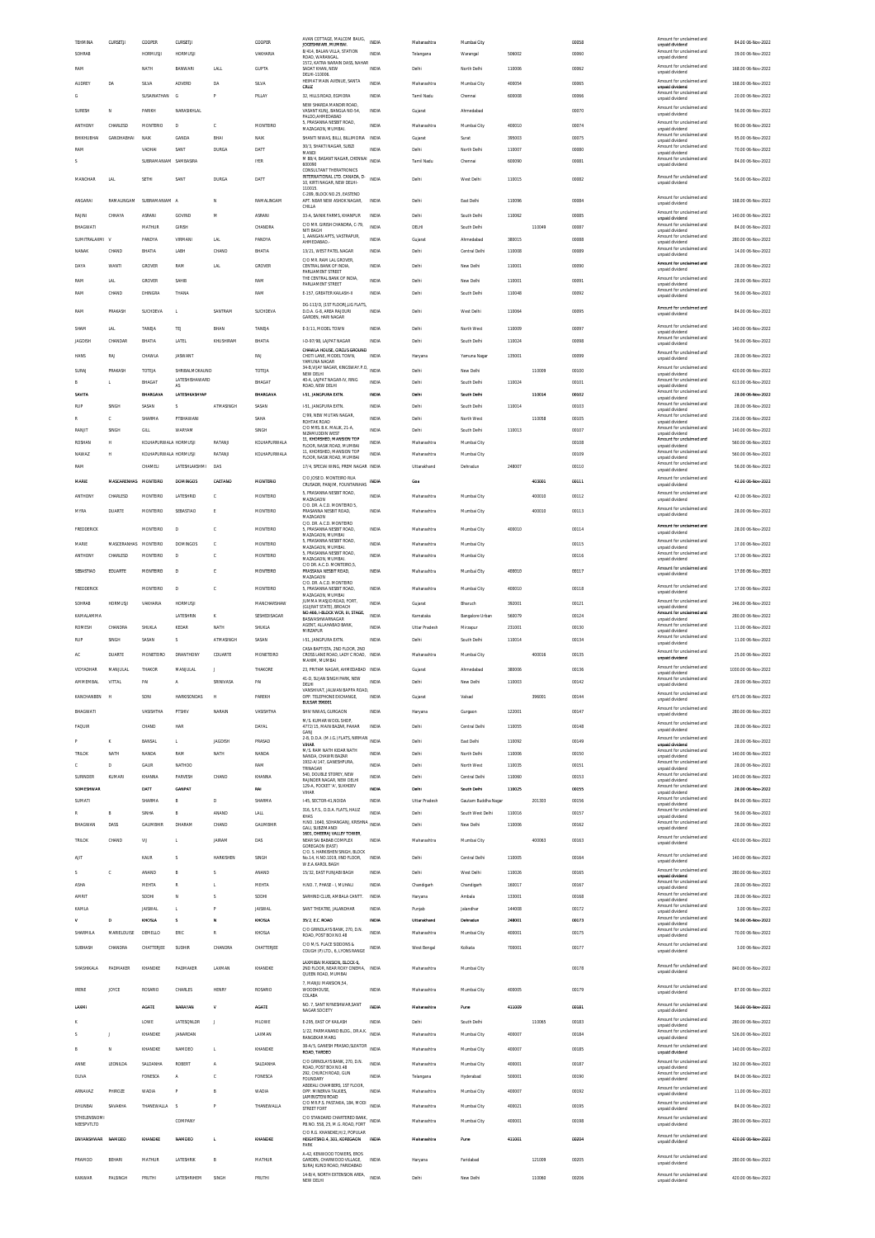| TEHMINA                           | CURSETJI           | COOPER                | CURSETJI                |                  | COOPER              | AVAN COTTAGE, MALCOM BAUG,                                                              | INDIA        | Maharashtra   | Mumbai City         |                  |        | 00058          | Amount for unclaimed and                                       | 84.00 06-Nov-2022                       |
|-----------------------------------|--------------------|-----------------------|-------------------------|------------------|---------------------|-----------------------------------------------------------------------------------------|--------------|---------------|---------------------|------------------|--------|----------------|----------------------------------------------------------------|-----------------------------------------|
| SOHRAB                            |                    | HORMUSJI              | <b>HORMUSJI</b>         |                  | VAKHARIA            | JOGESHWARI, MUMBAI.<br>8/414, BALAN VILLA, STATION                                      | INDIA        | Telangana     | Warangal            | 506002           |        | 00060          | unpaid dividend<br>Amount for unclaimed and                    | 39.00 06-Nov-2022                       |
|                                   |                    |                       |                         |                  |                     | ROAD WARANGAL<br>1572, KATRA NARAIN DASS, NAHAR                                         |              |               |                     |                  |        |                | unpaid dividend<br>Amount for unclaimed and                    |                                         |
| RAM                               |                    | NATH                  | RANWAR                  | <b>LALL</b>      | <b>GUPTA</b>        | SADAT KHAN, NEW<br>DELHI-110006                                                         | INDIA        | Delhi         | North Delhi         | 110006           |        | 00062          | unpaid dividend                                                | 168.00.06.Nov-2022                      |
| <b>AUDREY</b>                     | DA                 | SILVA                 | <b>ADVERD</b>           | DA               | SILVA               | HEIMAT MAIN AVENUE. SANTA<br>CRUZ                                                       | INDIA        | Maharashtra   | Mumbai City         | 400054           |        | 00065          | Amount for unclaimed and<br>unpaid dividend                    | 168.00.06-Nov-2022                      |
| G                                 |                    | SUSAINATHAN           | G                       | P                | PILLAY              | 32, HILLS ROAD, EGMORA                                                                  | INDIA        | Tamil Nadu    | Chennai             | 600006           |        | 00066          | Amount for unclaimed and<br>unpaid dividend                    | 20.00 06-Nov-2022                       |
| <b>SLIRESH</b>                    | N                  | PARKH                 | NARASIKHI AI            |                  |                     | NEW SHARDA MANDIR ROAD,<br>VASANT KUNJ, BANGLA NO-54,                                   | INDIA        | Gujarat       | Ahmedabad           |                  |        | 00070          | Amount for unclaimed and                                       | 56.00 06-Nov-2022                       |
|                                   |                    |                       |                         |                  |                     | PALDO AHMEDABAD<br>5, PRASANNA NESBIT ROAD,                                             |              |               |                     |                  |        |                | unpaid dividend<br>Amount for unclaimed and                    |                                         |
| ANTHONY                           | CHARLESD           | <b>MONTERIO</b>       | D                       | c                | MONTEIRO            | MAZAGAON, MUMBA                                                                         | <b>INDIA</b> | Maharashtra   | Mumbai City         | 400010           |        | 00074          | unpaid dividend<br>Amount for unclaimed and                    | 90.00 06-Nov-2022                       |
| BHIKHUBHA                         | GANDHABHA          | NAI                   | GANDA                   | BHAI             | NAIK                | SHANTI NIWAS. BILLI. BILLIMORIA<br>30/3, SHAKTI NAGAR, SUBZI                            | <b>INDV</b>  | Gujarat       | Surat               | 395003           |        | 00075          | unpaid dividend<br>Amount for unclaimed and                    | 95.00 06-Nov-2022                       |
| RAM                               |                    | VADHAI                | SANT                    | DURGA            | DATT                | MANDI<br>M 88/4. BASANT NAGAR, CHENNAI                                                  | <b>INDIA</b> | Delhi         | North Delhi         | 110007           |        | 00080          | unpaid dividend<br>Amount for unclaimed and                    | 70.00 06-Nov-2022                       |
| s                                 |                    | SUBRAMANIAM SAMBASIRA |                         |                  | <b>IYER</b>         | 600090<br>CONSULTANT THERATRONICS                                                       | INDIA        | Tamil Nadu    | Chennai             | 600090           |        | 00081          | unpaid dividend                                                | 84.00 06-Nov-2022                       |
| MANOHAR                           | LAL                | SETHI                 | SANT                    | DURG/            | DATT                | INTERNATIONAL LTD. CANADA, D-<br>10, KIRTI NAGAR, NEW DELHI-                            | <b>INDV</b>  | Delhi         | West Delhi          | 110015           |        | 00082          | Amount for unclaimed and<br>unpaid dividend                    | 56.00 06-Nov-2022                       |
|                                   |                    |                       |                         |                  |                     | 110015<br>C-289 BLOCK NO 25 FASTEND                                                     |              |               |                     |                  |        |                |                                                                |                                         |
| ANGARAI                           | RAMALINGAM         | SUBRAMANIAM A         |                         | N                | RAMALINGAM          | APT. NEAR NEW ASHOK NAGAR<br>CHILLA                                                     | INDIA        | Delhi         | East Delhi          | 110096           |        | 00084          | Amount for unclaimed and<br>unpaid dividend                    | 168.00.06-Nov-2022                      |
| RAJINI                            | CHHAYA             | ASRANI                | GOVIND                  | M                | ASRANI              | 33-A, SAINIK FARMS, KHANPUR                                                             | INDIA        | Delhi         | South Delhi         | 110062           |        | 00085          | Amount for unclaimed and<br>unnaid dividend                    | 140.00 06-Nov-2022                      |
| BHAGWATI                          |                    | MATHUR                | GIRISH                  |                  | CHANDRA             | C/O MR. GIRISH CHANDRA, C-79,<br>NITI BAGH                                              | INDIA        | DELHI         | South Delhi         |                  | 110049 | 00087          | Amount for unclaimed and<br>unpaid dividend                    | 84.00 06-Nov-2022                       |
| SUMITRALAXMI V                    |                    | PANDYA                | VIRMAN                  | <b>LAL</b>       | PANDYA              | 1. AANGAN APTS, VASTRAPUR.<br>AHMEDABAD.                                                | INDIA        | Gujarat       | Ahmedabad           | 380015           |        | 00088          | Amount for unclaimed and<br>unpaid dividend                    | 280.00 06-Nov-2022                      |
| <b>NANAK</b>                      | CHAND              | BHATIA                | LABH                    | CHAND            | BHATIA              | 13/21. WEST PATEL NAGAR                                                                 | <b>INDIA</b> | Delhi         | Central Delhi       | 110008           |        | 00089          | Amount for unclaimed and<br>unpaid dividend                    | 14.00 06-Nov-2022                       |
| DAYA                              | WANTI              | GROVER                | RAM                     | LAL              | GROVER              | C/O MR. RAM LAL GROVER.<br>CENTRAL BANK OF INDIA,                                       | INDIA        | Delhi         | New Delhi           | 110001           |        | 00090          | Amount for unclaimed and                                       | 28.00 06-Nov-2022                       |
|                                   |                    |                       |                         |                  |                     | PARLIAMENT STREET<br>THE CENTRAL BANK OF INDIA                                          |              |               |                     |                  |        |                | unpaid dividend<br>Amount for unclaimed and                    |                                         |
| RAM                               | LAL                | GROVER                | SAHIB                   |                  | RAM                 | PARLIAMENT STREET                                                                       | INDIA        | Delhi         | New Delhi           | 110001           |        | 00091          | unpaid dividend<br>Amount for unclaimed and                    | 28.00 06-Nov-2022                       |
| RAM                               | CHAND              | DHINGRA               | THANA                   |                  | RAM                 | E-157. GREATER KAILASH-II                                                               | <b>INDIA</b> | Delhi         | South Delhi         | 110048           |        | 00092          | unpaid dividend                                                | 56.00 06-Nov-2022                       |
| <b>RAM</b>                        | <b>PRAKASH</b>     | SUCHDEVA              | $\mathbf{I}$            | SANTRAM          | SUCHDEVA            | DG-113/D, (1ST FLOOR), LIG FLATS,<br><b>D.D.A. G-8. AREA RAJOURI</b>                    | <b>INDIA</b> | Delhi         | West Delhi          | 110064           |        | 00095          | Amount for unclaimed and<br>unpaid dividend                    | 84.00 06-Nov-2022                       |
|                                   |                    |                       |                         |                  |                     | GARDEN, HARI NAGAR                                                                      |              |               |                     |                  |        |                | Amount for unclaimed and                                       |                                         |
| SHAM                              | LAL                | <b>TANFIA</b>         | TEJ                     | RHAN             | TANEJA              | E-3/11. MODEL TOWN                                                                      | <b>INDIA</b> | Delhi         | North West          | 110009           |        | 00097          | unpaid dividend<br>Amount for unclaimed and                    | 140.00 06-Nov-2022                      |
| JAGDISH                           | CHANDAR            | BHATIA                | LATEL                   | KHUSHIRAM        | BHATIA              | I-D-97/98, LAJPAT NAGAR<br>CHAWLA HOUSE, CIRCUS GROUND                                  | <b>INDIA</b> | Delhi         | South Delhi         | 110024           |        | 00098          | unpaid dividend                                                | 56.00 06-Nov-2022                       |
| HANS                              | RAJ                | CHAWLA                | <b>JASWANT</b>          |                  | RAJ                 | CHOTI LANE. MODEL TOWN.<br>YAMLINA NAGAR                                                | INDIA        | Haryana       | Yamuna Nagar        | 135001           |        | 00099          | Amount for unclaimed and<br>unpaid dividend                    | 28.00 06-Nov-2022                       |
| SURAJ                             | PRAKASH            | TOTEJA                | SHRIBALMOKAUND          |                  | TOTEJA              | 34-B, VIJAY NAGAR, KINGSWAY.P.O.<br>NEW DELHI                                           | <b>INDIA</b> | Delhi         | New Delhi           |                  | 110009 | 00100          | Amount for unclaimed and                                       | 420.00.06-Nov-2022                      |
| B                                 | L                  | BHAGAT                | LATESHISHAWARD<br>AS    |                  | BHAGAT              | 40-A. LAJPAT NAGAR-IV. RING<br>ROAD, NEW DELHI                                          | INDIA        | Delhi         | South Delhi         | 110024           |        | 00101          | unpaid dividend<br>Amount for unclaimed and<br>unpaid dividend | 613.00 06-Nov-2022                      |
| SAVITA                            |                    | BHARGAVA              | LATESHKASHYAP           |                  | <b>BHARGAVA</b>     | <b>I-51, JANGPURA EXTN.</b>                                                             | INDIA        | Delhi         | South Delhi         |                  | 110014 | 00102          | Amount for unclaimed and                                       | 28.00 06-Nov-2022                       |
| RUP                               | <b>SINGH</b>       | SASAN                 | s                       | ATMASINGH        | SASAN               | I-51, JANGPURA EXTN.                                                                    | INDIA        | Delhi         | South Delhi         | 110014           |        | 00103          | unpaid dividend<br>Amount for unclaimed and                    | 28.00 06-Nov-2022                       |
| R                                 | c                  | SHARMA                | PTBHAWANI               |                  | SAHA                | C/99, NEW MUTAN NAGAR                                                                   | <b>INDIA</b> | Delhi         | North West          |                  | 110058 | 00105          | unpaid dividend<br>Amount for unclaimed and                    | 216.00 06-Nov-2022                      |
| RANJIT                            | SINGH              | GILL                  | WARYAM                  |                  | SINGH               | ROHTAK ROAD<br>C/O MRS R K MALIK 21-A                                                   | <b>INDIA</b> | Delhi         | South Delhi         | 110013           |        | 00107          | unpaid dividend<br>Amount for unclaimed and                    | 140.00 06-Nov-2022                      |
| ROSHAN                            | н                  | KOLHAPURWALA HORMUSJI |                         | RATANI           | KOLHAPURWALA        | NIZAMUDDIN WEST<br>11, KHORSHED, MANSION TOP                                            | INDIA        | Maharashtra   | Mumbai City         |                  |        | 00108          | unpaid dividend<br>Amount for unclaimed and                    | 560.00 06-Nov-2022                      |
| NAWA7                             | н                  | KOLHAPURWALA HORMUSJI |                         | RATANI           | KOLHAPURWALA        | FLOOR NASIK ROAD MUMBAL<br>11, KHORSHED, MANSION TOP                                    | <b>INDIA</b> | Maharashtra   | Mumbai City         |                  |        | 00109          | unpaid dividend<br>Amount for unclaimed and                    | 560.00 06-Nov-2022                      |
|                                   |                    |                       |                         |                  |                     | FLOOR, NASIK ROAD, MUMBAI                                                               |              |               |                     |                  |        |                | unpaid dividend<br>Amount for unclaimed and                    |                                         |
| RAM                               |                    | CHAMELI               | LATESHLAKSHMI           | DAS              |                     | 17/4, SPECIAI WING, PREM NAGAR INDIA<br>C/O JOSE D. MONTEIRO RUA                        |              | Uttarakhand   | Dehradun            | 248007           |        | 00110          | unpaid dividend<br>Amount for unclaimed and                    | 56.00 06-Nov-2022                       |
| MARIE                             | <b>MASCARENHAS</b> | <b>MONTEIRO</b>       | DOMINGOS                | CAETANO          | <b>MONTERIO</b>     | CRUSADR, PANJIM, FOUNTAINHAS                                                            | INDIA        | Goa           |                     |                  | 403001 | 00111          | unpaid dividend                                                | 42.00 06-Nov-2022                       |
| <b>ANTHONY</b>                    | CHARLESD.          | <b>MONTFIRD</b>       | LATESHRID               | Ċ                | <b>MONTFIRD</b>     | 5, PRASANNA NESBIT ROAD,<br>MAZAGAON                                                    | <b>INDIA</b> | Maharashtra   | Mumbai City         |                  | 400010 | 00112          | Amount for unclaimed and<br>unpaid dividend                    | 42.00 06-Nov-2022                       |
| <b>MYRA</b>                       | <b>DUARTE</b>      | MONTEIRO              | SEBASTIAO               | E                | MONTEIRO            | C/O. DR. A.C.D. MONTEIRO 5<br>PRASANNA NESBIT ROAD.                                     | <b>INDIA</b> | Maharashtra   | Mumbai City         |                  | 400010 | 00113          | Amount for unclaimed and                                       | 28.00 06-Nov-2022                       |
|                                   |                    |                       |                         |                  |                     | MAZAGAON<br>C/O. DR. A.C.D. MONTEIRO                                                    |              |               |                     |                  |        |                | unpaid dividend                                                |                                         |
| <b>FREDDERICK</b>                 |                    | MONTEIRO              | D                       | c                | MONTEIRO            | 5. PRASANNA NESBIT ROAD.<br>MAZAGAON, MUMBAI                                            | <b>INDIA</b> | Maharashtra   | Mumbai City         | 400010           |        | 00114          | Amount for unclaimed and<br>unpaid dividend                    | 28.00 06-Nov-2022                       |
| MARIE                             | MASCERANHAS        | MONTEIRO              | DOMINGOS                | c                | MONTEIRO            | 5, PRASANNA NESBIT ROAD,<br>MAZAGAON MUMBAL                                             | INDIA        | Maharashtra   | Mumbai City         |                  |        | 00115          | Amount for unclaimed and<br>unpaid dividend                    | 17.00 06-Nov-2022                       |
| <b>ANTHONY</b>                    | CHARLESD           | MONTEIRO              | D                       | Ċ                | MONTEIRO            | 5. PRASANNA NESBIT ROAD.<br>MAZAGAON, MUMBAI.                                           | <b>INDIA</b> | Maharashtra   | Mumbai City         |                  |        | 00116          | Amount for unclaimed and<br>unpaid dividend                    | 17.00 06-Nov-2022                       |
| <b>SEBASTIAO</b>                  | EDUARTE            | <b>MONTEIRO</b>       | D                       | c                | MONTEIRO            | C/O DR. A.C.D. MONTEIRO.5.<br>PRASSANA NESBIT ROAD.                                     | INDIA        | Maharashtra   | Mumbai City         | 400010           |        | 00117          | Amount for unclaimed and                                       | 17.00 06-Nov-2022                       |
|                                   |                    |                       |                         |                  |                     | MAZAGAON<br>C/O. DR. A.C.D. MONTEIRO                                                    |              |               |                     |                  |        |                | unpaid dividend                                                |                                         |
| <b>FREDDERICK</b>                 |                    | MONTEIRO              | $\mathbf{D}$            | Ċ                | <b>MONTFIRD</b>     | 5, PRASANNA NESBIT ROAD,<br>MAZAGAON, MUMBAI                                            | <b>INDIA</b> | Maharashtra   | Mumbai City         | 400010           |        | 00118          | Amount for unclaimed and<br>unpaid dividend                    | 17.00 06-Nov-2022                       |
| SOHRAB                            | <b>HORMUSJI</b>    | VAKHARIA              | <b>HORMUSJI</b>         |                  | MANCHARSHAW         | JUMMA MASJID ROAD, FORT,<br>(GUIRAT STATE) RROACH                                       | <b>INDIA</b> | Guiarat       | Bharuch             | 392001           |        | 00121          | Amount for unclaimed and<br>unpaid dividend                    | 246.00 06-Nov-2022                      |
| KAMALAMM                          |                    |                       | LATESHRIN               | K                | SESHEDISAGAR        | NO.466. I-BLOCK WCR. III. STAGE<br>BASWASHWARNAGAR                                      | INDIA        | Karnataka     | Bangalore Urban     | 560079           |        | 00124          | Amount for unclaimed and<br>unpaid dividend                    | 280.00 06-Nov-2022                      |
|                                   |                    |                       |                         |                  |                     |                                                                                         |              |               |                     |                  |        |                |                                                                |                                         |
| ROMESH                            |                    | SHUKLA                | KEDAR                   | NATH             | SHUKLA              | AGENT, ALLAHABAD BANK                                                                   | <b>INDIA</b> | Uttar Pradesh | Mirzapur            |                  |        | 00130          | Amount for unclaimed and                                       | 11.00 06-Nov-2022                       |
| RUP                               | CHANDRA<br>SINGH   | SASAN                 | $\overline{\mathbf{S}}$ | ATMASINGH        | SASAN               | MIRZAPUR                                                                                | <b>INDIA</b> | Delhi         |                     | 231001<br>110014 |        |                | unpaid dividend<br>Amount for unclaimed and                    | 11.00 06-Nov-2022                       |
|                                   |                    |                       |                         |                  |                     | 1-51, JANGPURA EXTN.<br>CASA BAPTISTA 2ND FLOOR 2ND                                     |              |               | South Delhi         |                  |        | 00134          | unpaid dividend                                                |                                         |
| AC                                | <b>DUARTE</b>      | MONETEIRO             | DRANTHONY               | CDUARTE          | MONETEIRO           | CROSS LANE ROAD, LADY C ROAD. INDIA<br>MAHIM. MUMBAI                                    |              | Maharashtra   | Mumbai City         |                  | 400016 | 00135          | Amount for unclaimed and<br>unpaid dividend                    | 25.00 06-Nov-2022                       |
| VIDYADHAR                         | <b>MANJULAL</b>    | THAKOR                | MANJULAL                | J                | THAKORE             | 23, PRITAM NAGAR, AHMEDABAD INDIA                                                       |              | Gujarat       | Ahmedabad           | 380006           |        | 00136          | Amount for unclaimed and<br>unpaid dividend                    | 1030.00 06-Nov-2022                     |
| <b>AMMEMBAL</b>                   | VITTAL             | PAI                   | A                       | SRINIVASA        | PAI                 | 41-D. SUJAN SINGH PARK. NEW<br>DELHI                                                    | INDIA        | Delhi         | New Delhi           | 110003           |        | 00142          | Amount for unclaimed and<br>unpaid dividend                    | 28.00 06-Nov-2022                       |
| KANCHANBEN                        | <b>H</b>           | SONI                  | <b>HARKISONDAS</b>      | н                | PAREKH              | OPP. TELEPHONE EXCHANGE                                                                 | <b>INDIA</b> | Gujarat       | Valsad              |                  | 396001 | 00144          | Amount for unclaimed and                                       | 675.00 06-Nov-2022                      |
|                                   |                    |                       |                         |                  |                     | <b>BULSAR 396001</b>                                                                    |              |               |                     |                  |        |                | unpaid dividend<br>Amount for unclaimed and                    |                                         |
| BHAGWATI                          |                    | VASISHTHA             | PTSHIV                  | NARAIN           | VASISHTHA           | SHIV NIWAS, GURGAON<br>M/S. KUMAR WOOL SHOP,                                            | INDIA        | Haryana       | Gurgson             | 122001           |        | 00147          | unpaid dividend                                                | 280.00 06-Nov-2022                      |
| FAQUIR                            |                    | CHAND                 | HAR                     |                  | DAYAL               | 4772/15. MAIN BAZAR. PAHAR<br>GANI                                                      | INDIA        | Delhi         | Central Delhi       | 110055           |        | 00148          | Amount for unclaimed and<br>unnaid dividend                    | 28.00 06-Nov-2022                       |
| P                                 | ĸ                  | BANSAL                | $\mathbf{L}$            | <b>JAGDISH</b>   | PRASAD              | 2-B, D.D.A. (M.I.G.) FLATS, NIRMAN INDIA                                                |              | Delhi         | East Delhi          | 110092           |        | 00149          | Amount for unclaimed and                                       | 28.00 06-Nov-2022                       |
| TRILOK                            | NATH               | NANDA                 | RAM                     | NATH             | NANDA               | VIHAR<br>M/S. RAM NATH KIDAR NATH                                                       | <b>INDIA</b> | Delhi         | North Delhi         | 110006           |        | 00150          | unpaid dividend<br>Amount for unclaimed and                    | 140.00 06-Nov-2022                      |
| C.                                | D                  | GAUR                  | NATHOO                  |                  | RAM                 | NANDA, CHAWRI BAZAR<br>1932-A/147, GANESHPURA,                                          | <b>INDIA</b> | Delhi         | North West          | 110035           |        | 00151          | unpaid dividend<br>Amount for unclaimed and                    | 28.00 06-Nov-2022                       |
| SURINDER                          | KUMARI             | KHANNA                | PARVESH                 | CHAND            | KHANNA              | TRINAGAR<br>540. DOUBLE STOREY. NEW                                                     | INDIA        | Delhi         | Central Delhi       | 110060           |        | 00153          | unpaid dividend<br>Amount for unclaimed and                    | 140.00 06-Nov-2022                      |
| SOMESHWAR                         |                    | DATT                  | <b>GANPAT</b>           |                  | RAI                 | RAIINDER NAGAR. NEW DELHI<br>129-A, POCKET 'A', SUKHDEV                                 | INDIA        | Dethi         | South Delhi         | 110025           |        | 00155          | unpaid dividend<br>Amount for unclaimed and                    | 28.00 06-Nov-2022                       |
| SUMATI                            |                    | SHARMA                | B                       | D                | SHARMA              | VIHAR<br>I-45, SECTOR-41, NOIDA                                                         | INDIA        | Uttar Pradesh | Gautam Buddha Nagar |                  | 201303 | 00156          | unpaid dividend<br>Amount for unclaimed and                    | 84.00 06-Nov-2022                       |
| R                                 | B                  | SINHA                 | B                       | ANAND            | LALL                | 316, S.F.S., D.D.A. FLATS, HAUZ<br>KHAS                                                 | INDIA        | Delhi         | South West Delhi    | 110016           |        | 00157          | unpaid dividend<br>Amount for unclaimed and                    | 56.00 06-Nov-2022                       |
| BHAGWAN                           | DASS               | <b>GAUMBHIR</b>       | DHARAM                  | CHAND            | <b>GALIMBHIR</b>    | H NO 1640 SOHANGANI KRISHNA                                                             | <b>INDIA</b> | Delhi         | New Delhi           | 110006           |        | 00162          | unpaid dividend<br>Amount for unclaimed and<br>unpaid dividend | 28.00 06-Nov-2022                       |
| <b>TRILOK</b>                     | CHAND              | VU                    | L.                      | <b>JAIRAM</b>    | DAS                 | GALI, SUBZIMANDI<br>1601. DHEERAJ VALLEY TOWER<br>NEAR SALBARAR COMPLEX                 | INDIA        | Maharashtra   | Mumbai City         |                  | 400063 | 00163          | Amount for unclaimed and                                       | 420.00.06-Nov-2022                      |
|                                   |                    |                       |                         |                  |                     | GOREGAON (EAST)<br>C/O. S. HARKISHEN SINGH, BLOCK                                       |              |               |                     |                  |        |                | unpaid dividend                                                |                                         |
| AIIT                              |                    | KAUR                  | $\overline{\mathbf{S}}$ | <b>HARKISHEN</b> | SINGH               | No.14, H.NO.1019, IIND FLOOR,<br>W.E.A.KAROL BAGH                                       | INDIA        | Delhi         | Central Delhi       | 110005           |        | 00164          | Amount for unclaimed and<br>unpaid dividend                    | 140.00 06-Nov-2022                      |
| s                                 | c                  | ANAND                 | B                       | s                | ANAND               | 15/32. EAST PUNJABI BAGH                                                                | <b>INDIA</b> | Delhi         | West Delhi          | 110026           |        | 00165          | Amount for unclaimed and                                       | 280.00.06-Nov-2022                      |
| ASHA                              |                    | MEHTA                 | $\mathbb R$             |                  | MEHTA               | H.NO. 7, PHASE - I, MUHALI                                                              | INDIA        | Chandigarh    | Chandigarh          | 160017           |        | 00167          | unpaid dividend<br>Amount for unclaimed and                    | 28.00 06-Nov-2022                       |
| AMRIT                             |                    | SODHI                 | N                       | Ś                | SODHI               | SARHIND CLUB, AMBALA CANTT.                                                             | INDIA        | Haryana       | Ambala              | 133001           |        | 00168          | unpaid dividend<br>Amount for unclaimed and                    | 28.00 06-Nov-2022                       |
| KAMLA                             |                    | <b>JAISWAL</b>        | $\mathbf{I}$            | p                | <b>JAISWAL</b>      | SANT THEATRE, JALANDHAR                                                                 | <b>INDIA</b> | Punjab        | Jalandhar           | 144008           |        | 00172          | unpaid dividend<br>Amount for unclaimed and                    | 3.00 06-Nov-2022                        |
| v                                 | D                  | KHOSLA                | s                       | N                | KHOSLA              | 35/2, E.C. ROAD                                                                         | INDIA        | Uttarakhand   | Dehradun            | 248001           |        | 00173          | unpaid dividend<br>Amount for unclaimed and                    | 56.00 06-Nov-2022                       |
| SHARMILA                          | MARIELOUISE        | DEMELLO               | ERIC                    | R                | KHOSLA              | C/O GRINDLAYS BANK, 270, D.N.                                                           | INDIA        | Maharashtra   | Mumbai City         | 400001           |        | 00175          | unpaid dividend<br>Amount for unclaimed and                    | 70.00 06-Nov-2022                       |
|                                   |                    |                       |                         |                  |                     | ROAD, POST BOX NO.48<br>C/O M/S. PLACE SIDDONS &                                        |              |               |                     |                  |        |                | unpaid dividend<br>Amount for unclaimed and                    |                                         |
| SUBHASH                           | CHANDRA            | CHATTERJEE            | SUDHIR                  | CHANDRA          | CHATTERJEE          | COUGH (P) LTD., 6, LYONS RANGE                                                          | INDIA        | West Bengal   | Kolkata             | 700001           |        | 00177          | unpaid dividend                                                | 3.00 06-Nov-2022                        |
| SHASHIKALA                        | PADMAKER           | KHANDKE               | PADMAKER                | LAXMAN           | KHANDKE             | LAXMIBAI MANSION, BLOCK-6                                                               |              | Maharashtra   | Mumbai City         |                  |        | 00178          | Amount for unclaimed and                                       | 840.00 06-Nov-2022                      |
|                                   |                    |                       |                         |                  |                     | 2ND FLOOR, NEAR ROXY CINEMA, INDIA<br>QUEEN ROAD, MUMBAI                                |              |               |                     |                  |        |                | unpaid dividend                                                |                                         |
| <b>IRENE</b>                      | JOYCE              | ROSARIO               | CHARLES                 | <b>HENRY</b>     | ROSARIO             | 7, MANJU MANSION, 54<br>WOODHOUSE,                                                      | <b>INDIA</b> | Maharashtra   | Mumbai City         | 400005           |        | 00179          | Amount for unclaimed and<br>unpaid dividend                    | 87.00 06-Nov-2022                       |
|                                   |                    |                       |                         |                  |                     | COLABA<br>NO. 7, SANT NYNESHWAR, SANT                                                   |              |               |                     |                  |        |                | Amount for unclaimed and                                       |                                         |
| LAXM                              |                    | <b>AGATE</b>          | NARAYAN                 | v                | <b>AGATE</b>        | NAGAR SOCIETY                                                                           | INDIA        | Maharashtra   | Pune                | 411009           |        | 00181          | unpaid dividend                                                | 56.00 06-Nov-2022                       |
|                                   |                    | LOWE                  | LATESQNLDR              | J                | MLOWE               | E-295, EAST OF KAILASH                                                                  | <b>INDIA</b> | Delhi         | South Delhi         |                  | 110065 | 00183          | Amount for unclaimed and<br>unpaid dividend                    | 280.00 06-Nov-2022                      |
| s                                 | J.                 | KHANDKE               | <b>IANARDAN</b>         |                  | LAXMAN              | 1/22, PARMANAND BLDG., DR.A.K.<br><b>RANGEKAR MARG</b>                                  | INDIA        | Maharashtra   | Mumbai City         | 400007           |        | 00184          | Amount for unclaimed and<br>unpaid dividend                    | 526.00 06-Nov-2022                      |
| B                                 | N                  | KHANDKE               | NAMDEO                  | L.               | KHANDKE             | 38-A/5, GANESH PRASAD, SLEATOR<br>ROAD, TARDEO                                          | <b>INDIA</b> | Maharashtra   | Mumbai City         | 400007           |        | 00185          | Amount for unclaimed and<br>unpaid dividend                    | 140.00 06-Nov-2022                      |
|                                   |                    |                       |                         | ٨                |                     | C/O GRINDLAYS BANK, 270, D.N.                                                           | INDIA        |               |                     |                  |        |                | Amount for unclaimed and                                       |                                         |
| ANNE<br>OLIVA                     | LEONILDA           | SALDANHA<br>FONESCA   | ROBERT<br>A             | c                | SALDANHA<br>FONESCA | ROAD, POST BOX NO.48<br>292. CHURCH ROAD, GUN                                           | <b>INDIA</b> | Maharashtra   | Mumbai City         | 400001<br>500001 |        | 00187<br>00190 | unpaid dividend<br>Amount for unclaimed and                    | 162.00 06-Nov-2022<br>84.00 06-Nov-2022 |
|                                   |                    |                       |                         |                  |                     | <b>FOUNDARY</b><br>ABDEALI CHAMBERS, 1ST FLOOR                                          |              | Telangana     | Hyderabad           |                  |        |                | unpaid dividend<br>Amount for unclaimed and                    |                                         |
| ARNAVAZ                           | PHIROZE            | WADIA                 |                         | B                | <b>WADIA</b>        | OPP. MINERVA TALKIES,<br>LAMINGTON ROAD                                                 | <b>INDIA</b> | Maharashtra   | Mumbai City         | 400007           |        | 00192          | unpaid dividend                                                | 11.00 06-Nov-2022                       |
| DHUNBAI                           | SAVAKHA            | THANEWALLA            | -S                      | P                | THANEWALLA          | C/O MR.P.S. PASTAKIA, 184, MODI<br>STREET FORT                                          | <b>INDIA</b> | Maharashtra   | Mumbai City         | 400021           |        | 00195          | Amount for unclaimed and<br>unpaid dividend                    | 84.00 06-Nov-2022                       |
| <b>STHELENSNOMI</b><br>NEESPVTLTD |                    |                       | COMPANY                 |                  |                     | C/O STANDARD CHARTERED BANK. INDIA<br>PB.NO. 558, 25, M.G. ROAD, FORT                   |              | Maharashtra   | Mumbai City         | 400001           |        | 00198          | Amount for unclaimed and<br>unpaid dividend                    | 280.00 06-Nov-2022                      |
|                                   |                    |                       |                         |                  |                     | C/O R.G. KHANDKE.H/2. POPULAR                                                           |              |               |                     |                  |        |                | Amount for unclaimed and                                       |                                         |
| DNYANSHWAR                        | NAMDEO             | KHANDKE               | NAMDEO                  | t.               | KHANDKE             | HEIGHTSNO.4, 301, KOREGAON<br>PARK                                                      | INDIA        | Maharashtra   | Pune                | 411001           |        | 00204          | unpaid dividend                                                | 420.00 06-Nov-2022                      |
|                                   |                    |                       |                         |                  |                     | A-42, KENWOOD TOWERS, EROS                                                              |              |               |                     |                  |        |                | Amount for unclaimed and                                       |                                         |
| PRAMOD                            | BEHAR              | MATHUR                | LATESHRIK               | B                | <b>MATHUR</b>       | GARDEN, CHARWOOD VILLAGE<br>SURAJ KUND ROAD, FARIDABAD<br>14-B/4, NORTH EXTENSION AREA, | <b>INDIA</b> | Haryana       | Faridabad           |                  | 121009 | 00205          | unpaid dividend<br>Amount for unclaimed and                    | 280.00 06-Nov-2022                      |